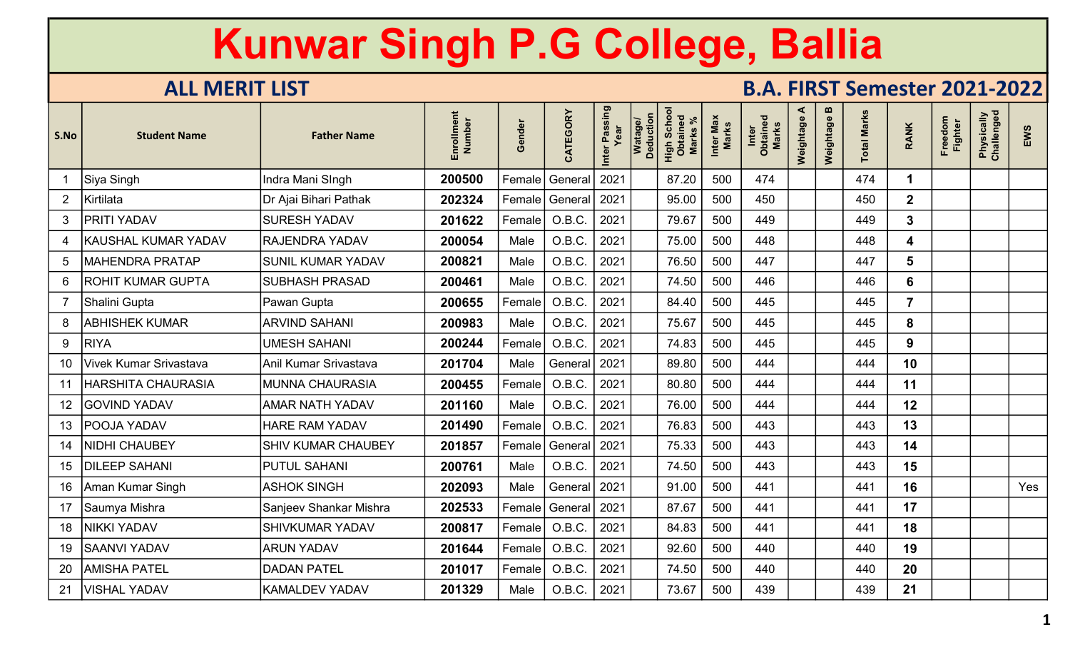| S.No           | <b>Student Name</b>    | <b>Father Name</b>     | Enrollment<br>Number | Gender              | CATEGORY             | Inter Passing<br>Year | Deduction<br><b>Watag</b> | Scho<br>High Sch<br>Obtaine<br><b>Marks</b> | Inter Max<br><b>Marks</b> | Inter<br>Obtained<br><b>Marks</b> | ⋖<br>Weightage | m<br>Weightage | <b>Total Marks</b> | <b>RANK</b>             | Freedom<br><b>Fighter</b> | Physically<br>Challenged | EWS |
|----------------|------------------------|------------------------|----------------------|---------------------|----------------------|-----------------------|---------------------------|---------------------------------------------|---------------------------|-----------------------------------|----------------|----------------|--------------------|-------------------------|---------------------------|--------------------------|-----|
|                | Siya Singh             | Indra Mani SIngh       | 200500               | Female              | General              | 2021                  |                           | 87.20                                       | 500                       | 474                               |                |                | 474                |                         |                           |                          |     |
| $\overline{2}$ | Kirtilata              | Dr Ajai Bihari Pathak  | 202324               | Female              | General              | 2021                  |                           | 95.00                                       | 500                       | 450                               |                |                | 450                | $\overline{2}$          |                           |                          |     |
| 3              | PRITI YADAV            | <b>SURESH YADAV</b>    | 201622               | Female              | O.B.C.               | 2021                  |                           | 79.67                                       | 500                       | 449                               |                |                | 449                | $\mathbf{3}$            |                           |                          |     |
|                | KAUSHAL KUMAR YADAV    | RAJENDRA YADAV         | 200054               | Male                | O.B.C.               | 2021                  |                           | 75.00                                       | 500                       | 448                               |                |                | 448                | $\overline{\mathbf{4}}$ |                           |                          |     |
|                | <b>MAHENDRA PRATAP</b> | SUNIL KUMAR YADAV      | 200821               | Male                | O.B.C.               | 2021                  |                           | 76.50                                       | 500                       | 447                               |                |                | 447                | $5\phantom{1}$          |                           |                          |     |
| 6              | ROHIT KUMAR GUPTA      | <b>SUBHASH PRASAD</b>  | 200461               | Male                | O.B.C.               | 2021                  |                           | 74.50                                       | 500                       | 446                               |                |                | 446                | 6                       |                           |                          |     |
|                | Shalini Gupta          | Pawan Gupta            | 200655               | Female              | O.B.C.               | 2021                  |                           | 84.40                                       | 500                       | 445                               |                |                | 445                | $\overline{7}$          |                           |                          |     |
| 8              | <b>ABHISHEK KUMAR</b>  | <b>ARVIND SAHANI</b>   | 200983               | Male                | O.B.C.               | 2021                  |                           | 75.67                                       | 500                       | 445                               |                |                | 445                | 8                       |                           |                          |     |
| 9              | <b>RIYA</b>            | <b>UMESH SAHANI</b>    | 200244               | Female              | O.B.C.               | 2021                  |                           | 74.83                                       | 500                       | 445                               |                |                | 445                | $\mathbf{9}$            |                           |                          |     |
| 10             | Vivek Kumar Srivastava | Anil Kumar Srivastava  | 201704               | Male                | General              | 2021                  |                           | 89.80                                       | 500                       | 444                               |                |                | 444                | 10                      |                           |                          |     |
|                | HARSHITA CHAURASIA     | <b>MUNNA CHAURASIA</b> | 200455               | Female              | O.B.C.               | 2021                  |                           | 80.80                                       | 500                       | 444                               |                |                | 444                | 11                      |                           |                          |     |
| 12             | <b>GOVIND YADAV</b>    | AMAR NATH YADAV        | 201160               | Male                | O.B.C.               | 2021                  |                           | 76.00                                       | 500                       | 444                               |                |                | 444                | 12                      |                           |                          |     |
| 13             | POOJA YADAV            | <b>HARE RAM YADAV</b>  | 201490               | Female              | O.B.C.               | 2021                  |                           | 76.83                                       | 500                       | 443                               |                |                | 443                | 13                      |                           |                          |     |
| 14             | <b>NIDHI CHAUBEY</b>   | SHIV KUMAR CHAUBEY     | 201857               | Female <sup>!</sup> | General              | 2021                  |                           | 75.33                                       | 500                       | 443                               |                |                | 443                | 14                      |                           |                          |     |
| 15             | <b>DILEEP SAHANI</b>   | <b>PUTUL SAHANI</b>    | 200761               | Male                | O.B.C.               | 2021                  |                           | 74.50                                       | 500                       | 443                               |                |                | 443                | 15                      |                           |                          |     |
| 16             | Aman Kumar Singh       | <b>ASHOK SINGH</b>     | 202093               | Male                | General <sup>'</sup> | 2021                  |                           | 91.00                                       | 500                       | 441                               |                |                | 441                | 16                      |                           |                          | Yes |
|                | Saumya Mishra          | Sanjeev Shankar Mishra | 202533               | Female              | General              | 2021                  |                           | 87.67                                       | 500                       | 441                               |                |                | 441                | 17                      |                           |                          |     |
| 18             | <b>NIKKI YADAV</b>     | <b>SHIVKUMAR YADAV</b> | 200817               | Female              | O.B.C.               | 2021                  |                           | 84.83                                       | 500                       | 441                               |                |                | 441                | 18                      |                           |                          |     |
| 19             | <b>SAANVI YADAV</b>    | <b>ARUN YADAV</b>      | 201644               | Female              | $\big $ O.B.C.       | 2021                  |                           | 92.60                                       | 500                       | 440                               |                |                | 440                | 19                      |                           |                          |     |
| 20             | <b>AMISHA PATEL</b>    | <b>DADAN PATEL</b>     | 201017               | Female              | O.B.C.               | 2021                  |                           | 74.50                                       | 500                       | 440                               |                |                | 440                | 20                      |                           |                          |     |
| 21             | <b>VISHAL YADAV</b>    | KAMALDEV YADAV         | 201329               | Male                | O.B.C.               | 2021                  |                           | 73.67                                       | 500                       | 439                               |                |                | 439                | 21                      |                           |                          |     |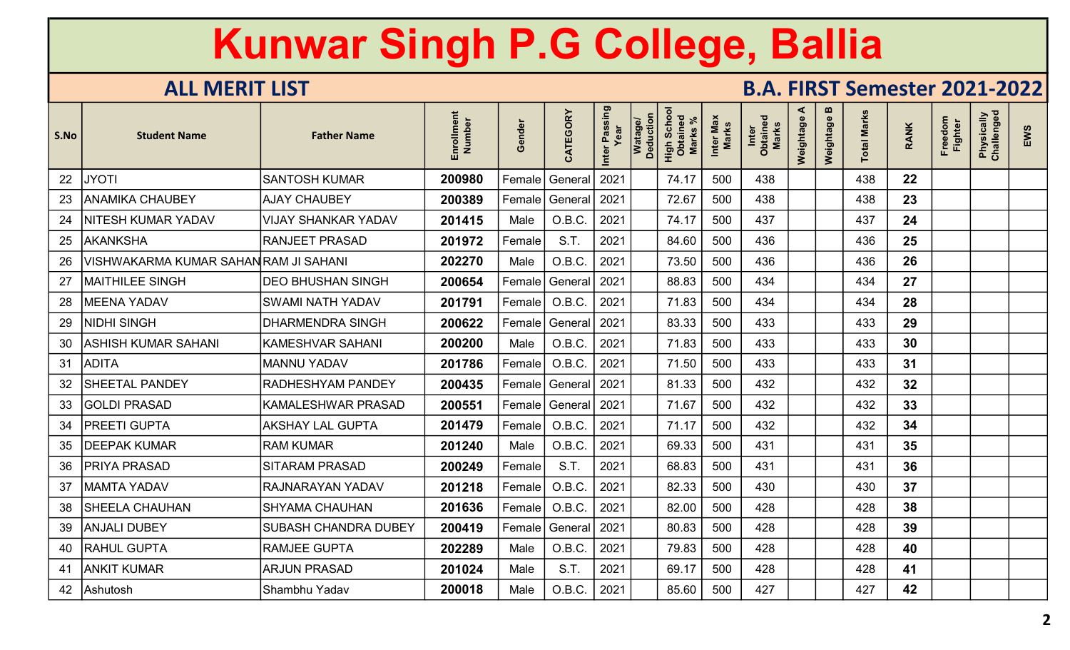| S.No | <b>Student Name</b>                   | <b>Father Name</b>          | Enrollment<br>Number | Gende   | CATEGORY         | Inter Passing<br>Year | Deduction<br>Watag | High School<br>Obtained<br><b>Marks</b> | Inter Max<br>Marks | Inter<br>Obtained<br>Marks | ≺<br>Weightage | m<br>Weightage | <b>Total Marks</b> | <b>RANK</b> | Freedom<br><b>Fighter</b> | Physically<br>Challenged | EWS |
|------|---------------------------------------|-----------------------------|----------------------|---------|------------------|-----------------------|--------------------|-----------------------------------------|--------------------|----------------------------|----------------|----------------|--------------------|-------------|---------------------------|--------------------------|-----|
| 22   | <b>JYOTI</b>                          | <b>SANTOSH KUMAR</b>        | 200980               | Female  | General          | 2021                  |                    | 74.17                                   | 500                | 438                        |                |                | 438                | 22          |                           |                          |     |
| 23   | <b>ANAMIKA CHAUBEY</b>                | <b>AJAY CHAUBEY</b>         | 200389               | Female  | General          | 2021                  |                    | 72.67                                   | 500                | 438                        |                |                | 438                | 23          |                           |                          |     |
| 24   | NITESH KUMAR YADAV                    | <b>VIJAY SHANKAR YADAV</b>  | 201415               | Male    | O.B.C.           | 2021                  |                    | 74.17                                   | 500                | 437                        |                |                | 437                | 24          |                           |                          |     |
| 25   | <b>AKANKSHA</b>                       | <b>RANJEET PRASAD</b>       | 201972               | Female  | S.T.             | 2021                  |                    | 84.60                                   | 500                | 436                        |                |                | 436                | 25          |                           |                          |     |
| 26   | VISHWAKARMA KUMAR SAHAN RAM JI SAHANI |                             | 202270               | Male    | O.B.C.           | 2021                  |                    | 73.50                                   | 500                | 436                        |                |                | 436                | 26          |                           |                          |     |
| 27   | <b>MAITHILEE SINGH</b>                | <b>DEO BHUSHAN SINGH</b>    | 200654               | Female  | General          | 2021                  |                    | 88.83                                   | 500                | 434                        |                |                | 434                | 27          |                           |                          |     |
| 28   | <b>MEENA YADAV</b>                    | <b>SWAMI NATH YADAV</b>     | 201791               | Female  | O.B.C.           | 2021                  |                    | 71.83                                   | 500                | 434                        |                |                | 434                | 28          |                           |                          |     |
| 29   | NIDHI SINGH                           | <b>DHARMENDRA SINGH</b>     | 200622               | Female  | General          | 2021                  |                    | 83.33                                   | 500                | 433                        |                |                | 433                | 29          |                           |                          |     |
| 30   | <b>ASHISH KUMAR SAHANI</b>            | <b>KAMESHVAR SAHANI</b>     | 200200               | Male    | O.B.C.           | 2021                  |                    | 71.83                                   | 500                | 433                        |                |                | 433                | 30          |                           |                          |     |
| 31   | <b>ADITA</b>                          | <b>MANNU YADAV</b>          | 201786               | Female! | O.B.C.           | 2021                  |                    | 71.50                                   | 500                | 433                        |                |                | 433                | 31          |                           |                          |     |
| 32   | <b>SHEETAL PANDEY</b>                 | RADHESHYAM PANDEY           | 200435               |         | Female   General | 2021                  |                    | 81.33                                   | 500                | 432                        |                |                | 432                | 32          |                           |                          |     |
| 33   | <b>GOLDI PRASAD</b>                   | <b>KAMALESHWAR PRASAD</b>   | 200551               | Female  | General          | 2021                  |                    | 71.67                                   | 500                | 432                        |                |                | 432                | 33          |                           |                          |     |
| 34   | <b>PREETI GUPTA</b>                   | <b>AKSHAY LAL GUPTA</b>     | 201479               | Female  | O.B.C.           | 2021                  |                    | 71.17                                   | 500                | 432                        |                |                | 432                | 34          |                           |                          |     |
| 35   | <b>DEEPAK KUMAR</b>                   | <b>RAM KUMAR</b>            | 201240               | Male    | O.B.C.           | 2021                  |                    | 69.33                                   | 500                | 431                        |                |                | 431                | 35          |                           |                          |     |
| 36   | <b>PRIYA PRASAD</b>                   | <b>SITARAM PRASAD</b>       | 200249               | Female  | S.T.             | 2021                  |                    | 68.83                                   | 500                | 431                        |                |                | 431                | 36          |                           |                          |     |
| 37   | <b>MAMTA YADAV</b>                    | RAJNARAYAN YADAV            | 201218               | Female  | O.B.C.           | 2021                  |                    | 82.33                                   | 500                | 430                        |                |                | 430                | 37          |                           |                          |     |
| 38   | <b>SHEELA CHAUHAN</b>                 | <b>SHYAMA CHAUHAN</b>       | 201636               | Female  | O.B.C.           | 2021                  |                    | 82.00                                   | 500                | 428                        |                |                | 428                | 38          |                           |                          |     |
| 39   | <b>ANJALI DUBEY</b>                   | <b>SUBASH CHANDRA DUBEY</b> | 200419               | Female  | General          | 2021                  |                    | 80.83                                   | 500                | 428                        |                |                | 428                | 39          |                           |                          |     |
| 40   | <b>RAHUL GUPTA</b>                    | <b>RAMJEE GUPTA</b>         | 202289               | Male    | O.B.C.           | 2021                  |                    | 79.83                                   | 500                | 428                        |                |                | 428                | 40          |                           |                          |     |
| 41   | <b>ANKIT KUMAR</b>                    | <b>ARJUN PRASAD</b>         | 201024               | Male    | S.T.             | 2021                  |                    | 69.17                                   | 500                | 428                        |                |                | 428                | 41          |                           |                          |     |
| 42   | Ashutosh                              | Shambhu Yadav               | 200018               | Male    | O.B.C.           | 2021                  |                    | 85.60                                   | 500                | 427                        |                |                | 427                | 42          |                           |                          |     |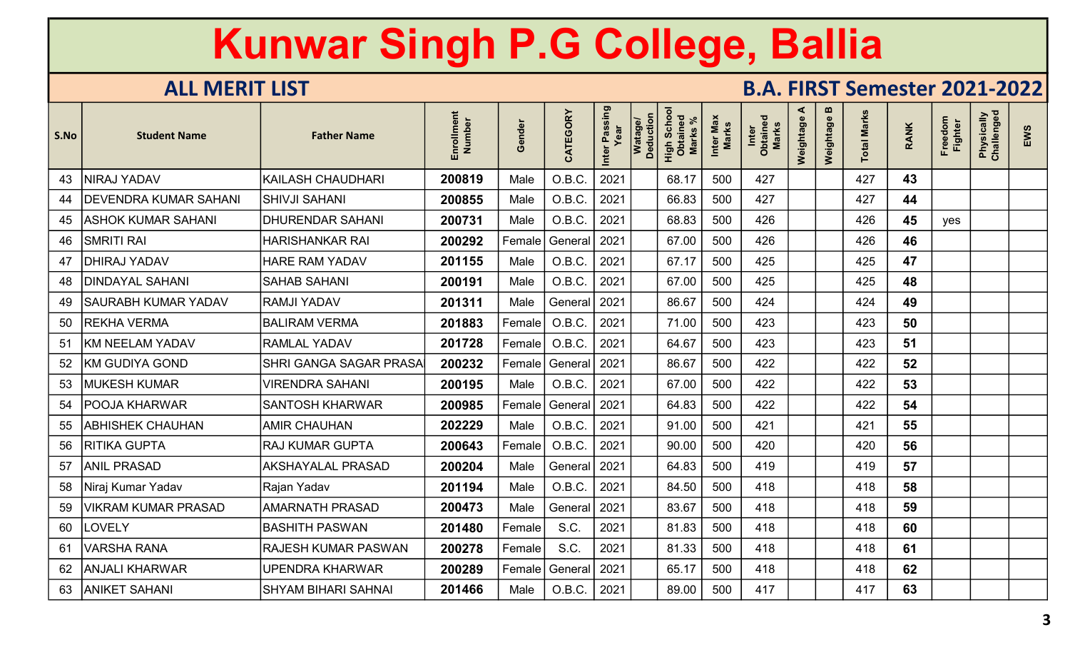| S.No | <b>Student Name</b>          | <b>Father Name</b>            | Enrollment<br>Number | Gender | CATEGORY     | Inter Passing<br>Year | Deduction<br><b>Watage</b> | <b>Scho</b><br>High Scho<br>Obtained<br>Marks | Inter Max<br>Marks | Inter<br>Obtained<br>Marks | ⋖<br>Weightage | m<br>Weightage | <b>Total Marks</b> | <b>RANK</b> | Freedom<br>Fighter | Physically<br>Challenged | EWS |
|------|------------------------------|-------------------------------|----------------------|--------|--------------|-----------------------|----------------------------|-----------------------------------------------|--------------------|----------------------------|----------------|----------------|--------------------|-------------|--------------------|--------------------------|-----|
| 43   | NIRAJ YADAV                  | KAILASH CHAUDHARI             | 200819               | Male   | O.B.C.       | 2021                  |                            | 68.17                                         | 500                | 427                        |                |                | 427                | 43          |                    |                          |     |
| 44   | <b>DEVENDRA KUMAR SAHANI</b> | <b>SHIVJI SAHANI</b>          | 200855               | Male   | O.B.C.       | 2021                  |                            | 66.83                                         | 500                | 427                        |                |                | 427                | 44          |                    |                          |     |
| 45   | ASHOK KUMAR SAHANI           | <b>DHURENDAR SAHANI</b>       | 200731               | Male   | O.B.C.       | 2021                  |                            | 68.83                                         | 500                | 426                        |                |                | 426                | 45          | yes                |                          |     |
| 46   | <b>SMRITI RAI</b>            | <b>HARISHANKAR RAI</b>        | 200292               | Female | General      | 2021                  |                            | 67.00                                         | 500                | 426                        |                |                | 426                | 46          |                    |                          |     |
| 47   | DHIRAJ YADAV                 | <b>HARE RAM YADAV</b>         | 201155               | Male   | O.B.C.       | 2021                  |                            | 67.17                                         | 500                | 425                        |                |                | 425                | 47          |                    |                          |     |
| 48   | <b>DINDAYAL SAHANI</b>       | <b>SAHAB SAHANI</b>           | 200191               | Male   | O.B.C.       | 2021                  |                            | 67.00                                         | 500                | 425                        |                |                | 425                | 48          |                    |                          |     |
| 49   | <b>SAURABH KUMAR YADAV</b>   | <b>RAMJI YADAV</b>            | 201311               | Male   | General      | 2021                  |                            | 86.67                                         | 500                | 424                        |                |                | 424                | 49          |                    |                          |     |
| 50   | <b>REKHA VERMA</b>           | <b>BALIRAM VERMA</b>          | 201883               | Female | O.B.C.       | 2021                  |                            | 71.00                                         | 500                | 423                        |                |                | 423                | 50          |                    |                          |     |
| 51   | <b>KM NEELAM YADAV</b>       | <b>RAMLAL YADAV</b>           | 201728               | Female | O.B.C.       | 2021                  |                            | 64.67                                         | 500                | 423                        |                |                | 423                | 51          |                    |                          |     |
| 52   | <b>KM GUDIYA GOND</b>        | <b>SHRI GANGA SAGAR PRASA</b> | 200232               | Female | General 2021 |                       |                            | 86.67                                         | 500                | 422                        |                |                | 422                | 52          |                    |                          |     |
| 53   | <b>MUKESH KUMAR</b>          | <b>VIRENDRA SAHANI</b>        | 200195               | Male   | O.B.C.       | 2021                  |                            | 67.00                                         | 500                | 422                        |                |                | 422                | 53          |                    |                          |     |
| 54   | <b>POOJA KHARWAR</b>         | <b>SANTOSH KHARWAR</b>        | 200985               | Female | General      | 2021                  |                            | 64.83                                         | 500                | 422                        |                |                | 422                | 54          |                    |                          |     |
| 55   | <b>ABHISHEK CHAUHAN</b>      | <b>AMIR CHAUHAN</b>           | 202229               | Male   | O.B.C.       | 2021                  |                            | 91.00                                         | 500                | 421                        |                |                | 421                | 55          |                    |                          |     |
| 56   | RITIKA GUPTA                 | <b>RAJ KUMAR GUPTA</b>        | 200643               | Female | O.B.C.       | 2021                  |                            | 90.00                                         | 500                | 420                        |                |                | 420                | 56          |                    |                          |     |
| 57   | <b>ANIL PRASAD</b>           | <b>AKSHAYALAL PRASAD</b>      | 200204               | Male   | General      | 2021                  |                            | 64.83                                         | 500                | 419                        |                |                | 419                | 57          |                    |                          |     |
| 58   | Niraj Kumar Yadav            | Rajan Yadav                   | 201194               | Male   | O.B.C.       | 2021                  |                            | 84.50                                         | 500                | 418                        |                |                | 418                | 58          |                    |                          |     |
| 59   | <b>VIKRAM KUMAR PRASAD</b>   | <b>AMARNATH PRASAD</b>        | 200473               | Male   | General      | 2021                  |                            | 83.67                                         | 500                | 418                        |                |                | 418                | 59          |                    |                          |     |
| 60   | LOVELY                       | <b>BASHITH PASWAN</b>         | 201480               | Female | S.C.         | 2021                  |                            | 81.83                                         | 500                | 418                        |                |                | 418                | 60          |                    |                          |     |
| 61   | <b>VARSHA RANA</b>           | RAJESH KUMAR PASWAN           | 200278               | Female | S.C.         | 2021                  |                            | 81.33                                         | 500                | 418                        |                |                | 418                | 61          |                    |                          |     |
| 62   | <b>ANJALI KHARWAR</b>        | <b>UPENDRA KHARWAR</b>        | 200289               | Female | General!     | 2021                  |                            | 65.17                                         | 500                | 418                        |                |                | 418                | 62          |                    |                          |     |
| 63   | <b>ANIKET SAHANI</b>         | <b>SHYAM BIHARI SAHNAI</b>    | 201466               | Male   | O.B.C.       | 2021                  |                            | 89.00                                         | 500                | 417                        |                |                | 417                | 63          |                    |                          |     |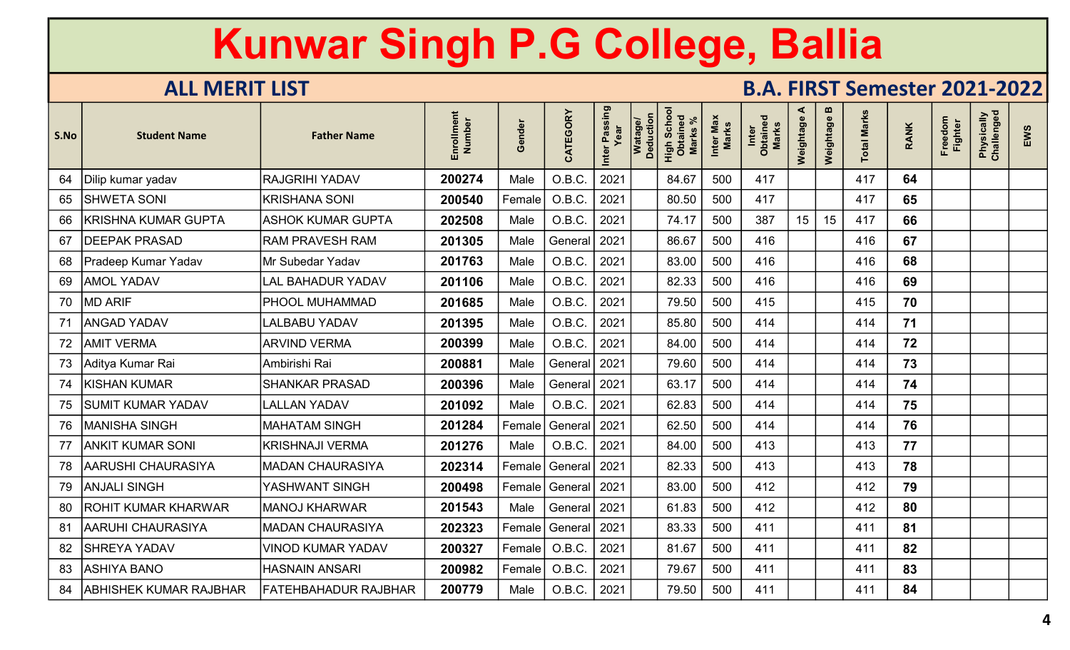| S.No | <b>Student Name</b>           | <b>Father Name</b>          | Enrollment<br>Number | Gender | CATEGORY             | Inter Passing<br>Year | <b>Deduction</b><br>Watago | Scho<br>High Scho<br>Obtained<br><b>Marks</b> | Inter Max<br>Marks | Inter<br>Obtained<br>Marks | ⋖<br>Weightage | m<br>Weightage | <b>Total Marks</b> | <b>RANK</b> | Freedom<br>Fighter | Physically<br>Challenged | EWS |
|------|-------------------------------|-----------------------------|----------------------|--------|----------------------|-----------------------|----------------------------|-----------------------------------------------|--------------------|----------------------------|----------------|----------------|--------------------|-------------|--------------------|--------------------------|-----|
| 64   | Dilip kumar yadav             | <b>RAJGRIHI YADAV</b>       | 200274               | Male   | O.B.C.               | 2021                  |                            | 84.67                                         | 500                | 417                        |                |                | 417                | 64          |                    |                          |     |
| 65   | SHWETA SONI                   | <b>KRISHANA SONI</b>        | 200540               | Female | O.B.C.               | 2021                  |                            | 80.50                                         | 500                | 417                        |                |                | 417                | 65          |                    |                          |     |
| 66   | <b>KRISHNA KUMAR GUPTA</b>    | <b>ASHOK KUMAR GUPTA</b>    | 202508               | Male   | O.B.C.               | 2021                  |                            | 74.17                                         | 500                | 387                        | 15             | 15             | 417                | 66          |                    |                          |     |
| 67   | <b>DEEPAK PRASAD</b>          | <b>RAM PRAVESH RAM</b>      | 201305               | Male   | General              | 2021                  |                            | 86.67                                         | 500                | 416                        |                |                | 416                | 67          |                    |                          |     |
| 68   | Pradeep Kumar Yadav           | Mr Subedar Yadav            | 201763               | Male   | O.B.C.               | 2021                  |                            | 83.00                                         | 500                | 416                        |                |                | 416                | 68          |                    |                          |     |
| 69   | <b>AMOL YADAV</b>             | <b>LAL BAHADUR YADAV</b>    | 201106               | Male   | O.B.C.               | 2021                  |                            | 82.33                                         | 500                | 416                        |                |                | 416                | 69          |                    |                          |     |
| 70   | <b>MD ARIF</b>                | PHOOL MUHAMMAD              | 201685               | Male   | O.B.C.               | 2021                  |                            | 79.50                                         | 500                | 415                        |                |                | 415                | 70          |                    |                          |     |
| 71   | <b>ANGAD YADAV</b>            | <b>LALBABU YADAV</b>        | 201395               | Male   | O.B.C.               | 2021                  |                            | 85.80                                         | 500                | 414                        |                |                | 414                | 71          |                    |                          |     |
| 72   | <b>AMIT VERMA</b>             | <b>ARVIND VERMA</b>         | 200399               | Male   | O.B.C.               | 2021                  |                            | 84.00                                         | 500                | 414                        |                |                | 414                | 72          |                    |                          |     |
| 73   | Aditya Kumar Rai              | Ambirishi Rai               | 200881               | Male   | General   2021       |                       |                            | 79.60                                         | 500                | 414                        |                |                | 414                | 73          |                    |                          |     |
| 74   | <b>KISHAN KUMAR</b>           | <b>SHANKAR PRASAD</b>       | 200396               | Male   | General 2021         |                       |                            | 63.17                                         | 500                | 414                        |                |                | 414                | 74          |                    |                          |     |
| 75   | SUMIT KUMAR YADAV             | <b>LALLAN YADAV</b>         | 201092               | Male   | O.B.C.               | 2021                  |                            | 62.83                                         | 500                | 414                        |                |                | 414                | 75          |                    |                          |     |
| 76   | <b>MANISHA SINGH</b>          | <b>MAHATAM SINGH</b>        | 201284               | Female | General              | 2021                  |                            | 62.50                                         | 500                | 414                        |                |                | 414                | 76          |                    |                          |     |
| 77   | ANKIT KUMAR SONI              | <b>KRISHNAJI VERMA</b>      | 201276               | Male   | O.B.C.               | 2021                  |                            | 84.00                                         | 500                | 413                        |                |                | 413                | 77          |                    |                          |     |
| 78   | <b>AARUSHI CHAURASIYA</b>     | <b>MADAN CHAURASIYA</b>     | 202314               | Female | General <sup>'</sup> | 2021                  |                            | 82.33                                         | 500                | 413                        |                |                | 413                | 78          |                    |                          |     |
| 79   | ANJALI SINGH                  | YASHWANT SINGH              | 200498               | Female | General              | 2021                  |                            | 83.00                                         | 500                | 412                        |                |                | 412                | 79          |                    |                          |     |
| 80   | <b>ROHIT KUMAR KHARWAR</b>    | <b>MANOJ KHARWAR</b>        | 201543               | Male   | General 2021         |                       |                            | 61.83                                         | 500                | 412                        |                |                | 412                | 80          |                    |                          |     |
| 81   | AARUHI CHAURASIYA             | <b>MADAN CHAURASIYA</b>     | 202323               | Female | General 2021         |                       |                            | 83.33                                         | 500                | 411                        |                |                | 411                | 81          |                    |                          |     |
| 82   | <b>SHREYA YADAV</b>           | <b>VINOD KUMAR YADAV</b>    | 200327               | Female | O.B.C.               | 2021                  |                            | 81.67                                         | 500                | 411                        |                |                | 411                | 82          |                    |                          |     |
| 83   | ASHIYA BANO                   | <b>HASNAIN ANSARI</b>       | 200982               | Female | O.B.C.               | 2021                  |                            | 79.67                                         | 500                | 411                        |                |                | 411                | 83          |                    |                          |     |
| 84   | <b>ABHISHEK KUMAR RAJBHAR</b> | <b>FATEHBAHADUR RAJBHAR</b> | 200779               | Male   | O.B.C.               | 2021                  |                            | 79.50                                         | 500                | 411                        |                |                | 411                | 84          |                    |                          |     |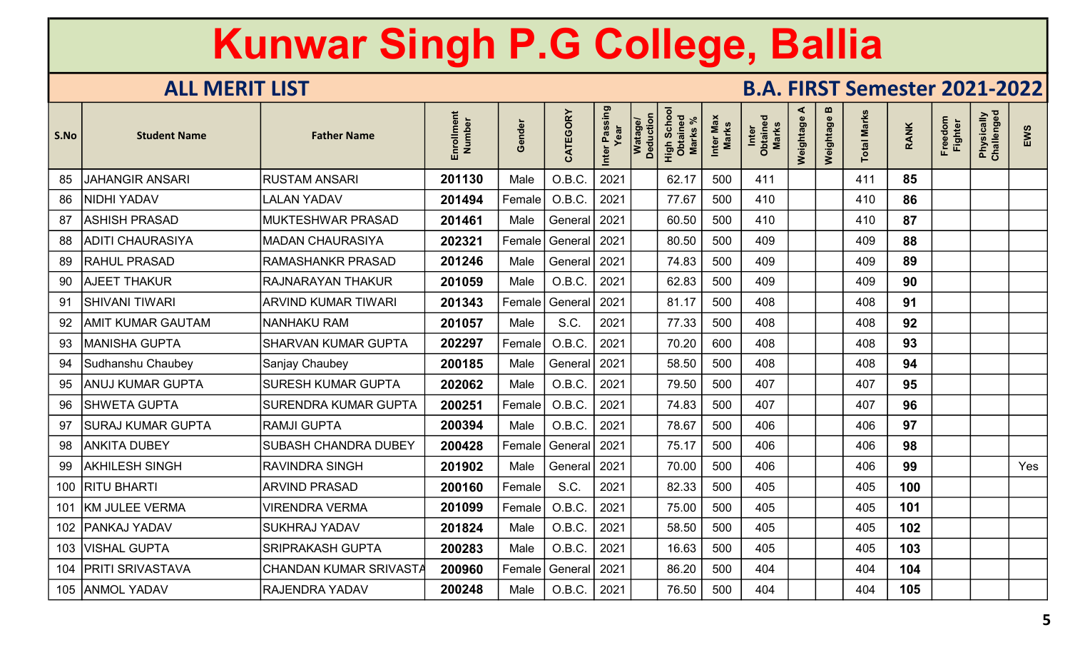| S.No | <b>Student Name</b>      | <b>Father Name</b>          | Enrollment<br>Number | Gender | CATEGORY             | Inter Passing<br>Year | Watage/<br>Deduction | Scho<br>High Scho<br><b>Marks</b> | Inter Max<br><b>Marks</b> | Inter<br>Obtained<br>Marks | ⋖<br>Weightage | m<br>Weightage | <b>Total Marks</b> | <b>RANK</b> | Freedom<br><b>Fighter</b> | Physically<br>Challenged | EWS |
|------|--------------------------|-----------------------------|----------------------|--------|----------------------|-----------------------|----------------------|-----------------------------------|---------------------------|----------------------------|----------------|----------------|--------------------|-------------|---------------------------|--------------------------|-----|
| 85   | <b>JAHANGIR ANSARI</b>   | <b>RUSTAM ANSARI</b>        | 201130               | Male   | O.B.C.               | 2021                  |                      | 62.17                             | 500                       | 411                        |                |                | 411                | 85          |                           |                          |     |
| 86   | NIDHI YADAV              | <b>LALAN YADAV</b>          | 201494               | Female | O.B.C.               | 2021                  |                      | 77.67                             | 500                       | 410                        |                |                | 410                | 86          |                           |                          |     |
| 87   | <b>ASHISH PRASAD</b>     | <b>MUKTESHWAR PRASAD</b>    | 201461               | Male   | General 2021         |                       |                      | 60.50                             | 500                       | 410                        |                |                | 410                | 87          |                           |                          |     |
| 88   | <b>ADITI CHAURASIYA</b>  | <b>MADAN CHAURASIYA</b>     | 202321               | Female | General   2021       |                       |                      | 80.50                             | 500                       | 409                        |                |                | 409                | 88          |                           |                          |     |
| 89   | <b>RAHUL PRASAD</b>      | RAMASHANKR PRASAD           | 201246               | Male   | General 2021         |                       |                      | 74.83                             | 500                       | 409                        |                |                | 409                | 89          |                           |                          |     |
| 90   | <b>AJEET THAKUR</b>      | <b>RAJNARAYAN THAKUR</b>    | 201059               | Male   | O.B.C.               | 2021                  |                      | 62.83                             | 500                       | 409                        |                |                | 409                | 90          |                           |                          |     |
| 91   | SHIVANI TIWARI           | <b>ARVIND KUMAR TIWARI</b>  | 201343               | Female | General              | 2021                  |                      | 81.17                             | 500                       | 408                        |                |                | 408                | 91          |                           |                          |     |
| 92   | AMIT KUMAR GAUTAM        | <b>NANHAKU RAM</b>          | 201057               | Male   | S.C.                 | 2021                  |                      | 77.33                             | 500                       | 408                        |                |                | 408                | 92          |                           |                          |     |
| 93   | <b>MANISHA GUPTA</b>     | <b>SHARVAN KUMAR GUPTA</b>  | 202297               | Female | O.B.C.               | 2021                  |                      | 70.20                             | 600                       | 408                        |                |                | 408                | 93          |                           |                          |     |
| 94   | Sudhanshu Chaubey        | Sanjay Chaubey              | 200185               | Male   | General   2021       |                       |                      | 58.50                             | 500                       | 408                        |                |                | 408                | 94          |                           |                          |     |
| 95   | <b>ANUJ KUMAR GUPTA</b>  | <b>SURESH KUMAR GUPTA</b>   | 202062               | Male   | O.B.C.               | 2021                  |                      | 79.50                             | 500                       | 407                        |                |                | 407                | 95          |                           |                          |     |
| 96   | SHWETA GUPTA             | <b>SURENDRA KUMAR GUPTA</b> | 200251               | Female | O.B.C.               | 2021                  |                      | 74.83                             | 500                       | 407                        |                |                | 407                | 96          |                           |                          |     |
| 97   | <b>SURAJ KUMAR GUPTA</b> | <b>RAMJI GUPTA</b>          | 200394               | Male   | O.B.C.               | 2021                  |                      | 78.67                             | 500                       | 406                        |                |                | 406                | 97          |                           |                          |     |
| 98   | <b>ANKITA DUBEY</b>      | <b>SUBASH CHANDRA DUBEY</b> | 200428               | Female | General <sup>1</sup> | 2021                  |                      | 75.17                             | 500                       | 406                        |                |                | 406                | 98          |                           |                          |     |
| 99   | <b>AKHILESH SINGH</b>    | <b>RAVINDRA SINGH</b>       | 201902               | Male   | General              | 2021                  |                      | 70.00                             | 500                       | 406                        |                |                | 406                | 99          |                           |                          | Yes |
|      | 100   RITU BHARTI        | <b>ARVIND PRASAD</b>        | 200160               | Female | S.C.                 | 2021                  |                      | 82.33                             | 500                       | 405                        |                |                | 405                | 100         |                           |                          |     |
|      | 101   KM JULEE VERMA     | <b>VIRENDRA VERMA</b>       | 201099               | Female | O.B.C.               | 2021                  |                      | 75.00                             | 500                       | 405                        |                |                | 405                | 101         |                           |                          |     |
|      | 102   PANKAJ YADAV       | <b>SUKHRAJ YADAV</b>        | 201824               | Male   | O.B.C.               | 2021                  |                      | 58.50                             | 500                       | 405                        |                |                | 405                | 102         |                           |                          |     |
|      | 103   VISHAL GUPTA       | <b>SRIPRAKASH GUPTA</b>     | 200283               | Male   | O.B.C.               | 2021                  |                      | 16.63                             | 500                       | 405                        |                |                | 405                | 103         |                           |                          |     |
| 104  | <b>PRITI SRIVASTAVA</b>  | CHANDAN KUMAR SRIVAST.      | 200960               | Female | General   2021       |                       |                      | 86.20                             | 500                       | 404                        |                |                | 404                | 104         |                           |                          |     |
|      | 105 ANMOL YADAV          | <b>RAJENDRA YADAV</b>       | 200248               | Male   | O.B.C.               | 2021                  |                      | 76.50                             | 500                       | 404                        |                |                | 404                | 105         |                           |                          |     |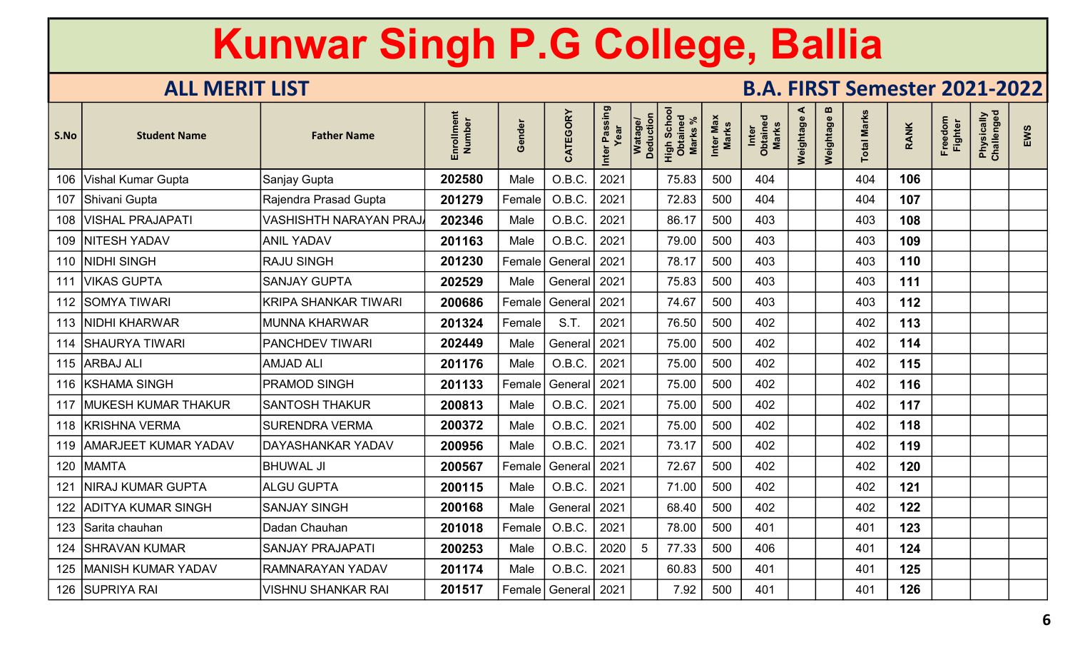| S.No | <b>Student Name</b>        | <b>Father Name</b>            | Enrollment<br>Number | Gender | CATEGORY       | Inter Passing<br>Year | Watage/<br>Deduction | Scho<br>High Scho<br>Obtaineo<br><b>Marks</b> | Inter Max<br><b>Marks</b> | Inter<br>Obtained<br>Marks | ⋖<br>Weightage | m<br>Weightage | otal Marks | <b>RANK</b> | Freedom<br><b>Fighter</b> | Physically<br>Challenged | EWS |
|------|----------------------------|-------------------------------|----------------------|--------|----------------|-----------------------|----------------------|-----------------------------------------------|---------------------------|----------------------------|----------------|----------------|------------|-------------|---------------------------|--------------------------|-----|
|      | 106 Vishal Kumar Gupta     | Sanjay Gupta                  | 202580               | Male   | O.B.C.         | 2021                  |                      | 75.83                                         | 500                       | 404                        |                |                | 404        | 106         |                           |                          |     |
|      | 107 Shivani Gupta          | Rajendra Prasad Gupta         | 201279               | Female | O.B.C.         | 2021                  |                      | 72.83                                         | 500                       | 404                        |                |                | 404        | 107         |                           |                          |     |
|      | 108   VISHAL PRAJAPATI     | <b>VASHISHTH NARAYAN PRA.</b> | 202346               | Male   | O.B.C.         | 2021                  |                      | 86.17                                         | 500                       | 403                        |                |                | 403        | 108         |                           |                          |     |
|      | 109 NITESH YADAV           | <b>ANIL YADAV</b>             | 201163               | Male   | O.B.C.         | 2021                  |                      | 79.00                                         | 500                       | 403                        |                |                | 403        | 109         |                           |                          |     |
|      | 110 NIDHI SINGH            | <b>RAJU SINGH</b>             | 201230               | Female | General        | 2021                  |                      | 78.17                                         | 500                       | 403                        |                |                | 403        | 110         |                           |                          |     |
|      | 111   VIKAS GUPTA          | <b>SANJAY GUPTA</b>           | 202529               | Male   | General 2021   |                       |                      | 75.83                                         | 500                       | 403                        |                |                | 403        | 111         |                           |                          |     |
|      | 112 SOMYA TIWARI           | <b>KRIPA SHANKAR TIWARI</b>   | 200686               | Female | General   2021 |                       |                      | 74.67                                         | 500                       | 403                        |                |                | 403        | 112         |                           |                          |     |
|      | 113   NIDHI KHARWAR        | <b>MUNNA KHARWAR</b>          | 201324               | Female | S.T.           | 2021                  |                      | 76.50                                         | 500                       | 402                        |                |                | 402        | 113         |                           |                          |     |
|      | 114 SHAURYA TIWARI         | <b>PANCHDEV TIWARI</b>        | 202449               | Male   | General 2021   |                       |                      | 75.00                                         | 500                       | 402                        |                |                | 402        | 114         |                           |                          |     |
|      | 115 ARBAJ ALI              | <b>AMJAD ALI</b>              | 201176               | Male   | O.B.C.         | 2021                  |                      | 75.00                                         | 500                       | 402                        |                |                | 402        | 115         |                           |                          |     |
|      | 116 KSHAMA SINGH           | <b>PRAMOD SINGH</b>           | 201133               | Female | General   2021 |                       |                      | 75.00                                         | 500                       | 402                        |                |                | 402        | 116         |                           |                          |     |
|      | 117 MUKESH KUMAR THAKUR    | <b>SANTOSH THAKUR</b>         | 200813               | Male   | O.B.C.         | 2021                  |                      | 75.00                                         | 500                       | 402                        |                |                | 402        | 117         |                           |                          |     |
|      | 118 KRISHNA VERMA          | <b>SURENDRA VERMA</b>         | 200372               | Male   | O.B.C.         | 2021                  |                      | 75.00                                         | 500                       | 402                        |                |                | 402        | 118         |                           |                          |     |
|      | 119   AMARJEET KUMAR YADAV | <b>DAYASHANKAR YADAV</b>      | 200956               | Male   | O.B.C.         | 2021                  |                      | 73.17                                         | 500                       | 402                        |                |                | 402        | 119         |                           |                          |     |
|      | 120 MAMTA                  | <b>BHUWAL JI</b>              | 200567               | Female | General        | 2021                  |                      | 72.67                                         | 500                       | 402                        |                |                | 402        | 120         |                           |                          |     |
| 121  | <b>NIRAJ KUMAR GUPTA</b>   | <b>ALGU GUPTA</b>             | 200115               | Male   | O.B.C.         | 2021                  |                      | 71.00                                         | 500                       | 402                        |                |                | 402        | 121         |                           |                          |     |
| 122  | <b>ADITYA KUMAR SINGH</b>  | <b>SANJAY SINGH</b>           | 200168               | Male   | General   2021 |                       |                      | 68.40                                         | 500                       | 402                        |                |                | 402        | 122         |                           |                          |     |
|      | 123 Sarita chauhan         | Dadan Chauhan                 | 201018               | Female | O.B.C.         | 2021                  |                      | 78.00                                         | 500                       | 401                        |                |                | 401        | 123         |                           |                          |     |
|      | 124   SHRAVAN KUMAR        | <b>SANJAY PRAJAPATI</b>       | 200253               | Male   | O.B.C.         | 2020                  | 5                    | 77.33                                         | 500                       | 406                        |                |                | 401        | 124         |                           |                          |     |
|      | 125   MANISH KUMAR YADAV   | <b>RAMNARAYAN YADAV</b>       | 201174               | Male   | O.B.C.         | 2021                  |                      | 60.83                                         | 500                       | 401                        |                |                | 401        | 125         |                           |                          |     |
|      | 126 SUPRIYA RAI            | <b>VISHNU SHANKAR RAI</b>     | 201517               | Female | General   2021 |                       |                      | 7.92                                          | 500                       | 401                        |                |                | 401        | 126         |                           |                          |     |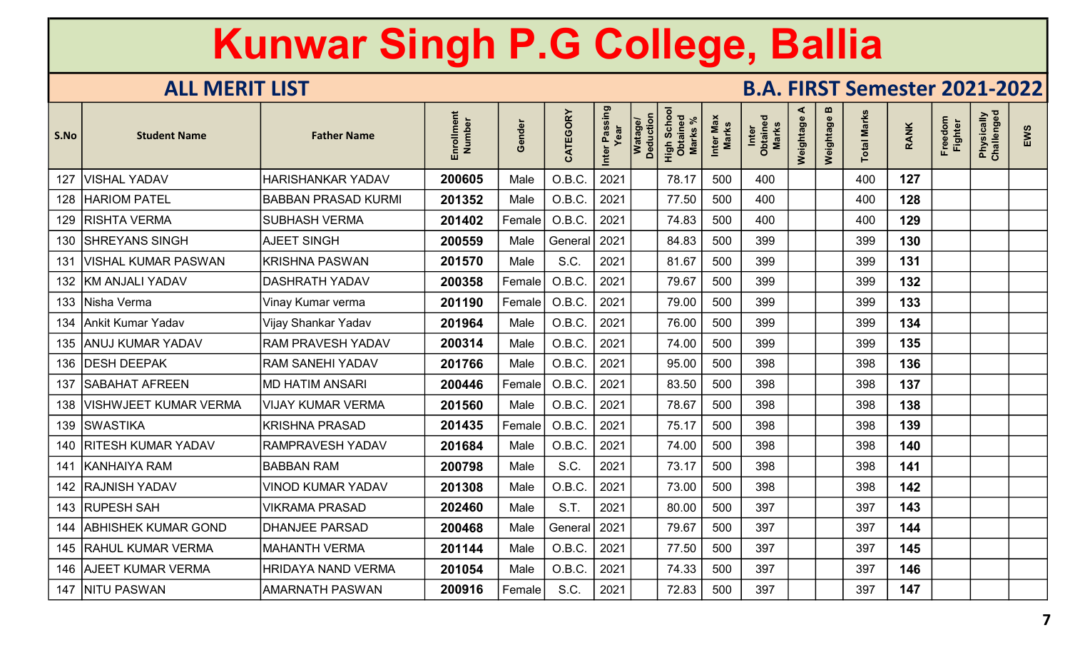| S.No | <b>Student Name</b>         | <b>Father Name</b>         | Enrollment<br>Number | Gender | CATEGORY | Inter Passing<br>Year | Watage/<br>Deduction | Scho<br>High Scho<br>Obtaineo<br><b>Marks</b> | Inter Max<br><b>Marks</b> | Inter<br>Obtained<br>Marks | ⋖<br>Weightage | $\boldsymbol{\omega}$<br>Weightage | <b>Total Marks</b> | <b>RANK</b> | Freedom<br><b>Fighter</b> | Physically<br>Challenged | EWS |
|------|-----------------------------|----------------------------|----------------------|--------|----------|-----------------------|----------------------|-----------------------------------------------|---------------------------|----------------------------|----------------|------------------------------------|--------------------|-------------|---------------------------|--------------------------|-----|
| 127  | <b>VISHAL YADAV</b>         | <b>HARISHANKAR YADAV</b>   | 200605               | Male   | O.B.C.   | 2021                  |                      | 78.17                                         | 500                       | 400                        |                |                                    | 400                | 127         |                           |                          |     |
|      | 128   HARIOM PATEL          | <b>BABBAN PRASAD KURMI</b> | 201352               | Male   | O.B.C.   | 2021                  |                      | 77.50                                         | 500                       | 400                        |                |                                    | 400                | 128         |                           |                          |     |
|      | 129   RISHTA VERMA          | <b>SUBHASH VERMA</b>       | 201402               | Female | O.B.C.   | 2021                  |                      | 74.83                                         | 500                       | 400                        |                |                                    | 400                | 129         |                           |                          |     |
|      | 130 SHREYANS SINGH          | <b>AJEET SINGH</b>         | 200559               | Male   | General  | 2021                  |                      | 84.83                                         | 500                       | 399                        |                |                                    | 399                | 130         |                           |                          |     |
| 131  | VISHAL KUMAR PASWAN         | <b>KRISHNA PASWAN</b>      | 201570               | Male   | S.C.     | 2021                  |                      | 81.67                                         | 500                       | 399                        |                |                                    | 399                | 131         |                           |                          |     |
|      | 132   KM ANJALI YADAV       | <b>DASHRATH YADAV</b>      | 200358               | Female | O.B.C.   | 2021                  |                      | 79.67                                         | 500                       | 399                        |                |                                    | 399                | 132         |                           |                          |     |
|      | 133   Nisha Verma           | Vinay Kumar verma          | 201190               | Female | O.B.C.   | 2021                  |                      | 79.00                                         | 500                       | 399                        |                |                                    | 399                | 133         |                           |                          |     |
|      | 134 Ankit Kumar Yadav       | Vijay Shankar Yadav        | 201964               | Male   | O.B.C.   | 2021                  |                      | 76.00                                         | 500                       | 399                        |                |                                    | 399                | 134         |                           |                          |     |
|      | 135 ANUJ KUMAR YADAV        | <b>RAM PRAVESH YADAV</b>   | 200314               | Male   | O.B.C.   | 2021                  |                      | 74.00                                         | 500                       | 399                        |                |                                    | 399                | 135         |                           |                          |     |
|      | 136   DESH DEEPAK           | <b>RAM SANEHI YADAV</b>    | 201766               | Male   | O.B.C.   | 2021                  |                      | 95.00                                         | 500                       | 398                        |                |                                    | 398                | 136         |                           |                          |     |
| 137  | <b>SABAHAT AFREEN</b>       | <b>MD HATIM ANSARI</b>     | 200446               | Female | O.B.C.   | 2021                  |                      | 83.50                                         | 500                       | 398                        |                |                                    | 398                | 137         |                           |                          |     |
|      | 138   VISHWJEET KUMAR VERMA | <b>VIJAY KUMAR VERMA</b>   | 201560               | Male   | O.B.C.   | 2021                  |                      | 78.67                                         | 500                       | 398                        |                |                                    | 398                | 138         |                           |                          |     |
|      | 139 SWASTIKA                | <b>KRISHNA PRASAD</b>      | 201435               | Female | O.B.C.   | 2021                  |                      | 75.17                                         | 500                       | 398                        |                |                                    | 398                | 139         |                           |                          |     |
|      | 140 RITESH KUMAR YADAV      | <b>RAMPRAVESH YADAV</b>    | 201684               | Male   | O.B.C.   | 2021                  |                      | 74.00                                         | 500                       | 398                        |                |                                    | 398                | 140         |                           |                          |     |
|      | 141 KANHAIYA RAM            | <b>BABBAN RAM</b>          | 200798               | Male   | S.C.     | 2021                  |                      | 73.17                                         | 500                       | 398                        |                |                                    | 398                | 141         |                           |                          |     |
|      | 142   RAJNISH YADAV         | <b>VINOD KUMAR YADAV</b>   | 201308               | Male   | O.B.C    | 2021                  |                      | 73.00                                         | 500                       | 398                        |                |                                    | 398                | 142         |                           |                          |     |
|      | 143 RUPESH SAH              | <b>VIKRAMA PRASAD</b>      | 202460               | Male   | S.T.     | 2021                  |                      | 80.00                                         | 500                       | 397                        |                |                                    | 397                | 143         |                           |                          |     |
| 144  | <b>ABHISHEK KUMAR GOND</b>  | <b>DHANJEE PARSAD</b>      | 200468               | Male   | General  | 2021                  |                      | 79.67                                         | 500                       | 397                        |                |                                    | 397                | 144         |                           |                          |     |
|      | 145 RAHUL KUMAR VERMA       | <b>MAHANTH VERMA</b>       | 201144               | Male   | O.B.C.   | 2021                  |                      | 77.50                                         | 500                       | 397                        |                |                                    | 397                | 145         |                           |                          |     |
|      | 146 AJEET KUMAR VERMA       | <b>HRIDAYA NAND VERMA</b>  | 201054               | Male   | O.B.C.   | 2021                  |                      | 74.33                                         | 500                       | 397                        |                |                                    | 397                | 146         |                           |                          |     |
|      | 147 NITU PASWAN             | <b>AMARNATH PASWAN</b>     | 200916               | Female | S.C.     | 2021                  |                      | 72.83                                         | 500                       | 397                        |                |                                    | 397                | 147         |                           |                          |     |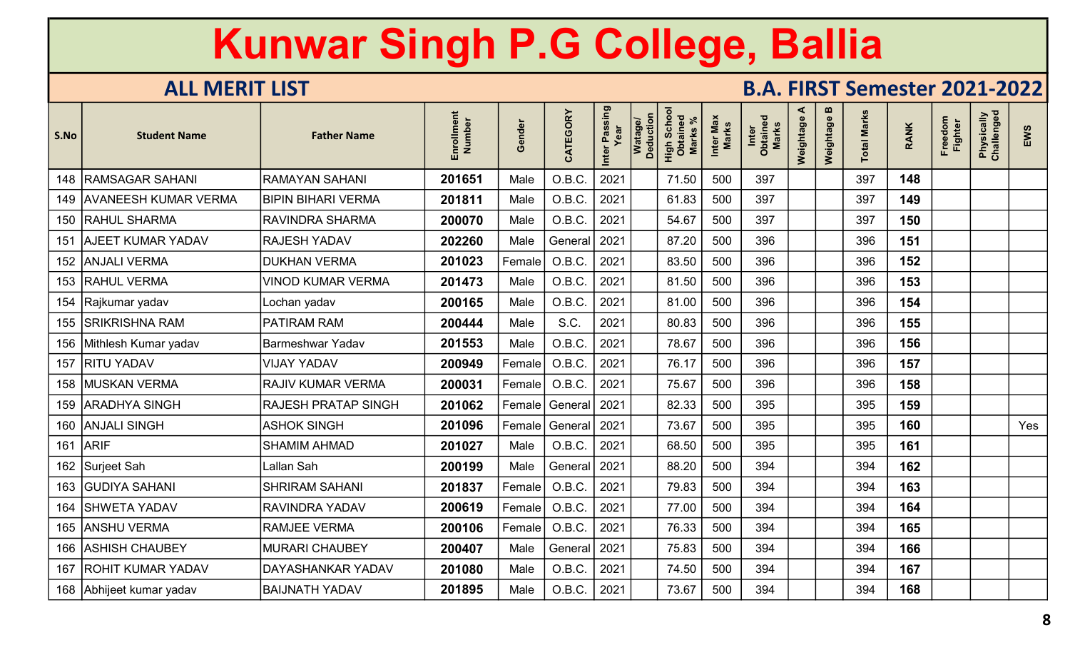| S.No | <b>Student Name</b>      | <b>Father Name</b>         | Enrollment<br>Number | Gender | CATEGORY     | Inter Passing<br>Year | Watage/<br>Deduction | Scho<br>High Scho<br><b>Marks</b> | Inter Max<br>Marks | Inter<br>Obtained<br>Marks | ⋖<br>Weightage | m<br>Weightage | <b>Total Marks</b> | <b>RANK</b> | Freedom<br><b>Fighter</b> | Physically<br>Challenged | EWS |
|------|--------------------------|----------------------------|----------------------|--------|--------------|-----------------------|----------------------|-----------------------------------|--------------------|----------------------------|----------------|----------------|--------------------|-------------|---------------------------|--------------------------|-----|
|      | 148   RAMSAGAR SAHANI    | RAMAYAN SAHANI             | 201651               | Male   | O.B.C.       | 2021                  |                      | 71.50                             | 500                | 397                        |                |                | 397                | 148         |                           |                          |     |
|      | 149 AVANEESH KUMAR VERMA | <b>BIPIN BIHARI VERMA</b>  | 201811               | Male   | O.B.C.       | 2021                  |                      | 61.83                             | 500                | 397                        |                |                | 397                | 149         |                           |                          |     |
|      | 150   RAHUL SHARMA       | <b>RAVINDRA SHARMA</b>     | 200070               | Male   | O.B.C.       | 2021                  |                      | 54.67                             | 500                | 397                        |                |                | 397                | 150         |                           |                          |     |
| 151  | <b>AJEET KUMAR YADAV</b> | <b>RAJESH YADAV</b>        | 202260               | Male   | General      | 2021                  |                      | 87.20                             | 500                | 396                        |                |                | 396                | 151         |                           |                          |     |
|      | 152   ANJALI VERMA       | <b>DUKHAN VERMA</b>        | 201023               | Female | O.B.C.       | 2021                  |                      | 83.50                             | 500                | 396                        |                |                | 396                | 152         |                           |                          |     |
|      | 153 RAHUL VERMA          | <b>VINOD KUMAR VERMA</b>   | 201473               | Male   | O.B.C.       | 2021                  |                      | 81.50                             | 500                | 396                        |                |                | 396                | 153         |                           |                          |     |
|      | 154   Rajkumar yadav     | Lochan yadav               | 200165               | Male   | O.B.C.       | 2021                  |                      | 81.00                             | 500                | 396                        |                |                | 396                | 154         |                           |                          |     |
|      | 155 SRIKRISHNA RAM       | <b>PATIRAM RAM</b>         | 200444               | Male   | S.C.         | 2021                  |                      | 80.83                             | 500                | 396                        |                |                | 396                | 155         |                           |                          |     |
|      | 156 Mithlesh Kumar yadav | Barmeshwar Yadav           | 201553               | Male   | O.B.C.       | 2021                  |                      | 78.67                             | 500                | 396                        |                |                | 396                | 156         |                           |                          |     |
|      | 157   RITU YADAV         | <b>VIJAY YADAV</b>         | 200949               | Female | O.B.C.       | 2021                  |                      | 76.17                             | 500                | 396                        |                |                | 396                | 157         |                           |                          |     |
|      | 158   MUSKAN VERMA       | <b>RAJIV KUMAR VERMA</b>   | 200031               | Female | O.B.C.       | 2021                  |                      | 75.67                             | 500                | 396                        |                |                | 396                | 158         |                           |                          |     |
|      | 159   ARADHYA SINGH      | <b>RAJESH PRATAP SINGH</b> | 201062               | Female | General 2021 |                       |                      | 82.33                             | 500                | 395                        |                |                | 395                | 159         |                           |                          |     |
|      | 160 ANJALI SINGH         | <b>ASHOK SINGH</b>         | 201096               | Female | General 2021 |                       |                      | 73.67                             | 500                | 395                        |                |                | 395                | 160         |                           |                          | Yes |
|      | 161 ARIF                 | <b>SHAMIM AHMAD</b>        | 201027               | Male   | O.B.C.       | 2021                  |                      | 68.50                             | 500                | 395                        |                |                | 395                | 161         |                           |                          |     |
|      | 162 Surjeet Sah          | Lallan Sah                 | 200199               | Male   | General      | 2021                  |                      | 88.20                             | 500                | 394                        |                |                | 394                | 162         |                           |                          |     |
|      | 163   GUDIYA SAHANI      | <b>SHRIRAM SAHANI</b>      | 201837               | Female | O.B.C.       | 2021                  |                      | 79.83                             | 500                | 394                        |                |                | 394                | 163         |                           |                          |     |
| 164  | <b>SHWETA YADAV</b>      | <b>RAVINDRA YADAV</b>      | 200619               | Female | O.B.C.       | 2021                  |                      | 77.00                             | 500                | 394                        |                |                | 394                | 164         |                           |                          |     |
|      | 165 ANSHU VERMA          | <b>RAMJEE VERMA</b>        | 200106               | Female | O.B.C.       | 2021                  |                      | 76.33                             | 500                | 394                        |                |                | 394                | 165         |                           |                          |     |
|      | 166 ASHISH CHAUBEY       | <b>MURARI CHAUBEY</b>      | 200407               | Male   | General 2021 |                       |                      | 75.83                             | 500                | 394                        |                |                | 394                | 166         |                           |                          |     |
| 167  | <b>ROHIT KUMAR YADAV</b> | DAYASHANKAR YADAV          | 201080               | Male   | O.B.C.       | 2021                  |                      | 74.50                             | 500                | 394                        |                |                | 394                | 167         |                           |                          |     |
|      | 168 Abhijeet kumar yadav | <b>BAIJNATH YADAV</b>      | 201895               | Male   | O.B.C.       | 2021                  |                      | 73.67                             | 500                | 394                        |                |                | 394                | 168         |                           |                          |     |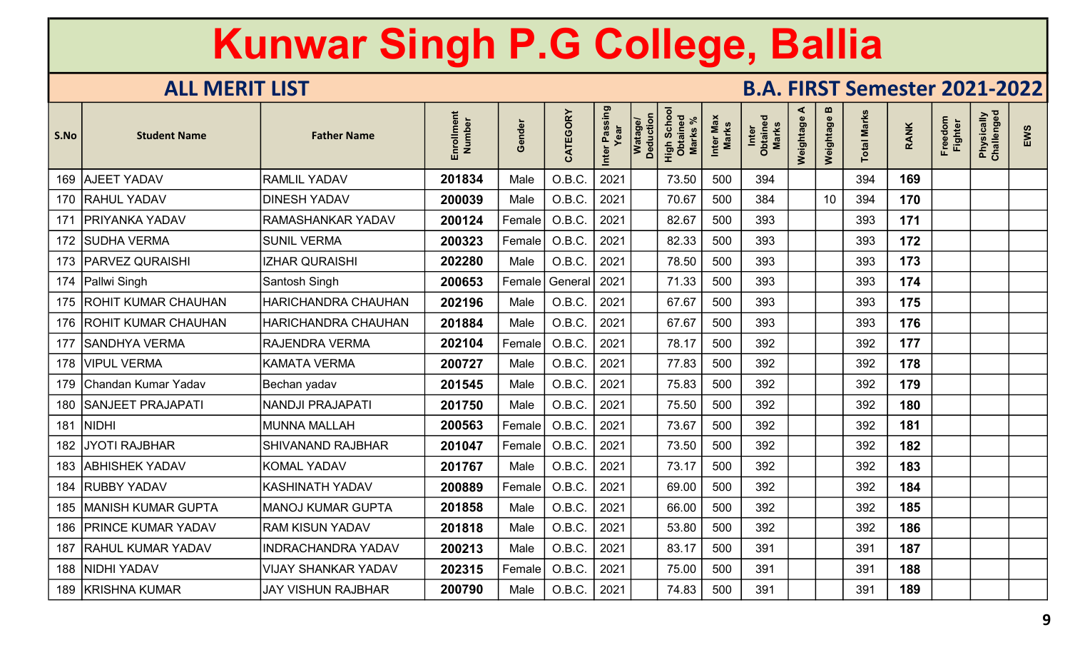| S.No | <b>Student Name</b>       | <b>Father Name</b>         | Enrollment<br>Number | Gender  | CATEGORY | Inter Passing<br>Year | Watage/<br>Deduction | Scho<br>High Scho<br>Obtaineo<br><b>Marks</b> | Inter Max<br><b>Marks</b> | Inter<br>Obtained<br>Marks | ⋖<br>Weightage | m<br>Weightage  | <b>Total Marks</b> | <b>RANK</b> | Freedom<br><b>Fighter</b> | Physically<br>Challenged | EWS |
|------|---------------------------|----------------------------|----------------------|---------|----------|-----------------------|----------------------|-----------------------------------------------|---------------------------|----------------------------|----------------|-----------------|--------------------|-------------|---------------------------|--------------------------|-----|
|      | 169 AJEET YADAV           | <b>RAMLIL YADAV</b>        | 201834               | Male    | O.B.C.   | 2021                  |                      | 73.50                                         | 500                       | 394                        |                |                 | 394                | 169         |                           |                          |     |
|      | 170 RAHUL YADAV           | <b>DINESH YADAV</b>        | 200039               | Male    | O.B.C.   | 2021                  |                      | 70.67                                         | 500                       | 384                        |                | 10 <sup>°</sup> | 394                | 170         |                           |                          |     |
|      | 171   PRIYANKA YADAV      | <b>RAMASHANKAR YADAV</b>   | 200124               | Female  | O.B.C.   | 2021                  |                      | 82.67                                         | 500                       | 393                        |                |                 | 393                | 171         |                           |                          |     |
|      | 172 SUDHA VERMA           | <b>SUNIL VERMA</b>         | 200323               | Female  | O.B.C    | 2021                  |                      | 82.33                                         | 500                       | 393                        |                |                 | 393                | 172         |                           |                          |     |
|      | 173   PARVEZ QURAISHI     | <b>IZHAR QURAISHI</b>      | 202280               | Male    | O.B.C.   | 2021                  |                      | 78.50                                         | 500                       | 393                        |                |                 | 393                | 173         |                           |                          |     |
|      | 174   Pallwi Singh        | Santosh Singh              | 200653               | Female  | General  | 2021                  |                      | 71.33                                         | 500                       | 393                        |                |                 | 393                | 174         |                           |                          |     |
|      | 175 ROHIT KUMAR CHAUHAN   | HARICHANDRA CHAUHAN        | 202196               | Male    | O.B.C.   | 2021                  |                      | 67.67                                         | 500                       | 393                        |                |                 | 393                | 175         |                           |                          |     |
|      | 176   ROHIT KUMAR CHAUHAN | <b>HARICHANDRA CHAUHAN</b> | 201884               | Male    | O.B.C.   | 2021                  |                      | 67.67                                         | 500                       | 393                        |                |                 | 393                | 176         |                           |                          |     |
|      | 177 SANDHYA VERMA         | <b>RAJENDRA VERMA</b>      | 202104               | Female  | O.B.C.   | 2021                  |                      | 78.17                                         | 500                       | 392                        |                |                 | 392                | 177         |                           |                          |     |
|      | 178   VIPUL VERMA         | <b>KAMATA VERMA</b>        | 200727               | Male    | O.B.C.   | 2021                  |                      | 77.83                                         | 500                       | 392                        |                |                 | 392                | 178         |                           |                          |     |
|      | 179 Chandan Kumar Yadav   | Bechan yadav               | 201545               | Male    | O.B.C.   | 2021                  |                      | 75.83                                         | 500                       | 392                        |                |                 | 392                | 179         |                           |                          |     |
|      | 180   SANJEET PRAJAPATI   | NANDJI PRAJAPATI           | 201750               | Male    | O.B.C.   | 2021                  |                      | 75.50                                         | 500                       | 392                        |                |                 | 392                | 180         |                           |                          |     |
| 181  | <b>NIDHI</b>              | <b>MUNNA MALLAH</b>        | 200563               | Female! | O.B.C.   | 2021                  |                      | 73.67                                         | 500                       | 392                        |                |                 | 392                | 181         |                           |                          |     |
|      | 182 JYOTI RAJBHAR         | <b>SHIVANAND RAJBHAR</b>   | 201047               | Female  | O.B.C    | 2021                  |                      | 73.50                                         | 500                       | 392                        |                |                 | 392                | 182         |                           |                          |     |
|      | 183   ABHISHEK YADAV      | <b>KOMAL YADAV</b>         | 201767               | Male    | O.B.C.   | 2021                  |                      | 73.17                                         | 500                       | 392                        |                |                 | 392                | 183         |                           |                          |     |
| 184  | <b>RUBBY YADAV</b>        | <b>KASHINATH YADAV</b>     | 200889               | Female  | O.B.C.   | 2021                  |                      | 69.00                                         | 500                       | 392                        |                |                 | 392                | 184         |                           |                          |     |
|      | 185  MANISH KUMAR GUPTA   | <b>MANOJ KUMAR GUPTA</b>   | 201858               | Male    | O.B.C.   | 2021                  |                      | 66.00                                         | 500                       | 392                        |                |                 | 392                | 185         |                           |                          |     |
| 186  | <b>PRINCE KUMAR YADAV</b> | <b>RAM KISUN YADAV</b>     | 201818               | Male    | O.B.C.   | 2021                  |                      | 53.80                                         | 500                       | 392                        |                |                 | 392                | 186         |                           |                          |     |
|      | 187 RAHUL KUMAR YADAV     | <b>INDRACHANDRA YADAV</b>  | 200213               | Male    | O.B.C.   | 2021                  |                      | 83.17                                         | 500                       | 391                        |                |                 | 391                | 187         |                           |                          |     |
|      | 188 NIDHI YADAV           | <b>VIJAY SHANKAR YADAV</b> | 202315               | Female  | O.B.C.   | 2021                  |                      | 75.00                                         | 500                       | 391                        |                |                 | 391                | 188         |                           |                          |     |
|      | 189 KRISHNA KUMAR         | JAY VISHUN RAJBHAR         | 200790               | Male    | O.B.C.   | 2021                  |                      | 74.83                                         | 500                       | 391                        |                |                 | 391                | 189         |                           |                          |     |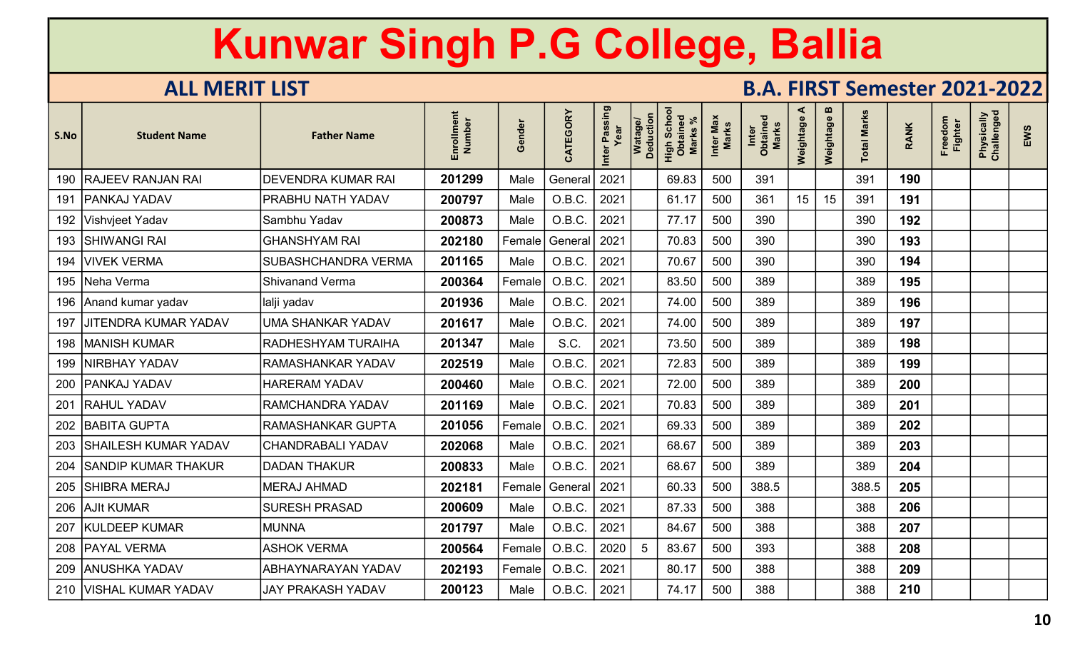| S.No | <b>Student Name</b>        | <b>Father Name</b>         | Enrollment<br>Number | Gender | CATEGORY | Inter Passing<br>Year | Watage/<br>Deduction | Scho<br>High Scho<br>Obtaineo<br><b>Marks</b> | Inter Max<br>Marks | Inter<br>Obtained<br>Marks | ⋖<br>Weightage | m<br>Weightage | <b>Total Marks</b> | <b>RANK</b> | Freedom<br><b>Fighter</b> | Physically<br>Challenged | EWS |
|------|----------------------------|----------------------------|----------------------|--------|----------|-----------------------|----------------------|-----------------------------------------------|--------------------|----------------------------|----------------|----------------|--------------------|-------------|---------------------------|--------------------------|-----|
|      | 190 RAJEEV RANJAN RAI      | <b>DEVENDRA KUMAR RAI</b>  | 201299               | Male   | General  | 2021                  |                      | 69.83                                         | 500                | 391                        |                |                | 391                | 190         |                           |                          |     |
| 191  | <b>PANKAJ YADAV</b>        | PRABHU NATH YADAV          | 200797               | Male   | O.B.C.   | 2021                  |                      | 61.17                                         | 500                | 361                        | 15             | 15             | 391                | 191         |                           |                          |     |
|      | 192   Vishvjeet Yadav      | Sambhu Yadav               | 200873               | Male   | O.B.C.   | 2021                  |                      | 77.17                                         | 500                | 390                        |                |                | 390                | 192         |                           |                          |     |
|      | 193 SHIWANGI RAI           | <b>GHANSHYAM RAI</b>       | 202180               | Female | General  | 2021                  |                      | 70.83                                         | 500                | 390                        |                |                | 390                | 193         |                           |                          |     |
| 194  | <b>VIVEK VERMA</b>         | <b>SUBASHCHANDRA VERMA</b> | 201165               | Male   | O.B.C.   | 2021                  |                      | 70.67                                         | 500                | 390                        |                |                | 390                | 194         |                           |                          |     |
|      | 195   Neha Verma           | <b>Shivanand Verma</b>     | 200364               | Female | O.B.C.   | 2021                  |                      | 83.50                                         | 500                | 389                        |                |                | 389                | 195         |                           |                          |     |
|      | 196 Anand kumar yadav      | lalji yadav                | 201936               | Male   | O.B.C.   | 2021                  |                      | 74.00                                         | 500                | 389                        |                |                | 389                | 196         |                           |                          |     |
|      | 197 JJITENDRA KUMAR YADAV  | <b>UMA SHANKAR YADAV</b>   | 201617               | Male   | O.B.C.   | 2021                  |                      | 74.00                                         | 500                | 389                        |                |                | 389                | 197         |                           |                          |     |
|      | 198   MANISH KUMAR         | RADHESHYAM TURAIHA         | 201347               | Male   | S.C.     | 2021                  |                      | 73.50                                         | 500                | 389                        |                |                | 389                | 198         |                           |                          |     |
|      | 199   NIRBHAY YADAV        | <b>RAMASHANKAR YADAV</b>   | 202519               | Male   | O.B.C.   | 2021                  |                      | 72.83                                         | 500                | 389                        |                |                | 389                | 199         |                           |                          |     |
|      | 200   PANKAJ YADAV         | <b>HARERAM YADAV</b>       | 200460               | Male   | O.B.C.   | 2021                  |                      | 72.00                                         | 500                | 389                        |                |                | 389                | 200         |                           |                          |     |
| 201  | <b>RAHUL YADAV</b>         | <b>RAMCHANDRA YADAV</b>    | 201169               | Male   | O.B.C.   | 2021                  |                      | 70.83                                         | 500                | 389                        |                |                | 389                | 201         |                           |                          |     |
|      | 202 BABITA GUPTA           | <b>RAMASHANKAR GUPTA</b>   | 201056               | Female | O.B.C.   | 2021                  |                      | 69.33                                         | 500                | 389                        |                |                | 389                | 202         |                           |                          |     |
|      | 203 SHAILESH KUMAR YADAV   | CHANDRABALI YADAV          | 202068               | Male   | O.B.C.   | 2021                  |                      | 68.67                                         | 500                | 389                        |                |                | 389                | 203         |                           |                          |     |
| 204  | <b>SANDIP KUMAR THAKUR</b> | <b>DADAN THAKUR</b>        | 200833               | Male   | O.B.C.   | 2021                  |                      | 68.67                                         | 500                | 389                        |                |                | 389                | 204         |                           |                          |     |
| 205  | <b>SHIBRA MERAJ</b>        | <b>MERAJ AHMAD</b>         | 202181               | Female | General  | 2021                  |                      | 60.33                                         | 500                | 388.5                      |                |                | 388.5              | 205         |                           |                          |     |
|      | 206 AJIt KUMAR             | <b>SURESH PRASAD</b>       | 200609               | Male   | O.B.C.   | 2021                  |                      | 87.33                                         | 500                | 388                        |                |                | 388                | 206         |                           |                          |     |
| 207  | <b>KULDEEP KUMAR</b>       | <b>MUNNA</b>               | 201797               | Male   | O.B.C.   | 2021                  |                      | 84.67                                         | 500                | 388                        |                |                | 388                | 207         |                           |                          |     |
|      | 208   PAYAL VERMA          | <b>ASHOK VERMA</b>         | 200564               | Female | O.B.C.   | 2020                  | 5                    | 83.67                                         | 500                | 393                        |                |                | 388                | 208         |                           |                          |     |
|      | 209 ANUSHKA YADAV          | <b>ABHAYNARAYAN YADAV</b>  | 202193               | Female | O.B.C.   | 2021                  |                      | 80.17                                         | 500                | 388                        |                |                | 388                | 209         |                           |                          |     |
|      | 210   VISHAL KUMAR YADAV   | JAY PRAKASH YADAV          | 200123               | Male   | O.B.C.   | 2021                  |                      | 74.17                                         | 500                | 388                        |                |                | 388                | 210         |                           |                          |     |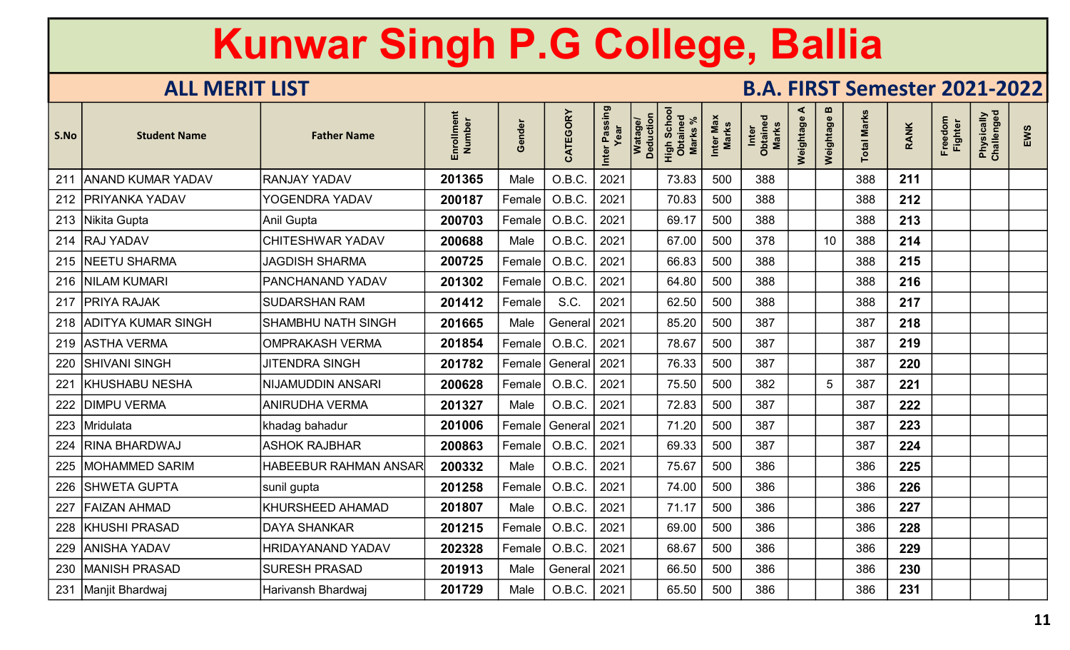| S.No | <b>Student Name</b>      | <b>Father Name</b>           | Enrollment<br>Number | Gender | CATEGORY       | Inter Passing<br>Year | Watage/<br>Deduction | Scho<br>High Scho<br>Obtaineo<br><b>Marks</b> | Inter Max<br><b>Marks</b> | Inter<br>Obtained<br><b>Marks</b> | ⋖<br>Weightage | $\boldsymbol{\omega}$<br>Weightage | <b>Total Marks</b> | <b>RANK</b> | Freedom<br><b>Fighter</b> | Physically<br>Challenged | EWS |
|------|--------------------------|------------------------------|----------------------|--------|----------------|-----------------------|----------------------|-----------------------------------------------|---------------------------|-----------------------------------|----------------|------------------------------------|--------------------|-------------|---------------------------|--------------------------|-----|
| 211  | <b>ANAND KUMAR YADAV</b> | <b>RANJAY YADAV</b>          | 201365               | Male   | O.B.C.         | 2021                  |                      | 73.83                                         | 500                       | 388                               |                |                                    | 388                | 211         |                           |                          |     |
|      | 212 PRIYANKA YADAV       | YOGENDRA YADAV               | 200187               | Female | O.B.C.         | 2021                  |                      | 70.83                                         | 500                       | 388                               |                |                                    | 388                | 212         |                           |                          |     |
|      | 213   Nikita Gupta       | Anil Gupta                   | 200703               | Female | O.B.C          | 2021                  |                      | 69.17                                         | 500                       | 388                               |                |                                    | 388                | 213         |                           |                          |     |
|      | 214 RAJ YADAV            | <b>CHITESHWAR YADAV</b>      | 200688               | Male   | O.B.C.         | 2021                  |                      | 67.00                                         | 500                       | 378                               |                | 10                                 | 388                | 214         |                           |                          |     |
|      | 215 NEETU SHARMA         | <b>JAGDISH SHARMA</b>        | 200725               | Female | O.B.C          | 2021                  |                      | 66.83                                         | 500                       | 388                               |                |                                    | 388                | 215         |                           |                          |     |
|      | 216   NILAM KUMARI       | PANCHANAND YADAV             | 201302               | Female | O.B.C          | 2021                  |                      | 64.80                                         | 500                       | 388                               |                |                                    | 388                | 216         |                           |                          |     |
| 217  | <b>PRIYA RAJAK</b>       | <b>SUDARSHAN RAM</b>         | 201412               | Female | S.C.           | 2021                  |                      | 62.50                                         | 500                       | 388                               |                |                                    | 388                | 217         |                           |                          |     |
|      | 218 ADITYA KUMAR SINGH   | SHAMBHU NATH SINGH           | 201665               | Male   | General        | 2021                  |                      | 85.20                                         | 500                       | 387                               |                |                                    | 387                | 218         |                           |                          |     |
|      | 219 ASTHA VERMA          | <b>OMPRAKASH VERMA</b>       | 201854               | Female | O.B.C.         | 2021                  |                      | 78.67                                         | 500                       | 387                               |                |                                    | 387                | 219         |                           |                          |     |
|      | 220   SHIVANI SINGH      | <b>JITENDRA SINGH</b>        | 201782               | Female | General   2021 |                       |                      | 76.33                                         | 500                       | 387                               |                |                                    | 387                | 220         |                           |                          |     |
| 221  | <b>KHUSHABU NESHA</b>    | <b>NIJAMUDDIN ANSARI</b>     | 200628               | Female | O.B.C.         | 2021                  |                      | 75.50                                         | 500                       | 382                               |                | $5\overline{)}$                    | 387                | 221         |                           |                          |     |
| 222  | <b>DIMPU VERMA</b>       | <b>ANIRUDHA VERMA</b>        | 201327               | Male   | O.B.C.         | 2021                  |                      | 72.83                                         | 500                       | 387                               |                |                                    | 387                | 222         |                           |                          |     |
| 223  | Mridulata                | khadag bahadur               | 201006               | Female | General   2021 |                       |                      | 71.20                                         | 500                       | 387                               |                |                                    | 387                | 223         |                           |                          |     |
| 224  | <b>RINA BHARDWAJ</b>     | <b>ASHOK RAJBHAR</b>         | 200863               | Female | O.B.C          | 2021                  |                      | 69.33                                         | 500                       | 387                               |                |                                    | 387                | 224         |                           |                          |     |
|      | 225   MOHAMMED SARIM     | <b>HABEEBUR RAHMAN ANSAR</b> | 200332               | Male   | O.B.C          | 2021                  |                      | 75.67                                         | 500                       | 386                               |                |                                    | 386                | 225         |                           |                          |     |
| 226  | <b>SHWETA GUPTA</b>      | sunil gupta                  | 201258               | Female | O.B.C          | 2021                  |                      | 74.00                                         | 500                       | 386                               |                |                                    | 386                | 226         |                           |                          |     |
| 227  | <b>FAIZAN AHMAD</b>      | <b>KHURSHEED AHAMAD</b>      | 201807               | Male   | O.B.C.         | 2021                  |                      | 71.17                                         | 500                       | 386                               |                |                                    | 386                | 227         |                           |                          |     |
| 228  | <b>KHUSHI PRASAD</b>     | <b>DAYA SHANKAR</b>          | 201215               | Female | O.B.C.         | 2021                  |                      | 69.00                                         | 500                       | 386                               |                |                                    | 386                | 228         |                           |                          |     |
|      | 229   ANISHA YADAV       | <b>HRIDAYANAND YADAV</b>     | 202328               | Female | O.B.C.         | 2021                  |                      | 68.67                                         | 500                       | 386                               |                |                                    | 386                | 229         |                           |                          |     |
|      | 230   MANISH PRASAD      | <b>SURESH PRASAD</b>         | 201913               | Male   | General        | 2021                  |                      | 66.50                                         | 500                       | 386                               |                |                                    | 386                | 230         |                           |                          |     |
|      | 231   Manjit Bhardwaj    | Harivansh Bhardwaj           | 201729               | Male   | O.B.C.         | 2021                  |                      | 65.50                                         | 500                       | 386                               |                |                                    | 386                | 231         |                           |                          |     |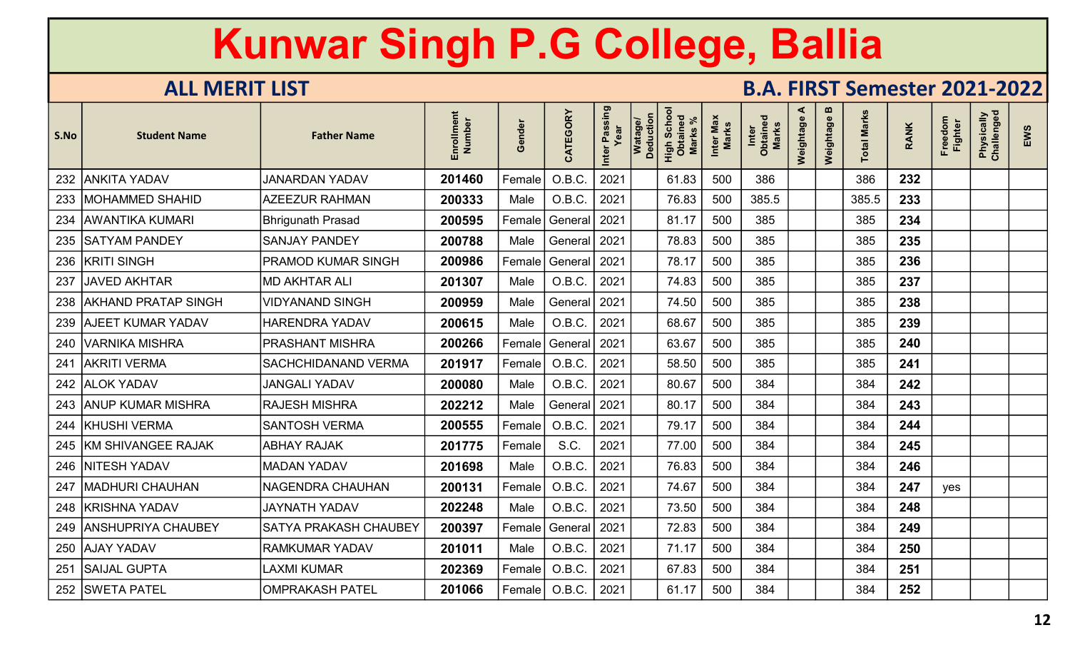| S.No | <b>Student Name</b>     | <b>Father Name</b>         | Enrollment<br>Number | Gender | CATEGORY       | Inter Passing<br>Year | Watage/<br>Deduction | Scho<br>High Scho<br><b>Marks</b> | Inter Max<br>Marks | Inter<br>Obtained<br>Marks | ⋖<br>Weightage | $\boldsymbol{\omega}$<br>Weightage | otal Marks | <b>RANK</b> | Freedom<br><b>Fighter</b> | Physically<br>Challenged | EWS |
|------|-------------------------|----------------------------|----------------------|--------|----------------|-----------------------|----------------------|-----------------------------------|--------------------|----------------------------|----------------|------------------------------------|------------|-------------|---------------------------|--------------------------|-----|
|      | 232 ANKITA YADAV        | <b>JANARDAN YADAV</b>      | 201460               | Female | O.B.C.         | 2021                  |                      | 61.83                             | 500                | 386                        |                |                                    | 386        | 232         |                           |                          |     |
|      | 233   MOHAMMED SHAHID   | <b>AZEEZUR RAHMAN</b>      | 200333               | Male   | O.B.C.         | 2021                  |                      | 76.83                             | 500                | 385.5                      |                |                                    | 385.5      | 233         |                           |                          |     |
|      | 234   AWANTIKA KUMARI   | <b>Bhrigunath Prasad</b>   | 200595               | Female | General   2021 |                       |                      | 81.17                             | 500                | 385                        |                |                                    | 385        | 234         |                           |                          |     |
|      | 235   SATYAM PANDEY     | <b>SANJAY PANDEY</b>       | 200788               | Male   | General 2021   |                       |                      | 78.83                             | 500                | 385                        |                |                                    | 385        | 235         |                           |                          |     |
|      | 236 KRITI SINGH         | <b>PRAMOD KUMAR SINGH</b>  | 200986               | Female | General        | 2021                  |                      | 78.17                             | 500                | 385                        |                |                                    | 385        | 236         |                           |                          |     |
| 237  | <b>JAVED AKHTAR</b>     | <b>MD AKHTAR ALI</b>       | 201307               | Male   | O.B.C.         | 2021                  |                      | 74.83                             | 500                | 385                        |                |                                    | 385        | 237         |                           |                          |     |
|      | 238 AKHAND PRATAP SINGH | <b>VIDYANAND SINGH</b>     | 200959               | Male   | General        | 2021                  |                      | 74.50                             | 500                | 385                        |                |                                    | 385        | 238         |                           |                          |     |
|      | 239 AJEET KUMAR YADAV   | <b>HARENDRA YADAV</b>      | 200615               | Male   | O.B.C.         | 2021                  |                      | 68.67                             | 500                | 385                        |                |                                    | 385        | 239         |                           |                          |     |
|      | 240 VARNIKA MISHRA      | <b>PRASHANT MISHRA</b>     | 200266               | Female | General   2021 |                       |                      | 63.67                             | 500                | 385                        |                |                                    | 385        | 240         |                           |                          |     |
| 241  | <b>AKRITI VERMA</b>     | <b>SACHCHIDANAND VERMA</b> | 201917               | Female | O.B.C.         | 2021                  |                      | 58.50                             | 500                | 385                        |                |                                    | 385        | 241         |                           |                          |     |
|      | 242 ALOK YADAV          | <b>JANGALI YADAV</b>       | 200080               | Male   | O.B.C.         | 2021                  |                      | 80.67                             | 500                | 384                        |                |                                    | 384        | 242         |                           |                          |     |
|      | 243   ANUP KUMAR MISHRA | <b>RAJESH MISHRA</b>       | 202212               | Male   | General   2021 |                       |                      | 80.17                             | 500                | 384                        |                |                                    | 384        | 243         |                           |                          |     |
|      | 244   KHUSHI VERMA      | <b>SANTOSH VERMA</b>       | 200555               | Female | O.B.C.         | 2021                  |                      | 79.17                             | 500                | 384                        |                |                                    | 384        | 244         |                           |                          |     |
|      | 245 KM SHIVANGEE RAJAK  | <b>ABHAY RAJAK</b>         | 201775               | Female | S.C.           | 2021                  |                      | 77.00                             | 500                | 384                        |                |                                    | 384        | 245         |                           |                          |     |
|      | 246   NITESH YADAV      | <b>MADAN YADAV</b>         | 201698               | Male   | O.B.C          | 2021                  |                      | 76.83                             | 500                | 384                        |                |                                    | 384        | 246         |                           |                          |     |
|      | 247   MADHURI CHAUHAN   | <b>NAGENDRA CHAUHAN</b>    | 200131               | Female | O.B.C          | 2021                  |                      | 74.67                             | 500                | 384                        |                |                                    | 384        | 247         | yes                       |                          |     |
|      | 248   KRISHNA YADAV     | JAYNATH YADAV              | 202248               | Male   | O.B.C.         | 2021                  |                      | 73.50                             | 500                | 384                        |                |                                    | 384        | 248         |                           |                          |     |
|      | 249 ANSHUPRIYA CHAUBEY  | SATYA PRAKASH CHAUBEY      | 200397               | Female | General        | 2021                  |                      | 72.83                             | 500                | 384                        |                |                                    | 384        | 249         |                           |                          |     |
|      | 250 AJAY YADAV          | <b>RAMKUMAR YADAV</b>      | 201011               | Male   | O.B.C.         | 2021                  |                      | 71.17                             | 500                | 384                        |                |                                    | 384        | 250         |                           |                          |     |
| 251  | <b>SAIJAL GUPTA</b>     | <b>LAXMI KUMAR</b>         | 202369               | Female | O.B.C.         | 2021                  |                      | 67.83                             | 500                | 384                        |                |                                    | 384        | 251         |                           |                          |     |
|      | 252 SWETA PATEL         | <b>OMPRAKASH PATEL</b>     | 201066               | Female | O.B.C.         | 2021                  |                      | 61.17                             | 500                | 384                        |                |                                    | 384        | 252         |                           |                          |     |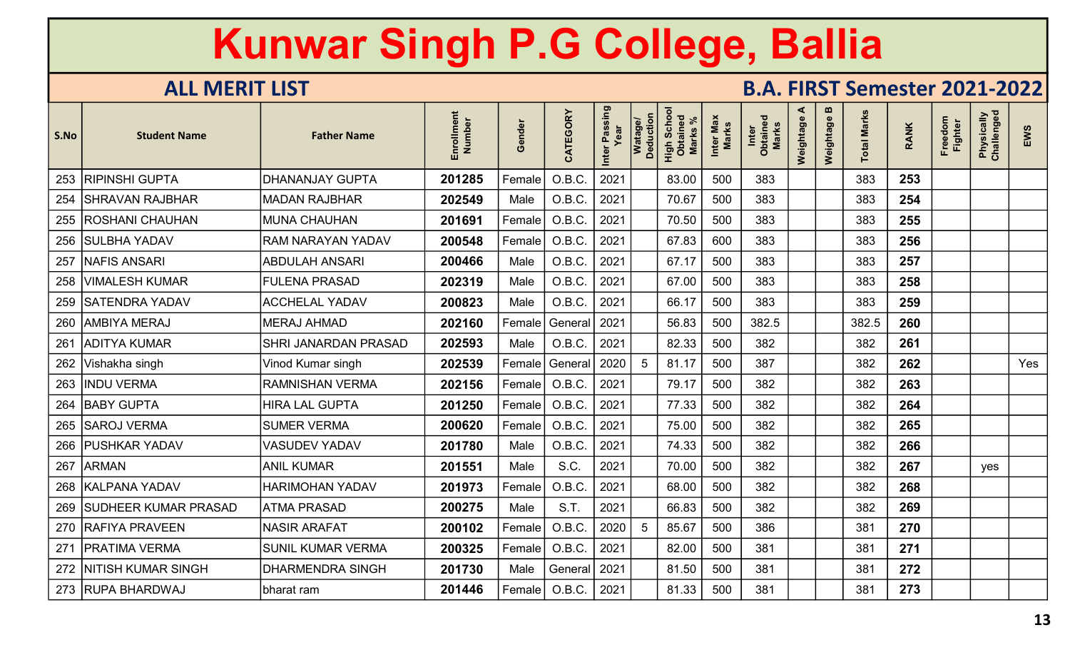| S.No | <b>Student Name</b>        | <b>Father Name</b>          | Enrollment<br>Number | Gender | CATEGORY       | Inter Passing<br>Year | Watage/<br>Deduction | High Schoo<br>Obtained<br><b>Marks</b> | Inter Max<br><b>Marks</b> | Inter<br>Obtained<br>Marks | ⋖<br>Weightage | m<br>Weightage | <b>Total Marks</b> | <b>RANK</b> | Freedom<br><b>Fighter</b> | Physically<br>Challenged | EWS |
|------|----------------------------|-----------------------------|----------------------|--------|----------------|-----------------------|----------------------|----------------------------------------|---------------------------|----------------------------|----------------|----------------|--------------------|-------------|---------------------------|--------------------------|-----|
|      | 253   RIPINSHI GUPTA       | <b>DHANANJAY GUPTA</b>      | 201285               | Female | O.B.C.         | 2021                  |                      | 83.00                                  | 500                       | 383                        |                |                | 383                | 253         |                           |                          |     |
| 254  | SHRAVAN RAJBHAR            | <b>MADAN RAJBHAR</b>        | 202549               | Male   | O.B.C.         | 2021                  |                      | 70.67                                  | 500                       | 383                        |                |                | 383                | 254         |                           |                          |     |
|      | 255   ROSHANI CHAUHAN      | <b>MUNA CHAUHAN</b>         | 201691               | Female | O.B.C.         | 2021                  |                      | 70.50                                  | 500                       | 383                        |                |                | 383                | 255         |                           |                          |     |
|      | 256   SULBHA YADAV         | <b>RAM NARAYAN YADAV</b>    | 200548               | Female | O.B.C          | 2021                  |                      | 67.83                                  | 600                       | 383                        |                |                | 383                | 256         |                           |                          |     |
| 257  | <b>NAFIS ANSARI</b>        | <b>ABDULAH ANSARI</b>       | 200466               | Male   | O.B.C          | 2021                  |                      | 67.17                                  | 500                       | 383                        |                |                | 383                | 257         |                           |                          |     |
|      | 258   VIMALESH KUMAR       | <b>FULENA PRASAD</b>        | 202319               | Male   | O.B.C.         | 2021                  |                      | 67.00                                  | 500                       | 383                        |                |                | 383                | 258         |                           |                          |     |
|      | 259   SATENDRA YADAV       | <b>ACCHELAL YADAV</b>       | 200823               | Male   | O.B.C.         | 2021                  |                      | 66.17                                  | 500                       | 383                        |                |                | 383                | 259         |                           |                          |     |
|      | 260   AMBIYA MERAJ         | <b>MERAJ AHMAD</b>          | 202160               | Female | General 2021   |                       |                      | 56.83                                  | 500                       | 382.5                      |                |                | 382.5              | 260         |                           |                          |     |
| 261  | <b>ADITYA KUMAR</b>        | <b>SHRI JANARDAN PRASAD</b> | 202593               | Male   | O.B.C.         | 2021                  |                      | 82.33                                  | 500                       | 382                        |                |                | 382                | 261         |                           |                          |     |
|      | 262   Vishakha singh       | Vinod Kumar singh           | 202539               | Female | General   2020 |                       | 5                    | 81.17                                  | 500                       | 387                        |                |                | 382                | 262         |                           |                          | Yes |
|      | 263  INDU VERMA            | <b>RAMNISHAN VERMA</b>      | 202156               | Female | O.B.C.         | 2021                  |                      | 79.17                                  | 500                       | 382                        |                |                | 382                | 263         |                           |                          |     |
|      | 264   BABY GUPTA           | <b>HIRA LAL GUPTA</b>       | 201250               | Female | O.B.C.         | 2021                  |                      | 77.33                                  | 500                       | 382                        |                |                | 382                | 264         |                           |                          |     |
|      | 265   SAROJ VERMA          | <b>SUMER VERMA</b>          | 200620               | Female | O.B.C.         | 2021                  |                      | 75.00                                  | 500                       | 382                        |                |                | 382                | 265         |                           |                          |     |
|      | 266   PUSHKAR YADAV        | <b>VASUDEV YADAV</b>        | 201780               | Male   | O.B.C.         | 2021                  |                      | 74.33                                  | 500                       | 382                        |                |                | 382                | 266         |                           |                          |     |
| 267  | <b>ARMAN</b>               | <b>ANIL KUMAR</b>           | 201551               | Male   | S.C.           | 2021                  |                      | 70.00                                  | 500                       | 382                        |                |                | 382                | 267         |                           | yes                      |     |
|      | 268   KALPANA YADAV        | <b>HARIMOHAN YADAV</b>      | 201973               | Female | O.B.C          | 2021                  |                      | 68.00                                  | 500                       | 382                        |                |                | 382                | 268         |                           |                          |     |
|      | 269   SUDHEER KUMAR PRASAD | <b>ATMA PRASAD</b>          | 200275               | Male   | S.T.           | 2021                  |                      | 66.83                                  | 500                       | 382                        |                |                | 382                | 269         |                           |                          |     |
|      | 270 RAFIYA PRAVEEN         | <b>NASIR ARAFAT</b>         | 200102               | Female | O.B.C.         | 2020                  | 5                    | 85.67                                  | 500                       | 386                        |                |                | 381                | 270         |                           |                          |     |
|      | 271   PRATIMA VERMA        | <b>SUNIL KUMAR VERMA</b>    | 200325               | Female | O.B.C.         | 2021                  |                      | 82.00                                  | 500                       | 381                        |                |                | 381                | 271         |                           |                          |     |
|      | 272 NITISH KUMAR SINGH     | <b>DHARMENDRA SINGH</b>     | 201730               | Male   | General   2021 |                       |                      | 81.50                                  | 500                       | 381                        |                |                | 381                | 272         |                           |                          |     |
|      | 273 RUPA BHARDWAJ          | bharat ram                  | 201446               | Female | O.B.C.         | 2021                  |                      | 81.33                                  | 500                       | 381                        |                |                | 381                | 273         |                           |                          |     |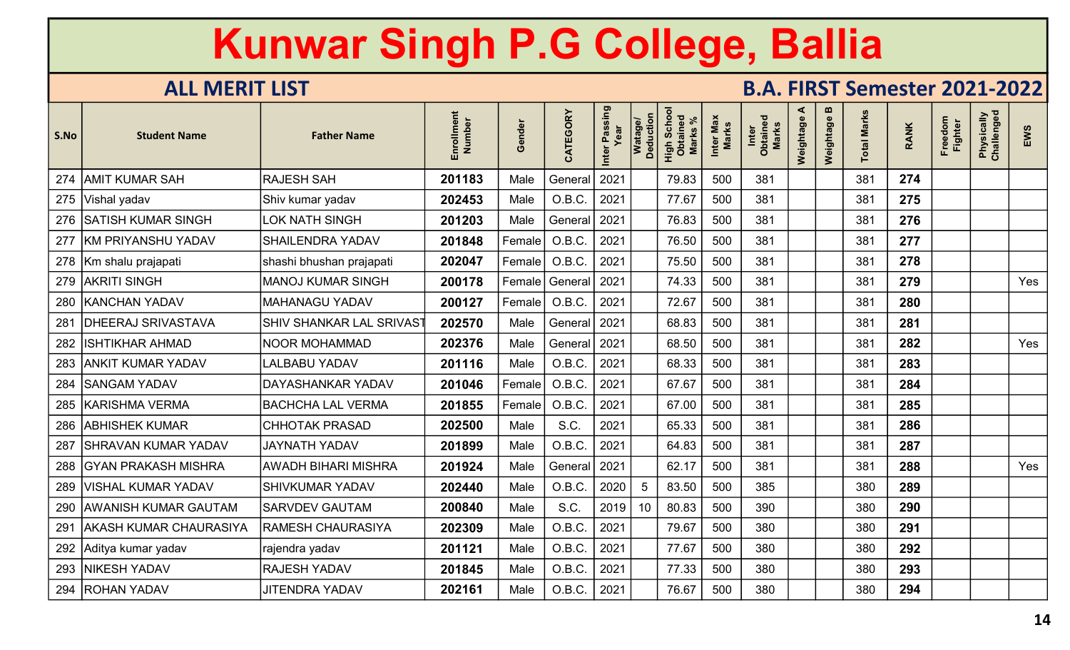| S.No | <b>Student Name</b>           | <b>Father Name</b>         | Enrollment<br>Number | Gender | CATEGORY     | r Passing<br>Year<br>Inter | <b>Deduction</b><br><b>Watage</b> | Scho<br>High Scho<br>Obtaineo<br><b>Marks</b> | Inter Max<br>Marks | Inter<br>Obtained<br>Marks | ⋖<br>Weightage | m<br>Weightage | <b>Total Marks</b> | <b>RANK</b> | Freedom<br>Fighter | Physically<br>Challenged | EWS |
|------|-------------------------------|----------------------------|----------------------|--------|--------------|----------------------------|-----------------------------------|-----------------------------------------------|--------------------|----------------------------|----------------|----------------|--------------------|-------------|--------------------|--------------------------|-----|
| 274  | <b>AMIT KUMAR SAH</b>         | <b>RAJESH SAH</b>          | 201183               | Male   | General      | 2021                       |                                   | 79.83                                         | 500                | 381                        |                |                | 381                | 274         |                    |                          |     |
|      | 275 Vishal yadav              | Shiv kumar yadav           | 202453               | Male   | O.B.C.       | 2021                       |                                   | 77.67                                         | 500                | 381                        |                |                | 381                | 275         |                    |                          |     |
|      | 276 SATISH KUMAR SINGH        | <b>LOK NATH SINGH</b>      | 201203               | Male   | General      | 2021                       |                                   | 76.83                                         | 500                | 381                        |                |                | 381                | 276         |                    |                          |     |
| 277  | <b>KM PRIYANSHU YADAV</b>     | <b>SHAILENDRA YADAV</b>    | 201848               | Female | O.B.C.       | 2021                       |                                   | 76.50                                         | 500                | 381                        |                |                | 381                | 277         |                    |                          |     |
|      | 278   Km shalu prajapati      | shashi bhushan prajapati   | 202047               | Female | O.B.C.       | 2021                       |                                   | 75.50                                         | 500                | 381                        |                |                | 381                | 278         |                    |                          |     |
| 279  | <b>AKRITI SINGH</b>           | <b>MANOJ KUMAR SINGH</b>   | 200178               | Female | General      | 2021                       |                                   | 74.33                                         | 500                | 381                        |                |                | 381                | 279         |                    |                          | Yes |
|      | 280   KANCHAN YADAV           | <b>MAHANAGU YADAV</b>      | 200127               | Female | O.B.C.       | 2021                       |                                   | 72.67                                         | 500                | 381                        |                |                | 381                | 280         |                    |                          |     |
| 281  | <b>DHEERAJ SRIVASTAVA</b>     | SHIV SHANKAR LAL SRIVAS    | 202570               | Male   | General!     | 2021                       |                                   | 68.83                                         | 500                | 381                        |                |                | 381                | 281         |                    |                          |     |
| 282  | <b>ISHTIKHAR AHMAD</b>        | NOOR MOHAMMAD              | 202376               | Male   | General 2021 |                            |                                   | 68.50                                         | 500                | 381                        |                |                | 381                | 282         |                    |                          | Yes |
| 283  | <b>ANKIT KUMAR YADAV</b>      | <b>LALBABU YADAV</b>       | 201116               | Male   | O.B.C.       | 2021                       |                                   | 68.33                                         | 500                | 381                        |                |                | 381                | 283         |                    |                          |     |
| 284  | <b>SANGAM YADAV</b>           | DAYASHANKAR YADAV          | 201046               | Female | O.B.C.       | 2021                       |                                   | 67.67                                         | 500                | 381                        |                |                | 381                | 284         |                    |                          |     |
|      | 285 KARISHMA VERMA            | <b>BACHCHA LAL VERMA</b>   | 201855               | Female | O.B.C.       | 2021                       |                                   | 67.00                                         | 500                | 381                        |                |                | 381                | 285         |                    |                          |     |
|      | 286 ABHISHEK KUMAR            | <b>CHHOTAK PRASAD</b>      | 202500               | Male   | S.C.         | 2021                       |                                   | 65.33                                         | 500                | 381                        |                |                | 381                | 286         |                    |                          |     |
| 287  | <b>SHRAVAN KUMAR YADAV</b>    | <b>JAYNATH YADAV</b>       | 201899               | Male   | O.B.C.       | 2021                       |                                   | 64.83                                         | 500                | 381                        |                |                | 381                | 287         |                    |                          |     |
| 288  | <b>GYAN PRAKASH MISHRA</b>    | <b>AWADH BIHARI MISHRA</b> | 201924               | Male   | General      | 2021                       |                                   | 62.17                                         | 500                | 381                        |                |                | 381                | 288         |                    |                          | Yes |
| 289  | <b>VISHAL KUMAR YADAV</b>     | <b>SHIVKUMAR YADAV</b>     | 202440               | Male   | O.B.C.       | 2020                       | 5                                 | 83.50                                         | 500                | 385                        |                |                | 380                | 289         |                    |                          |     |
| 290  | <b>AWANISH KUMAR GAUTAM</b>   | <b>SARVDEV GAUTAM</b>      | 200840               | Male   | S.C.         | 2019                       | 10                                | 80.83                                         | 500                | 390                        |                |                | 380                | 290         |                    |                          |     |
| 291  | <b>AKASH KUMAR CHAURASIYA</b> | <b>RAMESH CHAURASIYA</b>   | 202309               | Male   | O.B.C.       | 2021                       |                                   | 79.67                                         | 500                | 380                        |                |                | 380                | 291         |                    |                          |     |
|      | 292 Aditya kumar yadav        | rajendra yadav             | 201121               | Male   | O.B.C.       | 2021                       |                                   | 77.67                                         | 500                | 380                        |                |                | 380                | 292         |                    |                          |     |
| 293  | <b>NIKESH YADAV</b>           | <b>RAJESH YADAV</b>        | 201845               | Male   | O.B.C.       | 2021                       |                                   | 77.33                                         | 500                | 380                        |                |                | 380                | 293         |                    |                          |     |
|      | 294   ROHAN YADAV             | <b>JITENDRA YADAV</b>      | 202161               | Male   | O.B.C.       | 2021                       |                                   | 76.67                                         | 500                | 380                        |                |                | 380                | 294         |                    |                          |     |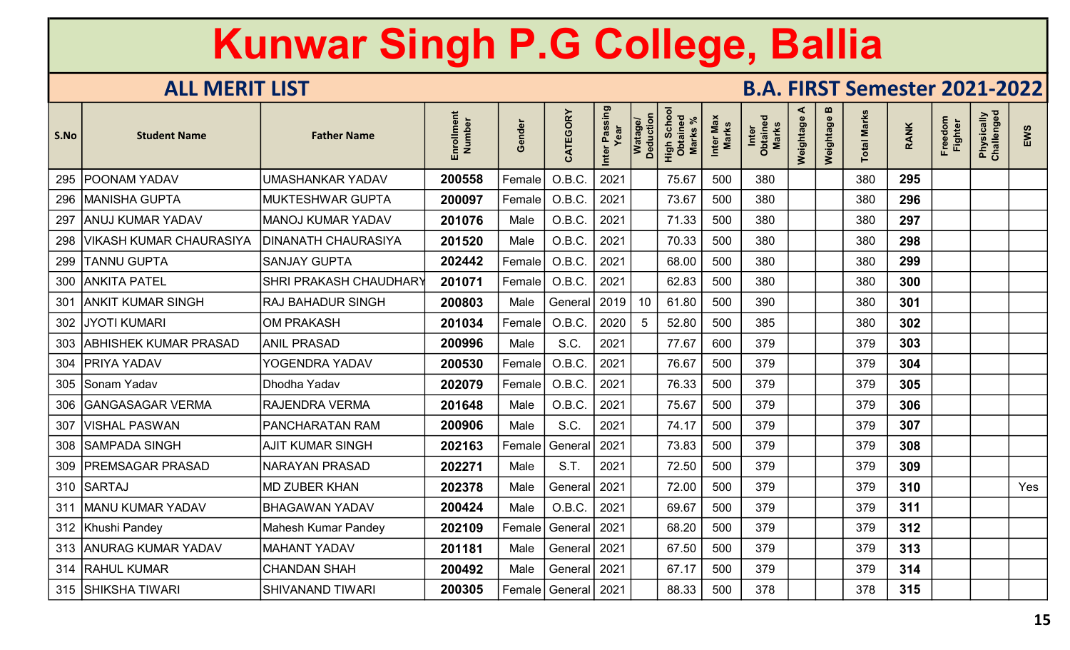| S.No | <b>Student Name</b>          | <b>Father Name</b>         | Enrollment<br>Number | Gender | CATEGORY                | Inter Passing<br>Year | Watage/<br>Deduction | <b>Scho</b><br>High Scho<br>Obtaineo<br><b>Marks</b> | Inter Max<br><b>Marks</b> | Inter<br>Obtained<br><b>Marks</b> | ⋖<br>Weightage | m<br>Weightage | <b>Total Marks</b> | <b>RANK</b> | Freedom<br>Fighter | Physically<br>Challenged | EWS |
|------|------------------------------|----------------------------|----------------------|--------|-------------------------|-----------------------|----------------------|------------------------------------------------------|---------------------------|-----------------------------------|----------------|----------------|--------------------|-------------|--------------------|--------------------------|-----|
| 295  | <b>POONAM YADAV</b>          | <b>UMASHANKAR YADAV</b>    | 200558               | Female | O.B.C.                  | 2021                  |                      | 75.67                                                | 500                       | 380                               |                |                | 380                | 295         |                    |                          |     |
| 296  | MANISHA GUPTA                | <b>MUKTESHWAR GUPTA</b>    | 200097               | Female | O.B.C.                  | 2021                  |                      | 73.67                                                | 500                       | 380                               |                |                | 380                | 296         |                    |                          |     |
| 297  | <b>ANUJ KUMAR YADAV</b>      | <b>MANOJ KUMAR YADAV</b>   | 201076               | Male   | O.B.C.                  | 2021                  |                      | 71.33                                                | 500                       | 380                               |                |                | 380                | 297         |                    |                          |     |
| 298  | VIKASH KUMAR CHAURASIYA      | <b>DINANATH CHAURASIYA</b> | 201520               | Male   | O.B.C.                  | 2021                  |                      | 70.33                                                | 500                       | 380                               |                |                | 380                | 298         |                    |                          |     |
| 299  | TANNU GUPTA                  | <b>SANJAY GUPTA</b>        | 202442               | Female | O.B.C.                  | 2021                  |                      | 68.00                                                | 500                       | 380                               |                |                | 380                | 299         |                    |                          |     |
| 300  | <b>ANKITA PATEL</b>          | SHRI PRAKASH CHAUDHARY     | 201071               | Female | O.B.C.                  | 2021                  |                      | 62.83                                                | 500                       | 380                               |                |                | 380                | 300         |                    |                          |     |
| 301  | <b>ANKIT KUMAR SINGH</b>     | <b>RAJ BAHADUR SINGH</b>   | 200803               | Male   | General                 | 2019                  | 10                   | 61.80                                                | 500                       | 390                               |                |                | 380                | 301         |                    |                          |     |
| 302  | <b>JYOTI KUMARI</b>          | <b>OM PRAKASH</b>          | 201034               | Female | O.B.C.                  | 2020                  | 5                    | 52.80                                                | 500                       | 385                               |                |                | 380                | 302         |                    |                          |     |
| 303  | <b>ABHISHEK KUMAR PRASAD</b> | <b>ANIL PRASAD</b>         | 200996               | Male   | S.C.                    | 2021                  |                      | 77.67                                                | 600                       | 379                               |                |                | 379                | 303         |                    |                          |     |
| 304  | <b>PRIYA YADAV</b>           | YOGENDRA YADAV             | 200530               | Female | O.B.C.                  | 2021                  |                      | 76.67                                                | 500                       | 379                               |                |                | 379                | 304         |                    |                          |     |
| 305  | Sonam Yadav                  | Dhodha Yadav               | 202079               | Female | O.B.C.                  | 2021                  |                      | 76.33                                                | 500                       | 379                               |                |                | 379                | 305         |                    |                          |     |
| 306  | <b>GANGASAGAR VERMA</b>      | <b>RAJENDRA VERMA</b>      | 201648               | Male   | O.B.C.                  | 2021                  |                      | 75.67                                                | 500                       | 379                               |                |                | 379                | 306         |                    |                          |     |
| 307  | <b>VISHAL PASWAN</b>         | PANCHARATAN RAM            | 200906               | Male   | S.C.                    | 2021                  |                      | 74.17                                                | 500                       | 379                               |                |                | 379                | 307         |                    |                          |     |
| 308  | <b>SAMPADA SINGH</b>         | AJIT KUMAR SINGH           | 202163               | Female | General                 | 2021                  |                      | 73.83                                                | 500                       | 379                               |                |                | 379                | 308         |                    |                          |     |
| 309  | <b>PREMSAGAR PRASAD</b>      | <b>NARAYAN PRASAD</b>      | 202271               | Male   | S.T.                    | 2021                  |                      | 72.50                                                | 500                       | 379                               |                |                | 379                | 309         |                    |                          |     |
| 310  | SARTAJ                       | <b>MD ZUBER KHAN</b>       | 202378               | Male   | General                 | 2021                  |                      | 72.00                                                | 500                       | 379                               |                |                | 379                | 310         |                    |                          | Yes |
| 311  | <b>MANU KUMAR YADAV</b>      | <b>BHAGAWAN YADAV</b>      | 200424               | Male   | O.B.C.                  | 2021                  |                      | 69.67                                                | 500                       | 379                               |                |                | 379                | 311         |                    |                          |     |
|      | 312 Khushi Pandey            | <b>Mahesh Kumar Pandey</b> | 202109               | Female | General                 | 2021                  |                      | 68.20                                                | 500                       | 379                               |                |                | 379                | 312         |                    |                          |     |
|      | 313 ANURAG KUMAR YADAV       | <b>MAHANT YADAV</b>        | 201181               | Male   | General                 | 2021                  |                      | 67.50                                                | 500                       | 379                               |                |                | 379                | 313         |                    |                          |     |
|      | 314 RAHUL KUMAR              | <b>CHANDAN SHAH</b>        | 200492               | Male   | General   2021          |                       |                      | 67.17                                                | 500                       | 379                               |                |                | 379                | 314         |                    |                          |     |
|      | 315   SHIKSHA TIWARI         | <b>SHIVANAND TIWARI</b>    | 200305               |        | Female   General   2021 |                       |                      | 88.33                                                | 500                       | 378                               |                |                | 378                | 315         |                    |                          |     |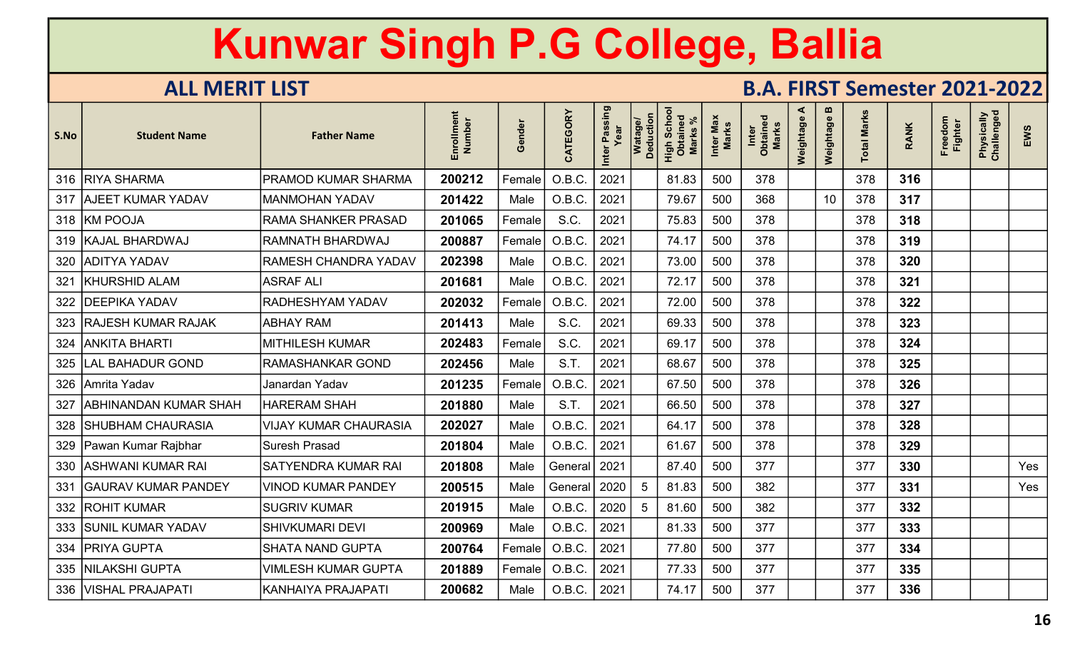| S.No | <b>Student Name</b>          | <b>Father Name</b>           | Enrollment<br>Number | Gender | CATEGORY | Inter Passing<br>Year | Watage/<br>Deduction | Scho<br>High Scho<br>Obtaineo<br><b>Marks</b> | Inter Max<br><b>Marks</b> | Inter<br>Obtained<br>Marks | ⋖<br>Weightage | $\boldsymbol{\omega}$<br>Weightage | <b>Total Marks</b> | <b>RANK</b> | Freedom<br><b>Fighter</b> | Physically<br>Challenged | EWS |
|------|------------------------------|------------------------------|----------------------|--------|----------|-----------------------|----------------------|-----------------------------------------------|---------------------------|----------------------------|----------------|------------------------------------|--------------------|-------------|---------------------------|--------------------------|-----|
|      | 316 RIYA SHARMA              | <b>PRAMOD KUMAR SHARMA</b>   | 200212               | Female | O.B.C.   | 2021                  |                      | 81.83                                         | 500                       | 378                        |                |                                    | 378                | 316         |                           |                          |     |
|      | 317   AJEET KUMAR YADAV      | <b>MANMOHAN YADAV</b>        | 201422               | Male   | O.B.C.   | 2021                  |                      | 79.67                                         | 500                       | 368                        |                | 10 <sup>°</sup>                    | 378                | 317         |                           |                          |     |
|      | 318 KM POOJA                 | <b>RAMA SHANKER PRASAD</b>   | 201065               | Female | S.C.     | 2021                  |                      | 75.83                                         | 500                       | 378                        |                |                                    | 378                | 318         |                           |                          |     |
|      | 319 KAJAL BHARDWAJ           | <b>RAMNATH BHARDWAJ</b>      | 200887               | Female | O.B.C    | 2021                  |                      | 74.17                                         | 500                       | 378                        |                |                                    | 378                | 319         |                           |                          |     |
|      | 320 ADITYA YADAV             | <b>RAMESH CHANDRA YADAV</b>  | 202398               | Male   | O.B.C.   | 2021                  |                      | 73.00                                         | 500                       | 378                        |                |                                    | 378                | 320         |                           |                          |     |
| 321  | KHURSHID ALAM                | <b>ASRAF ALI</b>             | 201681               | Male   | O.B.C.   | 2021                  |                      | 72.17                                         | 500                       | 378                        |                |                                    | 378                | 321         |                           |                          |     |
|      | 322   DEEPIKA YADAV          | <b>RADHESHYAM YADAV</b>      | 202032               | Female | O.B.C.   | 2021                  |                      | 72.00                                         | 500                       | 378                        |                |                                    | 378                | 322         |                           |                          |     |
|      | 323 RAJESH KUMAR RAJAK       | <b>ABHAY RAM</b>             | 201413               | Male   | S.C.     | 2021                  |                      | 69.33                                         | 500                       | 378                        |                |                                    | 378                | 323         |                           |                          |     |
|      | 324   ANKITA BHARTI          | <b>MITHILESH KUMAR</b>       | 202483               | Female | S.C.     | 2021                  |                      | 69.17                                         | 500                       | 378                        |                |                                    | 378                | 324         |                           |                          |     |
|      | 325   LAL BAHADUR GOND       | <b>RAMASHANKAR GOND</b>      | 202456               | Male   | S.T.     | 2021                  |                      | 68.67                                         | 500                       | 378                        |                |                                    | 378                | 325         |                           |                          |     |
|      | 326 Amrita Yadav             | Janardan Yadav               | 201235               | Female | O.B.C.   | 2021                  |                      | 67.50                                         | 500                       | 378                        |                |                                    | 378                | 326         |                           |                          |     |
| 327  | <b>ABHINANDAN KUMAR SHAH</b> | <b>HARERAM SHAH</b>          | 201880               | Male   | S.T.     | 2021                  |                      | 66.50                                         | 500                       | 378                        |                |                                    | 378                | 327         |                           |                          |     |
| 328  | <b>SHUBHAM CHAURASIA</b>     | <b>VIJAY KUMAR CHAURASIA</b> | 202027               | Male   | O.B.C.   | 2021                  |                      | 64.17                                         | 500                       | 378                        |                |                                    | 378                | 328         |                           |                          |     |
|      | 329 Pawan Kumar Rajbhar      | <b>Suresh Prasad</b>         | 201804               | Male   | O.B.C.   | 2021                  |                      | 61.67                                         | 500                       | 378                        |                |                                    | 378                | 329         |                           |                          |     |
|      | 330   ASHWANI KUMAR RAI      | <b>SATYENDRA KUMAR RAI</b>   | 201808               | Male   | General  | 2021                  |                      | 87.40                                         | 500                       | 377                        |                |                                    | 377                | 330         |                           |                          | Yes |
| 331  | <b>GAURAV KUMAR PANDEY</b>   | <b>VINOD KUMAR PANDEY</b>    | 200515               | Male   | General  | 2020                  |                      | 81.83                                         | 500                       | 382                        |                |                                    | 377                | 331         |                           |                          | Yes |
|      | 332   ROHIT KUMAR            | <b>SUGRIV KUMAR</b>          | 201915               | Male   | O.B.C.   | 2020                  | 5                    | 81.60                                         | 500                       | 382                        |                |                                    | 377                | 332         |                           |                          |     |
|      | 333 SUNIL KUMAR YADAV        | <b>SHIVKUMARI DEVI</b>       | 200969               | Male   | O.B.C.   | 2021                  |                      | 81.33                                         | 500                       | 377                        |                |                                    | 377                | 333         |                           |                          |     |
|      | 334   PRIYA GUPTA            | <b>SHATA NAND GUPTA</b>      | 200764               | Female | O.B.C.   | 2021                  |                      | 77.80                                         | 500                       | 377                        |                |                                    | 377                | 334         |                           |                          |     |
|      | 335   NILAKSHI GUPTA         | <b>VIMLESH KUMAR GUPTA</b>   | 201889               | Female | O.B.C.   | 2021                  |                      | 77.33                                         | 500                       | 377                        |                |                                    | 377                | 335         |                           |                          |     |
|      | 336   VISHAL PRAJAPAT        | <b>KANHAIYA PRAJAPATI</b>    | 200682               | Male   | O.B.C.   | 2021                  |                      | 74.17                                         | 500                       | 377                        |                |                                    | 377                | 336         |                           |                          |     |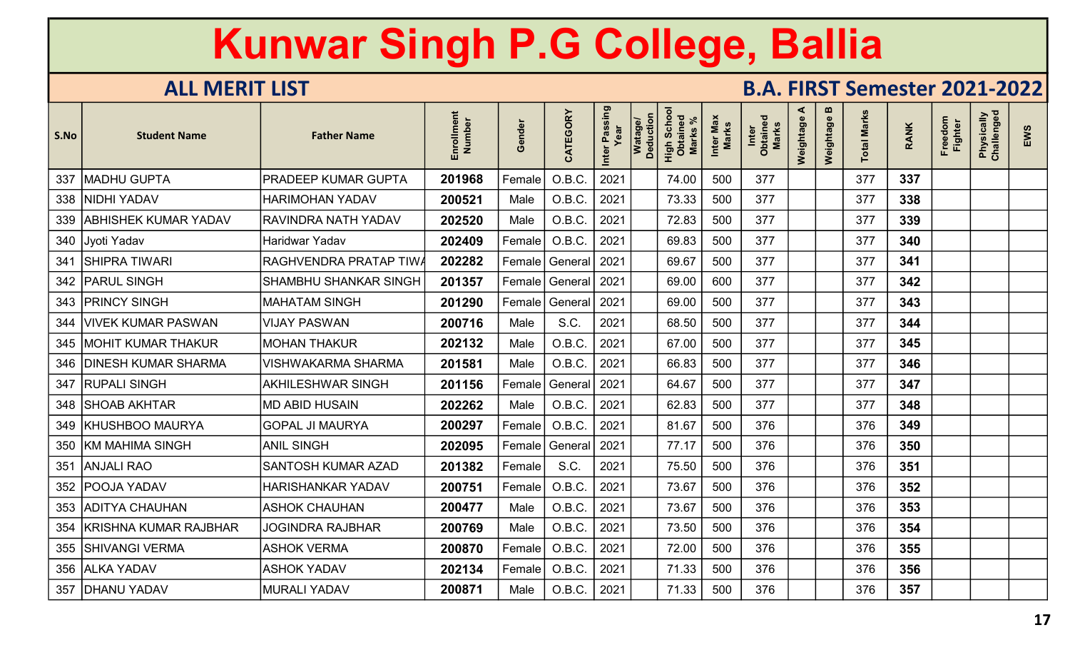| S.No | <b>Student Name</b>        | <b>Father Name</b>           | Enrollment<br>Number | Gender | CATEGORY     | r Passing<br>Year<br>Inter | <b>Deduction</b><br><b>Watage</b> | Schor<br>High Scho<br>Obtained<br>Marks | Inter Max<br>Marks | Inter<br>Obtained<br>Marks | ⋖<br>Weightage | m<br>Weightage | otal Marks | <b>RANK</b> | Freedom<br>Fighter | Physically<br>Challenged | EWS |
|------|----------------------------|------------------------------|----------------------|--------|--------------|----------------------------|-----------------------------------|-----------------------------------------|--------------------|----------------------------|----------------|----------------|------------|-------------|--------------------|--------------------------|-----|
| 337  | <b>MADHU GUPTA</b>         | PRADEEP KUMAR GUPTA          | 201968               | Female | O.B.C.       | 2021                       |                                   | 74.00                                   | 500                | 377                        |                |                | 377        | 337         |                    |                          |     |
| 338  | <b>NIDHI YADAV</b>         | <b>HARIMOHAN YADAV</b>       | 200521               | Male   | O.B.C.       | 2021                       |                                   | 73.33                                   | 500                | 377                        |                |                | 377        | 338         |                    |                          |     |
|      | 339   ABHISHEK KUMAR YADAV | RAVINDRA NATH YADAV          | 202520               | Male   | O.B.C.       | 2021                       |                                   | 72.83                                   | 500                | 377                        |                |                | 377        | 339         |                    |                          |     |
|      | 340 Jyoti Yadav            | Haridwar Yadav               | 202409               | Female | O.B.C.       | 2021                       |                                   | 69.83                                   | 500                | 377                        |                |                | 377        | 340         |                    |                          |     |
| 341  | <b>SHIPRA TIWARI</b>       | RAGHVENDRA PRATAP TIW        | 202282               | Female | General      | 2021                       |                                   | 69.67                                   | 500                | 377                        |                |                | 377        | 341         |                    |                          |     |
| 342  | <b>PARUL SINGH</b>         | <b>SHAMBHU SHANKAR SINGH</b> | 201357               | Female | General      | 2021                       |                                   | 69.00                                   | 600                | 377                        |                |                | 377        | 342         |                    |                          |     |
| 343  | <b>PRINCY SINGH</b>        | <b>MAHATAM SINGH</b>         | 201290               | Female | General      | 2021                       |                                   | 69.00                                   | 500                | 377                        |                |                | 377        | 343         |                    |                          |     |
|      | 344   VIVEK KUMAR PASWAN   | <b>VIJAY PASWAN</b>          | 200716               | Male   | S.C.         | 2021                       |                                   | 68.50                                   | 500                | 377                        |                |                | 377        | 344         |                    |                          |     |
|      | 345   MOHIT KUMAR THAKUR   | <b>MOHAN THAKUR</b>          | 202132               | Male   | O.B.C.       | 2021                       |                                   | 67.00                                   | 500                | 377                        |                |                | 377        | 345         |                    |                          |     |
| 346  | <b>DINESH KUMAR SHARMA</b> | <b>VISHWAKARMA SHARMA</b>    | 201581               | Male   | O.B.C.       | 2021                       |                                   | 66.83                                   | 500                | 377                        |                |                | 377        | 346         |                    |                          |     |
| 347  | <b>RUPALI SINGH</b>        | <b>AKHILESHWAR SINGH</b>     | 201156               | Female | General 2021 |                            |                                   | 64.67                                   | 500                | 377                        |                |                | 377        | 347         |                    |                          |     |
|      | 348 SHOAB AKHTAR           | <b>MD ABID HUSAIN</b>        | 202262               | Male   | O.B.C.       | 2021                       |                                   | 62.83                                   | 500                | 377                        |                |                | 377        | 348         |                    |                          |     |
|      | 349 KHUSHBOO MAURYA        | <b>GOPAL JI MAURYA</b>       | 200297               | Female | O.B.C.       | 2021                       |                                   | 81.67                                   | 500                | 376                        |                |                | 376        | 349         |                    |                          |     |
|      | 350   KM MAHIMA SINGH      | <b>ANIL SINGH</b>            | 202095               | Female | General      | 2021                       |                                   | 77.17                                   | 500                | 376                        |                |                | 376        | 350         |                    |                          |     |
| 351  | <b>ANJALI RAO</b>          | SANTOSH KUMAR AZAD           | 201382               | Female | S.C.         | 2021                       |                                   | 75.50                                   | 500                | 376                        |                |                | 376        | 351         |                    |                          |     |
| 352  | <b>POOJA YADAV</b>         | <b>HARISHANKAR YADAV</b>     | 200751               | Female | O.B.C.       | 2021                       |                                   | 73.67                                   | 500                | 376                        |                |                | 376        | 352         |                    |                          |     |
| 353  | <b>ADITYA CHAUHAN</b>      | <b>ASHOK CHAUHAN</b>         | 200477               | Male   | O.B.C.       | 2021                       |                                   | 73.67                                   | 500                | 376                        |                |                | 376        | 353         |                    |                          |     |
| 354  | KRISHNA KUMAR RAJBHAR      | <b>JOGINDRA RAJBHAR</b>      | 200769               | Male   | O.B.C.       | 2021                       |                                   | 73.50                                   | 500                | 376                        |                |                | 376        | 354         |                    |                          |     |
|      | 355   SHIVANGI VERMA       | <b>ASHOK VERMA</b>           | 200870               | Female | O.B.C.       | 2021                       |                                   | 72.00                                   | 500                | 376                        |                |                | 376        | 355         |                    |                          |     |
|      | 356 ALKA YADAV             | <b>ASHOK YADAV</b>           | 202134               | Female | O.B.C.       | 2021                       |                                   | 71.33                                   | 500                | 376                        |                |                | 376        | 356         |                    |                          |     |
| 357  | <b>DHANU YADAV</b>         | <b>MURALI YADAV</b>          | 200871               | Male   | O.B.C.       | 2021                       |                                   | 71.33                                   | 500                | 376                        |                |                | 376        | 357         |                    |                          |     |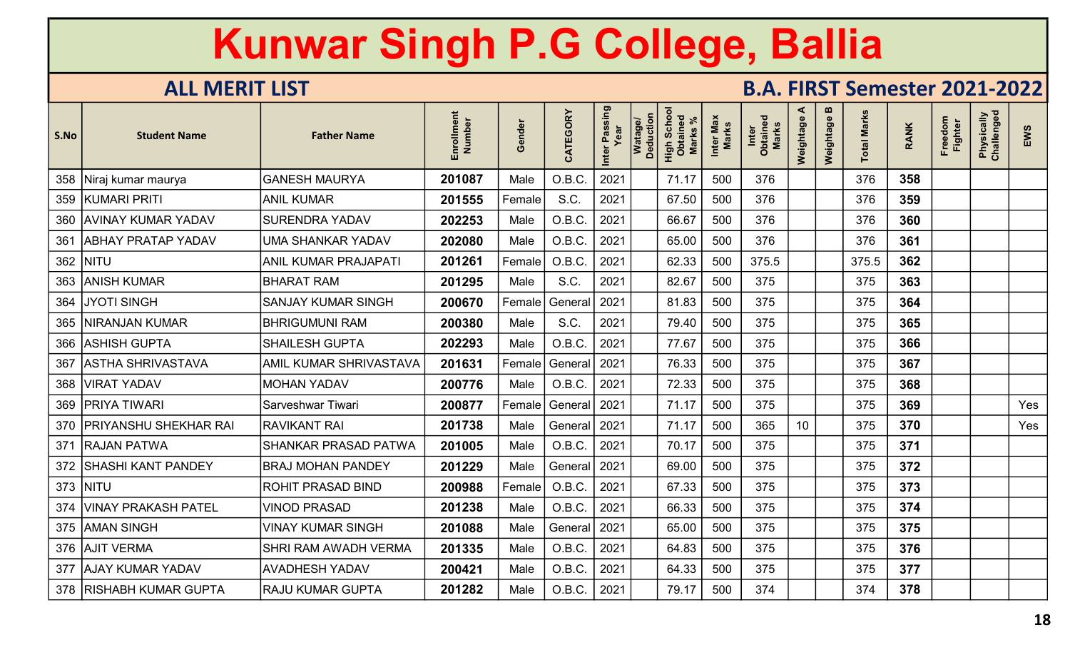| S.No | <b>Student Name</b>         | <b>Father Name</b>            | Enrollment<br>Number | Gender | CATEGORY       | Inter Passing<br>Year | Watage/<br>Deduction | High Schoo<br>Obtained<br><b>Marks</b> | Inter Max<br><b>Marks</b> | Inter<br>Obtained<br>Marks | ⋖<br>Weightage | $\boldsymbol{\omega}$<br>Weightage | <b>Total Marks</b> | <b>RANK</b> | Freedom<br><b>Fighter</b> | Physically<br>Challenged | EWS |
|------|-----------------------------|-------------------------------|----------------------|--------|----------------|-----------------------|----------------------|----------------------------------------|---------------------------|----------------------------|----------------|------------------------------------|--------------------|-------------|---------------------------|--------------------------|-----|
|      | 358   Niraj kumar maurya    | <b>GANESH MAURYA</b>          | 201087               | Male   | O.B.C.         | 2021                  |                      | 71.17                                  | 500                       | 376                        |                |                                    | 376                | 358         |                           |                          |     |
|      | 359 KUMARI PRITI            | <b>ANIL KUMAR</b>             | 201555               | Female | S.C.           | 2021                  |                      | 67.50                                  | 500                       | 376                        |                |                                    | 376                | 359         |                           |                          |     |
|      | 360 AVINAY KUMAR YADAV      | <b>SURENDRA YADAV</b>         | 202253               | Male   | O.B.C.         | 2021                  |                      | 66.67                                  | 500                       | 376                        |                |                                    | 376                | 360         |                           |                          |     |
| 361  | <b>ABHAY PRATAP YADAV</b>   | <b>UMA SHANKAR YADAV</b>      | 202080               | Male   | O.B.C.         | 2021                  |                      | 65.00                                  | 500                       | 376                        |                |                                    | 376                | 361         |                           |                          |     |
|      | 362   NITU                  | <b>ANIL KUMAR PRAJAPATI</b>   | 201261               | Female | O.B.C          | 2021                  |                      | 62.33                                  | 500                       | 375.5                      |                |                                    | 375.5              | 362         |                           |                          |     |
| 363  | <b>ANISH KUMAR</b>          | <b>BHARAT RAM</b>             | 201295               | Male   | S.C.           | 2021                  |                      | 82.67                                  | 500                       | 375                        |                |                                    | 375                | 363         |                           |                          |     |
|      | 364 JYOTI SINGH             | <b>SANJAY KUMAR SINGH</b>     | 200670               | Female | General        | 2021                  |                      | 81.83                                  | 500                       | 375                        |                |                                    | 375                | 364         |                           |                          |     |
|      | 365   NIRANJAN KUMAR        | <b>BHRIGUMUNI RAM</b>         | 200380               | Male   | S.C.           | 2021                  |                      | 79.40                                  | 500                       | 375                        |                |                                    | 375                | 365         |                           |                          |     |
|      | 366 ASHISH GUPTA            | <b>SHAILESH GUPTA</b>         | 202293               | Male   | O.B.C.         | 2021                  |                      | 77.67                                  | 500                       | 375                        |                |                                    | 375                | 366         |                           |                          |     |
|      | 367   ASTHA SHRIVASTAVA     | <b>AMIL KUMAR SHRIVASTAVA</b> | 201631               | Female | General   2021 |                       |                      | 76.33                                  | 500                       | 375                        |                |                                    | 375                | 367         |                           |                          |     |
|      | 368   VIRAT YADAV           | <b>MOHAN YADAV</b>            | 200776               | Male   | O.B.C.         | 2021                  |                      | 72.33                                  | 500                       | 375                        |                |                                    | 375                | 368         |                           |                          |     |
|      | 369   PRIYA TIWARI          | Sarveshwar Tiwari             | 200877               | Female | General   2021 |                       |                      | 71.17                                  | 500                       | 375                        |                |                                    | 375                | 369         |                           |                          | Yes |
|      | 370   PRIYANSHU SHEKHAR RAI | <b>RAVIKANT RAI</b>           | 201738               | Male   | General   2021 |                       |                      | 71.17                                  | 500                       | 365                        | 10             |                                    | 375                | 370         |                           |                          | Yes |
|      | 371 RAJAN PATWA             | <b>SHANKAR PRASAD PATWA</b>   | 201005               | Male   | O.B.C.         | 2021                  |                      | 70.17                                  | 500                       | 375                        |                |                                    | 375                | 371         |                           |                          |     |
| 372  | <b>SHASHI KANT PANDEY</b>   | <b>BRAJ MOHAN PANDEY</b>      | 201229               | Male   | General        | 2021                  |                      | 69.00                                  | 500                       | 375                        |                |                                    | 375                | 372         |                           |                          |     |
|      | 373 NITU                    | <b>ROHIT PRASAD BIND</b>      | 200988               | Female | O.B.C          | 2021                  |                      | 67.33                                  | 500                       | 375                        |                |                                    | 375                | 373         |                           |                          |     |
|      | 374   VINAY PRAKASH PATEL   | <b>VINOD PRASAD</b>           | 201238               | Male   | O.B.C.         | 2021                  |                      | 66.33                                  | 500                       | 375                        |                |                                    | 375                | 374         |                           |                          |     |
|      | 375 AMAN SINGH              | <b>VINAY KUMAR SINGH</b>      | 201088               | Male   | General        | 2021                  |                      | 65.00                                  | 500                       | 375                        |                |                                    | 375                | 375         |                           |                          |     |
|      | 376 AJIT VERMA              | SHRI RAM AWADH VERMA          | 201335               | Male   | O.B.C.         | 2021                  |                      | 64.83                                  | 500                       | 375                        |                |                                    | 375                | 376         |                           |                          |     |
|      | 377 AJAY KUMAR YADAV        | <b>AVADHESH YADAV</b>         | 200421               | Male   | O.B.C.         | 2021                  |                      | 64.33                                  | 500                       | 375                        |                |                                    | 375                | 377         |                           |                          |     |
|      | 378   RISHABH KUMAR GUPTA   | <b>RAJU KUMAR GUPTA</b>       | 201282               | Male   | O.B.C.         | 2021                  |                      | 79.17                                  | 500                       | 374                        |                |                                    | 374                | 378         |                           |                          |     |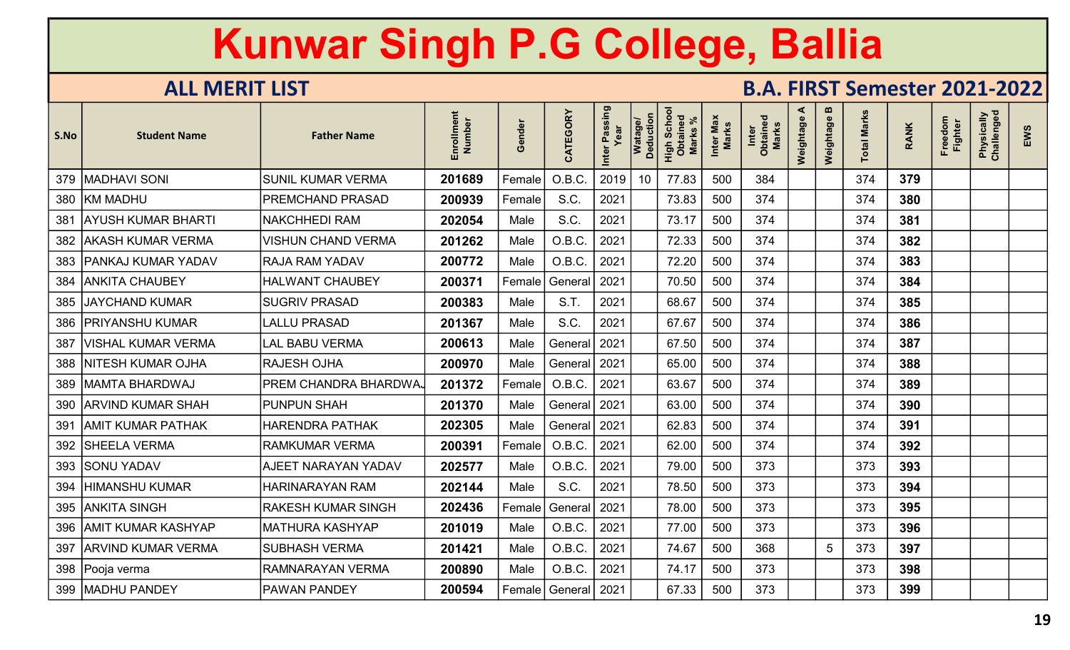| S.No | <b>Student Name</b>       | <b>Father Name</b>          | Enrollment<br>Number | Gender | CATEGORY       | ·Passing<br>Year<br>Inter | Watage/<br>Deduction | Scho<br>High Scho<br><b>Marks</b> | Inter Max<br>Marks | Inter<br>Obtained<br>Marks | ⋖<br>Weightage | $\boldsymbol{\omega}$<br>Weightage | <b>Total Marks</b> | <b>RANK</b> | Freedom<br><b>Fighter</b> | Physically<br>Challenged | EWS |
|------|---------------------------|-----------------------------|----------------------|--------|----------------|---------------------------|----------------------|-----------------------------------|--------------------|----------------------------|----------------|------------------------------------|--------------------|-------------|---------------------------|--------------------------|-----|
|      | 379   MADHAVI SONI        | <b>SUNIL KUMAR VERMA</b>    | 201689               | Female | O.B.C          | 2019                      | 10                   | 77.83                             | 500                | 384                        |                |                                    | 374                | 379         |                           |                          |     |
|      | 380 KM MADHU              | PREMCHAND PRASAD            | 200939               | Female | S.C.           | 2021                      |                      | 73.83                             | 500                | 374                        |                |                                    | 374                | 380         |                           |                          |     |
| 381  | <b>AYUSH KUMAR BHARTI</b> | <b>NAKCHHEDI RAM</b>        | 202054               | Male   | S.C.           | 2021                      |                      | 73.17                             | 500                | 374                        |                |                                    | 374                | 381         |                           |                          |     |
| 382  | <b>AKASH KUMAR VERMA</b>  | <b>VISHUN CHAND VERMA</b>   | 201262               | Male   | O.B.C.         | 2021                      |                      | 72.33                             | 500                | 374                        |                |                                    | 374                | 382         |                           |                          |     |
|      | 383   PANKAJ KUMAR YADAV  | <b>RAJA RAM YADAV</b>       | 200772               | Male   | O.B.C.         | 2021                      |                      | 72.20                             | 500                | 374                        |                |                                    | 374                | 383         |                           |                          |     |
| 384  | <b>ANKITA CHAUBEY</b>     | <b>HALWANT CHAUBEY</b>      | 200371               | Female | General        | 2021                      |                      | 70.50                             | 500                | 374                        |                |                                    | 374                | 384         |                           |                          |     |
| 385  | <b>JAYCHAND KUMAR</b>     | <b>SUGRIV PRASAD</b>        | 200383               | Male   | S.T.           | 2021                      |                      | 68.67                             | 500                | 374                        |                |                                    | 374                | 385         |                           |                          |     |
|      | 386   PRIYANSHU KUMAR     | <b>LALLU PRASAD</b>         | 201367               | Male   | S.C.           | 2021                      |                      | 67.67                             | 500                | 374                        |                |                                    | 374                | 386         |                           |                          |     |
| 387  | <b>VISHAL KUMAR VERMA</b> | <b>LAL BABU VERMA</b>       | 200613               | Male   | General   2021 |                           |                      | 67.50                             | 500                | 374                        |                |                                    | 374                | 387         |                           |                          |     |
|      | 388   NITESH KUMAR OJHA   | <b>RAJESH OJHA</b>          | 200970               | Male   | General   2021 |                           |                      | 65.00                             | 500                | 374                        |                |                                    | 374                | 388         |                           |                          |     |
| 389  | MAMTA BHARDWAJ            | <b>PREM CHANDRA BHARDWA</b> | 201372               | Female | O.B.C.         | 2021                      |                      | 63.67                             | 500                | 374                        |                |                                    | 374                | 389         |                           |                          |     |
|      | 390   ARVIND KUMAR SHAH   | <b>PUNPUN SHAH</b>          | 201370               | Male   | General   2021 |                           |                      | 63.00                             | 500                | 374                        |                |                                    | 374                | 390         |                           |                          |     |
| 391  | AMIT KUMAR PATHAK         | <b>HARENDRA PATHAK</b>      | 202305               | Male   | General   2021 |                           |                      | 62.83                             | 500                | 374                        |                |                                    | 374                | 391         |                           |                          |     |
|      | 392   SHEELA VERMA        | <b>RAMKUMAR VERMA</b>       | 200391               | Female | O.B.C          | 2021                      |                      | 62.00                             | 500                | 374                        |                |                                    | 374                | 392         |                           |                          |     |
|      | 393 SONU YADAV            | <b>AJEET NARAYAN YADAV</b>  | 202577               | Male   | O.B.C.         | 2021                      |                      | 79.00                             | 500                | 373                        |                |                                    | 373                | 393         |                           |                          |     |
| 394  | <b>HIMANSHU KUMAR</b>     | <b>HARINARAYAN RAM</b>      | 202144               | Male   | S.C.           | 2021                      |                      | 78.50                             | 500                | 373                        |                |                                    | 373                | 394         |                           |                          |     |
|      | 395   ANKITA SINGH        | <b>RAKESH KUMAR SINGH</b>   | 202436               | Female | General        | 2021                      |                      | 78.00                             | 500                | 373                        |                |                                    | 373                | 395         |                           |                          |     |
|      | 396 AMIT KUMAR KASHYAP    | <b>MATHURA KASHYAP</b>      | 201019               | Male   | O.B.C.         | 2021                      |                      | 77.00                             | 500                | 373                        |                |                                    | 373                | 396         |                           |                          |     |
|      | 397 ARVIND KUMAR VERMA    | <b>SUBHASH VERMA</b>        | 201421               | Male   | O.B.C.         | 2021                      |                      | 74.67                             | 500                | 368                        |                | $5\phantom{.0}$                    | 373                | 397         |                           |                          |     |
|      | 398   Pooja verma         | <b>RAMNARAYAN VERMA</b>     | 200890               | Male   | O.B.C.         | 2021                      |                      | 74.17                             | 500                | 373                        |                |                                    | 373                | 398         |                           |                          |     |
|      | 399   MADHU PANDEY        | <b>PAWAN PANDEY</b>         | 200594               | Female | General   2021 |                           |                      | 67.33                             | 500                | 373                        |                |                                    | 373                | 399         |                           |                          |     |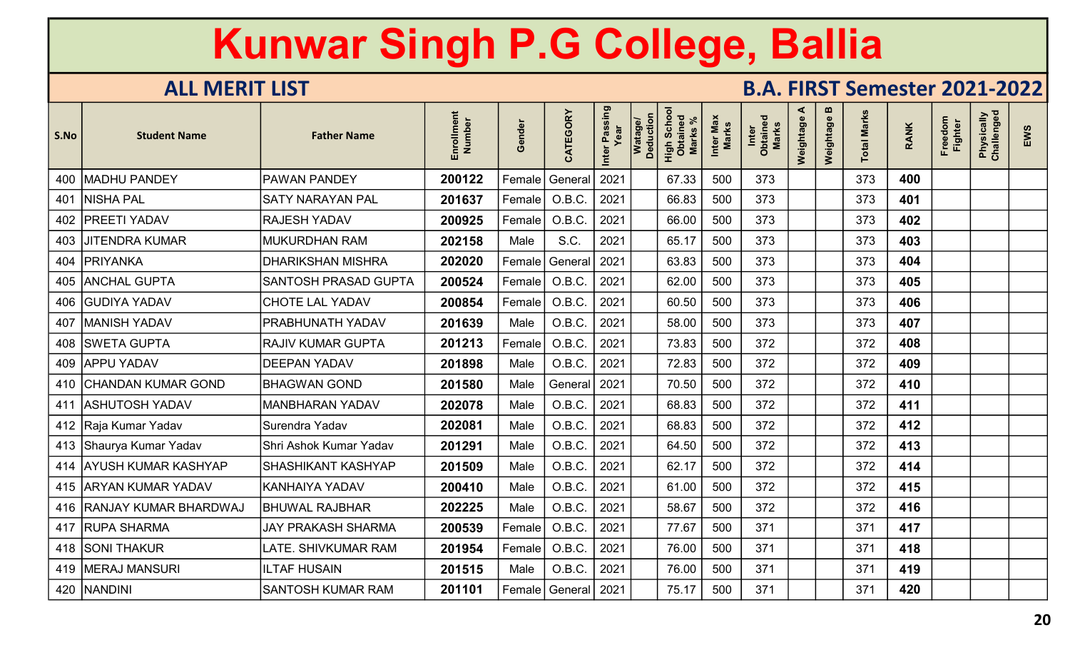| S.No | <b>Student Name</b>       | <b>Father Name</b>          | Enrollment<br>Number | Gender | CATEGORY                | Inter Passing<br>Year | Watage/<br>Deduction | Scho<br>High Scho<br><b>Marks</b> | Inter Max<br><b>Marks</b> | Inter<br>Obtained<br>Marks | ⋖<br>Weightage | m<br>Weightage | <b>Total Marks</b> | <b>RANK</b> | Freedom<br><b>Fighter</b> | Physically<br>Challenged | EWS |
|------|---------------------------|-----------------------------|----------------------|--------|-------------------------|-----------------------|----------------------|-----------------------------------|---------------------------|----------------------------|----------------|----------------|--------------------|-------------|---------------------------|--------------------------|-----|
|      | 400 MADHU PANDEY          | <b>PAWAN PANDEY</b>         | 200122               | Female | General                 | 2021                  |                      | 67.33                             | 500                       | 373                        |                |                | 373                | 400         |                           |                          |     |
| 401  | <b>NISHA PAL</b>          | <b>SATY NARAYAN PAL</b>     | 201637               | Female | O.B.C.                  | 2021                  |                      | 66.83                             | 500                       | 373                        |                |                | 373                | 401         |                           |                          |     |
|      | 402   PREETI YADAV        | <b>RAJESH YADAV</b>         | 200925               | Female | O.B.C                   | 2021                  |                      | 66.00                             | 500                       | 373                        |                |                | 373                | 402         |                           |                          |     |
|      | 403 JJITENDRA KUMAR       | <b>MUKURDHAN RAM</b>        | 202158               | Male   | S.C.                    | 2021                  |                      | 65.17                             | 500                       | 373                        |                |                | 373                | 403         |                           |                          |     |
|      | 404   PRIYANKA            | <b>DHARIKSHAN MISHRA</b>    | 202020               | Female | General                 | 2021                  |                      | 63.83                             | 500                       | 373                        |                |                | 373                | 404         |                           |                          |     |
|      | 405 ANCHAL GUPTA          | <b>SANTOSH PRASAD GUPTA</b> | 200524               | Female | O.B.C.                  | 2021                  |                      | 62.00                             | 500                       | 373                        |                |                | 373                | 405         |                           |                          |     |
|      | 406 GUDIYA YADAV          | <b>CHOTE LAL YADAV</b>      | 200854               | Female | O.B.C.                  | 2021                  |                      | 60.50                             | 500                       | 373                        |                |                | 373                | 406         |                           |                          |     |
|      | 407   MANISH YADAV        | <b>PRABHUNATH YADAV</b>     | 201639               | Male   | O.B.C.                  | 2021                  |                      | 58.00                             | 500                       | 373                        |                |                | 373                | 407         |                           |                          |     |
|      | 408 SWETA GUPTA           | <b>RAJIV KUMAR GUPTA</b>    | 201213               | Female | O.B.C.                  | 2021                  |                      | 73.83                             | 500                       | 372                        |                |                | 372                | 408         |                           |                          |     |
|      | 409 APPU YADAV            | <b>DEEPAN YADAV</b>         | 201898               | Male   | O.B.C.                  | 2021                  |                      | 72.83                             | 500                       | 372                        |                |                | 372                | 409         |                           |                          |     |
|      | 410 CHANDAN KUMAR GOND    | <b>BHAGWAN GOND</b>         | 201580               | Male   | General   2021          |                       |                      | 70.50                             | 500                       | 372                        |                |                | 372                | 410         |                           |                          |     |
|      | 411 ASHUTOSH YADAV        | <b>MANBHARAN YADAV</b>      | 202078               | Male   | O.B.C.                  | 2021                  |                      | 68.83                             | 500                       | 372                        |                |                | 372                | 411         |                           |                          |     |
|      | 412   Raja Kumar Yadav    | Surendra Yadav              | 202081               | Male   | O.B.C.                  | 2021                  |                      | 68.83                             | 500                       | 372                        |                |                | 372                | 412         |                           |                          |     |
|      | 413 Shaurya Kumar Yadav   | Shri Ashok Kumar Yadav      | 201291               | Male   | O.B.C.                  | 2021                  |                      | 64.50                             | 500                       | 372                        |                |                | 372                | 413         |                           |                          |     |
|      | 414 AYUSH KUMAR KASHYAP   | <b>SHASHIKANT KASHYAP</b>   | 201509               | Male   | O.B.C.                  | 2021                  |                      | 62.17                             | 500                       | 372                        |                |                | 372                | 414         |                           |                          |     |
|      | 415 ARYAN KUMAR YADAV     | <b>KANHAIYA YADAV</b>       | 200410               | Male   | O.B.C.                  | 2021                  |                      | 61.00                             | 500                       | 372                        |                |                | 372                | 415         |                           |                          |     |
|      | 416 RANJAY KUMAR BHARDWAJ | <b>BHUWAL RAJBHAR</b>       | 202225               | Male   | O.B.C.                  | 2021                  |                      | 58.67                             | 500                       | 372                        |                |                | 372                | 416         |                           |                          |     |
|      | 417 RUPA SHARMA           | <b>JAY PRAKASH SHARMA</b>   | 200539               | Female | O.B.C.                  | 2021                  |                      | 77.67                             | 500                       | 371                        |                |                | 371                | 417         |                           |                          |     |
|      | 418 SONI THAKUR           | LATE. SHIVKUMAR RAM         | 201954               | Female | O.B.C.                  | 2021                  |                      | 76.00                             | 500                       | 371                        |                |                | 371                | 418         |                           |                          |     |
|      | 419   MERAJ MANSURI       | <b>ILTAF HUSAIN</b>         | 201515               | Male   | O.B.C.                  | 2021                  |                      | 76.00                             | 500                       | 371                        |                |                | 371                | 419         |                           |                          |     |
|      | 420   NANDINI             | <b>SANTOSH KUMAR RAM</b>    | 201101               |        | Female   General   2021 |                       |                      | 75.17                             | 500                       | 371                        |                |                | 371                | 420         |                           |                          |     |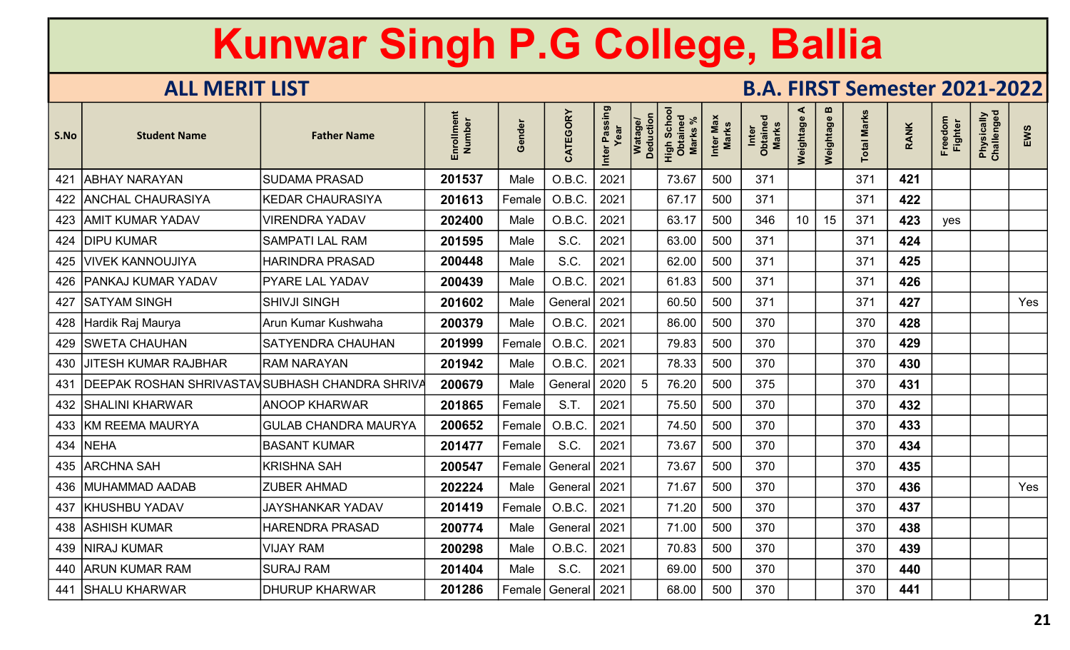| S.No | <b>Student Name</b>                                  | <b>Father Name</b>          | Enrollment<br>Number | Gender | CATEGORY       | Inter Passing<br>Year | Watage/<br>Deduction | Scho<br>High Scho<br><b>Marks</b> | Inter Max<br><b>Marks</b> | Inter<br>Obtained<br>Marks | ⋖<br>Weightage | m<br>Weightage | otal Marks | <b>RANK</b> | Freedom<br><b>Fighter</b> | Physically<br>Challenged | EWS |
|------|------------------------------------------------------|-----------------------------|----------------------|--------|----------------|-----------------------|----------------------|-----------------------------------|---------------------------|----------------------------|----------------|----------------|------------|-------------|---------------------------|--------------------------|-----|
| 421  | <b>ABHAY NARAYAN</b>                                 | <b>SUDAMA PRASAD</b>        | 201537               | Male   | O.B.C.         | 2021                  |                      | 73.67                             | 500                       | 371                        |                |                | 371        | 421         |                           |                          |     |
|      | 422   ANCHAL CHAURASIYA                              | <b>KEDAR CHAURASIYA</b>     | 201613               | Female | O.B.C.         | 2021                  |                      | 67.17                             | 500                       | 371                        |                |                | 371        | 422         |                           |                          |     |
|      | 423   AMIT KUMAR YADAV                               | <b>VIRENDRA YADAV</b>       | 202400               | Male   | O.B.C.         | 2021                  |                      | 63.17                             | 500                       | 346                        | 10             | 15             | 371        | 423         | yes                       |                          |     |
|      | 424 DIPU KUMAR                                       | <b>SAMPATI LAL RAM</b>      | 201595               | Male   | S.C.           | 2021                  |                      | 63.00                             | 500                       | 371                        |                |                | 371        | 424         |                           |                          |     |
|      | 425   VIVEK KANNOUJIYA                               | HARINDRA PRASAD             | 200448               | Male   | S.C.           | 2021                  |                      | 62.00                             | 500                       | 371                        |                |                | 371        | 425         |                           |                          |     |
|      | 426   PANKAJ KUMAR YADAV                             | <b>PYARE LAL YADAV</b>      | 200439               | Male   | O.B.C.         | 2021                  |                      | 61.83                             | 500                       | 371                        |                |                | 371        | 426         |                           |                          |     |
|      | 427 SATYAM SINGH                                     | <b>SHIVJI SINGH</b>         | 201602               | Male   | General        | 2021                  |                      | 60.50                             | 500                       | 371                        |                |                | 371        | 427         |                           |                          | Yes |
|      | 428 Hardik Raj Maurya                                | Arun Kumar Kushwaha         | 200379               | Male   | O.B.C.         | 2021                  |                      | 86.00                             | 500                       | 370                        |                |                | 370        | 428         |                           |                          |     |
|      | 429   SWETA CHAUHAN                                  | <b>SATYENDRA CHAUHAN</b>    | 201999               | Female | O.B.C.         | 2021                  |                      | 79.83                             | 500                       | 370                        |                |                | 370        | 429         |                           |                          |     |
|      | 430 JJITESH KUMAR RAJBHAR                            | <b>IRAM NARAYAN</b>         | 201942               | Male   | O.B.C.         | 2021                  |                      | 78.33                             | 500                       | 370                        |                |                | 370        | 430         |                           |                          |     |
|      | 431   DEEPAK ROSHAN SHRIVASTAV SUBHASH CHANDRA SHRIV |                             | 200679               | Male   | General   2020 |                       | 5                    | 76.20                             | 500                       | 375                        |                |                | 370        | 431         |                           |                          |     |
|      | 432   SHALINI KHARWAR                                | <b>ANOOP KHARWAR</b>        | 201865               | Female | S.T.           | 2021                  |                      | 75.50                             | 500                       | 370                        |                |                | 370        | 432         |                           |                          |     |
|      | 433 KM REEMA MAURYA                                  | <b>GULAB CHANDRA MAURYA</b> | 200652               | Female | O.B.C.         | 2021                  |                      | 74.50                             | 500                       | 370                        |                |                | 370        | 433         |                           |                          |     |
|      | 434   NEHA                                           | <b>BASANT KUMAR</b>         | 201477               | Female | S.C.           | 2021                  |                      | 73.67                             | 500                       | 370                        |                |                | 370        | 434         |                           |                          |     |
|      | 435 ARCHNA SAH                                       | <b>KRISHNA SAH</b>          | 200547               | Female | General        | 2021                  |                      | 73.67                             | 500                       | 370                        |                |                | 370        | 435         |                           |                          |     |
|      | 436   MUHAMMAD AADAB                                 | <b>ZUBER AHMAD</b>          | 202224               | Male   | General 2021   |                       |                      | 71.67                             | 500                       | 370                        |                |                | 370        | 436         |                           |                          | Yes |
|      | 437   KHUSHBU YADAV                                  | <b>JAYSHANKAR YADAV</b>     | 201419               | Female | O.B.C.         | 2021                  |                      | 71.20                             | 500                       | 370                        |                |                | 370        | 437         |                           |                          |     |
|      | 438 ASHISH KUMAR                                     | <b>HARENDRA PRASAD</b>      | 200774               | Male   | General        | 2021                  |                      | 71.00                             | 500                       | 370                        |                |                | 370        | 438         |                           |                          |     |
|      | 439   NIRAJ KUMAR                                    | <b>VIJAY RAM</b>            | 200298               | Male   | O.B.C.         | 2021                  |                      | 70.83                             | 500                       | 370                        |                |                | 370        | 439         |                           |                          |     |
|      | 440 ARUN KUMAR RAM                                   | <b>SURAJ RAM</b>            | 201404               | Male   | S.C.           | 2021                  |                      | 69.00                             | 500                       | 370                        |                |                | 370        | 440         |                           |                          |     |
|      | 441 SHALU KHARWAR                                    | <b>DHURUP KHARWAR</b>       | 201286               | Female | General   2021 |                       |                      | 68.00                             | 500                       | 370                        |                |                | 370        | 441         |                           |                          |     |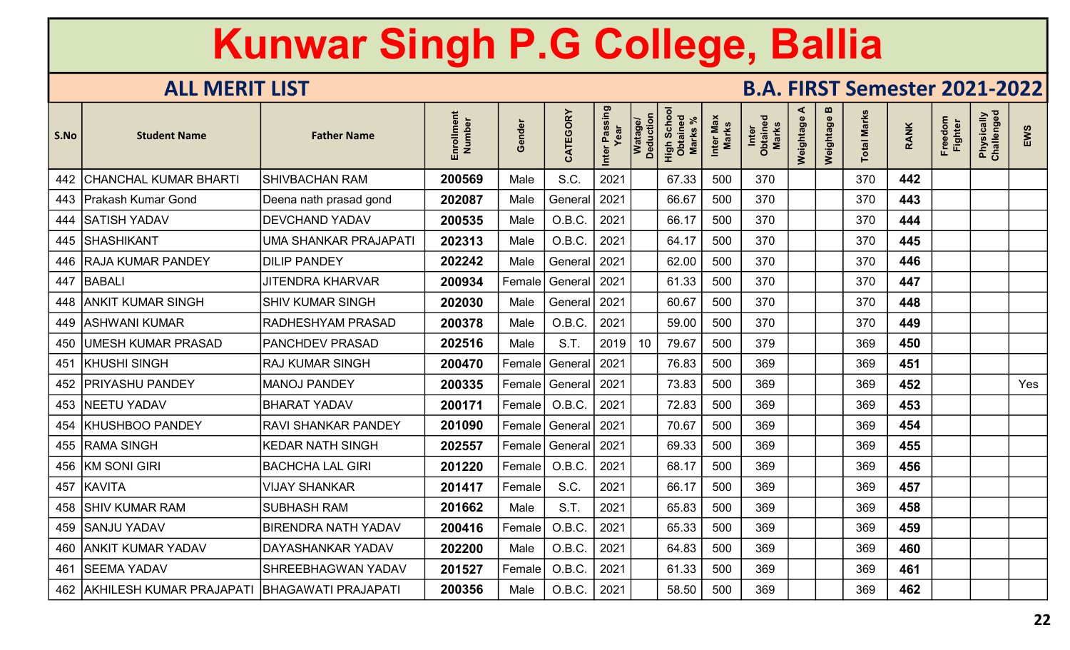| S.No | <b>Student Name</b>          | <b>Father Name</b>           | Enrollment<br>Number | Gender | CATEGORY       | Inter Passing<br>Year | Watage/<br>Deduction | Scho<br>High Scho<br><b>Marks</b> | Inter Max<br><b>Marks</b> | Inter<br>Obtained<br>Marks | ⋖<br>Weightage | m<br>Weightage | <b>Total Marks</b> | <b>RANK</b> | Freedom<br><b>Fighter</b> | Physically<br>Challenged | EWS |
|------|------------------------------|------------------------------|----------------------|--------|----------------|-----------------------|----------------------|-----------------------------------|---------------------------|----------------------------|----------------|----------------|--------------------|-------------|---------------------------|--------------------------|-----|
|      | 442 CHANCHAL KUMAR BHARTI    | <b>SHIVBACHAN RAM</b>        | 200569               | Male   | S.C.           | 2021                  |                      | 67.33                             | 500                       | 370                        |                |                | 370                | 442         |                           |                          |     |
|      | 443   Prakash Kumar Gond     | Deena nath prasad gond       | 202087               | Male   | General   2021 |                       |                      | 66.67                             | 500                       | 370                        |                |                | 370                | 443         |                           |                          |     |
|      | 444 SATISH YADAV             | <b>DEVCHAND YADAV</b>        | 200535               | Male   | O.B.C.         | 2021                  |                      | 66.17                             | 500                       | 370                        |                |                | 370                | 444         |                           |                          |     |
|      | 445 SHASHIKANT               | <b>UMA SHANKAR PRAJAPATI</b> | 202313               | Male   | O.B.C.         | 2021                  |                      | 64.17                             | 500                       | 370                        |                |                | 370                | 445         |                           |                          |     |
|      | 446   RAJA KUMAR PANDEY      | <b>DILIP PANDEY</b>          | 202242               | Male   | General        | 2021                  |                      | 62.00                             | 500                       | 370                        |                |                | 370                | 446         |                           |                          |     |
|      | 447 BABALI                   | <b>JITENDRA KHARVAR</b>      | 200934               | Female | General   2021 |                       |                      | 61.33                             | 500                       | 370                        |                |                | 370                | 447         |                           |                          |     |
|      | 448 ANKIT KUMAR SINGH        | <b>SHIV KUMAR SINGH</b>      | 202030               | Male   | General   2021 |                       |                      | 60.67                             | 500                       | 370                        |                |                | 370                | 448         |                           |                          |     |
|      | 449   ASHWANI KUMAR          | RADHESHYAM PRASAD            | 200378               | Male   | O.B.C.         | 2021                  |                      | 59.00                             | 500                       | 370                        |                |                | 370                | 449         |                           |                          |     |
|      | 450 UMESH KUMAR PRASAD       | <b>PANCHDEV PRASAD</b>       | 202516               | Male   | S.T.           | 2019                  | 10 <sup>°</sup>      | 79.67                             | 500                       | 379                        |                |                | 369                | 450         |                           |                          |     |
| 451  | <b>KHUSHI SINGH</b>          | <b>RAJ KUMAR SINGH</b>       | 200470               | Female | General   2021 |                       |                      | 76.83                             | 500                       | 369                        |                |                | 369                | 451         |                           |                          |     |
| 452  | <b>PRIYASHU PANDEY</b>       | <b>MANOJ PANDEY</b>          | 200335               | Female | General   2021 |                       |                      | 73.83                             | 500                       | 369                        |                |                | 369                | 452         |                           |                          | Yes |
|      | 453   NEETU YADAV            | <b>BHARAT YADAV</b>          | 200171               | Female | O.B.C.         | 2021                  |                      | 72.83                             | 500                       | 369                        |                |                | 369                | 453         |                           |                          |     |
| 454  | KHUSHBOO PANDEY              | <b>RAVI SHANKAR PANDEY</b>   | 201090               | Female | General   2021 |                       |                      | 70.67                             | 500                       | 369                        |                |                | 369                | 454         |                           |                          |     |
|      | 455 RAMA SINGH               | <b>KEDAR NATH SINGH</b>      | 202557               | Female | General 2021   |                       |                      | 69.33                             | 500                       | 369                        |                |                | 369                | 455         |                           |                          |     |
|      | 456 KM SONI GIRI             | <b>BACHCHA LAL GIRI</b>      | 201220               | Female | O.B.C          | 2021                  |                      | 68.17                             | 500                       | 369                        |                |                | 369                | 456         |                           |                          |     |
| 457  | KAVITA                       | <b>VIJAY SHANKAR</b>         | 201417               | Female | S.C.           | 2021                  |                      | 66.17                             | 500                       | 369                        |                |                | 369                | 457         |                           |                          |     |
|      | 458 SHIV KUMAR RAM           | <b>SUBHASH RAM</b>           | 201662               | Male   | S.T.           | 2021                  |                      | 65.83                             | 500                       | 369                        |                |                | 369                | 458         |                           |                          |     |
|      | 459 SANJU YADAV              | <b>BIRENDRA NATH YADAV</b>   | 200416               | Female | O.B.C.         | 2021                  |                      | 65.33                             | 500                       | 369                        |                |                | 369                | 459         |                           |                          |     |
|      | 460 ANKIT KUMAR YADAV        | DAYASHANKAR YADAV            | 202200               | Male   | O.B.C.         | 2021                  |                      | 64.83                             | 500                       | 369                        |                |                | 369                | 460         |                           |                          |     |
| 461  | <b>SEEMA YADAV</b>           | SHREEBHAGWAN YADAV           | 201527               | Female | O.B.C          | 2021                  |                      | 61.33                             | 500                       | 369                        |                |                | 369                | 461         |                           |                          |     |
|      | 462 AKHILESH KUMAR PRAJAPATI | <b>BHAGAWATI PRAJAPATI</b>   | 200356               | Male   | O.B.C.         | 2021                  |                      | 58.50                             | 500                       | 369                        |                |                | 369                | 462         |                           |                          |     |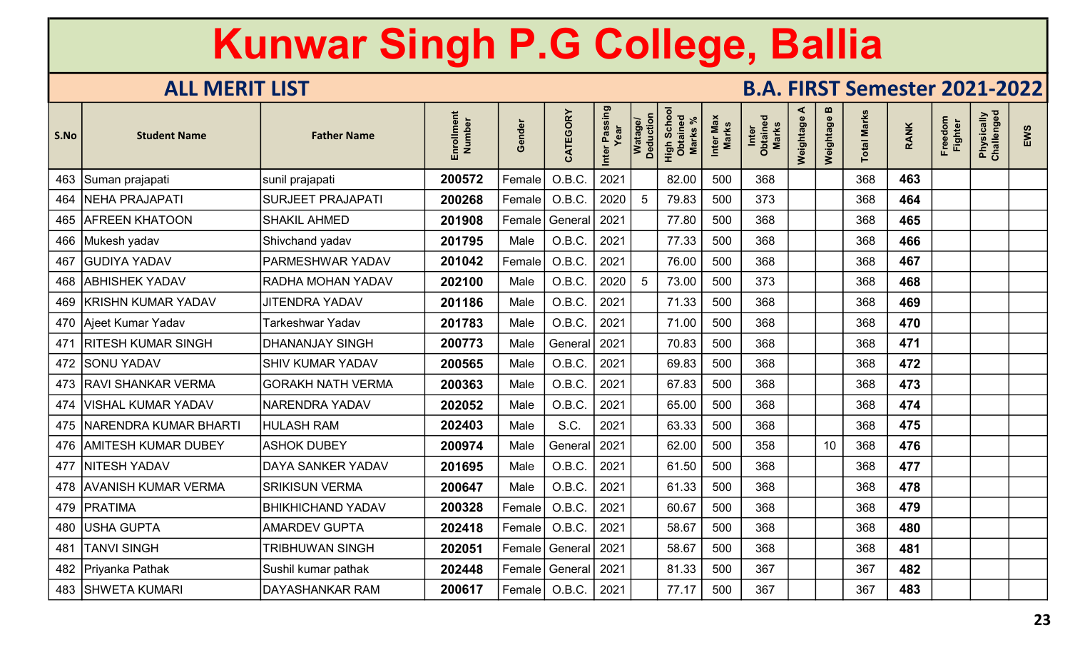| S.No | <b>Student Name</b>          | <b>Father Name</b>       | Enrollment<br>Number | Gender        | CATEGORY | Inter Passing | Watage/<br>Deduction | Scho<br>High Scho<br>Obtaineo<br><b>Marks</b> | Max<br>Marks<br>Inter | <b>Marks</b><br>Inter<br>Obtaine | ⋖<br>Weightage | m<br>Weightage | <b>Total Marks</b> | <b>RANK</b> | Freedom<br><b>Fighter</b> | Physically<br>Challenged | EWS |
|------|------------------------------|--------------------------|----------------------|---------------|----------|---------------|----------------------|-----------------------------------------------|-----------------------|----------------------------------|----------------|----------------|--------------------|-------------|---------------------------|--------------------------|-----|
| 463  | Suman prajapati              | sunil prajapati          | 200572               | Female        | O.B.C.   | 2021          |                      | 82.00                                         | 500                   | 368                              |                |                | 368                | 463         |                           |                          |     |
| 464  | <b>NEHA PRAJAPATI</b>        | <b>SURJEET PRAJAPATI</b> | 200268               | $\sf Female $ | O.B.C.   | 2020          | 5                    | 79.83                                         | 500                   | 373                              |                |                | 368                | 464         |                           |                          |     |
|      | <b>465   AFREEN KHATOON</b>  | <b>SHAKIL AHMED</b>      | 201908               | Female        | General  | 2021          |                      | 77.80                                         | 500                   | 368                              |                |                | 368                | 465         |                           |                          |     |
| 466  | Mukesh yadav                 | Shivchand yadav          | 201795               | Male          | O.B.C.   | 2021          |                      | 77.33                                         | 500                   | 368                              |                |                | 368                | 466         |                           |                          |     |
| 467  | <b>GUDIYA YADAV</b>          | PARMESHWAR YADAV         | 201042               | Female        | O.B.C.   | 2021          |                      | 76.00                                         | 500                   | 368                              |                |                | 368                | 467         |                           |                          |     |
| 468  | <b>ABHISHEK YADAV</b>        | RADHA MOHAN YADAV        | 202100               | Male          | O.B.C.   | 2020          | 5                    | 73.00                                         | 500                   | 373                              |                |                | 368                | 468         |                           |                          |     |
| 469  | <b>KRISHN KUMAR YADAV</b>    | <b>JITENDRA YADAV</b>    | 201186               | Male          | O.B.C.   | 2021          |                      | 71.33                                         | 500                   | 368                              |                |                | 368                | 469         |                           |                          |     |
|      | 470 Ajeet Kumar Yadav        | Tarkeshwar Yadav         | 201783               | Male          | O.B.C.   | 2021          |                      | 71.00                                         | 500                   | 368                              |                |                | 368                | 470         |                           |                          |     |
| 471  | <b>RITESH KUMAR SINGH</b>    | <b>DHANANJAY SINGH</b>   | 200773               | Male          | General  | 2021          |                      | 70.83                                         | 500                   | 368                              |                |                | 368                | 471         |                           |                          |     |
| 472  | <b>SONU YADAV</b>            | <b>SHIV KUMAR YADAV</b>  | 200565               | Male          | O.B.C.   | 2021          |                      | 69.83                                         | 500                   | 368                              |                |                | 368                | 472         |                           |                          |     |
| 473  | <b>RAVI SHANKAR VERMA</b>    | <b>GORAKH NATH VERMA</b> | 200363               | Male          | O.B.C.   | 2021          |                      | 67.83                                         | 500                   | 368                              |                |                | 368                | 473         |                           |                          |     |
| 474  | <b>VISHAL KUMAR YADAV</b>    | NARENDRA YADAV           | 202052               | Male          | O.B.C.   | 2021          |                      | 65.00                                         | 500                   | 368                              |                |                | 368                | 474         |                           |                          |     |
| 475  | <b>NARENDRA KUMAR BHARTI</b> | HULASH RAM               | 202403               | Male          | S.C.     | 2021          |                      | 63.33                                         | 500                   | 368                              |                |                | 368                | 475         |                           |                          |     |
|      | 476   AMITESH KUMAR DUBEY    | <b>ASHOK DUBEY</b>       | 200974               | Male          | General  | 2021          |                      | 62.00                                         | 500                   | 358                              |                | 10             | 368                | 476         |                           |                          |     |
| 477  | <b>NITESH YADAV</b>          | <b>DAYA SANKER YADAV</b> | 201695               | Male          | O.B.C.   | 2021          |                      | 61.50                                         | 500                   | 368                              |                |                | 368                | 477         |                           |                          |     |
|      | 478 AVANISH KUMAR VERMA      | <b>SRIKISUN VERMA</b>    | 200647               | Male          | O.B.C.   | 2021          |                      | 61.33                                         | 500                   | 368                              |                |                | 368                | 478         |                           |                          |     |
| 479  | PRATIMA                      | <b>BHIKHICHAND YADAV</b> | 200328               | Female        | O.B.C.   | 2021          |                      | 60.67                                         | 500                   | 368                              |                |                | 368                | 479         |                           |                          |     |
| 480  | <b>USHA GUPTA</b>            | <b>AMARDEV GUPTA</b>     | 202418               | Female        | O.B.C.   | 2021          |                      | 58.67                                         | 500                   | 368                              |                |                | 368                | 480         |                           |                          |     |
| 481  | <b>TANVI SINGH</b>           | <b>TRIBHUWAN SINGH</b>   | 202051               | Female        | General  | 2021          |                      | 58.67                                         | 500                   | 368                              |                |                | 368                | 481         |                           |                          |     |
| 482  | Priyanka Pathak              | Sushil kumar pathak      | 202448               | Female        | General  | 2021          |                      | 81.33                                         | 500                   | 367                              |                |                | 367                | 482         |                           |                          |     |
|      | 483 SHWETA KUMARI            | DAYASHANKAR RAM          | 200617               | Female        | O.B.C.   | 2021          |                      | 77.17                                         | 500                   | 367                              |                |                | 367                | 483         |                           |                          |     |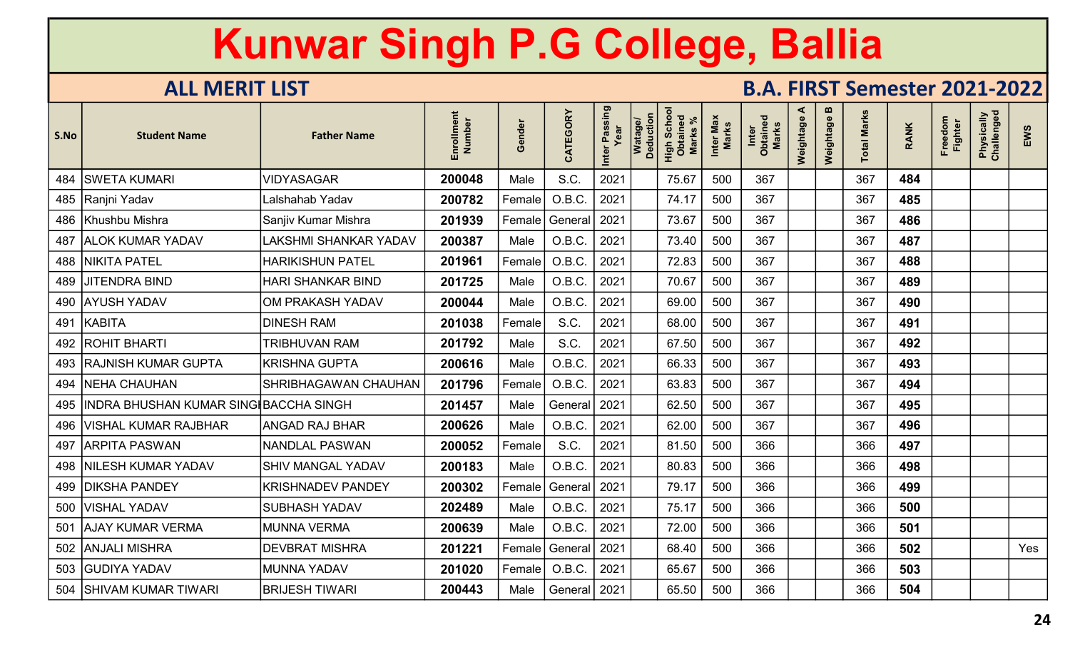| S.No | <b>Student Name</b>                       | <b>Father Name</b>           | Enrollment<br>Number | Gender | CATEGORY                | Inter Passing<br>Year | Watage/<br>Deduction | Scho<br>High Scho<br>Obtaineo<br><b>Marks</b> | Inter Max<br><b>Marks</b> | Inter<br>Obtained<br>Marks | ⋖<br>Weightage | m<br>Weightage | <b>Total Marks</b> | <b>RANK</b> | Freedom<br><b>Fighter</b> | Physically<br>Challenged | EWS |
|------|-------------------------------------------|------------------------------|----------------------|--------|-------------------------|-----------------------|----------------------|-----------------------------------------------|---------------------------|----------------------------|----------------|----------------|--------------------|-------------|---------------------------|--------------------------|-----|
|      | 484   SWETA KUMARI                        | <b>VIDYASAGAR</b>            | 200048               | Male   | S.C.                    | 2021                  |                      | 75.67                                         | 500                       | 367                        |                |                | 367                | 484         |                           |                          |     |
|      | 485 Ranjni Yadav                          | Lalshahab Yadav              | 200782               | Female | O.B.C.                  | 2021                  |                      | 74.17                                         | 500                       | 367                        |                |                | 367                | 485         |                           |                          |     |
|      | 486 Khushbu Mishra                        | Sanjiv Kumar Mishra          | 201939               | Female | General 2021            |                       |                      | 73.67                                         | 500                       | 367                        |                |                | 367                | 486         |                           |                          |     |
|      | 487 ALOK KUMAR YADAV                      | <b>LAKSHMI SHANKAR YADAV</b> | 200387               | Male   | O.B.C.                  | 2021                  |                      | 73.40                                         | 500                       | 367                        |                |                | 367                | 487         |                           |                          |     |
|      | 488   NIKITA PATEL                        | <b>HARIKISHUN PATEL</b>      | 201961               | Female | O.B.C                   | 2021                  |                      | 72.83                                         | 500                       | 367                        |                |                | 367                | 488         |                           |                          |     |
|      | 489 JJITENDRA BIND                        | <b>HARI SHANKAR BIND</b>     | 201725               | Male   | O.B.C.                  | 2021                  |                      | 70.67                                         | 500                       | 367                        |                |                | 367                | 489         |                           |                          |     |
|      | 490 AYUSH YADAV                           | OM PRAKASH YADAV             | 200044               | Male   | O.B.C.                  | 2021                  |                      | 69.00                                         | 500                       | 367                        |                |                | 367                | 490         |                           |                          |     |
|      | 491 KABITA                                | <b>DINESH RAM</b>            | 201038               | Female | S.C.                    | 2021                  |                      | 68.00                                         | 500                       | 367                        |                |                | 367                | 491         |                           |                          |     |
|      | 492   ROHIT BHARTI                        | <b>TRIBHUVAN RAM</b>         | 201792               | Male   | S.C.                    | 2021                  |                      | 67.50                                         | 500                       | 367                        |                |                | 367                | 492         |                           |                          |     |
|      | 493 RAJNISH KUMAR GUPTA                   | <b>KRISHNA GUPTA</b>         | 200616               | Male   | O.B.C.                  | 2021                  |                      | 66.33                                         | 500                       | 367                        |                |                | 367                | 493         |                           |                          |     |
|      | 494   NEHA CHAUHAN                        | SHRIBHAGAWAN CHAUHAN         | 201796               | Female | O.B.C.                  | 2021                  |                      | 63.83                                         | 500                       | 367                        |                |                | 367                | 494         |                           |                          |     |
|      | 495 INDRA BHUSHAN KUMAR SING BACCHA SINGH |                              | 201457               | Male   | General   2021          |                       |                      | 62.50                                         | 500                       | 367                        |                |                | 367                | 495         |                           |                          |     |
|      | 496   VISHAL KUMAR RAJBHAR                | <b>ANGAD RAJ BHAR</b>        | 200626               | Male   | O.B.C.                  | 2021                  |                      | 62.00                                         | 500                       | 367                        |                |                | 367                | 496         |                           |                          |     |
|      | 497 ARPITA PASWAN                         | <b>NANDLAL PASWAN</b>        | 200052               | Female | S.C.                    | 2021                  |                      | 81.50                                         | 500                       | 366                        |                |                | 366                | 497         |                           |                          |     |
|      | 498 NILESH KUMAR YADAV                    | <b>SHIV MANGAL YADAV</b>     | 200183               | Male   | O.B.C.                  | 2021                  |                      | 80.83                                         | 500                       | 366                        |                |                | 366                | 498         |                           |                          |     |
|      | 499   DIKSHA PANDEY                       | <b>KRISHNADEV PANDEY</b>     | 200302               | Female | General                 | 2021                  |                      | 79.17                                         | 500                       | 366                        |                |                | 366                | 499         |                           |                          |     |
|      | 500   VISHAL YADAV                        | <b>SUBHASH YADAV</b>         | 202489               | Male   | O.B.C.                  | 2021                  |                      | 75.17                                         | 500                       | 366                        |                |                | 366                | 500         |                           |                          |     |
| 501  | <b>AJAY KUMAR VERMA</b>                   | <b>MUNNA VERMA</b>           | 200639               | Male   | O.B.C.                  | 2021                  |                      | 72.00                                         | 500                       | 366                        |                |                | 366                | 501         |                           |                          |     |
|      | 502 ANJALI MISHRA                         | <b>DEVBRAT MISHRA</b>        | 201221               |        | Female   General   2021 |                       |                      | 68.40                                         | 500                       | 366                        |                |                | 366                | 502         |                           |                          | Yes |
|      | 503 GUDIYA YADAV                          | <b>MUNNA YADAV</b>           | 201020               | Female | O.B.C.                  | 2021                  |                      | 65.67                                         | 500                       | 366                        |                |                | 366                | 503         |                           |                          |     |
|      | 504 SHIVAM KUMAR TIWARI                   | <b>BRIJESH TIWARI</b>        | 200443               | Male   | General   2021          |                       |                      | 65.50                                         | 500                       | 366                        |                |                | 366                | 504         |                           |                          |     |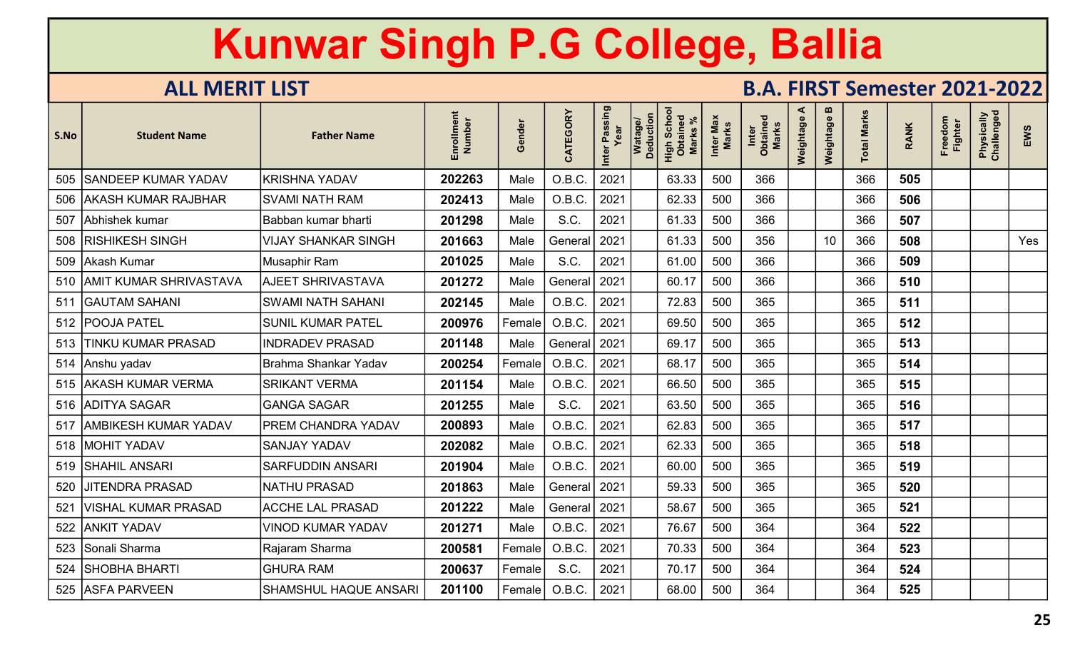| S.No | <b>Student Name</b>          | <b>Father Name</b>           | Enrollment<br>Number | Gender              | CATEGORY       | Inter Passing<br>Year | Watage/<br>Deduction | Scho<br>High Scho<br><b>Marks</b> | Inter Max<br>Marks | Inter<br>Obtained<br>Marks | ⋖<br>Weightage | m<br>Weightage | <b>Total Marks</b> | <b>RANK</b> | Freedom<br><b>Fighter</b> | Physically<br>Challenged | EWS |
|------|------------------------------|------------------------------|----------------------|---------------------|----------------|-----------------------|----------------------|-----------------------------------|--------------------|----------------------------|----------------|----------------|--------------------|-------------|---------------------------|--------------------------|-----|
|      | 505 SANDEEP KUMAR YADAV      | <b>KRISHNA YADAV</b>         | 202263               | Male                | O.B.C.         | 2021                  |                      | 63.33                             | 500                | 366                        |                |                | 366                | 505         |                           |                          |     |
|      | 506   AKASH KUMAR RAJBHAR    | <b>SVAMI NATH RAM</b>        | 202413               | Male                | O.B.C.         | 2021                  |                      | 62.33                             | 500                | 366                        |                |                | 366                | 506         |                           |                          |     |
|      | 507 Abhishek kumar           | Babban kumar bharti          | 201298               | Male                | S.C.           | 2021                  |                      | 61.33                             | 500                | 366                        |                |                | 366                | 507         |                           |                          |     |
|      | 508   RISHIKESH SINGH        | <b>VIJAY SHANKAR SINGH</b>   | 201663               | Male                | General        | 2021                  |                      | 61.33                             | 500                | 356                        |                | 10             | 366                | 508         |                           |                          | Yes |
|      | 509 Akash Kumar              | Musaphir Ram                 | 201025               | Male                | S.C.           | 2021                  |                      | 61.00                             | 500                | 366                        |                |                | 366                | 509         |                           |                          |     |
|      | 510   AMIT KUMAR SHRIVASTAVA | <b>AJEET SHRIVASTAVA</b>     | 201272               | Male                | General        | 2021                  |                      | 60.17                             | 500                | 366                        |                |                | 366                | 510         |                           |                          |     |
|      | 511 GAUTAM SAHANI            | <b>SWAMI NATH SAHANI</b>     | 202145               | Male                | O.B.C.         | 2021                  |                      | 72.83                             | 500                | 365                        |                |                | 365                | 511         |                           |                          |     |
|      | 512   POOJA PATEL            | <b>SUNIL KUMAR PATEL</b>     | 200976               | Female              | O.B.C.         | 2021                  |                      | 69.50                             | 500                | 365                        |                |                | 365                | 512         |                           |                          |     |
|      | 513 TINKU KUMAR PRASAD       | <b>INDRADEV PRASAD</b>       | 201148               | Male                | General   2021 |                       |                      | 69.17                             | 500                | 365                        |                |                | 365                | 513         |                           |                          |     |
|      | 514 Anshu yadav              | Brahma Shankar Yadav         | 200254               | Female              | O.B.C.         | 2021                  |                      | 68.17                             | 500                | 365                        |                |                | 365                | 514         |                           |                          |     |
|      | 515   AKASH KUMAR VERMA      | <b>SRIKANT VERMA</b>         | 201154               | Male                | O.B.C.         | 2021                  |                      | 66.50                             | 500                | 365                        |                |                | 365                | 515         |                           |                          |     |
|      | 516 ADITYA SAGAR             | <b>GANGA SAGAR</b>           | 201255               | Male                | S.C.           | 2021                  |                      | 63.50                             | 500                | 365                        |                |                | 365                | 516         |                           |                          |     |
|      | 517   AMBIKESH KUMAR YADAV   | <b>PREM CHANDRA YADAV</b>    | 200893               | Male                | O.B.C.         | 2021                  |                      | 62.83                             | 500                | 365                        |                |                | 365                | 517         |                           |                          |     |
|      | 518   MOHIT YADAV            | <b>SANJAY YADAV</b>          | 202082               | Male                | O.B.C.         | 2021                  |                      | 62.33                             | 500                | 365                        |                |                | 365                | 518         |                           |                          |     |
|      | 519   SHAHIL ANSARI          | <b>SARFUDDIN ANSARI</b>      | 201904               | Male                | O.B.C.         | 2021                  |                      | 60.00                             | 500                | 365                        |                |                | 365                | 519         |                           |                          |     |
| 520  | <b>JITENDRA PRASAD</b>       | <b>NATHU PRASAD</b>          | 201863               | Male                | General   2021 |                       |                      | 59.33                             | 500                | 365                        |                |                | 365                | 520         |                           |                          |     |
| 521  | VISHAL KUMAR PRASAD          | <b>ACCHE LAL PRASAD</b>      | 201222               | Male                | General   2021 |                       |                      | 58.67                             | 500                | 365                        |                |                | 365                | 521         |                           |                          |     |
|      | 522 ANKIT YADAV              | <b>VINOD KUMAR YADAV</b>     | 201271               | Male                | O.B.C.         | 2021                  |                      | 76.67                             | 500                | 364                        |                |                | 364                | 522         |                           |                          |     |
|      | 523 Sonali Sharma            | Rajaram Sharma               | 200581               | Female <sup>1</sup> | O.B.C.         | 2021                  |                      | 70.33                             | 500                | 364                        |                |                | 364                | 523         |                           |                          |     |
|      | 524 SHOBHA BHARTI            | <b>GHURA RAM</b>             | 200637               | Female              | S.C.           | 2021                  |                      | 70.17                             | 500                | 364                        |                |                | 364                | 524         |                           |                          |     |
|      | 525 ASFA PARVEEN             | <b>SHAMSHUL HAQUE ANSARI</b> | 201100               | Female              | O.B.C.         | 2021                  |                      | 68.00                             | 500                | 364                        |                |                | 364                | 525         |                           |                          |     |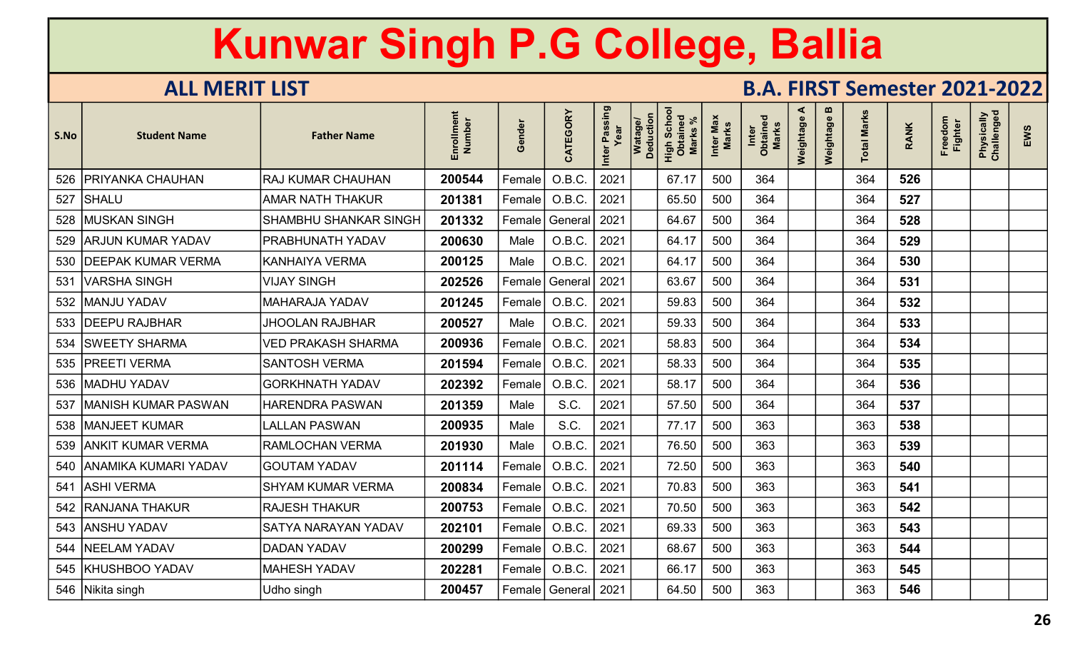| S.No | <b>Student Name</b>        | <b>Father Name</b>        | Enrollment<br>Number | Gender              | CATEGORY                | r Passing<br>Year<br>Inter | <b>Deduction</b><br>Watago | Schor<br>High Schc<br>Obtained<br>Marks % | Inter Max<br>Marks | Inter<br>Obtained<br>Marks | ≺<br>Weightage | m<br>Weightage | otal Marks | <b>RANK</b> | Freedom<br>Fighter | Physically<br>Challenged | EWS |
|------|----------------------------|---------------------------|----------------------|---------------------|-------------------------|----------------------------|----------------------------|-------------------------------------------|--------------------|----------------------------|----------------|----------------|------------|-------------|--------------------|--------------------------|-----|
| 526  | PRIYANKA CHAUHAN           | RAJ KUMAR CHAUHAN         | 200544               | Female              | O.B.C.                  | 2021                       |                            | 67.17                                     | 500                | 364                        |                |                | 364        | 526         |                    |                          |     |
| 527  | <b>SHALU</b>               | <b>AMAR NATH THAKUR</b>   | 201381               | Female              | O.B.C.                  | 2021                       |                            | 65.50                                     | 500                | 364                        |                |                | 364        | 527         |                    |                          |     |
|      | 528   MUSKAN SINGH         | SHAMBHU SHANKAR SINGH     | 201332               | Female              | General                 | 2021                       |                            | 64.67                                     | 500                | 364                        |                |                | 364        | 528         |                    |                          |     |
| 529  | <b>ARJUN KUMAR YADAV</b>   | PRABHUNATH YADAV          | 200630               | Male                | O.B.C.                  | 2021                       |                            | 64.17                                     | 500                | 364                        |                |                | 364        | 529         |                    |                          |     |
| 530  | <b>IDEEPAK KUMAR VERMA</b> | <b>KANHAIYA VERMA</b>     | 200125               | Male                | O.B.C.                  | 2021                       |                            | 64.17                                     | 500                | 364                        |                |                | 364        | 530         |                    |                          |     |
| 531  | <b>VARSHA SINGH</b>        | <b>VIJAY SINGH</b>        | 202526               | Female              | General                 | 2021                       |                            | 63.67                                     | 500                | 364                        |                |                | 364        | 531         |                    |                          |     |
| 532  | <b>MANJU YADAV</b>         | <b>MAHARAJA YADAV</b>     | 201245               | Female              | O.B.C.                  | 2021                       |                            | 59.83                                     | 500                | 364                        |                |                | 364        | 532         |                    |                          |     |
| 533  | <b>IDEEPU RAJBHAR</b>      | <b>JHOOLAN RAJBHAR</b>    | 200527               | Male                | O.B.C.                  | 2021                       |                            | 59.33                                     | 500                | 364                        |                |                | 364        | 533         |                    |                          |     |
| 534  | <b>SWEETY SHARMA</b>       | <b>VED PRAKASH SHARMA</b> | 200936               | Female              | O.B.C.                  | 2021                       |                            | 58.83                                     | 500                | 364                        |                |                | 364        | 534         |                    |                          |     |
| 535  | <b>PREETI VERMA</b>        | <b>SANTOSH VERMA</b>      | 201594               | Female              | O.B.C.                  | 2021                       |                            | 58.33                                     | 500                | 364                        |                |                | 364        | 535         |                    |                          |     |
| 536  | <b>MADHU YADAV</b>         | <b>GORKHNATH YADAV</b>    | 202392               | Female              | O.B.C.                  | 2021                       |                            | 58.17                                     | 500                | 364                        |                |                | 364        | 536         |                    |                          |     |
| 537  | <b>MANISH KUMAR PASWAN</b> | <b>HARENDRA PASWAN</b>    | 201359               | Male                | S.C.                    | 2021                       |                            | 57.50                                     | 500                | 364                        |                |                | 364        | 537         |                    |                          |     |
| 538  | <b>MANJEET KUMAR</b>       | LALLAN PASWAN             | 200935               | Male                | S.C.                    | 2021                       |                            | 77.17                                     | 500                | 363                        |                |                | 363        | 538         |                    |                          |     |
|      | 539   ANKIT KUMAR VERMA    | RAMLOCHAN VERMA           | 201930               | Male                | O.B.C.                  | 2021                       |                            | 76.50                                     | 500                | 363                        |                |                | 363        | 539         |                    |                          |     |
|      | 540 ANAMIKA KUMARI YADAV   | <b>GOUTAM YADAV</b>       | 201114               | Female              | O.B.C.                  | 2021                       |                            | 72.50                                     | 500                | 363                        |                |                | 363        | 540         |                    |                          |     |
|      | 541 ASHI VERMA             | <b>SHYAM KUMAR VERMA</b>  | 200834               | Female              | O.B.C.                  | 2021                       |                            | 70.83                                     | 500                | 363                        |                |                | 363        | 541         |                    |                          |     |
| 542  | <b>RANJANA THAKUR</b>      | <b>RAJESH THAKUR</b>      | 200753               | Female <sup>!</sup> | O.B.C.                  | 2021                       |                            | 70.50                                     | 500                | 363                        |                |                | 363        | 542         |                    |                          |     |
| 543  | <b>ANSHU YADAV</b>         | SATYA NARAYAN YADAV       | 202101               | Female <sup>!</sup> | O.B.C.                  | 2021                       |                            | 69.33                                     | 500                | 363                        |                |                | 363        | 543         |                    |                          |     |
| 544  | <b>NEELAM YADAV</b>        | <b>DADAN YADAV</b>        | 200299               | Female              | O.B.C.                  | 2021                       |                            | 68.67                                     | 500                | 363                        |                |                | 363        | 544         |                    |                          |     |
|      | 545 KHUSHBOO YADAV         | <b>MAHESH YADAV</b>       | 202281               | Female              | O.B.C.                  | 2021                       |                            | 66.17                                     | 500                | 363                        |                |                | 363        | 545         |                    |                          |     |
|      | 546   Nikita singh         | Udho singh                | 200457               |                     | Female   General   2021 |                            |                            | 64.50                                     | 500                | 363                        |                |                | 363        | 546         |                    |                          |     |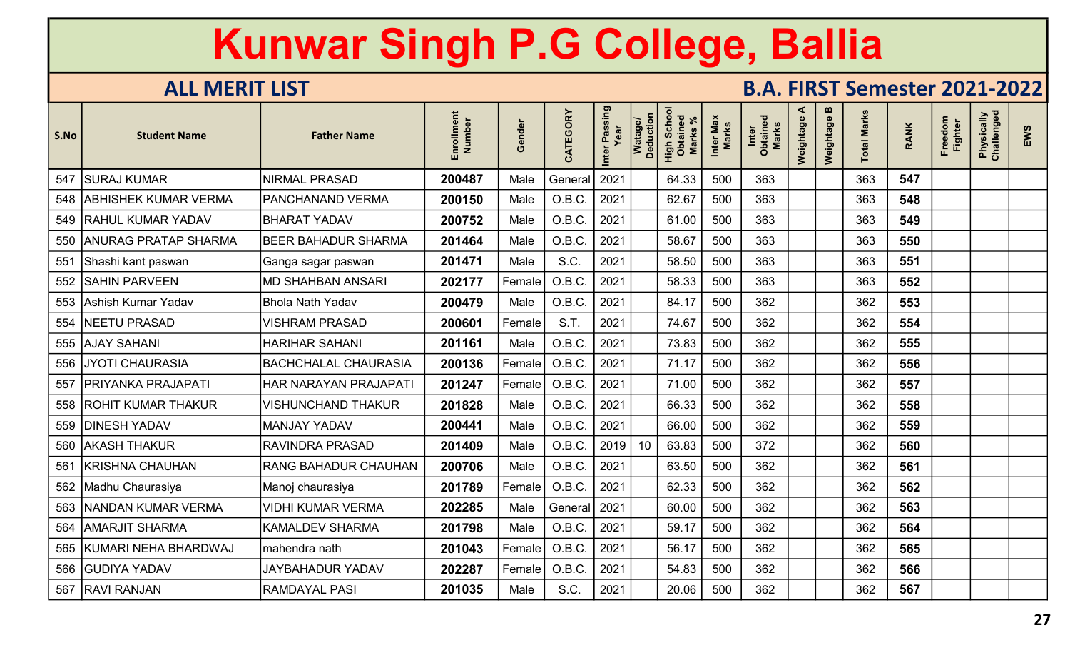| S.No | <b>Student Name</b>        | <b>Father Name</b>          | Enrollment<br>Number | Gender | CATEGORY             | Inter Passing<br>Year | Watage/<br>Deduction | Scho<br>High Sche<br>Obtaine<br><b>Marks</b> | Inter Max<br><b>Marks</b> | Inter<br>Obtained<br><b>Marks</b> | ⋖<br>Weightage | $\boldsymbol{\omega}$<br>Weightage | <b>Total Marks</b> | <b>RANK</b> | Freedom<br><b>Fighter</b> | Physically<br>Challenged | EWS |
|------|----------------------------|-----------------------------|----------------------|--------|----------------------|-----------------------|----------------------|----------------------------------------------|---------------------------|-----------------------------------|----------------|------------------------------------|--------------------|-------------|---------------------------|--------------------------|-----|
| 547  | <b>SURAJ KUMAR</b>         | <b>NIRMAL PRASAD</b>        | 200487               | Male   | General              | 2021                  |                      | 64.33                                        | 500                       | 363                               |                |                                    | 363                | 547         |                           |                          |     |
|      | 548   ABHISHEK KUMAR VERMA | <b>PANCHANAND VERMA</b>     | 200150               | Male   | O.B.C.               | 2021                  |                      | 62.67                                        | 500                       | 363                               |                |                                    | 363                | 548         |                           |                          |     |
|      | 549 RAHUL KUMAR YADAV      | <b>BHARAT YADAV</b>         | 200752               | Male   | O.B.C.               | 2021                  |                      | 61.00                                        | 500                       | 363                               |                |                                    | 363                | 549         |                           |                          |     |
|      | 550   ANURAG PRATAP SHARMA | <b>BEER BAHADUR SHARMA</b>  | 201464               | Male   | O.B.C                | 2021                  |                      | 58.67                                        | 500                       | 363                               |                |                                    | 363                | 550         |                           |                          |     |
| 551  | Shashi kant paswan         | Ganga sagar paswan          | 201471               | Male   | S.C.                 | 2021                  |                      | 58.50                                        | 500                       | 363                               |                |                                    | 363                | 551         |                           |                          |     |
| 552  | <b>SAHIN PARVEEN</b>       | <b>MD SHAHBAN ANSARI</b>    | 202177               | Female | O.B.C.               | 2021                  |                      | 58.33                                        | 500                       | 363                               |                |                                    | 363                | 552         |                           |                          |     |
|      | 553 Ashish Kumar Yadav     | <b>Bhola Nath Yadav</b>     | 200479               | Male   | O.B.C.               | 2021                  |                      | 84.17                                        | 500                       | 362                               |                |                                    | 362                | 553         |                           |                          |     |
|      | 554 NEETU PRASAD           | <b>VISHRAM PRASAD</b>       | 200601               | Female | S.T.                 | 2021                  |                      | 74.67                                        | 500                       | 362                               |                |                                    | 362                | 554         |                           |                          |     |
|      | 555 AJAY SAHANI            | <b>HARIHAR SAHANI</b>       | 201161               | Male   | O.B.C.               | 2021                  |                      | 73.83                                        | 500                       | 362                               |                |                                    | 362                | 555         |                           |                          |     |
|      | 556   JYOTI CHAURASIA      | <b>BACHCHALAL CHAURASIA</b> | 200136               | Female | O.B.C.               | 2021                  |                      | 71.17                                        | 500                       | 362                               |                |                                    | 362                | 556         |                           |                          |     |
| 557  | PRIYANKA PRAJAPATI         | HAR NARAYAN PRAJAPATI       | 201247               | Female | O.B.C.               | 2021                  |                      | 71.00                                        | 500                       | 362                               |                |                                    | 362                | 557         |                           |                          |     |
|      | 558   ROHIT KUMAR THAKUR   | <b>VISHUNCHAND THAKUR</b>   | 201828               | Male   | O.B.C.               | 2021                  |                      | 66.33                                        | 500                       | 362                               |                |                                    | 362                | 558         |                           |                          |     |
|      | 559   DINESH YADAV         | <b>MANJAY YADAV</b>         | 200441               | Male   | O.B.C.               | 2021                  |                      | 66.00                                        | 500                       | 362                               |                |                                    | 362                | 559         |                           |                          |     |
|      | 560   AKASH THAKUR         | <b>RAVINDRA PRASAD</b>      | 201409               | Male   | O.B.C.               | 2019                  | 10                   | 63.83                                        | 500                       | 372                               |                |                                    | 362                | 560         |                           |                          |     |
| 561  | <b>KRISHNA CHAUHAN</b>     | <b>RANG BAHADUR CHAUHAN</b> | 200706               | Male   | O.B.C                | 2021                  |                      | 63.50                                        | 500                       | 362                               |                |                                    | 362                | 561         |                           |                          |     |
|      | 562 Madhu Chaurasiya       | Manoj chaurasiya            | 201789               | Female | O.B.C.               | 2021                  |                      | 62.33                                        | 500                       | 362                               |                |                                    | 362                | 562         |                           |                          |     |
|      | 563   NANDAN KUMAR VERMA   | <b>VIDHI KUMAR VERMA</b>    | 202285               | Male   | General <sup>!</sup> | 2021                  |                      | 60.00                                        | 500                       | 362                               |                |                                    | 362                | 563         |                           |                          |     |
|      | 564 AMARJIT SHARMA         | <b>KAMALDEV SHARMA</b>      | 201798               | Male   | O.B.C.               | 2021                  |                      | 59.17                                        | 500                       | 362                               |                |                                    | 362                | 564         |                           |                          |     |
|      | 565 KUMARI NEHA BHARDWAJ   | mahendra nath               | 201043               | Female | O.B.C.               | 2021                  |                      | 56.17                                        | 500                       | 362                               |                |                                    | 362                | 565         |                           |                          |     |
|      | 566   GUDIYA YADAV         | JAYBAHADUR YADAV            | 202287               | Female | O.B.C.               | 2021                  |                      | 54.83                                        | 500                       | 362                               |                |                                    | 362                | 566         |                           |                          |     |
|      | 567 RAVI RANJAN            | <b>RAMDAYAL PASI</b>        | 201035               | Male   | S.C.                 | 2021                  |                      | 20.06                                        | 500                       | 362                               |                |                                    | 362                | 567         |                           |                          |     |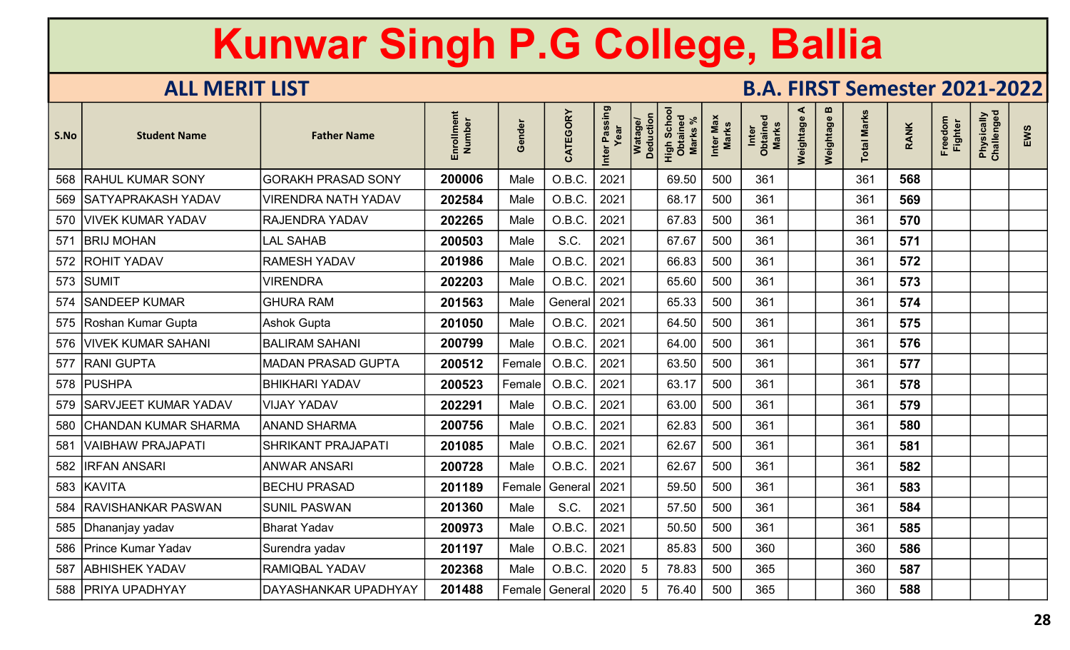| S.No | <b>Student Name</b>        | <b>Father Name</b>         | Enrollment<br>Number | Gender | CATEGORY             | Passing<br>Year<br>Inter | Watage/<br>Deduction | Scho<br>High Scho<br><b>Marks</b> | Inter Max<br>Marks | Inter<br>Obtained<br>Marks | ⋖<br>Weightage | m<br>Weightage | otal Marks | <b>RANK</b> | Freedom<br><b>Fighter</b> | Physically<br>Challenged | EWS |
|------|----------------------------|----------------------------|----------------------|--------|----------------------|--------------------------|----------------------|-----------------------------------|--------------------|----------------------------|----------------|----------------|------------|-------------|---------------------------|--------------------------|-----|
|      | 568 RAHUL KUMAR SONY       | <b>GORAKH PRASAD SONY</b>  | 200006               | Male   | O.B.C.               | 2021                     |                      | 69.50                             | 500                | 361                        |                |                | 361        | 568         |                           |                          |     |
|      | 569 SATYAPRAKASH YADAV     | <b>VIRENDRA NATH YADAV</b> | 202584               | Male   | O.B.C.               | 2021                     |                      | 68.17                             | 500                | 361                        |                |                | 361        | 569         |                           |                          |     |
|      | 570   VIVEK KUMAR YADAV    | <b>RAJENDRA YADAV</b>      | 202265               | Male   | O.B.C.               | 2021                     |                      | 67.83                             | 500                | 361                        |                |                | 361        | 570         |                           |                          |     |
| 571  | <b>BRIJ MOHAN</b>          | LAL SAHAB                  | 200503               | Male   | S.C.                 | 2021                     |                      | 67.67                             | 500                | 361                        |                |                | 361        | 571         |                           |                          |     |
|      | 572   ROHIT YADAV          | <b>RAMESH YADAV</b>        | 201986               | Male   | O.B.C.               | 2021                     |                      | 66.83                             | 500                | 361                        |                |                | 361        | 572         |                           |                          |     |
|      | 573 SUMIT                  | <b>VIRENDRA</b>            | 202203               | Male   | O.B.C.               | 2021                     |                      | 65.60                             | 500                | 361                        |                |                | 361        | 573         |                           |                          |     |
| 574  | <b>SANDEEP KUMAR</b>       | <b>GHURA RAM</b>           | 201563               | Male   | General <sup>'</sup> | $\vert$ 2021             |                      | 65.33                             | 500                | 361                        |                |                | 361        | 574         |                           |                          |     |
|      | 575 Roshan Kumar Gupta     | <b>Ashok Gupta</b>         | 201050               | Male   | O.B.C.               | 2021                     |                      | 64.50                             | 500                | 361                        |                |                | 361        | 575         |                           |                          |     |
|      | 576 VIVEK KUMAR SAHANI     | <b>BALIRAM SAHANI</b>      | 200799               | Male   | O.B.C.               | 2021                     |                      | 64.00                             | 500                | 361                        |                |                | 361        | 576         |                           |                          |     |
|      | 577 RANI GUPTA             | <b>MADAN PRASAD GUPTA</b>  | 200512               | Female | O.B.C.               | 2021                     |                      | 63.50                             | 500                | 361                        |                |                | 361        | 577         |                           |                          |     |
|      | 578 PUSHPA                 | <b>BHIKHARI YADAV</b>      | 200523               | Female | O.B.C.               | 2021                     |                      | 63.17                             | 500                | 361                        |                |                | 361        | 578         |                           |                          |     |
|      | 579   SARVJEET KUMAR YADAV | <b>VIJAY YADAV</b>         | 202291               | Male   | O.B.C.               | 2021                     |                      | 63.00                             | 500                | 361                        |                |                | 361        | 579         |                           |                          |     |
|      | 580 CHANDAN KUMAR SHARMA   | <b>IANAND SHARMA</b>       | 200756               | Male   | O.B.C.               | 2021                     |                      | 62.83                             | 500                | 361                        |                |                | 361        | 580         |                           |                          |     |
| 581  | VAIBHAW PRAJAPATI          | <b>SHRIKANT PRAJAPATI</b>  | 201085               | Male   | O.B.C.               | 2021                     |                      | 62.67                             | 500                | 361                        |                |                | 361        | 581         |                           |                          |     |
|      | 582   IRFAN ANSARI         | <b>ANWAR ANSARI</b>        | 200728               | Male   | O.B.C.               | 2021                     |                      | 62.67                             | 500                | 361                        |                |                | 361        | 582         |                           |                          |     |
|      | 583 KAVITA                 | <b>BECHU PRASAD</b>        | 201189               | Female | General              | 2021                     |                      | 59.50                             | 500                | 361                        |                |                | 361        | 583         |                           |                          |     |
| 584  | <b>RAVISHANKAR PASWAN</b>  | <b>SUNIL PASWAN</b>        | 201360               | Male   | S.C.                 | 2021                     |                      | 57.50                             | 500                | 361                        |                |                | 361        | 584         |                           |                          |     |
|      | 585   Dhananjay yadav      | Bharat Yadav               | 200973               | Male   | O.B.C.               | 2021                     |                      | 50.50                             | 500                | 361                        |                |                | 361        | 585         |                           |                          |     |
|      | 586 Prince Kumar Yadav     | Surendra yadav             | 201197               | Male   | O.B.C.               | 2021                     |                      | 85.83                             | 500                | 360                        |                |                | 360        | 586         |                           |                          |     |
| 587  | <b>ABHISHEK YADAV</b>      | <b>RAMIQBAL YADAV</b>      | 202368               | Male   | O.B.C.               | 2020                     | 5                    | 78.83                             | 500                | 365                        |                |                | 360        | 587         |                           |                          |     |
|      | 588   PRIYA UPADHYAY       | DAYASHANKAR UPADHYAY       | 201488               | Female | General   2020       |                          | 5                    | 76.40                             | 500                | 365                        |                |                | 360        | 588         |                           |                          |     |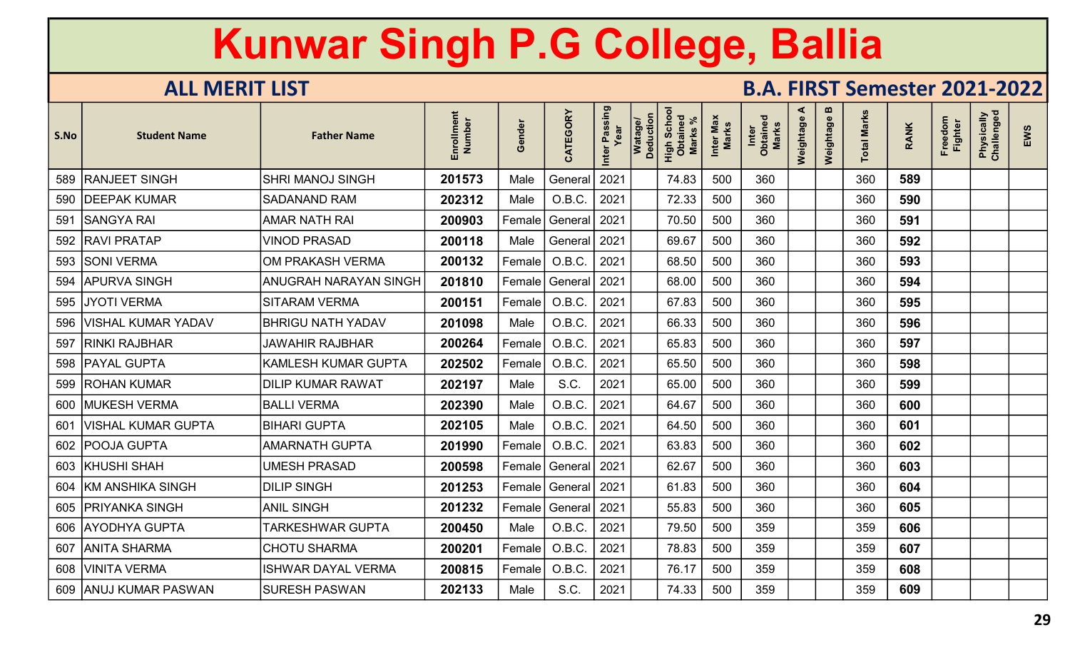| S.No | <b>Student Name</b>       | <b>Father Name</b>           | Enrollment<br>Number | Gender  | CATEGORY       | Inter Passing | Watage/<br>Deduction | High Schoo<br>Obtained<br><b>Marks</b> | Inter Max<br><b>Marks</b> | Inter<br>Obtained<br>Marks | ⋖<br>Weightage | m<br>Weightage | <b>Total Marks</b> | <b>RANK</b> | Freedom<br><b>Fighter</b> | Physically<br>Challenged | EWS |
|------|---------------------------|------------------------------|----------------------|---------|----------------|---------------|----------------------|----------------------------------------|---------------------------|----------------------------|----------------|----------------|--------------------|-------------|---------------------------|--------------------------|-----|
|      | 589   RANJEET SINGH       | <b>SHRI MANOJ SINGH</b>      | 201573               | Male    | General        | 2021          |                      | 74.83                                  | 500                       | 360                        |                |                | 360                | 589         |                           |                          |     |
|      | 590   DEEPAK KUMAR        | <b>SADANAND RAM</b>          | 202312               | Male    | O.B.C.         | 2021          |                      | 72.33                                  | 500                       | 360                        |                |                | 360                | 590         |                           |                          |     |
| 591  | <b>SANGYA RAI</b>         | <b>AMAR NATH RAI</b>         | 200903               | Female  | General        | 2021          |                      | 70.50                                  | 500                       | 360                        |                |                | 360                | 591         |                           |                          |     |
| 592  | <b>RAVI PRATAP</b>        | <b>VINOD PRASAD</b>          | 200118               | Male    | General        | 2021          |                      | 69.67                                  | 500                       | 360                        |                |                | 360                | 592         |                           |                          |     |
|      | 593 SONI VERMA            | <b>OM PRAKASH VERMA</b>      | 200132               | Female  | O.B.C.         | 2021          |                      | 68.50                                  | 500                       | 360                        |                |                | 360                | 593         |                           |                          |     |
|      | 594   APURVA SINGH        | <b>ANUGRAH NARAYAN SINGH</b> | 201810               | Female  | General   2021 |               |                      | 68.00                                  | 500                       | 360                        |                |                | 360                | 594         |                           |                          |     |
| 595  | <b>JYOTI VERMA</b>        | <b>SITARAM VERMA</b>         | 200151               | Female  | O.B.C.         | 2021          |                      | 67.83                                  | 500                       | 360                        |                |                | 360                | 595         |                           |                          |     |
|      | 596   VISHAL KUMAR YADAV  | <b>BHRIGU NATH YADAV</b>     | 201098               | Male    | O.B.C.         | 2021          |                      | 66.33                                  | 500                       | 360                        |                |                | 360                | 596         |                           |                          |     |
| 597  | <b>RINKI RAJBHAR</b>      | <b>JAWAHIR RAJBHAR</b>       | 200264               | Female  | O.B.C.         | 2021          |                      | 65.83                                  | 500                       | 360                        |                |                | 360                | 597         |                           |                          |     |
|      | 598   PAYAL GUPTA         | <b>KAMLESH KUMAR GUPTA</b>   | 202502               | Female! | O.B.C.         | 2021          |                      | 65.50                                  | 500                       | 360                        |                |                | 360                | 598         |                           |                          |     |
|      | 599   ROHAN KUMAR         | <b>DILIP KUMAR RAWAT</b>     | 202197               | Male    | S.C.           | 2021          |                      | 65.00                                  | 500                       | 360                        |                |                | 360                | 599         |                           |                          |     |
|      | 600   MUKESH VERMA        | <b>BALLI VERMA</b>           | 202390               | Male    | O.B.C.         | 2021          |                      | 64.67                                  | 500                       | 360                        |                |                | 360                | 600         |                           |                          |     |
| 601  | <b>VISHAL KUMAR GUPTA</b> | <b>BIHARI GUPTA</b>          | 202105               | Male    | O.B.C.         | 2021          |                      | 64.50                                  | 500                       | 360                        |                |                | 360                | 601         |                           |                          |     |
|      | 602   POOJA GUPTA         | <b>AMARNATH GUPTA</b>        | 201990               | Female  | O.B.C          | 2021          |                      | 63.83                                  | 500                       | 360                        |                |                | 360                | 602         |                           |                          |     |
|      | 603 KHUSHI SHAH           | <b>UMESH PRASAD</b>          | 200598               | Female  | General        | 2021          |                      | 62.67                                  | 500                       | 360                        |                |                | 360                | 603         |                           |                          |     |
| 604  | KM ANSHIKA SINGH          | <b>DILIP SINGH</b>           | 201253               | Female  | General 2021   |               |                      | 61.83                                  | 500                       | 360                        |                |                | 360                | 604         |                           |                          |     |
|      | 605   PRIYANKA SINGH      | <b>ANIL SINGH</b>            | 201232               | Female  | General 2021   |               |                      | 55.83                                  | 500                       | 360                        |                |                | 360                | 605         |                           |                          |     |
|      | 606 AYODHYA GUPTA         | <b>TARKESHWAR GUPTA</b>      | 200450               | Male    | O.B.C.         | 2021          |                      | 79.50                                  | 500                       | 359                        |                |                | 359                | 606         |                           |                          |     |
|      | 607 ANITA SHARMA          | <b>CHOTU SHARMA</b>          | 200201               | Female  | O.B.C.         | 2021          |                      | 78.83                                  | 500                       | 359                        |                |                | 359                | 607         |                           |                          |     |
|      | 608   VINITA VERMA        | <b>ISHWAR DAYAL VERMA</b>    | 200815               | Female  | O.B.C.         | 2021          |                      | 76.17                                  | 500                       | 359                        |                |                | 359                | 608         |                           |                          |     |
|      | 609   ANUJ KUMAR PASWAN   | <b>SURESH PASWAN</b>         | 202133               | Male    | S.C.           | 2021          |                      | 74.33                                  | 500                       | 359                        |                |                | 359                | 609         |                           |                          |     |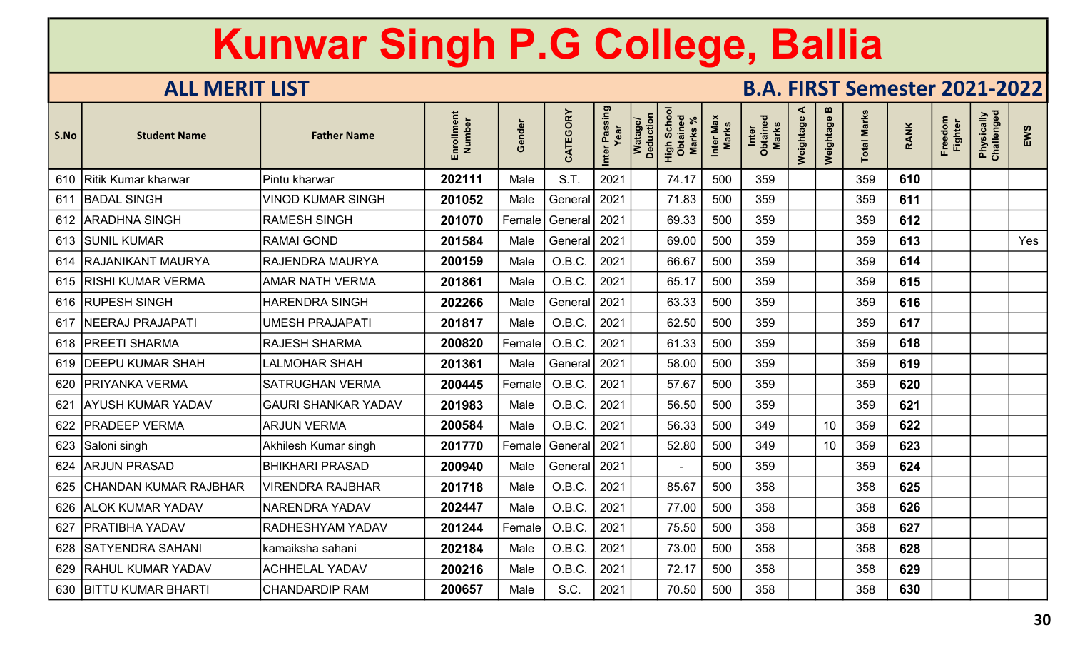| S.No | <b>Student Name</b>      | <b>Father Name</b>         | Enrollment<br>Number | Gender | CATEGORY       | Inter Passing<br>Year | Watage/<br>Deduction | High Schoc<br>Obtained<br><b>Marks</b> | Inter Max<br><b>Marks</b> | Inter<br>Obtained<br>Marks | ⋖<br>Weightage | $\boldsymbol{\omega}$<br>Weightage | <b>Total Marks</b> | <b>RANK</b> | Freedom<br><b>Fighter</b> | Physically<br>Challenged | EWS |
|------|--------------------------|----------------------------|----------------------|--------|----------------|-----------------------|----------------------|----------------------------------------|---------------------------|----------------------------|----------------|------------------------------------|--------------------|-------------|---------------------------|--------------------------|-----|
|      | 610 Ritik Kumar kharwar  | Pintu kharwar              | 202111               | Male   | S.T.           | 2021                  |                      | 74.17                                  | 500                       | 359                        |                |                                    | 359                | 610         |                           |                          |     |
|      | 611 BADAL SINGH          | <b>VINOD KUMAR SINGH</b>   | 201052               | Male   | General   2021 |                       |                      | 71.83                                  | 500                       | 359                        |                |                                    | 359                | 611         |                           |                          |     |
|      | 612 ARADHNA SINGH        | <b>RAMESH SINGH</b>        | 201070               | Female | General   2021 |                       |                      | 69.33                                  | 500                       | 359                        |                |                                    | 359                | 612         |                           |                          |     |
|      | 613 SUNIL KUMAR          | <b>RAMAI GOND</b>          | 201584               | Male   | General        | 2021                  |                      | 69.00                                  | 500                       | 359                        |                |                                    | 359                | 613         |                           |                          | Yes |
|      | 614   RAJANIKANT MAURYA  | <b>RAJENDRA MAURYA</b>     | 200159               | Male   | O.B.C.         | 2021                  |                      | 66.67                                  | 500                       | 359                        |                |                                    | 359                | 614         |                           |                          |     |
|      | 615   RISHI KUMAR VERMA  | <b>AMAR NATH VERMA</b>     | 201861               | Male   | O.B.C.         | 2021                  |                      | 65.17                                  | 500                       | 359                        |                |                                    | 359                | 615         |                           |                          |     |
|      | 616 RUPESH SINGH         | <b>HARENDRA SINGH</b>      | 202266               | Male   | General   2021 |                       |                      | 63.33                                  | 500                       | 359                        |                |                                    | 359                | 616         |                           |                          |     |
|      | 617   NEERAJ PRAJAPATI   | <b>UMESH PRAJAPATI</b>     | 201817               | Male   | O.B.C.         | 2021                  |                      | 62.50                                  | 500                       | 359                        |                |                                    | 359                | 617         |                           |                          |     |
|      | 618   PREETI SHARMA      | <b>RAJESH SHARMA</b>       | 200820               | Female | O.B.C.         | 2021                  |                      | 61.33                                  | 500                       | 359                        |                |                                    | 359                | 618         |                           |                          |     |
|      | 619   DEEPU KUMAR SHAH   | <b>LALMOHAR SHAH</b>       | 201361               | Male   | General   2021 |                       |                      | 58.00                                  | 500                       | 359                        |                |                                    | 359                | 619         |                           |                          |     |
| 620  | <b>PRIYANKA VERMA</b>    | <b>SATRUGHAN VERMA</b>     | 200445               | Female | O.B.C.         | 2021                  |                      | 57.67                                  | 500                       | 359                        |                |                                    | 359                | 620         |                           |                          |     |
| 621  | <b>AYUSH KUMAR YADAV</b> | <b>GAURI SHANKAR YADAV</b> | 201983               | Male   | O.B.C.         | 2021                  |                      | 56.50                                  | 500                       | 359                        |                |                                    | 359                | 621         |                           |                          |     |
|      | 622   PRADEEP VERMA      | <b>ARJUN VERMA</b>         | 200584               | Male   | O.B.C.         | 2021                  |                      | 56.33                                  | 500                       | 349                        |                | 10 <sup>°</sup>                    | 359                | 622         |                           |                          |     |
|      | 623 Saloni singh         | Akhilesh Kumar singh       | 201770               | Female | General        | 2021                  |                      | 52.80                                  | 500                       | 349                        |                | 10                                 | 359                | 623         |                           |                          |     |
| 624  | <b>ARJUN PRASAD</b>      | <b>BHIKHARI PRASAD</b>     | 200940               | Male   | General        | 2021                  |                      |                                        | 500                       | 359                        |                |                                    | 359                | 624         |                           |                          |     |
| 625  | CHANDAN KUMAR RAJBHAR    | <b>VIRENDRA RAJBHAR</b>    | 201718               | Male   | O.B.C.         | 2021                  |                      | 85.67                                  | 500                       | 358                        |                |                                    | 358                | 625         |                           |                          |     |
|      | 626   ALOK KUMAR YADAV   | <b>NARENDRA YADAV</b>      | 202447               | Male   | O.B.C.         | 2021                  |                      | 77.00                                  | 500                       | 358                        |                |                                    | 358                | 626         |                           |                          |     |
| 627  | <b>PRATIBHA YADAV</b>    | <b>RADHESHYAM YADAV</b>    | 201244               | Female | O.B.C.         | 2021                  |                      | 75.50                                  | 500                       | 358                        |                |                                    | 358                | 627         |                           |                          |     |
|      | 628 SATYENDRA SAHANI     | kamaiksha sahani           | 202184               | Male   | O.B.C.         | 2021                  |                      | 73.00                                  | 500                       | 358                        |                |                                    | 358                | 628         |                           |                          |     |
|      | 629 RAHUL KUMAR YADAV    | <b>ACHHELAL YADAV</b>      | 200216               | Male   | O.B.C.         | 2021                  |                      | 72.17                                  | 500                       | 358                        |                |                                    | 358                | 629         |                           |                          |     |
|      | 630   BITTU KUMAR BHARTI | <b>CHANDARDIP RAM</b>      | 200657               | Male   | S.C.           | 2021                  |                      | 70.50                                  | 500                       | 358                        |                |                                    | 358                | 630         |                           |                          |     |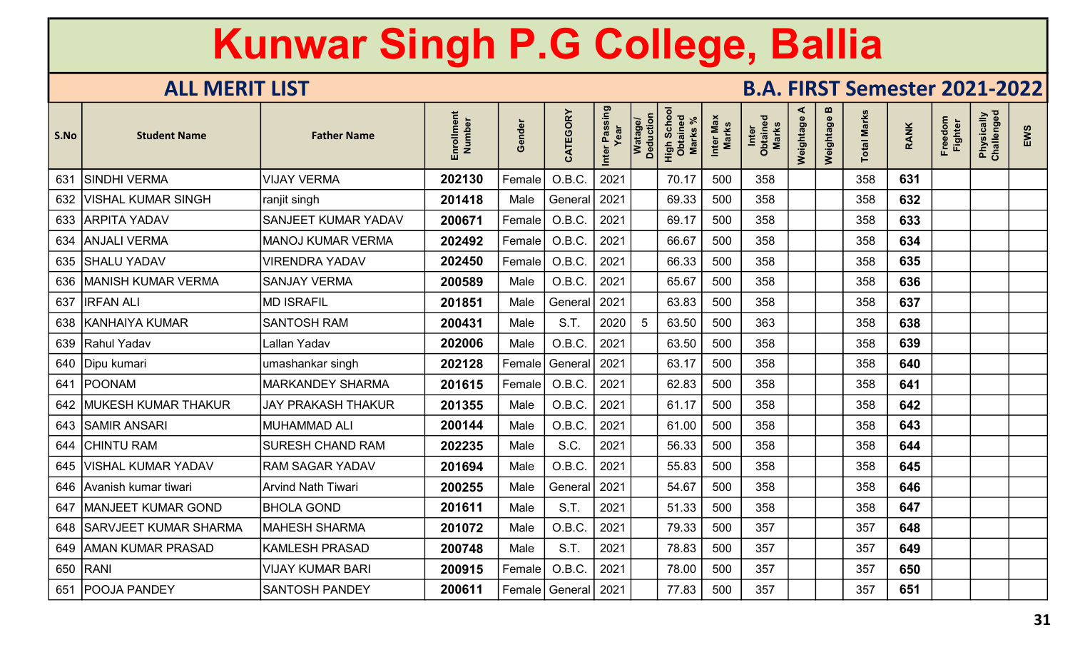| S.No | <b>Student Name</b>       | <b>Father Name</b>         | Enrollment<br>Number | Gender | CATEGORY                | Inter Passing<br>Year | Watage/<br>Deduction | High Schoc<br>Obtained<br><b>Marks</b> | Inter Max<br><b>Marks</b> | Inter<br>Obtained<br>Marks | ⋖<br>Weightage | m<br>Weightage | <b>Total Marks</b> | <b>RANK</b> | Freedom<br><b>Fighter</b> | Physically<br>Challenged | EWS |
|------|---------------------------|----------------------------|----------------------|--------|-------------------------|-----------------------|----------------------|----------------------------------------|---------------------------|----------------------------|----------------|----------------|--------------------|-------------|---------------------------|--------------------------|-----|
| 631  | <b>SINDHI VERMA</b>       | <b>VIJAY VERMA</b>         | 202130               | Female | O.B.C.                  | 2021                  |                      | 70.17                                  | 500                       | 358                        |                |                | 358                | 631         |                           |                          |     |
| 632  | VISHAL KUMAR SINGH        | ranjit singh               | 201418               | Male   | General   2021          |                       |                      | 69.33                                  | 500                       | 358                        |                |                | 358                | 632         |                           |                          |     |
|      | 633 ARPITA YADAV          | <b>SANJEET KUMAR YADAV</b> | 200671               | Female | O.B.C.                  | 2021                  |                      | 69.17                                  | 500                       | 358                        |                |                | 358                | 633         |                           |                          |     |
| 634  | <b>ANJALI VERMA</b>       | <b>MANOJ KUMAR VERMA</b>   | 202492               | Female | O.B.C                   | 2021                  |                      | 66.67                                  | 500                       | 358                        |                |                | 358                | 634         |                           |                          |     |
|      | 635 SHALU YADAV           | <b>VIRENDRA YADAV</b>      | 202450               | Female | O.B.C                   | 2021                  |                      | 66.33                                  | 500                       | 358                        |                |                | 358                | 635         |                           |                          |     |
|      | 636   MANISH KUMAR VERMA  | <b>SANJAY VERMA</b>        | 200589               | Male   | O.B.C.                  | 2021                  |                      | 65.67                                  | 500                       | 358                        |                |                | 358                | 636         |                           |                          |     |
|      | 637   IRFAN ALI           | <b>MD ISRAFIL</b>          | 201851               | Male   | General                 | 2021                  |                      | 63.83                                  | 500                       | 358                        |                |                | 358                | 637         |                           |                          |     |
|      | 638   KANHAIYA KUMAR      | <b>SANTOSH RAM</b>         | 200431               | Male   | S.T.                    | 2020                  | 5                    | 63.50                                  | 500                       | 363                        |                |                | 358                | 638         |                           |                          |     |
|      | 639 Rahul Yadav           | Lallan Yadav               | 202006               | Male   | O.B.C.                  | 2021                  |                      | 63.50                                  | 500                       | 358                        |                |                | 358                | 639         |                           |                          |     |
|      | 640   Dipu kumari         | umashankar singh           | 202128               | Female | General   2021          |                       |                      | 63.17                                  | 500                       | 358                        |                |                | 358                | 640         |                           |                          |     |
| 641  | POONAM                    | <b>MARKANDEY SHARMA</b>    | 201615               | Female | O.B.C.                  | 2021                  |                      | 62.83                                  | 500                       | 358                        |                |                | 358                | 641         |                           |                          |     |
|      | 642   MUKESH KUMAR THAKUR | <b>JAY PRAKASH THAKUR</b>  | 201355               | Male   | O.B.C.                  | 2021                  |                      | 61.17                                  | 500                       | 358                        |                |                | 358                | 642         |                           |                          |     |
|      | 643   SAMIR ANSARI        | <b>MUHAMMAD ALI</b>        | 200144               | Male   | O.B.C.                  | 2021                  |                      | 61.00                                  | 500                       | 358                        |                |                | 358                | 643         |                           |                          |     |
|      | 644 CHINTU RAM            | <b>SURESH CHAND RAM</b>    | 202235               | Male   | S.C.                    | 2021                  |                      | 56.33                                  | 500                       | 358                        |                |                | 358                | 644         |                           |                          |     |
| 645  | VISHAL KUMAR YADAV        | <b>RAM SAGAR YADAV</b>     | 201694               | Male   | O.B.C                   | 2021                  |                      | 55.83                                  | 500                       | 358                        |                |                | 358                | 645         |                           |                          |     |
|      | 646 Avanish kumar tiwari  | <b>Arvind Nath Tiwari</b>  | 200255               | Male   | General                 | 2021                  |                      | 54.67                                  | 500                       | 358                        |                |                | 358                | 646         |                           |                          |     |
|      | 647   MANJEET KUMAR GOND  | <b>BHOLA GOND</b>          | 201611               | Male   | S.T.                    | 2021                  |                      | 51.33                                  | 500                       | 358                        |                |                | 358                | 647         |                           |                          |     |
|      | 648 SARVJEET KUMAR SHARMA | <b>MAHESH SHARMA</b>       | 201072               | Male   | O.B.C.                  | 2021                  |                      | 79.33                                  | 500                       | 357                        |                |                | 357                | 648         |                           |                          |     |
|      | 649 AMAN KUMAR PRASAD     | <b>KAMLESH PRASAD</b>      | 200748               | Male   | S.T.                    | 2021                  |                      | 78.83                                  | 500                       | 357                        |                |                | 357                | 649         |                           |                          |     |
|      | 650 RANI                  | <b>VIJAY KUMAR BARI</b>    | 200915               | Female | O.B.C.                  | 2021                  |                      | 78.00                                  | 500                       | 357                        |                |                | 357                | 650         |                           |                          |     |
| 651  | <b>POOJA PANDEY</b>       | <b>SANTOSH PANDEY</b>      | 200611               |        | Female   General   2021 |                       |                      | 77.83                                  | 500                       | 357                        |                |                | 357                | 651         |                           |                          |     |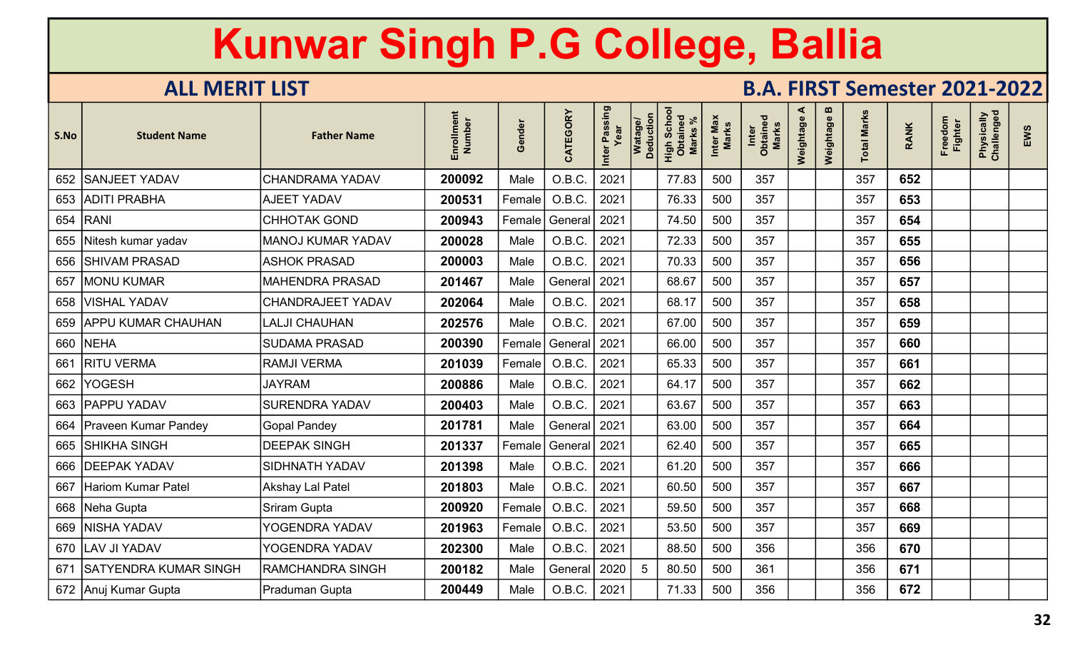| S.No | <b>Student Name</b>          | <b>Father Name</b>       | Enrollment<br>Number | Gender | CATEGORY       | Inter Passing<br>Year | Watage/<br>Deduction | High Schoo<br>Obtained<br><b>Marks</b> | Inter Max<br>Marks | Inter<br>Obtained<br>Marks | ⋖<br>Weightage | $\boldsymbol{\omega}$<br>Weightage | <b>Total Marks</b> | <b>RANK</b> | Freedom<br><b>Fighter</b> | Physically<br>Challenged | EWS |
|------|------------------------------|--------------------------|----------------------|--------|----------------|-----------------------|----------------------|----------------------------------------|--------------------|----------------------------|----------------|------------------------------------|--------------------|-------------|---------------------------|--------------------------|-----|
|      | 652 SANJEET YADAV            | <b>CHANDRAMA YADAV</b>   | 200092               | Male   | O.B.C.         | 2021                  |                      | 77.83                                  | 500                | 357                        |                |                                    | 357                | 652         |                           |                          |     |
|      | 653 ADITI PRABHA             | <b>AJEET YADAV</b>       | 200531               | Female | O.B.C.         | 2021                  |                      | 76.33                                  | 500                | 357                        |                |                                    | 357                | 653         |                           |                          |     |
|      | 654   RANI                   | <b>CHHOTAK GOND</b>      | 200943               | Female | General 2021   |                       |                      | 74.50                                  | 500                | 357                        |                |                                    | 357                | 654         |                           |                          |     |
|      | 655 Nitesh kumar yadav       | <b>MANOJ KUMAR YADAV</b> | 200028               | Male   | O.B.C.         | 2021                  |                      | 72.33                                  | 500                | 357                        |                |                                    | 357                | 655         |                           |                          |     |
| 656  | <b>SHIVAM PRASAD</b>         | <b>ASHOK PRASAD</b>      | 200003               | Male   | O.B.C.         | 2021                  |                      | 70.33                                  | 500                | 357                        |                |                                    | 357                | 656         |                           |                          |     |
| 657  | <b>MONU KUMAR</b>            | <b>MAHENDRA PRASAD</b>   | 201467               | Male   | General        | 2021                  |                      | 68.67                                  | 500                | 357                        |                |                                    | 357                | 657         |                           |                          |     |
|      | 658   VISHAL YADAV           | <b>CHANDRAJEET YADAV</b> | 202064               | Male   | O.B.C.         | 2021                  |                      | 68.17                                  | 500                | 357                        |                |                                    | 357                | 658         |                           |                          |     |
|      | 659 APPU KUMAR CHAUHAN       | <b>LALJI CHAUHAN</b>     | 202576               | Male   | O.B.C.         | 2021                  |                      | 67.00                                  | 500                | 357                        |                |                                    | 357                | 659         |                           |                          |     |
|      | 660 NEHA                     | <b>SUDAMA PRASAD</b>     | 200390               | Female | General   2021 |                       |                      | 66.00                                  | 500                | 357                        |                |                                    | 357                | 660         |                           |                          |     |
| 661  | <b>RITU VERMA</b>            | <b>RAMJI VERMA</b>       | 201039               | Female | O.B.C.         | 2021                  |                      | 65.33                                  | 500                | 357                        |                |                                    | 357                | 661         |                           |                          |     |
| 662  | YOGESH                       | <b>JAYRAM</b>            | 200886               | Male   | O.B.C.         | 2021                  |                      | 64.17                                  | 500                | 357                        |                |                                    | 357                | 662         |                           |                          |     |
|      | 663   PAPPU YADAV            | SURENDRA YADAV           | 200403               | Male   | O.B.C.         | 2021                  |                      | 63.67                                  | 500                | 357                        |                |                                    | 357                | 663         |                           |                          |     |
| 664  | <b>Praveen Kumar Pandey</b>  | <b>Gopal Pandey</b>      | 201781               | Male   | General   2021 |                       |                      | 63.00                                  | 500                | 357                        |                |                                    | 357                | 664         |                           |                          |     |
|      | 665 SHIKHA SINGH             | <b>DEEPAK SINGH</b>      | 201337               | Female | General        | 2021                  |                      | 62.40                                  | 500                | 357                        |                |                                    | 357                | 665         |                           |                          |     |
|      | 666   DEEPAK YADAV           | <b>SIDHNATH YADAV</b>    | 201398               | Male   | O.B.C.         | 2021                  |                      | 61.20                                  | 500                | 357                        |                |                                    | 357                | 666         |                           |                          |     |
| 667  | <b>Hariom Kumar Patel</b>    | <b>Akshay Lal Patel</b>  | 201803               | Male   | O.B.C.         | 2021                  |                      | 60.50                                  | 500                | 357                        |                |                                    | 357                | 667         |                           |                          |     |
|      | 668   Neha Gupta             | <b>Sriram Gupta</b>      | 200920               | Female | O.B.C.         | 2021                  |                      | 59.50                                  | 500                | 357                        |                |                                    | 357                | 668         |                           |                          |     |
|      | 669 NISHA YADAV              | YOGENDRA YADAV           | 201963               | Female | O.B.C          | 2021                  |                      | 53.50                                  | 500                | 357                        |                |                                    | 357                | 669         |                           |                          |     |
|      | 670   LAV JI YADAV           | YOGENDRA YADAV           | 202300               | Male   | O.B.C.         | 2021                  |                      | 88.50                                  | 500                | 356                        |                |                                    | 356                | 670         |                           |                          |     |
| 671  | <b>SATYENDRA KUMAR SINGH</b> | <b>RAMCHANDRA SINGH</b>  | 200182               | Male   | General        | 2020                  | 5                    | 80.50                                  | 500                | 361                        |                |                                    | 356                | 671         |                           |                          |     |
|      | 672 Anuj Kumar Gupta         | Praduman Gupta           | 200449               | Male   | O.B.C.         | 2021                  |                      | 71.33                                  | 500                | 356                        |                |                                    | 356                | 672         |                           |                          |     |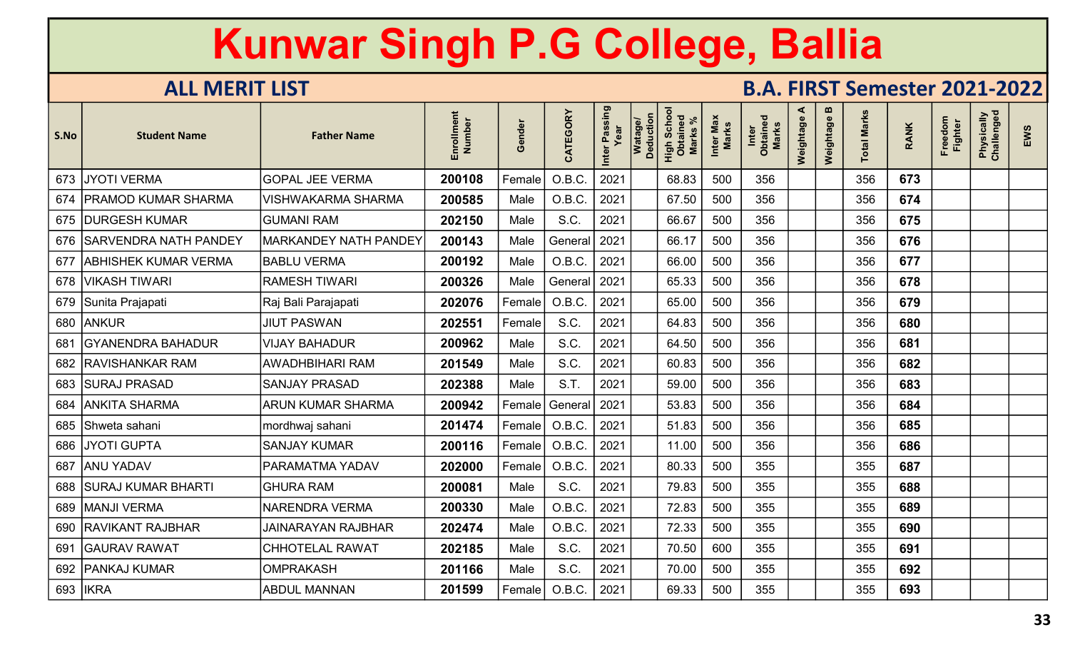| S.No | <b>Student Name</b>         | <b>Father Name</b>           | Enrollment<br>Number | Gender | CATEGORY | Inter Passing<br>Year | Watage/<br>Deduction | Scho<br>High Scho<br><b>Marks</b> | Inter Max<br><b>Marks</b> | Inter<br>Obtained<br>Marks | ⋖<br>Weightage | m<br>Weightage | <b>Total Marks</b> | <b>RANK</b> | Freedom<br><b>Fighter</b> | Physically<br>Challenged | EWS |
|------|-----------------------------|------------------------------|----------------------|--------|----------|-----------------------|----------------------|-----------------------------------|---------------------------|----------------------------|----------------|----------------|--------------------|-------------|---------------------------|--------------------------|-----|
|      | 673 JYOTI VERMA             | <b>GOPAL JEE VERMA</b>       | 200108               | Female | O.B.C.   | 2021                  |                      | 68.83                             | 500                       | 356                        |                |                | 356                | 673         |                           |                          |     |
|      | 674   PRAMOD KUMAR SHARMA   | <b>VISHWAKARMA SHARMA</b>    | 200585               | Male   | O.B.C.   | 2021                  |                      | 67.50                             | 500                       | 356                        |                |                | 356                | 674         |                           |                          |     |
|      | 675   DURGESH KUMAR         | <b>GUMANI RAM</b>            | 202150               | Male   | S.C.     | 2021                  |                      | 66.67                             | 500                       | 356                        |                |                | 356                | 675         |                           |                          |     |
|      | 676   SARVENDRA NATH PANDEY | <b>MARKANDEY NATH PANDEY</b> | 200143               | Male   | General  | 2021                  |                      | 66.17                             | 500                       | 356                        |                |                | 356                | 676         |                           |                          |     |
| 677  | <b>ABHISHEK KUMAR VERMA</b> | <b>BABLU VERMA</b>           | 200192               | Male   | O.B.C.   | 2021                  |                      | 66.00                             | 500                       | 356                        |                |                | 356                | 677         |                           |                          |     |
|      | 678   VIKASH TIWARI         | <b>RAMESH TIWARI</b>         | 200326               | Male   | General  | 2021                  |                      | 65.33                             | 500                       | 356                        |                |                | 356                | 678         |                           |                          |     |
|      | 679 Sunita Prajapati        | Raj Bali Parajapati          | 202076               | Female | O.B.C.   | 2021                  |                      | 65.00                             | 500                       | 356                        |                |                | 356                | 679         |                           |                          |     |
|      | 680 ANKUR                   | <b>JIUT PASWAN</b>           | 202551               | Female | S.C.     | 2021                  |                      | 64.83                             | 500                       | 356                        |                |                | 356                | 680         |                           |                          |     |
| 681  | <b>GYANENDRA BAHADUR</b>    | <b>VIJAY BAHADUR</b>         | 200962               | Male   | S.C.     | 2021                  |                      | 64.50                             | 500                       | 356                        |                |                | 356                | 681         |                           |                          |     |
|      | 682   RAVISHANKAR RAM       | <b>AWADHBIHARI RAM</b>       | 201549               | Male   | S.C.     | 2021                  |                      | 60.83                             | 500                       | 356                        |                |                | 356                | 682         |                           |                          |     |
|      | 683 SURAJ PRASAD            | <b>SANJAY PRASAD</b>         | 202388               | Male   | S.T.     | 2021                  |                      | 59.00                             | 500                       | 356                        |                |                | 356                | 683         |                           |                          |     |
|      | 684   ANKITA SHARMA         | <b>ARUN KUMAR SHARMA</b>     | 200942               | Female | General  | 2021                  |                      | 53.83                             | 500                       | 356                        |                |                | 356                | 684         |                           |                          |     |
|      | 685 Shweta sahani           | mordhwaj sahani              | 201474               | Female | O.B.C.   | 2021                  |                      | 51.83                             | 500                       | 356                        |                |                | 356                | 685         |                           |                          |     |
|      | 686 JYOTI GUPTA             | <b>SANJAY KUMAR</b>          | 200116               | Female | O.B.C    | 2021                  |                      | 11.00                             | 500                       | 356                        |                |                | 356                | 686         |                           |                          |     |
|      | 687 ANU YADAV               | PARAMATMA YADAV              | 202000               | Female | O.B.C    | 2021                  |                      | 80.33                             | 500                       | 355                        |                |                | 355                | 687         |                           |                          |     |
|      | 688   SURAJ KUMAR BHARTI    | <b>GHURA RAM</b>             | 200081               | Male   | S.C.     | 2021                  |                      | 79.83                             | 500                       | 355                        |                |                | 355                | 688         |                           |                          |     |
|      | 689   MANJI VERMA           | <b>NARENDRA VERMA</b>        | 200330               | Male   | O.B.C.   | 2021                  |                      | 72.83                             | 500                       | 355                        |                |                | 355                | 689         |                           |                          |     |
|      | 690 RAVIKANT RAJBHAR        | <b>JAINARAYAN RAJBHAR</b>    | 202474               | Male   | O.B.C.   | 2021                  |                      | 72.33                             | 500                       | 355                        |                |                | 355                | 690         |                           |                          |     |
| 691  | <b>GAURAV RAWAT</b>         | <b>CHHOTELAL RAWAT</b>       | 202185               | Male   | S.C.     | 2021                  |                      | 70.50                             | 600                       | 355                        |                |                | 355                | 691         |                           |                          |     |
|      | 692   PANKAJ KUMAR          | <b>OMPRAKASH</b>             | 201166               | Male   | S.C.     | 2021                  |                      | 70.00                             | 500                       | 355                        |                |                | 355                | 692         |                           |                          |     |
|      | 693   IKRA                  | <b>ABDUL MANNAN</b>          | 201599               | Female | O.B.C.   | 2021                  |                      | 69.33                             | 500                       | 355                        |                |                | 355                | 693         |                           |                          |     |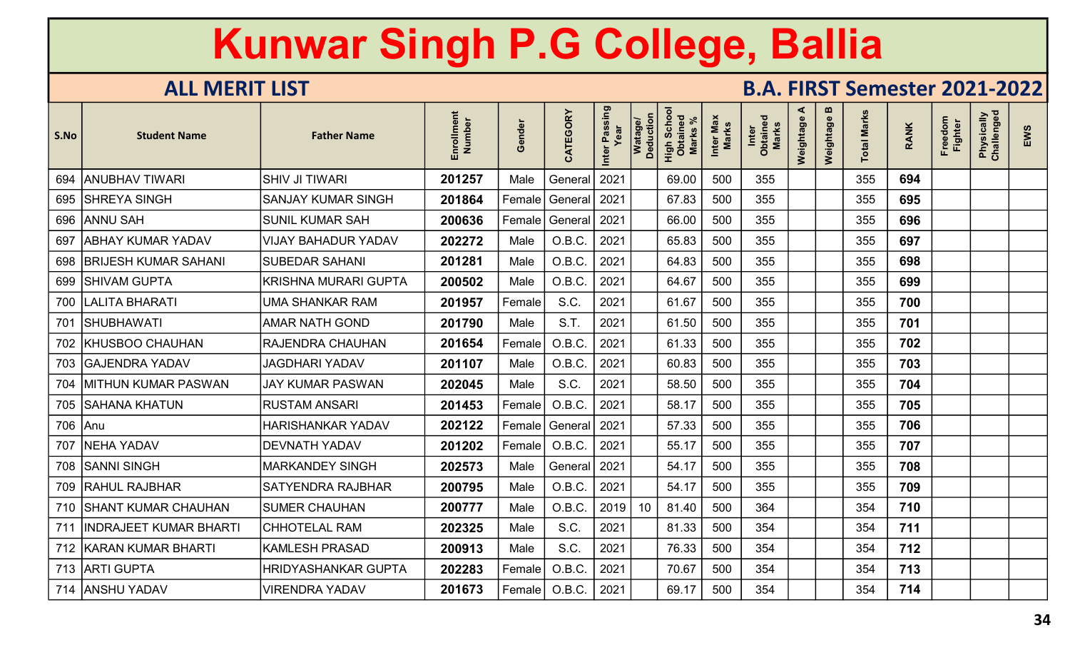| S.No | <b>Student Name</b>         | <b>Father Name</b>         | Enrollment<br>Number | Gender | CATEGORY       | Inter Passing<br>Year | Watage/<br>Deduction | High Schoc<br>Obtained<br><b>Marks</b> | Inter Max<br><b>Marks</b> | Inter<br>Obtained<br>Marks | ⋖<br>Weightage | $\boldsymbol{\omega}$<br>Weightage | <b>Total Marks</b> | <b>RANK</b> | Freedom<br><b>Fighter</b> | Physically<br>Challenged | EWS |
|------|-----------------------------|----------------------------|----------------------|--------|----------------|-----------------------|----------------------|----------------------------------------|---------------------------|----------------------------|----------------|------------------------------------|--------------------|-------------|---------------------------|--------------------------|-----|
|      | 694 ANUBHAV TIWARI          | <b>SHIV JI TIWARI</b>      | 201257               | Male   | General        | 2021                  |                      | 69.00                                  | 500                       | 355                        |                |                                    | 355                | 694         |                           |                          |     |
|      | 695   SHREYA SINGH          | <b>SANJAY KUMAR SINGH</b>  | 201864               | Female | General   2021 |                       |                      | 67.83                                  | 500                       | 355                        |                |                                    | 355                | 695         |                           |                          |     |
|      | 696 ANNU SAH                | <b>SUNIL KUMAR SAH</b>     | 200636               | Female | General 2021   |                       |                      | 66.00                                  | 500                       | 355                        |                |                                    | 355                | 696         |                           |                          |     |
| 697  | <b>ABHAY KUMAR YADAV</b>    | <b>VIJAY BAHADUR YADAV</b> | 202272               | Male   | O.B.C.         | 2021                  |                      | 65.83                                  | 500                       | 355                        |                |                                    | 355                | 697         |                           |                          |     |
| 698  | <b>BRIJESH KUMAR SAHANI</b> | <b>SUBEDAR SAHANI</b>      | 201281               | Male   | O.B.C.         | 2021                  |                      | 64.83                                  | 500                       | 355                        |                |                                    | 355                | 698         |                           |                          |     |
| 699  | <b>SHIVAM GUPTA</b>         | KRISHNA MURARI GUPTA       | 200502               | Male   | O.B.C.         | 2021                  |                      | 64.67                                  | 500                       | 355                        |                |                                    | 355                | 699         |                           |                          |     |
|      | 700   LALITA BHARATI        | <b>UMA SHANKAR RAM</b>     | 201957               | Female | S.C.           | 2021                  |                      | 61.67                                  | 500                       | 355                        |                |                                    | 355                | 700         |                           |                          |     |
|      | 701   SHUBHAWATI            | <b>AMAR NATH GOND</b>      | 201790               | Male   | S.T.           | 2021                  |                      | 61.50                                  | 500                       | 355                        |                |                                    | 355                | 701         |                           |                          |     |
|      | 702   KHUSBOO CHAUHAN       | <b>RAJENDRA CHAUHAN</b>    | 201654               | Female | O.B.C.         | 2021                  |                      | 61.33                                  | 500                       | 355                        |                |                                    | 355                | 702         |                           |                          |     |
|      | 703 GAJENDRA YADAV          | <b>JAGDHARI YADAV</b>      | 201107               | Male   | O.B.C.         | 2021                  |                      | 60.83                                  | 500                       | 355                        |                |                                    | 355                | 703         |                           |                          |     |
| 704  | <b>MITHUN KUMAR PASWAN</b>  | <b>JAY KUMAR PASWAN</b>    | 202045               | Male   | S.C.           | 2021                  |                      | 58.50                                  | 500                       | 355                        |                |                                    | 355                | 704         |                           |                          |     |
|      | 705   SAHANA KHATUN         | <b>RUSTAM ANSARI</b>       | 201453               | Female | O.B.C.         | 2021                  |                      | 58.17                                  | 500                       | 355                        |                |                                    | 355                | 705         |                           |                          |     |
|      | 706 Anu                     | <b>HARISHANKAR YADAV</b>   | 202122               | Female | General 2021   |                       |                      | 57.33                                  | 500                       | 355                        |                |                                    | 355                | 706         |                           |                          |     |
| 707  | <b>NEHA YADAV</b>           | <b>DEVNATH YADAV</b>       | 201202               | Female | O.B.C          | 2021                  |                      | 55.17                                  | 500                       | 355                        |                |                                    | 355                | 707         |                           |                          |     |
| 708  | <b>SANNI SINGH</b>          | <b>MARKANDEY SINGH</b>     | 202573               | Male   | General        | 2021                  |                      | 54.17                                  | 500                       | 355                        |                |                                    | 355                | 708         |                           |                          |     |
|      | 709 RAHUL RAJBHAR           | <b>SATYENDRA RAJBHAR</b>   | 200795               | Male   | O.B.C.         | 2021                  |                      | 54.17                                  | 500                       | 355                        |                |                                    | 355                | 709         |                           |                          |     |
|      | 710 SHANT KUMAR CHAUHAN     | <b>SUMER CHAUHAN</b>       | 200777               | Male   | O.B.C.         | 2019                  | 10                   | 81.40                                  | 500                       | 364                        |                |                                    | 354                | 710         |                           |                          |     |
| 711  | INDRAJEET KUMAR BHARTI      | <b>CHHOTELAL RAM</b>       | 202325               | Male   | S.C.           | 2021                  |                      | 81.33                                  | 500                       | 354                        |                |                                    | 354                | 711         |                           |                          |     |
|      | 712 KARAN KUMAR BHARTI      | <b>KAMLESH PRASAD</b>      | 200913               | Male   | S.C.           | 2021                  |                      | 76.33                                  | 500                       | 354                        |                |                                    | 354                | 712         |                           |                          |     |
|      | 713 ARTI GUPTA              | HRIDYASHANKAR GUPTA        | 202283               | Female | O.B.C.         | 2021                  |                      | 70.67                                  | 500                       | 354                        |                |                                    | 354                | 713         |                           |                          |     |
|      | 714 ANSHU YADAV             | <b>VIRENDRA YADAV</b>      | 201673               | Female | O.B.C.         | 2021                  |                      | 69.17                                  | 500                       | 354                        |                |                                    | 354                | 714         |                           |                          |     |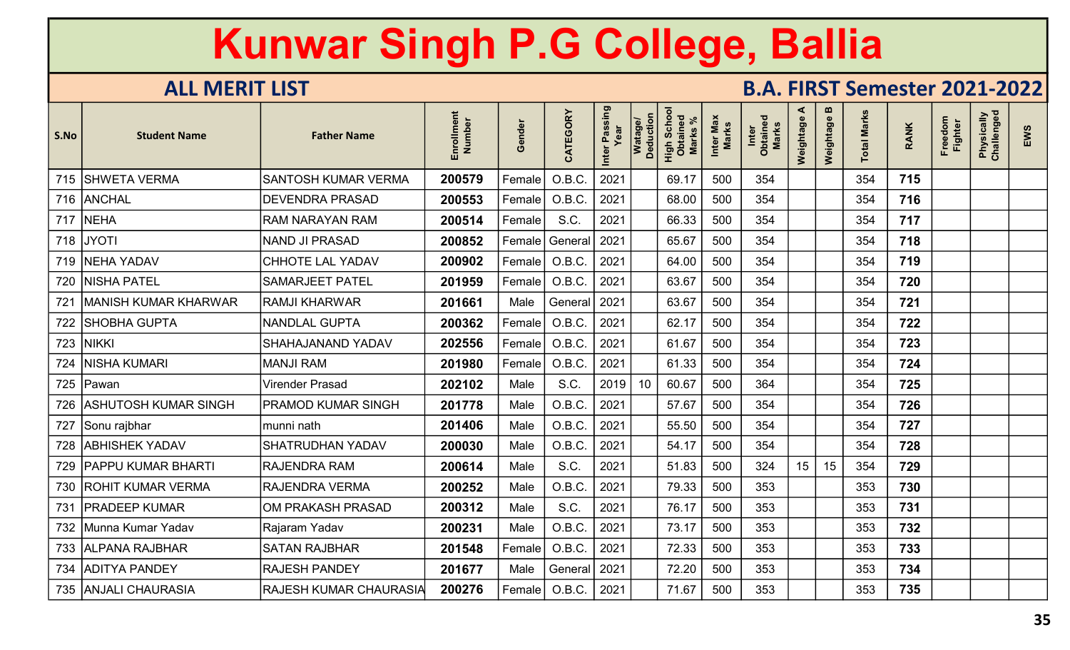| S.No | <b>Student Name</b>        | <b>Father Name</b>            | Enrollment<br>Number | Gender | CATEGORY       | Inter Passing<br>Year | Watage/<br>Deduction | Scho<br>High Scho<br>Obtaineo<br><b>Marks</b> | Inter Max<br><b>Marks</b> | Inter<br>Obtained<br>Marks | ⋖<br>Weightage | $\boldsymbol{\omega}$<br>Weightage | <b>Total Marks</b> | <b>RANK</b> | Freedom<br><b>Fighter</b> | Physically<br>Challenged | EWS |
|------|----------------------------|-------------------------------|----------------------|--------|----------------|-----------------------|----------------------|-----------------------------------------------|---------------------------|----------------------------|----------------|------------------------------------|--------------------|-------------|---------------------------|--------------------------|-----|
|      | 715   SHWETA VERMA         | <b>SANTOSH KUMAR VERMA</b>    | 200579               | Female | O.B.C.         | 2021                  |                      | 69.17                                         | 500                       | 354                        |                |                                    | 354                | 715         |                           |                          |     |
|      | 716 ANCHAL                 | <b>DEVENDRA PRASAD</b>        | 200553               | Female | O.B.C.         | 2021                  |                      | 68.00                                         | 500                       | 354                        |                |                                    | 354                | 716         |                           |                          |     |
|      | 717 NEHA                   | <b>RAM NARAYAN RAM</b>        | 200514               | Female | S.C.           | 2021                  |                      | 66.33                                         | 500                       | 354                        |                |                                    | 354                | 717         |                           |                          |     |
|      | 718 JYOTI                  | <b>NAND JI PRASAD</b>         | 200852               | Female | General        | 2021                  |                      | 65.67                                         | 500                       | 354                        |                |                                    | 354                | 718         |                           |                          |     |
|      | 719   NEHA YADAV           | <b>CHHOTE LAL YADAV</b>       | 200902               | Female | O.B.C          | 2021                  |                      | 64.00                                         | 500                       | 354                        |                |                                    | 354                | 719         |                           |                          |     |
| 720  | <b>NISHA PATEL</b>         | <b>SAMARJEET PATEL</b>        | 201959               | Female | O.B.C.         | 2021                  |                      | 63.67                                         | 500                       | 354                        |                |                                    | 354                | 720         |                           |                          |     |
| 721  | MANISH KUMAR KHARWAR       | <b>RAMJI KHARWAR</b>          | 201661               | Male   | General        | 2021                  |                      | 63.67                                         | 500                       | 354                        |                |                                    | 354                | 721         |                           |                          |     |
|      | 722   SHOBHA GUPTA         | <b>NANDLAL GUPTA</b>          | 200362               | Female | O.B.C.         | 2021                  |                      | 62.17                                         | 500                       | 354                        |                |                                    | 354                | 722         |                           |                          |     |
|      | 723 NIKKI                  | <b>SHAHAJANAND YADAV</b>      | 202556               | Female | O.B.C          | 2021                  |                      | 61.67                                         | 500                       | 354                        |                |                                    | 354                | 723         |                           |                          |     |
|      | 724   NISHA KUMARI         | <b>MANJI RAM</b>              | 201980               | Female | O.B.C.         | 2021                  |                      | 61.33                                         | 500                       | 354                        |                |                                    | 354                | 724         |                           |                          |     |
|      | 725 Pawan                  | <b>Virender Prasad</b>        | 202102               | Male   | S.C.           | 2019                  | 10 <sup>°</sup>      | 60.67                                         | 500                       | 364                        |                |                                    | 354                | 725         |                           |                          |     |
|      | 726   ASHUTOSH KUMAR SINGH | PRAMOD KUMAR SINGH            | 201778               | Male   | O.B.C.         | 2021                  |                      | 57.67                                         | 500                       | 354                        |                |                                    | 354                | 726         |                           |                          |     |
|      | 727 Sonu rajbhar           | munni nath                    | 201406               | Male   | O.B.C.         | 2021                  |                      | 55.50                                         | 500                       | 354                        |                |                                    | 354                | 727         |                           |                          |     |
|      | 728 ABHISHEK YADAV         | <b>SHATRUDHAN YADAV</b>       | 200030               | Male   | O.B.C.         | 2021                  |                      | 54.17                                         | 500                       | 354                        |                |                                    | 354                | 728         |                           |                          |     |
|      | 729   PAPPU KUMAR BHARTI   | <b>RAJENDRA RAM</b>           | 200614               | Male   | S.C.           | 2021                  |                      | 51.83                                         | 500                       | 324                        | 15             | 15                                 | 354                | 729         |                           |                          |     |
|      | 730 ROHIT KUMAR VERMA      | <b>RAJENDRA VERMA</b>         | 200252               | Male   | O.B.C          | 2021                  |                      | 79.33                                         | 500                       | 353                        |                |                                    | 353                | 730         |                           |                          |     |
| 731  | <b>PRADEEP KUMAR</b>       | OM PRAKASH PRASAD             | 200312               | Male   | S.C.           | 2021                  |                      | 76.17                                         | 500                       | 353                        |                |                                    | 353                | 731         |                           |                          |     |
|      | 732   Munna Kumar Yadav    | Rajaram Yadav                 | 200231               | Male   | O.B.C.         | 2021                  |                      | 73.17                                         | 500                       | 353                        |                |                                    | 353                | 732         |                           |                          |     |
|      | 733 ALPANA RAJBHAR         | <b>SATAN RAJBHAR</b>          | 201548               | Female | O.B.C.         | 2021                  |                      | 72.33                                         | 500                       | 353                        |                |                                    | 353                | 733         |                           |                          |     |
|      | 734 ADITYA PANDEY          | <b>RAJESH PANDEY</b>          | 201677               | Male   | General   2021 |                       |                      | 72.20                                         | 500                       | 353                        |                |                                    | 353                | 734         |                           |                          |     |
|      | 735 ANJALI CHAURASIA       | <b>RAJESH KUMAR CHAURASIA</b> | 200276               | Female | O.B.C.         | 2021                  |                      | 71.67                                         | 500                       | 353                        |                |                                    | 353                | 735         |                           |                          |     |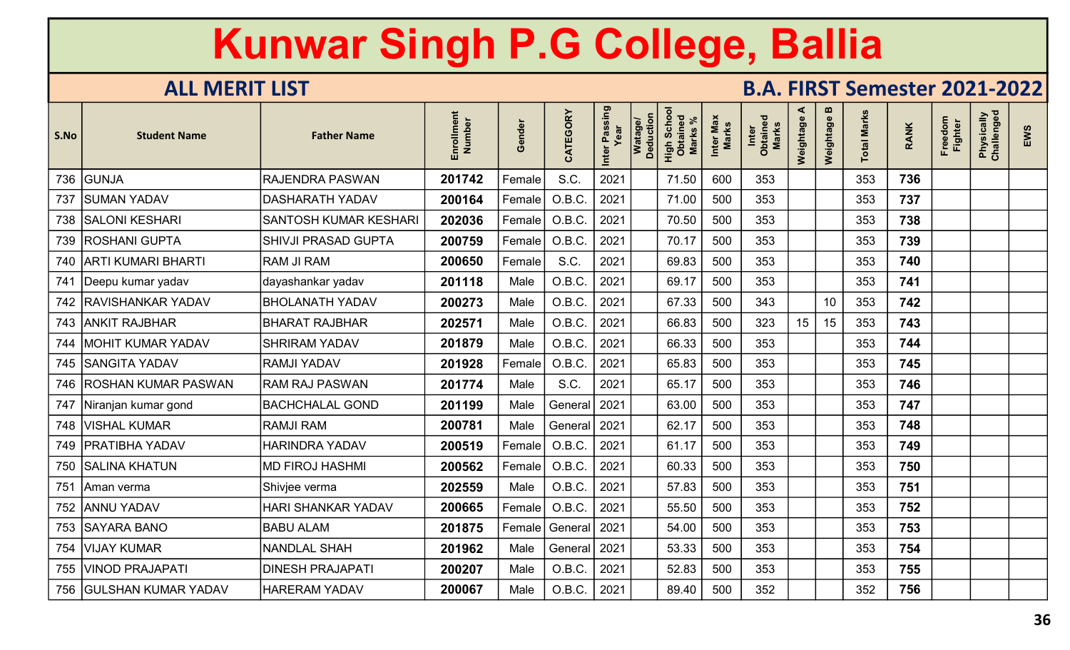| S.No | <b>Student Name</b>       | <b>Father Name</b>          | Enrollment<br>Number | Gender | CATEGORY       | Inter Passing<br>Year | Watage/<br>Deduction | Scho<br>High Scho<br><b>Marks</b> | Inter Max<br><b>Marks</b> | Inter<br>Obtained<br><b>Marks</b> | ⋖<br>Weightage | m<br>Weightage  | <b>Total Marks</b> | <b>RANK</b> | Freedom<br><b>Fighter</b> | Physically<br>Challenged | EWS |
|------|---------------------------|-----------------------------|----------------------|--------|----------------|-----------------------|----------------------|-----------------------------------|---------------------------|-----------------------------------|----------------|-----------------|--------------------|-------------|---------------------------|--------------------------|-----|
|      | 736 GUNJA                 | <b>RAJENDRA PASWAN</b>      | 201742               | Female | S.C.           | 2021                  |                      | 71.50                             | 600                       | 353                               |                |                 | 353                | 736         |                           |                          |     |
| 737  | <b>SUMAN YADAV</b>        | <b>DASHARATH YADAV</b>      | 200164               | Female | O.B.C.         | 2021                  |                      | 71.00                             | 500                       | 353                               |                |                 | 353                | 737         |                           |                          |     |
|      | 738   SALONI KESHARI      | <b>SANTOSH KUMAR KESHAR</b> | 202036               | Female | O.B.C          | 2021                  |                      | 70.50                             | 500                       | 353                               |                |                 | 353                | 738         |                           |                          |     |
|      | 739   ROSHANI GUPTA       | <b>SHIVJI PRASAD GUPTA</b>  | 200759               | Female | O.B.C          | 2021                  |                      | 70.17                             | 500                       | 353                               |                |                 | 353                | 739         |                           |                          |     |
|      | 740   ARTI KUMARI BHARTI  | <b>RAM JI RAM</b>           | 200650               | Female | S.C.           | 2021                  |                      | 69.83                             | 500                       | 353                               |                |                 | 353                | 740         |                           |                          |     |
|      | 741   Deepu kumar yadav   | dayashankar yadav           | 201118               | Male   | O.B.C.         | 2021                  |                      | 69.17                             | 500                       | 353                               |                |                 | 353                | 741         |                           |                          |     |
|      | 742   RAVISHANKAR YADAV   | <b>BHOLANATH YADAV</b>      | 200273               | Male   | O.B.C.         | 2021                  |                      | 67.33                             | 500                       | 343                               |                | 10 <sup>°</sup> | 353                | 742         |                           |                          |     |
|      | 743 ANKIT RAJBHAR         | <b>BHARAT RAJBHAR</b>       | 202571               | Male   | O.B.C.         | 2021                  |                      | 66.83                             | 500                       | 323                               | 15             | 15              | 353                | 743         |                           |                          |     |
| 744  | <b>MOHIT KUMAR YADAV</b>  | <b>SHRIRAM YADAV</b>        | 201879               | Male   | O.B.C.         | 2021                  |                      | 66.33                             | 500                       | 353                               |                |                 | 353                | 744         |                           |                          |     |
|      | 745 SANGITA YADAV         | <b>RAMJI YADAV</b>          | 201928               | Female | O.B.C.         | 2021                  |                      | 65.83                             | 500                       | 353                               |                |                 | 353                | 745         |                           |                          |     |
|      | 746 ROSHAN KUMAR PASWAN   | <b>RAM RAJ PASWAN</b>       | 201774               | Male   | S.C.           | 2021                  |                      | 65.17                             | 500                       | 353                               |                |                 | 353                | 746         |                           |                          |     |
|      | 747   Niranjan kumar gond | <b>BACHCHALAL GOND</b>      | 201199               | Male   | General   2021 |                       |                      | 63.00                             | 500                       | 353                               |                |                 | 353                | 747         |                           |                          |     |
|      | 748   VISHAL KUMAR        | <b>RAMJI RAM</b>            | 200781               | Male   | General   2021 |                       |                      | 62.17                             | 500                       | 353                               |                |                 | 353                | 748         |                           |                          |     |
|      | 749   PRATIBHA YADAV      | <b>HARINDRA YADAV</b>       | 200519               | Female | O.B.C          | 2021                  |                      | 61.17                             | 500                       | 353                               |                |                 | 353                | 749         |                           |                          |     |
|      | 750   SALINA KHATUN       | <b>MD FIROJ HASHMI</b>      | 200562               | Female | O.B.C          | 2021                  |                      | 60.33                             | 500                       | 353                               |                |                 | 353                | 750         |                           |                          |     |
| 751  | Aman verma                | Shivjee verma               | 202559               | Male   | O.B.C.         | 2021                  |                      | 57.83                             | 500                       | 353                               |                |                 | 353                | 751         |                           |                          |     |
|      | 752 ANNU YADAV            | <b>HARI SHANKAR YADAV</b>   | 200665               | Female | O.B.C.         | 2021                  |                      | 55.50                             | 500                       | 353                               |                |                 | 353                | 752         |                           |                          |     |
|      | 753 SAYARA BANO           | <b>BABU ALAM</b>            | 201875               | Female | General        | 2021                  |                      | 54.00                             | 500                       | 353                               |                |                 | 353                | 753         |                           |                          |     |
|      | 754   VIJAY KUMAR         | <b>NANDLAL SHAH</b>         | 201962               | Male   | General   2021 |                       |                      | 53.33                             | 500                       | 353                               |                |                 | 353                | 754         |                           |                          |     |
|      | 755 VINOD PRAJAPATI       | <b>DINESH PRAJAPATI</b>     | 200207               | Male   | O.B.C.         | 2021                  |                      | 52.83                             | 500                       | 353                               |                |                 | 353                | 755         |                           |                          |     |
|      | 756   GULSHAN KUMAR YADAV | <b>HARERAM YADAV</b>        | 200067               | Male   | O.B.C.         | 2021                  |                      | 89.40                             | 500                       | 352                               |                |                 | 352                | 756         |                           |                          |     |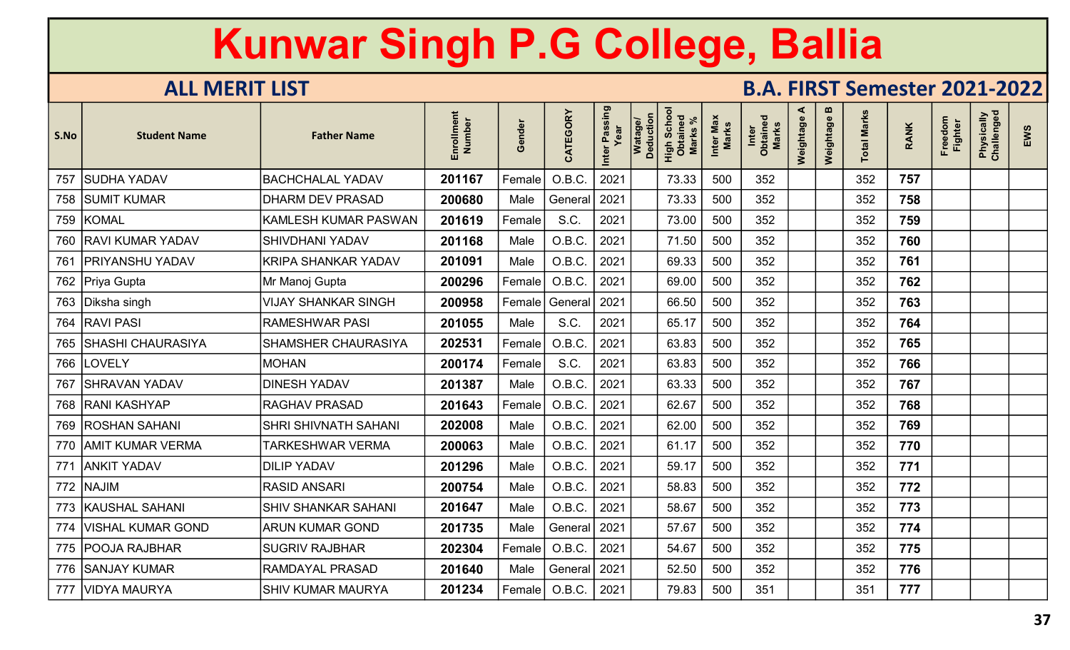| S.No | <b>Student Name</b>     | <b>Father Name</b>          | Enrollment<br>Number | Gender | CATEGORY       | Inter Passing<br>Year | Watage/<br>Deduction | Scho<br>High Scho<br>Obtaineo<br>Marks | Inter Max<br><b>Marks</b> | Inter<br>Obtained<br>Marks | ⋖<br>Weightage | $\boldsymbol{\omega}$<br>Weightage | otal Marks | <b>RANK</b> | Freedom<br><b>Fighter</b> | Physically<br>Challenged | EWS |
|------|-------------------------|-----------------------------|----------------------|--------|----------------|-----------------------|----------------------|----------------------------------------|---------------------------|----------------------------|----------------|------------------------------------|------------|-------------|---------------------------|--------------------------|-----|
| 757  | <b>SUDHA YADAV</b>      | <b>BACHCHALAL YADAV</b>     | 201167               | Female | O.B.C.         | 2021                  |                      | 73.33                                  | 500                       | 352                        |                |                                    | 352        | 757         |                           |                          |     |
|      | 758   SUMIT KUMAR       | <b>DHARM DEV PRASAD</b>     | 200680               | Male   | General   2021 |                       |                      | 73.33                                  | 500                       | 352                        |                |                                    | 352        | 758         |                           |                          |     |
|      | 759 KOMAL               | <b>KAMLESH KUMAR PASWAN</b> | 201619               | Female | S.C.           | 2021                  |                      | 73.00                                  | 500                       | 352                        |                |                                    | 352        | 759         |                           |                          |     |
|      | 760 RAVI KUMAR YADAV    | <b>SHIVDHANI YADAV</b>      | 201168               | Male   | O.B.C          | 2021                  |                      | 71.50                                  | 500                       | 352                        |                |                                    | 352        | 760         |                           |                          |     |
| 761  | <b>PRIYANSHU YADAV</b>  | <b>KRIPA SHANKAR YADAV</b>  | 201091               | Male   | O.B.C          | 2021                  |                      | 69.33                                  | 500                       | 352                        |                |                                    | 352        | 761         |                           |                          |     |
|      | 762 Priya Gupta         | Mr Manoj Gupta              | 200296               | Female | O.B.C.         | 2021                  |                      | 69.00                                  | 500                       | 352                        |                |                                    | 352        | 762         |                           |                          |     |
|      | 763   Diksha singh      | <b>VIJAY SHANKAR SINGH</b>  | 200958               | Female | General        | 2021                  |                      | 66.50                                  | 500                       | 352                        |                |                                    | 352        | 763         |                           |                          |     |
|      | 764   RAVI PASI         | <b>RAMESHWAR PASI</b>       | 201055               | Male   | S.C.           | 2021                  |                      | 65.17                                  | 500                       | 352                        |                |                                    | 352        | 764         |                           |                          |     |
|      | 765 SHASHI CHAURASIYA   | <b>SHAMSHER CHAURASIYA</b>  | 202531               | Female | O.B.C.         | 2021                  |                      | 63.83                                  | 500                       | 352                        |                |                                    | 352        | 765         |                           |                          |     |
|      | 766  LOVELY             | <b>MOHAN</b>                | 200174               | Female | S.C.           | 2021                  |                      | 63.83                                  | 500                       | 352                        |                |                                    | 352        | 766         |                           |                          |     |
| 767  | SHRAVAN YADAV           | <b>DINESH YADAV</b>         | 201387               | Male   | O.B.C.         | 2021                  |                      | 63.33                                  | 500                       | 352                        |                |                                    | 352        | 767         |                           |                          |     |
|      | 768 RANI KASHYAP        | <b>RAGHAV PRASAD</b>        | 201643               | Female | O.B.C.         | 2021                  |                      | 62.67                                  | 500                       | 352                        |                |                                    | 352        | 768         |                           |                          |     |
|      | 769   ROSHAN SAHANI     | <b>SHRI SHIVNATH SAHANI</b> | 202008               | Male   | O.B.C.         | 2021                  |                      | 62.00                                  | 500                       | 352                        |                |                                    | 352        | 769         |                           |                          |     |
|      | 770   AMIT KUMAR VERMA  | <b>TARKESHWAR VERMA</b>     | 200063               | Male   | O.B.C          | 2021                  |                      | 61.17                                  | 500                       | 352                        |                |                                    | 352        | 770         |                           |                          |     |
|      | 771   ANKIT YADAV       | <b>DILIP YADAV</b>          | 201296               | Male   | O.B.C          | 2021                  |                      | 59.17                                  | 500                       | 352                        |                |                                    | 352        | 771         |                           |                          |     |
|      | 772 NAJIM               | <b>RASID ANSARI</b>         | 200754               | Male   | O.B.C.         | 2021                  |                      | 58.83                                  | 500                       | 352                        |                |                                    | 352        | 772         |                           |                          |     |
|      | 773 KAUSHAL SAHANI      | <b>SHIV SHANKAR SAHANI</b>  | 201647               | Male   | O.B.C.         | 2021                  |                      | 58.67                                  | 500                       | 352                        |                |                                    | 352        | 773         |                           |                          |     |
|      | 774   VISHAL KUMAR GOND | <b>ARUN KUMAR GOND</b>      | 201735               | Male   | General   2021 |                       |                      | 57.67                                  | 500                       | 352                        |                |                                    | 352        | 774         |                           |                          |     |
|      | 775   POOJA RAJBHAR     | <b>SUGRIV RAJBHAR</b>       | 202304               | Female | O.B.C.         | 2021                  |                      | 54.67                                  | 500                       | 352                        |                |                                    | 352        | 775         |                           |                          |     |
|      | 776 SANJAY KUMAR        | <b>RAMDAYAL PRASAD</b>      | 201640               | Male   | General   2021 |                       |                      | 52.50                                  | 500                       | 352                        |                |                                    | 352        | 776         |                           |                          |     |
|      | 777   VIDYA MAURYA      | <b>SHIV KUMAR MAURYA</b>    | 201234               | Female | O.B.C.         | 2021                  |                      | 79.83                                  | 500                       | 351                        |                |                                    | 351        | 777         |                           |                          |     |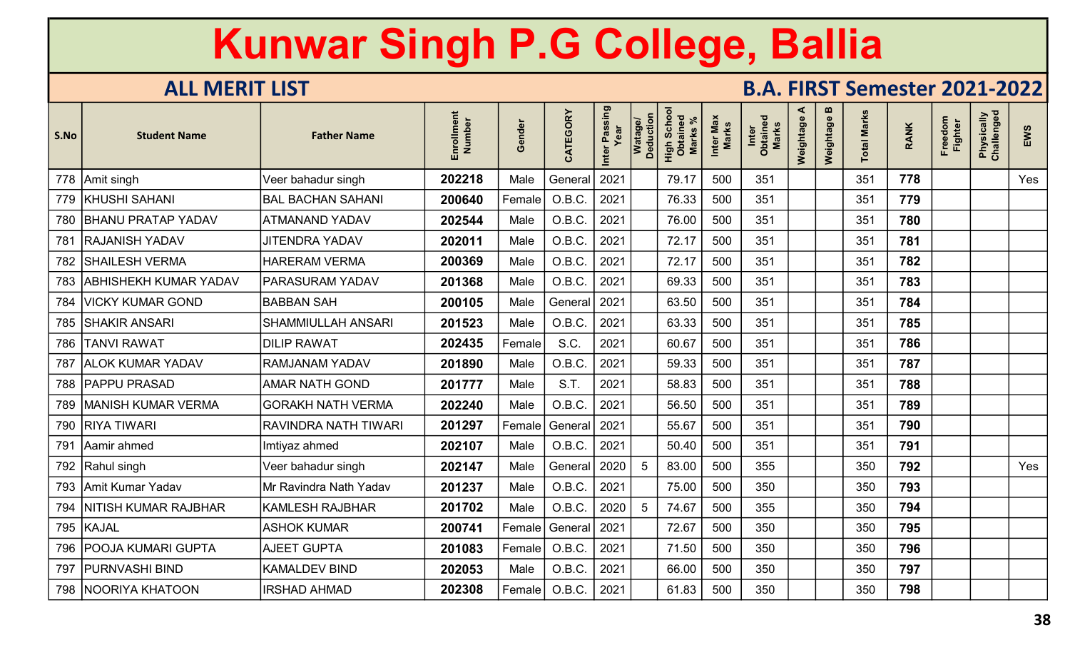| S.No | <b>Student Name</b>        | <b>Father Name</b>          | Enrollment<br>Number | Gender | CATEGORY | Inter Passing | Watage/<br>Deduction | Schor<br>High Scho<br>Obtaineo<br><b>Marks</b> | Inter Max<br>Marks | Inter<br>Obtained<br><b>Marks</b> | ⋖<br>Weightage | $\mathbf{u}$<br>Weightage | <b>Total Marks</b> | <b>RANK</b> | Freedom<br><b>Fighter</b> | Physically<br>Challenged | EWS |
|------|----------------------------|-----------------------------|----------------------|--------|----------|---------------|----------------------|------------------------------------------------|--------------------|-----------------------------------|----------------|---------------------------|--------------------|-------------|---------------------------|--------------------------|-----|
|      | 778 Amit singh             | Veer bahadur singh          | 202218               | Male   | General  | 2021          |                      | 79.17                                          | 500                | 351                               |                |                           | 351                | 778         |                           |                          | Yes |
|      | 779   KHUSHI SAHANI        | <b>BAL BACHAN SAHANI</b>    | 200640               | Female | O.B.C.   | 2021          |                      | 76.33                                          | 500                | 351                               |                |                           | 351                | 779         |                           |                          |     |
|      | 780 BHANU PRATAP YADAV     | <b>ATMANAND YADAV</b>       | 202544               | Male   | O.B.C    | 2021          |                      | 76.00                                          | 500                | 351                               |                |                           | 351                | 780         |                           |                          |     |
| 781  | <b>RAJANISH YADAV</b>      | <b>JITENDRA YADAV</b>       | 202011               | Male   | O.B.C    | 2021          |                      | 72.17                                          | 500                | 351                               |                |                           | 351                | 781         |                           |                          |     |
|      | 782   SHAILESH VERMA       | <b>HARERAM VERMA</b>        | 200369               | Male   | O.B.C.   | 2021          |                      | 72.17                                          | 500                | 351                               |                |                           | 351                | 782         |                           |                          |     |
|      | 783 ABHISHEKH KUMAR YADAV  | <b>PARASURAM YADAV</b>      | 201368               | Male   | O.B.C.   | 2021          |                      | 69.33                                          | 500                | 351                               |                |                           | 351                | 783         |                           |                          |     |
| 784  | <b>VICKY KUMAR GOND</b>    | <b>BABBAN SAH</b>           | 200105               | Male   | General  | 2021          |                      | 63.50                                          | 500                | 351                               |                |                           | 351                | 784         |                           |                          |     |
|      | 785 SHAKIR ANSARI          | <b>SHAMMIULLAH ANSARI</b>   | 201523               | Male   | O.B.C.   | 2021          |                      | 63.33                                          | 500                | 351                               |                |                           | 351                | 785         |                           |                          |     |
|      | 786   TANVI RAWAT          | <b>DILIP RAWAT</b>          | 202435               | Female | S.C.     | 2021          |                      | 60.67                                          | 500                | 351                               |                |                           | 351                | 786         |                           |                          |     |
|      | 787   ALOK KUMAR YADAV     | <b>RAMJANAM YADAV</b>       | 201890               | Male   | O.B.C.   | 2021          |                      | 59.33                                          | 500                | 351                               |                |                           | 351                | 787         |                           |                          |     |
|      | 788   PAPPU PRASAD         | <b>AMAR NATH GOND</b>       | 201777               | Male   | S.T.     | 2021          |                      | 58.83                                          | 500                | 351                               |                |                           | 351                | 788         |                           |                          |     |
|      | 789   MANISH KUMAR VERMA   | <b>GORAKH NATH VERMA</b>    | 202240               | Male   | O.B.C.   | 2021          |                      | 56.50                                          | 500                | 351                               |                |                           | 351                | 789         |                           |                          |     |
|      | 790 RIYA TIWARI            | <b>RAVINDRA NATH TIWARI</b> | 201297               | Female | General  | 2021          |                      | 55.67                                          | 500                | 351                               |                |                           | 351                | 790         |                           |                          |     |
|      | 791 Aamir ahmed            | Imtiyaz ahmed               | 202107               | Male   | O.B.C.   | 2021          |                      | 50.40                                          | 500                | 351                               |                |                           | 351                | 791         |                           |                          |     |
|      | 792   Rahul singh          | Veer bahadur singh          | 202147               | Male   | General  | 2020          | 5                    | 83.00                                          | 500                | 355                               |                |                           | 350                | 792         |                           |                          | Yes |
|      | 793 Amit Kumar Yadav       | Mr Ravindra Nath Yadav      | 201237               | Male   | O.B.C.   | 2021          |                      | 75.00                                          | 500                | 350                               |                |                           | 350                | 793         |                           |                          |     |
|      | 794   NITISH KUMAR RAJBHAR | <b>KAMLESH RAJBHAR</b>      | 201702               | Male   | O.B.C.   | 2020          | 5                    | 74.67                                          | 500                | 355                               |                |                           | 350                | 794         |                           |                          |     |
|      | 795 KAJAL                  | <b>ASHOK KUMAR</b>          | 200741               | Female | General  | 2021          |                      | 72.67                                          | 500                | 350                               |                |                           | 350                | 795         |                           |                          |     |
|      | 796 POOJA KUMARI GUPTA     | <b>AJEET GUPTA</b>          | 201083               | Female | O.B.C.   | 2021          |                      | 71.50                                          | 500                | 350                               |                |                           | 350                | 796         |                           |                          |     |
| 797  | <b>PURNVASHI BIND</b>      | <b>KAMALDEV BIND</b>        | 202053               | Male   | O.B.C.   | 2021          |                      | 66.00                                          | 500                | 350                               |                |                           | 350                | 797         |                           |                          |     |
|      | 798   NOORIYA KHATOON      | <b>IRSHAD AHMAD</b>         | 202308               | Female | O.B.C.   | 2021          |                      | 61.83                                          | 500                | 350                               |                |                           | 350                | 798         |                           |                          |     |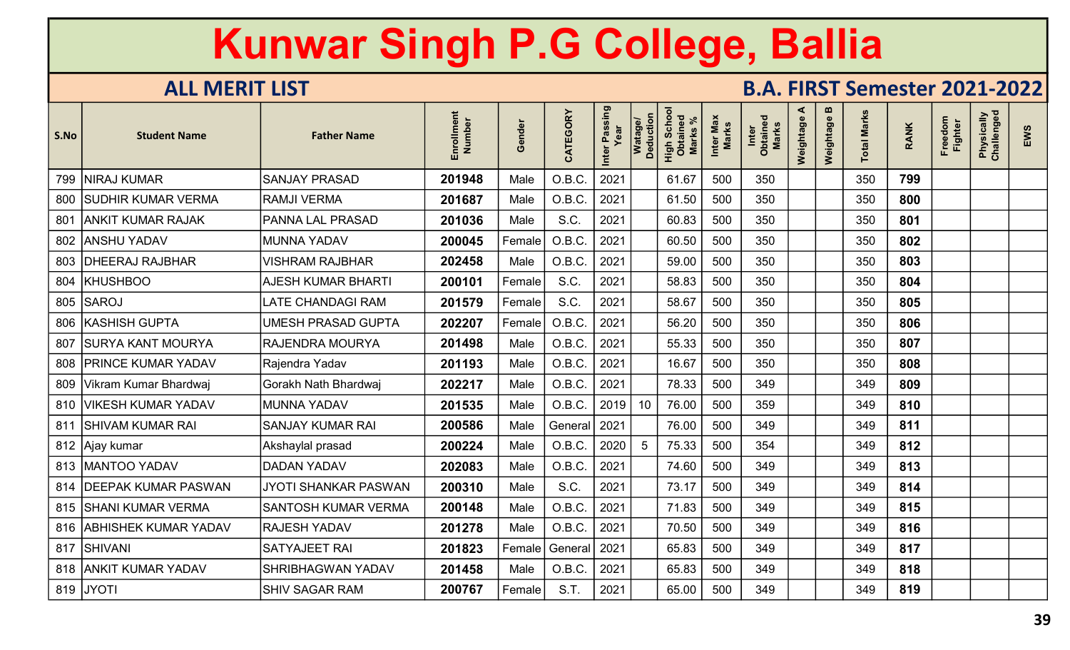| S.No | <b>Student Name</b>         | <b>Father Name</b>         | Enrollment<br>Number | Gender | CATEGORY       | Inter Passing<br>Year | Watage/<br>Deduction | Scho<br>High Scho<br>Marks | Inter Max<br><b>Marks</b> | Inter<br>Obtained<br><b>Marks</b> | ⋖<br>Weightage | m<br>Weightage | <b>Total Marks</b> | <b>RANK</b> | Freedom<br><b>Fighter</b> | Physically<br>Challenged | EWS |
|------|-----------------------------|----------------------------|----------------------|--------|----------------|-----------------------|----------------------|----------------------------|---------------------------|-----------------------------------|----------------|----------------|--------------------|-------------|---------------------------|--------------------------|-----|
|      | 799   NIRAJ KUMAR           | <b>SANJAY PRASAD</b>       | 201948               | Male   | O.B.C.         | 2021                  |                      | 61.67                      | 500                       | 350                               |                |                | 350                | 799         |                           |                          |     |
|      | 800 SUDHIR KUMAR VERMA      | <b>RAMJI VERMA</b>         | 201687               | Male   | O.B.C.         | 2021                  |                      | 61.50                      | 500                       | 350                               |                |                | 350                | 800         |                           |                          |     |
| 801  | <b>ANKIT KUMAR RAJAK</b>    | <b>PANNA LAL PRASAD</b>    | 201036               | Male   | S.C.           | 2021                  |                      | 60.83                      | 500                       | 350                               |                |                | 350                | 801         |                           |                          |     |
|      | 802 ANSHU YADAV             | <b>MUNNA YADAV</b>         | 200045               | Female | O.B.C          | 2021                  |                      | 60.50                      | 500                       | 350                               |                |                | 350                | 802         |                           |                          |     |
|      | 803   DHEERAJ RAJBHAR       | <b>VISHRAM RAJBHAR</b>     | 202458               | Male   | O.B.C          | 2021                  |                      | 59.00                      | 500                       | 350                               |                |                | 350                | 803         |                           |                          |     |
| 804  | <b>KHUSHBOO</b>             | <b>AJESH KUMAR BHARTI</b>  | 200101               | Female | S.C.           | 2021                  |                      | 58.83                      | 500                       | 350                               |                |                | 350                | 804         |                           |                          |     |
|      | 805 SAROJ                   | <b>LATE CHANDAGI RAM</b>   | 201579               | Female | S.C.           | 2021                  |                      | 58.67                      | 500                       | 350                               |                |                | 350                | 805         |                           |                          |     |
|      | 806 KASHISH GUPTA           | <b>UMESH PRASAD GUPTA</b>  | 202207               | Female | O.B.C.         | 2021                  |                      | 56.20                      | 500                       | 350                               |                |                | 350                | 806         |                           |                          |     |
| 807  | SURYA KANT MOURYA           | <b>RAJENDRA MOURYA</b>     | 201498               | Male   | O.B.C.         | 2021                  |                      | 55.33                      | 500                       | 350                               |                |                | 350                | 807         |                           |                          |     |
|      | 808   PRINCE KUMAR YADAV    | Rajendra Yadav             | 201193               | Male   | O.B.C.         | 2021                  |                      | 16.67                      | 500                       | 350                               |                |                | 350                | 808         |                           |                          |     |
|      | 809   Vikram Kumar Bhardwaj | Gorakh Nath Bhardwaj       | 202217               | Male   | O.B.C.         | 2021                  |                      | 78.33                      | 500                       | 349                               |                |                | 349                | 809         |                           |                          |     |
|      | 810   VIKESH KUMAR YADAV    | <b>MUNNA YADAV</b>         | 201535               | Male   | O.B.C.         | 2019                  | 10 <sup>°</sup>      | 76.00                      | 500                       | 359                               |                |                | 349                | 810         |                           |                          |     |
| 811  | SHIVAM KUMAR RAI            | <b>SANJAY KUMAR RAI</b>    | 200586               | Male   | General   2021 |                       |                      | 76.00                      | 500                       | 349                               |                |                | 349                | 811         |                           |                          |     |
|      | 812 Ajay kumar              | Akshaylal prasad           | 200224               | Male   | O.B.C.         | 2020                  | 5                    | 75.33                      | 500                       | 354                               |                |                | 349                | 812         |                           |                          |     |
|      | 813   MANTOO YADAV          | <b>DADAN YADAV</b>         | 202083               | Male   | O.B.C.         | 2021                  |                      | 74.60                      | 500                       | 349                               |                |                | 349                | 813         |                           |                          |     |
|      | 814   DEEPAK KUMAR PASWAN   | JYOTI SHANKAR PASWAN       | 200310               | Male   | S.C.           | 2021                  |                      | 73.17                      | 500                       | 349                               |                |                | 349                | 814         |                           |                          |     |
|      | 815   SHANI KUMAR VERMA     | <b>SANTOSH KUMAR VERMA</b> | 200148               | Male   | O.B.C.         | 2021                  |                      | 71.83                      | 500                       | 349                               |                |                | 349                | 815         |                           |                          |     |
|      | 816 ABHISHEK KUMAR YADAV    | <b>RAJESH YADAV</b>        | 201278               | Male   | O.B.C.         | 2021                  |                      | 70.50                      | 500                       | 349                               |                |                | 349                | 816         |                           |                          |     |
|      | 817 SHIVANI                 | <b>SATYAJEET RAI</b>       | 201823               | Female | General 2021   |                       |                      | 65.83                      | 500                       | 349                               |                |                | 349                | 817         |                           |                          |     |
|      | 818 ANKIT KUMAR YADAV       | <b>SHRIBHAGWAN YADAV</b>   | 201458               | Male   | O.B.C.         | 2021                  |                      | 65.83                      | 500                       | 349                               |                |                | 349                | 818         |                           |                          |     |
|      | 819 JYOTI                   | <b>SHIV SAGAR RAM</b>      | 200767               | Female | S.T.           | 2021                  |                      | 65.00                      | 500                       | 349                               |                |                | 349                | 819         |                           |                          |     |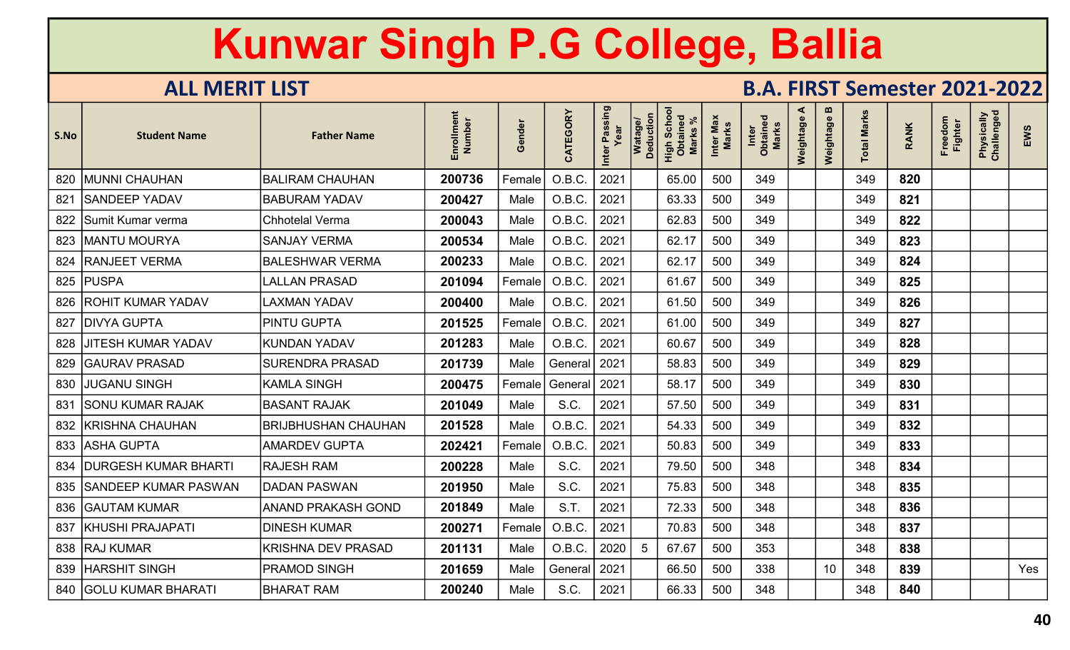| S.No | <b>Student Name</b>         | <b>Father Name</b>         | Enrollment<br>Number | Gender | CATEGORY | r Passing<br>Year<br>Inter | <b>Deduction</b><br>Watag | Schor<br>High Schc<br>Obtainec<br>Marks % | Inter Max<br>Marks | Inter<br>Obtained<br><b>Marks</b> | ≺<br>Weightage | m<br>Weightage | <b>Total Marks</b> | <b>RANK</b> | Freedom<br><b>Fighter</b> | Physically<br>Challenged | EWS |
|------|-----------------------------|----------------------------|----------------------|--------|----------|----------------------------|---------------------------|-------------------------------------------|--------------------|-----------------------------------|----------------|----------------|--------------------|-------------|---------------------------|--------------------------|-----|
| 820  | MUNNI CHAUHAN               | <b>BALIRAM CHAUHAN</b>     | 200736               | Female | O.B.C.   | 2021                       |                           | 65.00                                     | 500                | 349                               |                |                | 349                | 820         |                           |                          |     |
| 821  | <b>SANDEEP YADAV</b>        | <b>BABURAM YADAV</b>       | 200427               | Male   | O.B.C.   | 2021                       |                           | 63.33                                     | 500                | 349                               |                |                | 349                | 821         |                           |                          |     |
|      | 822 Sumit Kumar verma       | <b>Chhotelal Verma</b>     | 200043               | Male   | O.B.C.   | 2021                       |                           | 62.83                                     | 500                | 349                               |                |                | 349                | 822         |                           |                          |     |
| 823  | <b>MANTU MOURYA</b>         | <b>SANJAY VERMA</b>        | 200534               | Male   | O.B.C.   | 2021                       |                           | 62.17                                     | 500                | 349                               |                |                | 349                | 823         |                           |                          |     |
| 824  | <b>RANJEET VERMA</b>        | <b>BALESHWAR VERMA</b>     | 200233               | Male   | O.B.C.   | 2021                       |                           | 62.17                                     | 500                | 349                               |                |                | 349                | 824         |                           |                          |     |
| 825  | <b>PUSPA</b>                | <b>LALLAN PRASAD</b>       | 201094               | Female | O.B.C.   | 2021                       |                           | 61.67                                     | 500                | 349                               |                |                | 349                | 825         |                           |                          |     |
| 826  | IROHIT KUMAR YADAV          | <b>LAXMAN YADAV</b>        | 200400               | Male   | O.B.C.   | 2021                       |                           | 61.50                                     | 500                | 349                               |                |                | 349                | 826         |                           |                          |     |
| 827  | <b>DIVYA GUPTA</b>          | <b>PINTU GUPTA</b>         | 201525               | Female | O.B.C.   | 2021                       |                           | 61.00                                     | 500                | 349                               |                |                | 349                | 827         |                           |                          |     |
| 828  | <b>JITESH KUMAR YADAV</b>   | <b>KUNDAN YADAV</b>        | 201283               | Male   | O.B.C.   | 2021                       |                           | 60.67                                     | 500                | 349                               |                |                | 349                | 828         |                           |                          |     |
| 829  | <b>GAURAV PRASAD</b>        | <b>SURENDRA PRASAD</b>     | 201739               | Male   | General  | 2021                       |                           | 58.83                                     | 500                | 349                               |                |                | 349                | 829         |                           |                          |     |
| 830  | <b>JUGANU SINGH</b>         | <b>KAMLA SINGH</b>         | 200475               | Female | General  | 2021                       |                           | 58.17                                     | 500                | 349                               |                |                | 349                | 830         |                           |                          |     |
| 831  | <b>SONU KUMAR RAJAK</b>     | <b>BASANT RAJAK</b>        | 201049               | Male   | S.C.     | 2021                       |                           | 57.50                                     | 500                | 349                               |                |                | 349                | 831         |                           |                          |     |
| 832  | <b>KRISHNA CHAUHAN</b>      | <b>BRIJBHUSHAN CHAUHAN</b> | 201528               | Male   | O.B.C.   | 2021                       |                           | 54.33                                     | 500                | 349                               |                |                | 349                | 832         |                           |                          |     |
|      | 833   ASHA GUPTA            | <b>AMARDEV GUPTA</b>       | 202421               | Female | O.B.C.   | 2021                       |                           | 50.83                                     | 500                | 349                               |                |                | 349                | 833         |                           |                          |     |
| 834  | <b>DURGESH KUMAR BHARTI</b> | <b>RAJESH RAM</b>          | 200228               | Male   | S.C.     | 2021                       |                           | 79.50                                     | 500                | 348                               |                |                | 348                | 834         |                           |                          |     |
|      | 835 SANDEEP KUMAR PASWAN    | <b>DADAN PASWAN</b>        | 201950               | Male   | S.C.     | 2021                       |                           | 75.83                                     | 500                | 348                               |                |                | 348                | 835         |                           |                          |     |
|      | 836   GAUTAM KUMAR          | ANAND PRAKASH GOND         | 201849               | Male   | S.T.     | 2021                       |                           | 72.33                                     | 500                | 348                               |                |                | 348                | 836         |                           |                          |     |
| 837  | KHUSHI PRAJAPATI            | <b>DINESH KUMAR</b>        | 200271               | Female | O.B.C.   | 2021                       |                           | 70.83                                     | 500                | 348                               |                |                | 348                | 837         |                           |                          |     |
|      | 838   RAJ KUMAR             | <b>KRISHNA DEV PRASAD</b>  | 201131               | Male   | O.B.C.   | 2020                       | -5                        | 67.67                                     | 500                | 353                               |                |                | 348                | 838         |                           |                          |     |
| 839  | <b>HARSHIT SINGH</b>        | <b>PRAMOD SINGH</b>        | 201659               | Male   | General  | 2021                       |                           | 66.50                                     | 500                | 338                               |                | 10             | 348                | 839         |                           |                          | Yes |
| 840  | <b>GOLU KUMAR BHARATI</b>   | <b>BHARAT RAM</b>          | 200240               | Male   | S.C.     | 2021                       |                           | 66.33                                     | 500                | 348                               |                |                | 348                | 840         |                           |                          |     |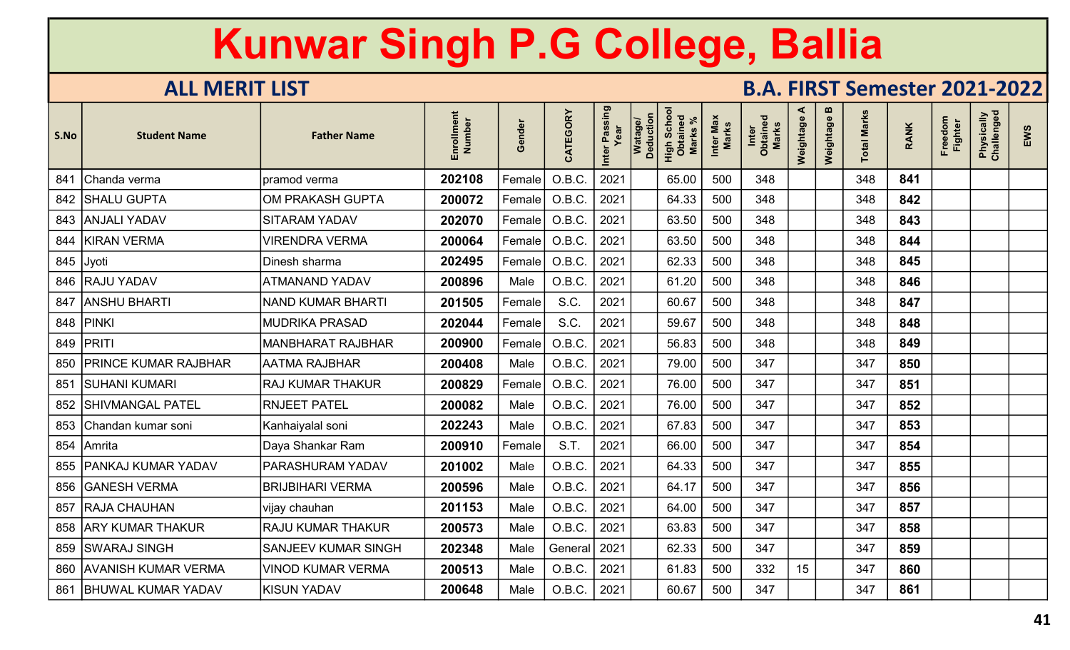| S.No | <b>Student Name</b>         | <b>Father Name</b>         | Enrollment<br>Number | Gender | CATEGORY       | Inter Passing<br>Year | Watage/<br>Deduction | Scho<br>High Scho<br>Obtaineo<br><b>Marks</b> | Inter Max<br><b>Marks</b> | Inter<br>Obtained<br><b>Marks</b> | ⋖<br>Weightage | m<br>Weightage | <b>Total Marks</b> | <b>RANK</b> | Freedom<br><b>Fighter</b> | Physically<br>Challenged | EWS |
|------|-----------------------------|----------------------------|----------------------|--------|----------------|-----------------------|----------------------|-----------------------------------------------|---------------------------|-----------------------------------|----------------|----------------|--------------------|-------------|---------------------------|--------------------------|-----|
| 841  | Chanda verma                | pramod verma               | 202108               | Female | O.B.C.         | 2021                  |                      | 65.00                                         | 500                       | 348                               |                |                | 348                | 841         |                           |                          |     |
|      | 842   SHALU GUPTA           | OM PRAKASH GUPTA           | 200072               | Female | O.B.C.         | 2021                  |                      | 64.33                                         | 500                       | 348                               |                |                | 348                | 842         |                           |                          |     |
|      | 843 ANJALI YADAV            | <b>SITARAM YADAV</b>       | 202070               | Female | O.B.C          | 2021                  |                      | 63.50                                         | 500                       | 348                               |                |                | 348                | 843         |                           |                          |     |
| 844  | KIRAN VERMA                 | <b>VIRENDRA VERMA</b>      | 200064               | Female | O.B.C          | 2021                  |                      | 63.50                                         | 500                       | 348                               |                |                | 348                | 844         |                           |                          |     |
|      | 845 Jyoti                   | Dinesh sharma              | 202495               | Female | O.B.C.         | 2021                  |                      | 62.33                                         | 500                       | 348                               |                |                | 348                | 845         |                           |                          |     |
|      | 846   RAJU YADAV            | <b>ATMANAND YADAV</b>      | 200896               | Male   | O.B.C          | 2021                  |                      | 61.20                                         | 500                       | 348                               |                |                | 348                | 846         |                           |                          |     |
| 847  | <b>ANSHU BHARTI</b>         | <b>NAND KUMAR BHARTI</b>   | 201505               | Female | S.C.           | 2021                  |                      | 60.67                                         | 500                       | 348                               |                |                | 348                | 847         |                           |                          |     |
|      | 848 PINKI                   | <b>MUDRIKA PRASAD</b>      | 202044               | Female | S.C.           | 2021                  |                      | 59.67                                         | 500                       | 348                               |                |                | 348                | 848         |                           |                          |     |
|      | 849   PRITI                 | MANBHARAT RAJBHAR          | 200900               | Female | O.B.C          | 2021                  |                      | 56.83                                         | 500                       | 348                               |                |                | 348                | 849         |                           |                          |     |
| 850  | <b>PRINCE KUMAR RAJBHAR</b> | <b>AATMA RAJBHAR</b>       | 200408               | Male   | O.B.C.         | 2021                  |                      | 79.00                                         | 500                       | 347                               |                |                | 347                | 850         |                           |                          |     |
| 851  | <b>SUHANI KUMARI</b>        | <b>RAJ KUMAR THAKUR</b>    | 200829               | Female | O.B.C.         | 2021                  |                      | 76.00                                         | 500                       | 347                               |                |                | 347                | 851         |                           |                          |     |
| 852  | <b>SHIVMANGAL PATEL</b>     | <b>RNJEET PATEL</b>        | 200082               | Male   | O.B.C.         | 2021                  |                      | 76.00                                         | 500                       | 347                               |                |                | 347                | 852         |                           |                          |     |
|      | 853 Chandan kumar soni      | Kanhaiyalal soni           | 202243               | Male   | O.B.C.         | 2021                  |                      | 67.83                                         | 500                       | 347                               |                |                | 347                | 853         |                           |                          |     |
|      | 854 Amrita                  | Daya Shankar Ram           | 200910               | Female | S.T.           | 2021                  |                      | 66.00                                         | 500                       | 347                               |                |                | 347                | 854         |                           |                          |     |
| 855  | <b>PANKAJ KUMAR YADAV</b>   | PARASHURAM YADAV           | 201002               | Male   | O.B.C          | 2021                  |                      | 64.33                                         | 500                       | 347                               |                |                | 347                | 855         |                           |                          |     |
| 856  | <b>GANESH VERMA</b>         | <b>BRIJBIHARI VERMA</b>    | 200596               | Male   | O.B.C          | 2021                  |                      | 64.17                                         | 500                       | 347                               |                |                | 347                | 856         |                           |                          |     |
| 857  | <b>RAJA CHAUHAN</b>         | vijay chauhan              | 201153               | Male   | O.B.C.         | 2021                  |                      | 64.00                                         | 500                       | 347                               |                |                | 347                | 857         |                           |                          |     |
|      | 858 ARY KUMAR THAKUR        | <b>RAJU KUMAR THAKUR</b>   | 200573               | Male   | O.B.C.         | 2021                  |                      | 63.83                                         | 500                       | 347                               |                |                | 347                | 858         |                           |                          |     |
|      | 859 SWARAJ SINGH            | <b>SANJEEV KUMAR SINGH</b> | 202348               | Male   | General   2021 |                       |                      | 62.33                                         | 500                       | 347                               |                |                | 347                | 859         |                           |                          |     |
| 860  | <b>AVANISH KUMAR VERMA</b>  | <b>VINOD KUMAR VERMA</b>   | 200513               | Male   | O.B.C.         | 2021                  |                      | 61.83                                         | 500                       | 332                               | 15             |                | 347                | 860         |                           |                          |     |
| 861  | <b>BHUWAL KUMAR YADAV</b>   | <b>KISUN YADAV</b>         | 200648               | Male   | O.B.C.         | 2021                  |                      | 60.67                                         | 500                       | 347                               |                |                | 347                | 861         |                           |                          |     |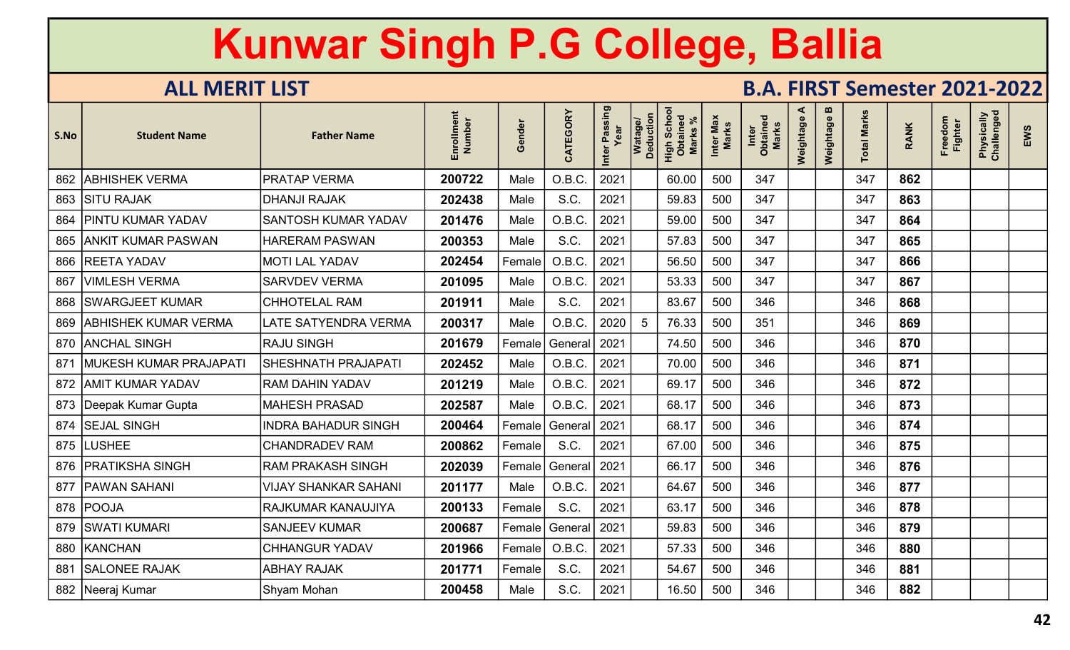| S.No | <b>Student Name</b>      | <b>Father Name</b>          | Enrollment<br>Number | Gender        | CATEGORY       | Inter Passing<br>Year | Watage/<br>Deduction | High Schoc<br>Obtained<br>Marks | Inter Max<br><b>Marks</b> | Inter<br>Obtained<br>Marks | ⋖<br>Weightage | $\boldsymbol{\omega}$<br>Weightage | <b>Total Marks</b> | <b>RANK</b> | Freedom<br>Fighter | Physically<br>Challenged | EWS |
|------|--------------------------|-----------------------------|----------------------|---------------|----------------|-----------------------|----------------------|---------------------------------|---------------------------|----------------------------|----------------|------------------------------------|--------------------|-------------|--------------------|--------------------------|-----|
|      | 862 ABHISHEK VERMA       | <b>PRATAP VERMA</b>         | 200722               | Male          | O.B.C.         | 2021                  |                      | 60.00                           | 500                       | 347                        |                |                                    | 347                | 862         |                    |                          |     |
|      | 863 SITU RAJAK           | <b>DHANJI RAJAK</b>         | 202438               | Male          | S.C.           | 2021                  |                      | 59.83                           | 500                       | 347                        |                |                                    | 347                | 863         |                    |                          |     |
|      | 864   PINTU KUMAR YADAV  | <b>SANTOSH KUMAR YADAV</b>  | 201476               | Male          | O.B.C.         | 2021                  |                      | 59.00                           | 500                       | 347                        |                |                                    | 347                | 864         |                    |                          |     |
|      | 865   ANKIT KUMAR PASWAN | <b>HARERAM PASWAN</b>       | 200353               | Male          | S.C.           | 2021                  |                      | 57.83                           | 500                       | 347                        |                |                                    | 347                | 865         |                    |                          |     |
|      | 866 REETA YADAV          | <b>MOTI LAL YADAV</b>       | 202454               | Female        | O.B.C          | 2021                  |                      | 56.50                           | 500                       | 347                        |                |                                    | 347                | 866         |                    |                          |     |
| 867  | VIMLESH VERMA            | <b>SARVDEV VERMA</b>        | 201095               | Male          | O.B.C.         | 2021                  |                      | 53.33                           | 500                       | 347                        |                |                                    | 347                | 867         |                    |                          |     |
|      | 868   SWARGJEET KUMAR    | <b>CHHOTELAL RAM</b>        | 201911               | Male          | S.C.           | 2021                  |                      | 83.67                           | 500                       | 346                        |                |                                    | 346                | 868         |                    |                          |     |
|      | 869 ABHISHEK KUMAR VERMA | <b>LATE SATYENDRA VERMA</b> | 200317               | Male          | O.B.C.         | 2020                  | 5                    | 76.33                           | 500                       | 351                        |                |                                    | 346                | 869         |                    |                          |     |
|      | 870 ANCHAL SINGH         | <b>RAJU SINGH</b>           | 201679               | Female        | General   2021 |                       |                      | 74.50                           | 500                       | 346                        |                |                                    | 346                | 870         |                    |                          |     |
| 871  | MUKESH KUMAR PRAJAPATI   | <b>SHESHNATH PRAJAPATI</b>  | 202452               | Male          | O.B.C.         | 2021                  |                      | 70.00                           | 500                       | 346                        |                |                                    | 346                | 871         |                    |                          |     |
|      | 872 AMIT KUMAR YADAV     | <b>RAM DAHIN YADAV</b>      | 201219               | Male          | O.B.C.         | 2021                  |                      | 69.17                           | 500                       | 346                        |                |                                    | 346                | 872         |                    |                          |     |
|      | 873 Deepak Kumar Gupta   | <b>MAHESH PRASAD</b>        | 202587               | Male          | O.B.C.         | 2021                  |                      | 68.17                           | 500                       | 346                        |                |                                    | 346                | 873         |                    |                          |     |
|      | 874 SEJAL SINGH          | <b>INDRA BAHADUR SINGH</b>  | 200464               | Female        | General        | 2021                  |                      | 68.17                           | 500                       | 346                        |                |                                    | 346                | 874         |                    |                          |     |
|      | 875  LUSHEE              | <b>CHANDRADEV RAM</b>       | 200862               | Female        | S.C.           | 2021                  |                      | 67.00                           | 500                       | 346                        |                |                                    | 346                | 875         |                    |                          |     |
|      | 876   PRATIKSHA SINGH    | <b>RAM PRAKASH SINGH</b>    | 202039               | Female        | General        | 2021                  |                      | 66.17                           | 500                       | 346                        |                |                                    | 346                | 876         |                    |                          |     |
|      | 877   PAWAN SAHANI       | <b>VIJAY SHANKAR SAHANI</b> | 201177               | Male          | O.B.C          | 2021                  |                      | 64.67                           | 500                       | 346                        |                |                                    | 346                | 877         |                    |                          |     |
|      | 878 POOJA                | RAJKUMAR KANAUJIYA          | 200133               | Female        | S.C.           | 2021                  |                      | 63.17                           | 500                       | 346                        |                |                                    | 346                | 878         |                    |                          |     |
|      | 879 SWATI KUMARI         | <b>SANJEEV KUMAR</b>        | 200687               | <b>Female</b> | ∣ General      | 2021                  |                      | 59.83                           | 500                       | 346                        |                |                                    | 346                | 879         |                    |                          |     |
|      | 880 KANCHAN              | <b>CHHANGUR YADAV</b>       | 201966               | Female        | O.B.C.         | 2021                  |                      | 57.33                           | 500                       | 346                        |                |                                    | 346                | 880         |                    |                          |     |
| 881  | <b>SALONEE RAJAK</b>     | <b>ABHAY RAJAK</b>          | 201771               | Female        | S.C.           | 2021                  |                      | 54.67                           | 500                       | 346                        |                |                                    | 346                | 881         |                    |                          |     |
|      | 882 Neeraj Kumar         | Shyam Mohan                 | 200458               | Male          | S.C.           | 2021                  |                      | 16.50                           | 500                       | 346                        |                |                                    | 346                | 882         |                    |                          |     |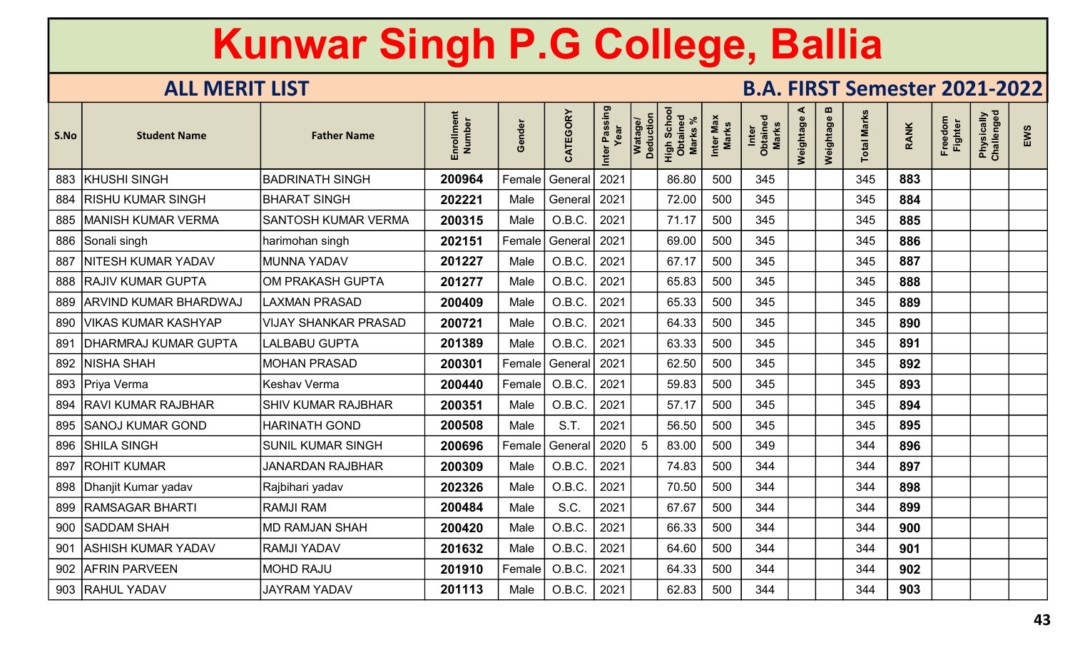| S.No | <b>Student Name</b>         | <b>Father Name</b>          | Enrollment<br>Number | Gender | CATEGORY       | Inter Passing<br>Year | Watage/<br>Deduction | Scho<br>High Scho<br>Marks | Inter Max<br><b>Marks</b> | Inter<br>Obtained<br><b>Marks</b> | ⋖<br>Weightage | m<br>Weightage | <b>Total Marks</b> | <b>RANK</b> | Freedom<br><b>Fighter</b> | Physically<br>Challenged | EWS |
|------|-----------------------------|-----------------------------|----------------------|--------|----------------|-----------------------|----------------------|----------------------------|---------------------------|-----------------------------------|----------------|----------------|--------------------|-------------|---------------------------|--------------------------|-----|
|      | 883 KHUSHI SINGH            | <b>BADRINATH SINGH</b>      | 200964               | Female | General        | 2021                  |                      | 86.80                      | 500                       | 345                               |                |                | 345                | 883         |                           |                          |     |
| 884  | <b>RISHU KUMAR SINGH</b>    | <b>BHARAT SINGH</b>         | 202221               | Male   | General   2021 |                       |                      | 72.00                      | 500                       | 345                               |                |                | 345                | 884         |                           |                          |     |
|      | 885   MANISH KUMAR VERMA    | <b>SANTOSH KUMAR VERMA</b>  | 200315               | Male   | O.B.C.         | 2021                  |                      | 71.17                      | 500                       | 345                               |                |                | 345                | 885         |                           |                          |     |
|      | 886 Sonali singh            | harimohan singh             | 202151               | Female | General        | 2021                  |                      | 69.00                      | 500                       | 345                               |                |                | 345                | 886         |                           |                          |     |
| 887  | NITESH KUMAR YADAV          | <b>MUNNA YADAV</b>          | 201227               | Male   | O.B.C.         | 2021                  |                      | 67.17                      | 500                       | 345                               |                |                | 345                | 887         |                           |                          |     |
|      | 888 RAJIV KUMAR GUPTA       | OM PRAKASH GUPTA            | 201277               | Male   | O.B.C.         | 2021                  |                      | 65.83                      | 500                       | 345                               |                |                | 345                | 888         |                           |                          |     |
|      | 889 ARVIND KUMAR BHARDWAJ   | <b>LAXMAN PRASAD</b>        | 200409               | Male   | O.B.C.         | 2021                  |                      | 65.33                      | 500                       | 345                               |                |                | 345                | 889         |                           |                          |     |
|      | 890 VIKAS KUMAR KASHYAP     | <b>VIJAY SHANKAR PRASAD</b> | 200721               | Male   | O.B.C.         | 2021                  |                      | 64.33                      | 500                       | 345                               |                |                | 345                | 890         |                           |                          |     |
| 891  | <b>DHARMRAJ KUMAR GUPTA</b> | LALBABU GUPTA               | 201389               | Male   | O.B.C.         | 2021                  |                      | 63.33                      | 500                       | 345                               |                |                | 345                | 891         |                           |                          |     |
|      | 892   NISHA SHAH            | <b>MOHAN PRASAD</b>         | 200301               | Female | General   2021 |                       |                      | 62.50                      | 500                       | 345                               |                |                | 345                | 892         |                           |                          |     |
|      | 893 Priya Verma             | <b>Keshav Verma</b>         | 200440               | Female | O.B.C.         | 2021                  |                      | 59.83                      | 500                       | 345                               |                |                | 345                | 893         |                           |                          |     |
|      | 894   RAVI KUMAR RAJBHAR    | <b>SHIV KUMAR RAJBHAR</b>   | 200351               | Male   | O.B.C.         | 2021                  |                      | 57.17                      | 500                       | 345                               |                |                | 345                | 894         |                           |                          |     |
|      | 895   SANOJ KUMAR GOND      | <b>HARINATH GOND</b>        | 200508               | Male   | S.T.           | 2021                  |                      | 56.50                      | 500                       | 345                               |                |                | 345                | 895         |                           |                          |     |
|      | 896 SHILA SINGH             | <b>SUNIL KUMAR SINGH</b>    | 200696               | Female | General        | 2020                  | 5                    | 83.00                      | 500                       | 349                               |                |                | 344                | 896         |                           |                          |     |
| 897  | <b>ROHIT KUMAR</b>          | <b>JANARDAN RAJBHAR</b>     | 200309               | Male   | O.B.C          | 2021                  |                      | 74.83                      | 500                       | 344                               |                |                | 344                | 897         |                           |                          |     |
|      | 898   Dhanjit Kumar yadav   | Rajbihari yadav             | 202326               | Male   | O.B.C.         | 2021                  |                      | 70.50                      | 500                       | 344                               |                |                | 344                | 898         |                           |                          |     |
|      | 899   RAMSAGAR BHARTI       | <b>RAMJI RAM</b>            | 200484               | Male   | S.C.           | 2021                  |                      | 67.67                      | 500                       | 344                               |                |                | 344                | 899         |                           |                          |     |
|      | 900 SADDAM SHAH             | <b>MD RAMJAN SHAH</b>       | 200420               | Male   | O.B.C.         | 2021                  |                      | 66.33                      | 500                       | 344                               |                |                | 344                | 900         |                           |                          |     |
| 901  | <b>ASHISH KUMAR YADAV</b>   | <b>RAMJI YADAV</b>          | 201632               | Male   | O.B.C.         | 2021                  |                      | 64.60                      | 500                       | 344                               |                |                | 344                | 901         |                           |                          |     |
|      | 902 AFRIN PARVEEN           | <b>MOHD RAJU</b>            | 201910               | Female | O.B.C.         | 2021                  |                      | 64.33                      | 500                       | 344                               |                |                | 344                | 902         |                           |                          |     |
|      | 903 RAHUL YADAV             | <b>JAYRAM YADAV</b>         | 201113               | Male   | O.B.C.         | 2021                  |                      | 62.83                      | 500                       | 344                               |                |                | 344                | 903         |                           |                          |     |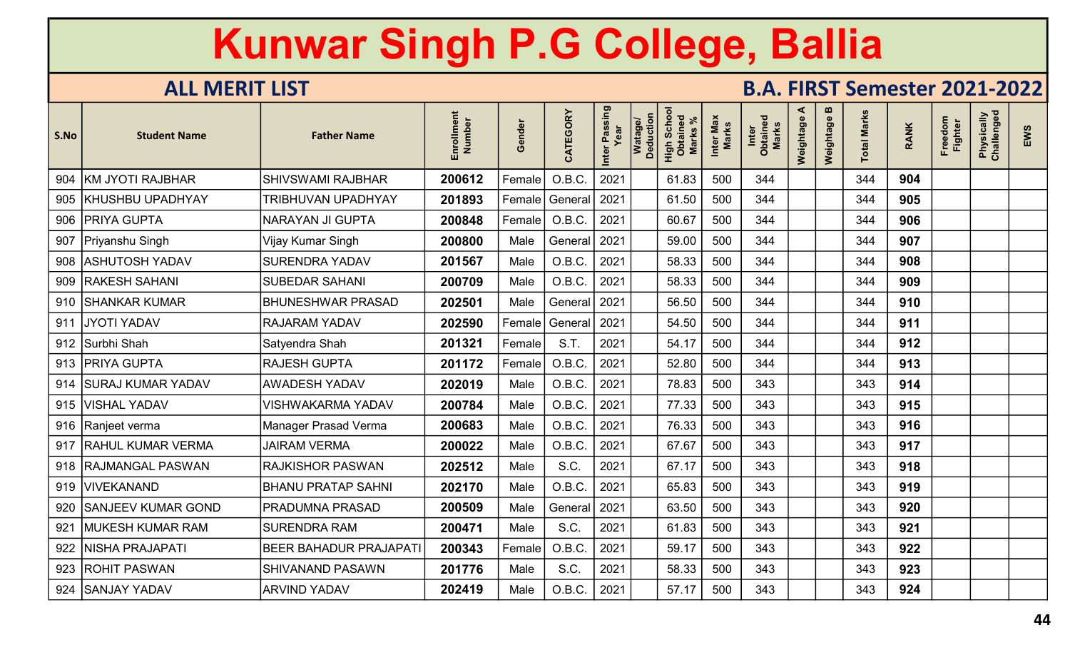| S.No | <b>Student Name</b>       | <b>Father Name</b>            | Enrollment<br>Number | Gender | CATEGORY       | Inter Passing<br>Year | Watage/<br>Deduction | Scho<br>High Scho<br><b>Marks</b> | Inter Max<br><b>Marks</b> | Inter<br>Obtained<br><b>Marks</b> | ⋖<br>Weightage | m<br>Weightage | <b>Total Marks</b> | <b>RANK</b> | Freedom<br><b>Fighter</b> | Physically<br>Challenged | EWS |
|------|---------------------------|-------------------------------|----------------------|--------|----------------|-----------------------|----------------------|-----------------------------------|---------------------------|-----------------------------------|----------------|----------------|--------------------|-------------|---------------------------|--------------------------|-----|
|      | 904 KM JYOTI RAJBHAR      | <b>SHIVSWAMI RAJBHAR</b>      | 200612               | Female | O.B.C.         | 2021                  |                      | 61.83                             | 500                       | 344                               |                |                | 344                | 904         |                           |                          |     |
|      | 905   KHUSHBU UPADHYAY    | TRIBHUVAN UPADHYAY            | 201893               | Female | General        | 2021                  |                      | 61.50                             | 500                       | 344                               |                |                | 344                | 905         |                           |                          |     |
|      | 906   PRIYA GUPTA         | NARAYAN JI GUPTA              | 200848               | Female | O.B.C.         | 2021                  |                      | 60.67                             | 500                       | 344                               |                |                | 344                | 906         |                           |                          |     |
|      | 907   Priyanshu Singh     | Vijay Kumar Singh             | 200800               | Male   | General        | 2021                  |                      | 59.00                             | 500                       | 344                               |                |                | 344                | 907         |                           |                          |     |
|      | 908   ASHUTOSH YADAV      | <b>SURENDRA YADAV</b>         | 201567               | Male   | O.B.C          | 2021                  |                      | 58.33                             | 500                       | 344                               |                |                | 344                | 908         |                           |                          |     |
|      | 909   RAKESH SAHANI       | <b>SUBEDAR SAHANI</b>         | 200709               | Male   | O.B.C.         | 2021                  |                      | 58.33                             | 500                       | 344                               |                |                | 344                | 909         |                           |                          |     |
|      | 910 SHANKAR KUMAR         | <b>BHUNESHWAR PRASAD</b>      | 202501               | Male   | General        | 2021                  |                      | 56.50                             | 500                       | 344                               |                |                | 344                | 910         |                           |                          |     |
| 911  | <b>JYOTI YADAV</b>        | <b>RAJARAM YADAV</b>          | 202590               | Female | General   2021 |                       |                      | 54.50                             | 500                       | 344                               |                |                | 344                | 911         |                           |                          |     |
|      | 912 Surbhi Shah           | Satyendra Shah                | 201321               | Female | S.T.           | 2021                  |                      | 54.17                             | 500                       | 344                               |                |                | 344                | 912         |                           |                          |     |
|      | 913   PRIYA GUPTA         | <b>RAJESH GUPTA</b>           | 201172               | Female | O.B.C.         | 2021                  |                      | 52.80                             | 500                       | 344                               |                |                | 344                | 913         |                           |                          |     |
| 914  | <b>SURAJ KUMAR YADAV</b>  | <b>AWADESH YADAV</b>          | 202019               | Male   | O.B.C.         | 2021                  |                      | 78.83                             | 500                       | 343                               |                |                | 343                | 914         |                           |                          |     |
|      | 915   VISHAL YADAV        | <b>VISHWAKARMA YADAV</b>      | 200784               | Male   | O.B.C.         | 2021                  |                      | 77.33                             | 500                       | 343                               |                |                | 343                | 915         |                           |                          |     |
|      | 916   Ranjeet verma       | Manager Prasad Verma          | 200683               | Male   | O.B.C.         | 2021                  |                      | 76.33                             | 500                       | 343                               |                |                | 343                | 916         |                           |                          |     |
|      | 917 RAHUL KUMAR VERMA     | <b>JAIRAM VERMA</b>           | 200022               | Male   | O.B.C          | 2021                  |                      | 67.67                             | 500                       | 343                               |                |                | 343                | 917         |                           |                          |     |
|      | 918 RAJMANGAL PASWAN      | <b>RAJKISHOR PASWAN</b>       | 202512               | Male   | S.C.           | 2021                  |                      | 67.17                             | 500                       | 343                               |                |                | 343                | 918         |                           |                          |     |
|      | 919   VIVEKANAND          | <b>BHANU PRATAP SAHNI</b>     | 202170               | Male   | O.B.C.         | 2021                  |                      | 65.83                             | 500                       | 343                               |                |                | 343                | 919         |                           |                          |     |
| 920  | <b>SANJEEV KUMAR GOND</b> | <b>PRADUMNA PRASAD</b>        | 200509               | Male   | General        | 2021                  |                      | 63.50                             | 500                       | 343                               |                |                | 343                | 920         |                           |                          |     |
| 921  | <b>MUKESH KUMAR RAM</b>   | <b>SURENDRA RAM</b>           | 200471               | Male   | S.C.           | 2021                  |                      | 61.83                             | 500                       | 343                               |                |                | 343                | 921         |                           |                          |     |
|      | 922   NISHA PRAJAPATI     | <b>BEER BAHADUR PRAJAPATI</b> | 200343               | Female | O.B.C.         | 2021                  |                      | 59.17                             | 500                       | 343                               |                |                | 343                | 922         |                           |                          |     |
|      | 923 ROHIT PASWAN          | <b>SHIVANAND PASAWN</b>       | 201776               | Male   | S.C.           | 2021                  |                      | 58.33                             | 500                       | 343                               |                |                | 343                | 923         |                           |                          |     |
|      | 924 SANJAY YADAV          | <b>ARVIND YADAV</b>           | 202419               | Male   | O.B.C.         | 2021                  |                      | 57.17                             | 500                       | 343                               |                |                | 343                | 924         |                           |                          |     |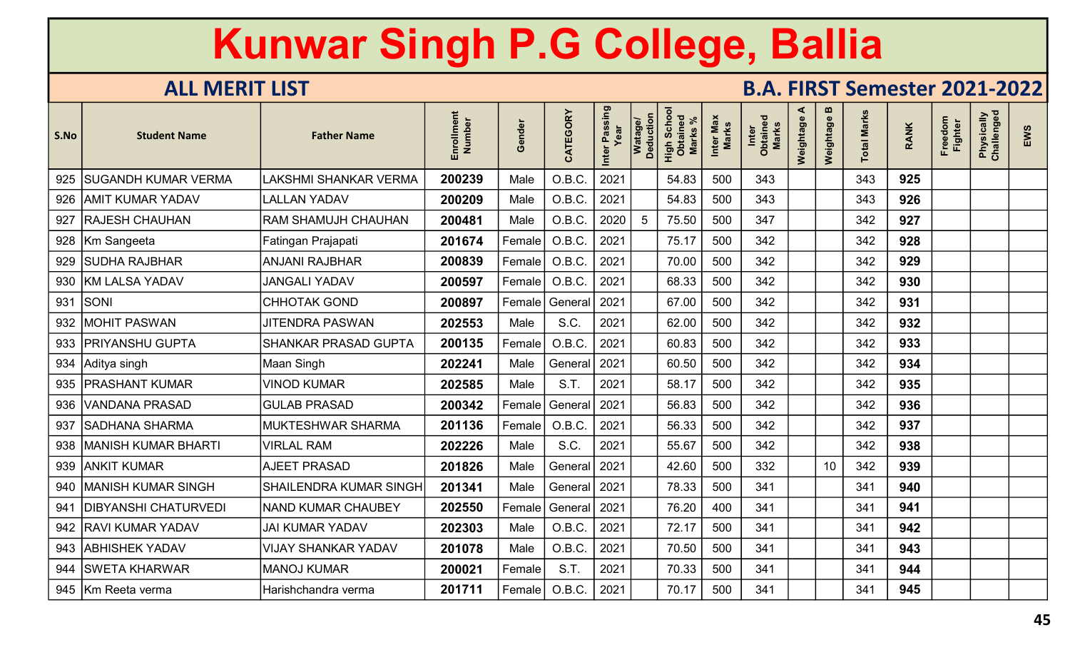| S.No | <b>Student Name</b>         | <b>Father Name</b>            | Enrollment<br>Number | Gender | CATEGORY             | Passing<br>Year<br>Inter | Watage/<br>Deduction | Scho<br>High Sche<br>Obtaine<br>Marks | Inter Max<br>Marks | Inter<br>Obtained<br>Marks | ⋖<br>Weightage | m<br>Weightage | otal Marks | <b>RANK</b> | Freedom<br><b>Fighter</b> | Physically<br>Challenged | EWS |
|------|-----------------------------|-------------------------------|----------------------|--------|----------------------|--------------------------|----------------------|---------------------------------------|--------------------|----------------------------|----------------|----------------|------------|-------------|---------------------------|--------------------------|-----|
|      | 925   SUGANDH KUMAR VERMA   | <b>LAKSHMI SHANKAR VERMA</b>  | 200239               | Male   | O.B.C.               | 2021                     |                      | 54.83                                 | 500                | 343                        |                |                | 343        | 925         |                           |                          |     |
|      | 926   AMIT KUMAR YADAV      | <b>LALLAN YADAV</b>           | 200209               | Male   | O.B.C.               | 2021                     |                      | 54.83                                 | 500                | 343                        |                |                | 343        | 926         |                           |                          |     |
|      | 927   RAJESH CHAUHAN        | <b>RAM SHAMUJH CHAUHAN</b>    | 200481               | Male   | O.B.C.               | 2020                     | 5                    | 75.50                                 | 500                | 347                        |                |                | 342        | 927         |                           |                          |     |
|      | 928   Km Sangeeta           | Fatingan Prajapati            | 201674               | Female | O.B.C.               | 2021                     |                      | 75.17                                 | 500                | 342                        |                |                | 342        | 928         |                           |                          |     |
| 929  | <b>SUDHA RAJBHAR</b>        | <b>ANJANI RAJBHAR</b>         | 200839               | Female | O.B.C.               | 2021                     |                      | 70.00                                 | 500                | 342                        |                |                | 342        | 929         |                           |                          |     |
|      | 930   KM LALSA YADAV        | <b>JANGALI YADAV</b>          | 200597               | Female | O.B.C.               | 2021                     |                      | 68.33                                 | 500                | 342                        |                |                | 342        | 930         |                           |                          |     |
| 931  | SONI                        | <b>CHHOTAK GOND</b>           | 200897               | Female | General              | 2021                     |                      | 67.00                                 | 500                | 342                        |                |                | 342        | 931         |                           |                          |     |
| 932  | <b>MOHIT PASWAN</b>         | <b>JITENDRA PASWAN</b>        | 202553               | Male   | S.C.                 | 2021                     |                      | 62.00                                 | 500                | 342                        |                |                | 342        | 932         |                           |                          |     |
|      | 933   PRIYANSHU GUPTA       | <b>SHANKAR PRASAD GUPTA</b>   | 200135               | Female | O.B.C.               | 2021                     |                      | 60.83                                 | 500                | 342                        |                |                | 342        | 933         |                           |                          |     |
|      | 934 Aditya singh            | Maan Singh                    | 202241               | Male   | General   2021       |                          |                      | 60.50                                 | 500                | 342                        |                |                | 342        | 934         |                           |                          |     |
| 935  | <b>PRASHANT KUMAR</b>       | <b>VINOD KUMAR</b>            | 202585               | Male   | S.T.                 | 2021                     |                      | 58.17                                 | 500                | 342                        |                |                | 342        | 935         |                           |                          |     |
|      | 936   VANDANA PRASAD        | <b>GULAB PRASAD</b>           | 200342               | Female | General 2021         |                          |                      | 56.83                                 | 500                | 342                        |                |                | 342        | 936         |                           |                          |     |
| 937  | SADHANA SHARMA              | <b>MUKTESHWAR SHARMA</b>      | 201136               | Female | O.B.C.               | 2021                     |                      | 56.33                                 | 500                | 342                        |                |                | 342        | 937         |                           |                          |     |
|      | 938   MANISH KUMAR BHARTI   | <b>VIRLAL RAM</b>             | 202226               | Male   | S.C.                 | 2021                     |                      | 55.67                                 | 500                | 342                        |                |                | 342        | 938         |                           |                          |     |
|      | 939   ANKIT KUMAR           | <b>AJEET PRASAD</b>           | 201826               | Male   | General              | 2021                     |                      | 42.60                                 | 500                | 332                        |                | 10             | 342        | 939         |                           |                          |     |
|      | 940   MANISH KUMAR SINGH    | <b>SHAILENDRA KUMAR SINGH</b> | 201341               | Male   | General              | 2021                     |                      | 78.33                                 | 500                | 341                        |                |                | 341        | 940         |                           |                          |     |
| 941  | <b>DIBYANSHI CHATURVEDI</b> | NAND KUMAR CHAUBEY            | 202550               | Female | General <sup> </sup> | 2021                     |                      | 76.20                                 | 400                | 341                        |                |                | 341        | 941         |                           |                          |     |
|      | 942   RAVI KUMAR YADAV      | <b>JAI KUMAR YADAV</b>        | 202303               | Male   | O.B.C.               | 2021                     |                      | 72.17                                 | 500                | 341                        |                |                | 341        | 942         |                           |                          |     |
|      | 943 ABHISHEK YADAV          | <b>VIJAY SHANKAR YADAV</b>    | 201078               | Male   | O.B.C.               | 2021                     |                      | 70.50                                 | 500                | 341                        |                |                | 341        | 943         |                           |                          |     |
| 944  | <b>SWETA KHARWAR</b>        | <b>MANOJ KUMAR</b>            | 200021               | Female | S.T.                 | 2021                     |                      | 70.33                                 | 500                | 341                        |                |                | 341        | 944         |                           |                          |     |
|      | 945 Km Reeta verma          | Harishchandra verma           | 201711               | Female | O.B.C.               | 2021                     |                      | 70.17                                 | 500                | 341                        |                |                | 341        | 945         |                           |                          |     |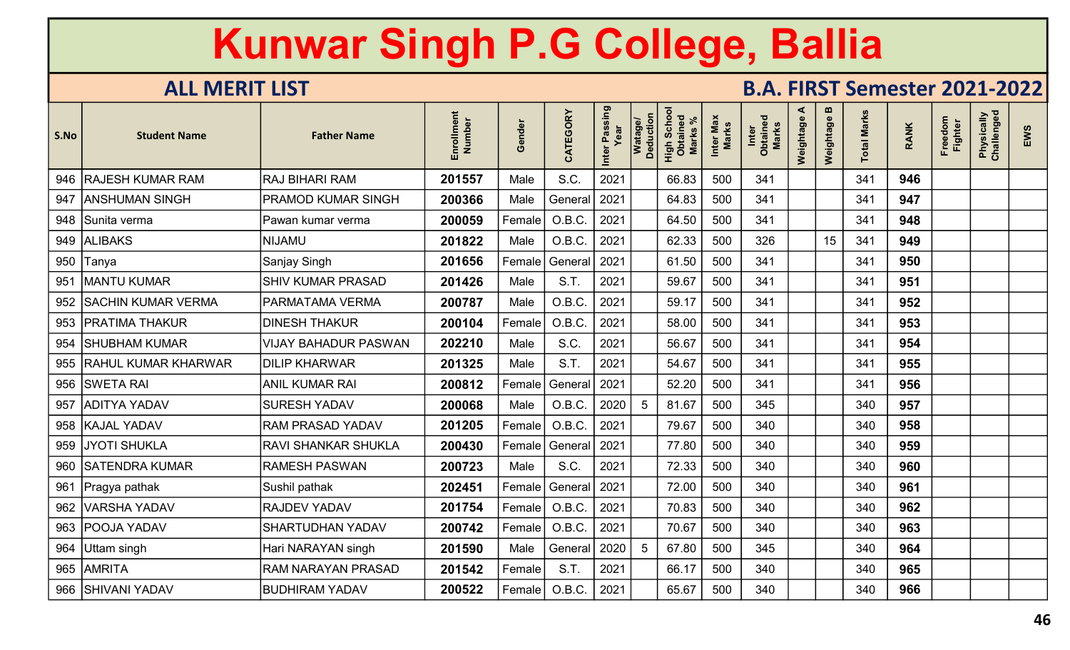| S.No | <b>Student Name</b>       | <b>Father Name</b>          | Enrollment<br>Number | Gender | CATEGORY             | Inter Passing<br>Year | Deduction<br><b>Watage</b> | Scho<br>High Scho<br>Obtaineo<br>Marks | Inter Max<br>Marks | Inter<br>Obtained<br>Marks | ⋖<br>Weightage | m<br>Weightage | otal Marks | <b>RANK</b> | Freedom<br>Fighter | Physically<br>Challenged | EWS |
|------|---------------------------|-----------------------------|----------------------|--------|----------------------|-----------------------|----------------------------|----------------------------------------|--------------------|----------------------------|----------------|----------------|------------|-------------|--------------------|--------------------------|-----|
| 946  | <b>RAJESH KUMAR RAM</b>   | <b>RAJ BIHARI RAM</b>       | 201557               | Male   | S.C.                 | 2021                  |                            | 66.83                                  | 500                | 341                        |                |                | 341        | 946         |                    |                          |     |
| 947  | IANSHUMAN SINGH           | PRAMOD KUMAR SINGH          | 200366               | Male   | General'             | 2021                  |                            | 64.83                                  | 500                | 341                        |                |                | 341        | 947         |                    |                          |     |
|      | 948 Sunita verma          | Pawan kumar verma           | 200059               | Female | O.B.C.               | 2021                  |                            | 64.50                                  | 500                | 341                        |                |                | 341        | 948         |                    |                          |     |
|      | 949 ALIBAKS               | <b>NIJAMU</b>               | 201822               | Male   | O.B.C.               | 2021                  |                            | 62.33                                  | 500                | 326                        |                | 15             | 341        | 949         |                    |                          |     |
|      | 950 Tanya                 | Sanjay Singh                | 201656               | Female | General              | 2021                  |                            | 61.50                                  | 500                | 341                        |                |                | 341        | 950         |                    |                          |     |
| 951  | <b>MANTU KUMAR</b>        | SHIV KUMAR PRASAD           | 201426               | Male   | S.T.                 | 2021                  |                            | 59.67                                  | 500                | 341                        |                |                | 341        | 951         |                    |                          |     |
|      | 952   SACHIN KUMAR VERMA  | PARMATAMA VERMA             | 200787               | Male   | O.B.C.               | 2021                  |                            | 59.17                                  | 500                | 341                        |                |                | 341        | 952         |                    |                          |     |
|      | 953   PRATIMA THAKUR      | <b>DINESH THAKUR</b>        | 200104               | Female | O.B.C.               | 2021                  |                            | 58.00                                  | 500                | 341                        |                |                | 341        | 953         |                    |                          |     |
|      | 954 SHUBHAM KUMAR         | <b>VIJAY BAHADUR PASWAN</b> | 202210               | Male   | S.C.                 | 2021                  |                            | 56.67                                  | 500                | 341                        |                |                | 341        | 954         |                    |                          |     |
|      | 955   RAHUL KUMAR KHARWAR | <b>DILIP KHARWAR</b>        | 201325               | Male   | S.T.                 | 2021                  |                            | 54.67                                  | 500                | 341                        |                |                | 341        | 955         |                    |                          |     |
|      | 956 SWETA RAI             | <b>ANIL KUMAR RAI</b>       | 200812               | Female | General 2021         |                       |                            | 52.20                                  | 500                | 341                        |                |                | 341        | 956         |                    |                          |     |
| 957  | <b>ADITYA YADAV</b>       | <b>SURESH YADAV</b>         | 200068               | Male   | O.B.C.               | 2020                  | -5                         | 81.67                                  | 500                | 345                        |                |                | 340        | 957         |                    |                          |     |
|      | 958   KAJAL YADAV         | <b>RAM PRASAD YADAV</b>     | 201205               | Female | O.B.C.               | 2021                  |                            | 79.67                                  | 500                | 340                        |                |                | 340        | 958         |                    |                          |     |
|      | 959   JYOTI SHUKLA        | RAVI SHANKAR SHUKLA         | 200430               | Female | General              | 2021                  |                            | 77.80                                  | 500                | 340                        |                |                | 340        | 959         |                    |                          |     |
|      | 960   SATENDRA KUMAR      | <b>RAMESH PASWAN</b>        | 200723               | Male   | S.C.                 | 2021                  |                            | 72.33                                  | 500                | 340                        |                |                | 340        | 960         |                    |                          |     |
| 961  | Pragya pathak             | Sushil pathak               | 202451               | Female | General              | 2021                  |                            | 72.00                                  | 500                | 340                        |                |                | 340        | 961         |                    |                          |     |
|      | 962   VARSHA YADAV        | RAJDEV YADAV                | 201754               | Female | O.B.C.               | 2021                  |                            | 70.83                                  | 500                | 340                        |                |                | 340        | 962         |                    |                          |     |
|      | 963 POOJA YADAV           | <b>SHARTUDHAN YADAV</b>     | 200742               | Female | O.B.C.               | 2021                  |                            | 70.67                                  | 500                | 340                        |                |                | 340        | 963         |                    |                          |     |
|      | 964 Uttam singh           | Hari NARAYAN singh          | 201590               | Male   | General <sup>®</sup> | 2020                  | -5                         | 67.80                                  | 500                | 345                        |                |                | 340        | 964         |                    |                          |     |
|      | 965 AMRITA                | RAM NARAYAN PRASAD          | 201542               | Female | S.T.                 | 2021                  |                            | 66.17                                  | 500                | 340                        |                |                | 340        | 965         |                    |                          |     |
|      | 966   SHIVANI YADAV       | <b>BUDHIRAM YADAV</b>       | 200522               |        | Female   O.B.C.      | 2021                  |                            | 65.67                                  | 500                | 340                        |                |                | 340        | 966         |                    |                          |     |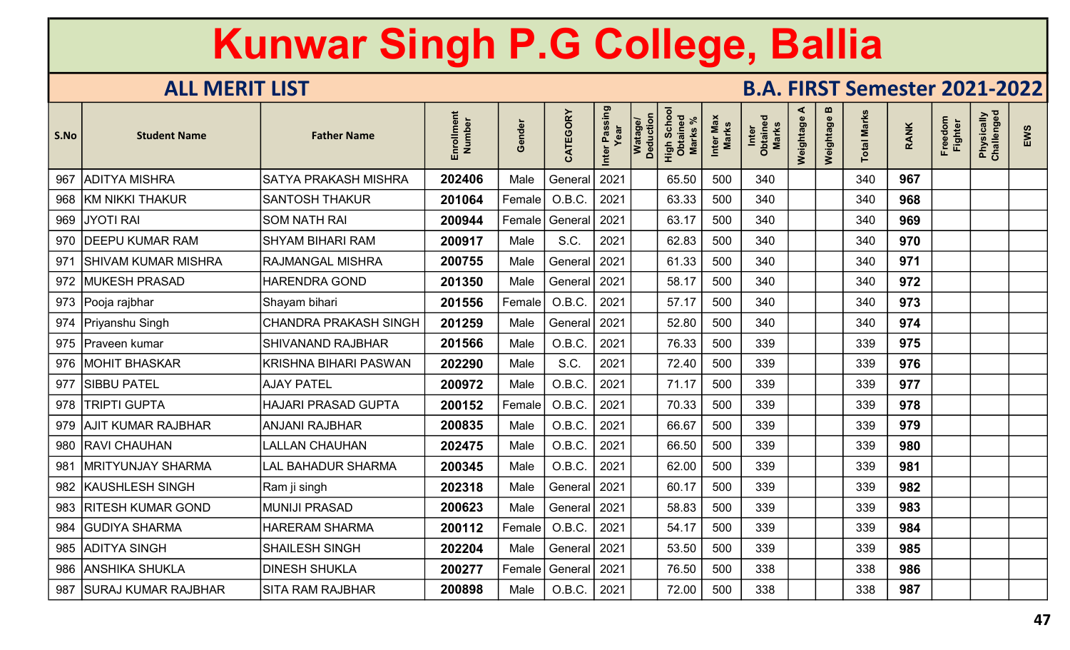| S.No | <b>Student Name</b>        | <b>Father Name</b>           | Enrollment<br>Number | Gender        | CATEGORY       | Inter Passing<br>Year | Watage/<br>Deduction | Scho<br>High Scho<br>Obtaineo<br>Marks | Inter Max<br><b>Marks</b> | Inter<br>Obtained<br>Marks | ⋖<br>Weightage | $\boldsymbol{\omega}$<br>Weightage | <b>Total Marks</b> | <b>RANK</b> | Freedom<br><b>Fighter</b> | Physically<br>Challenged | EWS |
|------|----------------------------|------------------------------|----------------------|---------------|----------------|-----------------------|----------------------|----------------------------------------|---------------------------|----------------------------|----------------|------------------------------------|--------------------|-------------|---------------------------|--------------------------|-----|
| 967  | ADITYA MISHRA              | <b>SATYA PRAKASH MISHRA</b>  | 202406               | Male          | General        | 2021                  |                      | 65.50                                  | 500                       | 340                        |                |                                    | 340                | 967         |                           |                          |     |
|      | 968 KM NIKKI THAKUR        | <b>SANTOSH THAKUR</b>        | 201064               | Female        | O.B.C.         | 2021                  |                      | 63.33                                  | 500                       | 340                        |                |                                    | 340                | 968         |                           |                          |     |
|      | 969 JYOTI RAI              | <b>SOM NATH RAI</b>          | 200944               | Female        | General        | 2021                  |                      | 63.17                                  | 500                       | 340                        |                |                                    | 340                | 969         |                           |                          |     |
|      | 970   DEEPU KUMAR RAM      | <b>SHYAM BIHARI RAM</b>      | 200917               | Male          | S.C.           | 2021                  |                      | 62.83                                  | 500                       | 340                        |                |                                    | 340                | 970         |                           |                          |     |
| 971  | <b>SHIVAM KUMAR MISHRA</b> | <b>RAJMANGAL MISHRA</b>      | 200755               | Male          | General 2021   |                       |                      | 61.33                                  | 500                       | 340                        |                |                                    | 340                | 971         |                           |                          |     |
|      | 972   MUKESH PRASAD        | <b>HARENDRA GOND</b>         | 201350               | Male          | General   2021 |                       |                      | 58.17                                  | 500                       | 340                        |                |                                    | 340                | 972         |                           |                          |     |
|      | 973   Pooja rajbhar        | Shayam bihari                | 201556               | Female        | O.B.C.         | 2021                  |                      | 57.17                                  | 500                       | 340                        |                |                                    | 340                | 973         |                           |                          |     |
|      | 974   Priyanshu Singh      | <b>CHANDRA PRAKASH SINGH</b> | 201259               | Male          | General   2021 |                       |                      | 52.80                                  | 500                       | 340                        |                |                                    | 340                | 974         |                           |                          |     |
|      | 975   Praveen kumar        | <b>SHIVANAND RAJBHAR</b>     | 201566               | Male          | O.B.C.         | 2021                  |                      | 76.33                                  | 500                       | 339                        |                |                                    | 339                | 975         |                           |                          |     |
|      | 976   MOHIT BHASKAR        | KRISHNA BIHARI PASWAN        | 202290               | Male          | S.C.           | 2021                  |                      | 72.40                                  | 500                       | 339                        |                |                                    | 339                | 976         |                           |                          |     |
| 977  | <b>SIBBU PATEL</b>         | <b>AJAY PATEL</b>            | 200972               | Male          | O.B.C.         | 2021                  |                      | 71.17                                  | 500                       | 339                        |                |                                    | 339                | 977         |                           |                          |     |
|      | 978   TRIPTI GUPTA         | <b>HAJARI PRASAD GUPTA</b>   | 200152               | Female        | O.B.C.         | 2021                  |                      | 70.33                                  | 500                       | 339                        |                |                                    | 339                | 978         |                           |                          |     |
|      | 979 AJIT KUMAR RAJBHAR     | <b>ANJANI RAJBHAR</b>        | 200835               | Male          | O.B.C.         | 2021                  |                      | 66.67                                  | 500                       | 339                        |                |                                    | 339                | 979         |                           |                          |     |
|      | 980   RAVI CHAUHAN         | <b>LALLAN CHAUHAN</b>        | 202475               | Male          | O.B.C.         | 2021                  |                      | 66.50                                  | 500                       | 339                        |                |                                    | 339                | 980         |                           |                          |     |
| 981  | <b>MRITYUNJAY SHARMA</b>   | <b>LAL BAHADUR SHARMA</b>    | 200345               | Male          | O.B.C.         | 2021                  |                      | 62.00                                  | 500                       | 339                        |                |                                    | 339                | 981         |                           |                          |     |
|      | 982   KAUSHLESH SINGH      | Ram ji singh                 | 202318               | Male          | General 2021   |                       |                      | 60.17                                  | 500                       | 339                        |                |                                    | 339                | 982         |                           |                          |     |
|      | 983   RITESH KUMAR GOND    | <b>MUNIJI PRASAD</b>         | 200623               | Male          | General   2021 |                       |                      | 58.83                                  | 500                       | 339                        |                |                                    | 339                | 983         |                           |                          |     |
| 984  | <b>GUDIYA SHARMA</b>       | <b>HARERAM SHARMA</b>        | 200112               | <b>Female</b> | O.B.C.         | 2021                  |                      | 54.17                                  | 500                       | 339                        |                |                                    | 339                | 984         |                           |                          |     |
|      | 985 ADITYA SINGH           | <b>SHAILESH SINGH</b>        | 202204               | Male          | General   2021 |                       |                      | 53.50                                  | 500                       | 339                        |                |                                    | 339                | 985         |                           |                          |     |
|      | 986   ANSHIKA SHUKLA       | <b>DINESH SHUKLA</b>         | 200277               | Female        | General   2021 |                       |                      | 76.50                                  | 500                       | 338                        |                |                                    | 338                | 986         |                           |                          |     |
|      | 987   SURAJ KUMAR RAJBHAR  | <b>SITA RAM RAJBHAR</b>      | 200898               | Male          | O.B.C.         | 2021                  |                      | 72.00                                  | 500                       | 338                        |                |                                    | 338                | 987         |                           |                          |     |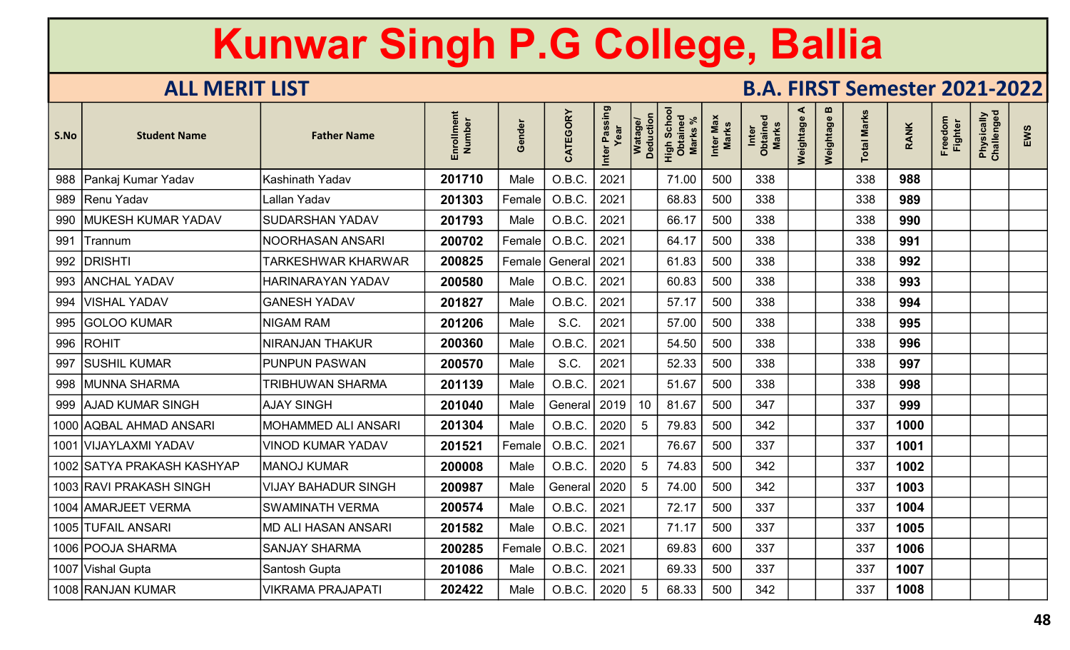| S.No | <b>Student Name</b>        | <b>Father Name</b>         | Enrollment<br>Number | iender<br>O | CATEGORY | Inter Passing | Watage/<br>Deduction | Scho<br>High Scho<br>Obtaineo<br><b>Marks</b> | Inter Max<br>Marks | Inter<br>Obtained<br><b>Marks</b> | ⋖<br>Weightage | m<br>Weightage | <b>Total Marks</b> | <b>RANK</b> | Freedom<br><b>Fighter</b> | Physically<br>Challenged | EWS |
|------|----------------------------|----------------------------|----------------------|-------------|----------|---------------|----------------------|-----------------------------------------------|--------------------|-----------------------------------|----------------|----------------|--------------------|-------------|---------------------------|--------------------------|-----|
| 988  | Pankaj Kumar Yadav         | <b>Kashinath Yadav</b>     | 201710               | Male        | O.B.C.   | 2021          |                      | 71.00                                         | 500                | 338                               |                |                | 338                | 988         |                           |                          |     |
| 989  | Renu Yadav                 | Lallan Yadav               | 201303               | Female      | O.B.C.   | 2021          |                      | 68.83                                         | 500                | 338                               |                |                | 338                | 989         |                           |                          |     |
| 990  | <b>MUKESH KUMAR YADAV</b>  | <b>SUDARSHAN YADAV</b>     | 201793               | Male        | O.B.C.   | 2021          |                      | 66.17                                         | 500                | 338                               |                |                | 338                | 990         |                           |                          |     |
| 991  | <b>Trannum</b>             | NOORHASAN ANSARI           | 200702               | Female      | O.B.C.   | 2021          |                      | 64.17                                         | 500                | 338                               |                |                | 338                | 991         |                           |                          |     |
| 992  | <b>DRISHTI</b>             | <b>TARKESHWAR KHARWAR</b>  | 200825               | Female      | General  | 2021          |                      | 61.83                                         | 500                | 338                               |                |                | 338                | 992         |                           |                          |     |
| 993  | <b>ANCHAL YADAV</b>        | HARINARAYAN YADAV          | 200580               | Male        | O.B.C.   | 2021          |                      | 60.83                                         | 500                | 338                               |                |                | 338                | 993         |                           |                          |     |
| 994  | <b>VISHAL YADAV</b>        | <b>GANESH YADAV</b>        | 201827               | Male        | O.B.C.   | 2021          |                      | 57.17                                         | 500                | 338                               |                |                | 338                | 994         |                           |                          |     |
| 995  | <b>GOLOO KUMAR</b>         | NIGAM RAM                  | 201206               | Male        | S.C.     | 2021          |                      | 57.00                                         | 500                | 338                               |                |                | 338                | 995         |                           |                          |     |
|      | 996   ROHIT                | <b>NIRANJAN THAKUR</b>     | 200360               | Male        | O.B.C.   | 2021          |                      | 54.50                                         | 500                | 338                               |                |                | 338                | 996         |                           |                          |     |
| 997  | <b>SUSHIL KUMAR</b>        | <b>PUNPUN PASWAN</b>       | 200570               | Male        | S.C.     | 2021          |                      | 52.33                                         | 500                | 338                               |                |                | 338                | 997         |                           |                          |     |
| 998  | <b>MUNNA SHARMA</b>        | <b>TRIBHUWAN SHARMA</b>    | 201139               | Male        | O.B.C.   | 2021          |                      | 51.67                                         | 500                | 338                               |                |                | 338                | 998         |                           |                          |     |
|      | 999   AJAD KUMAR SINGH     | <b>AJAY SINGH</b>          | 201040               | Male        | General  | 2019          | 10                   | 81.67                                         | 500                | 347                               |                |                | 337                | 999         |                           |                          |     |
|      | 1000 AQBAL AHMAD ANSARI    | <b>MOHAMMED ALI ANSARI</b> | 201304               | Male        | O.B.C.   | 2020          | 5                    | 79.83                                         | 500                | 342                               |                |                | 337                | 1000        |                           |                          |     |
| 1001 | VIJAYLAXMI YADAV           | <b>VINOD KUMAR YADAV</b>   | 201521               | Female      | O.B.C.   | 2021          |                      | 76.67                                         | 500                | 337                               |                |                | 337                | 1001        |                           |                          |     |
|      | 1002 SATYA PRAKASH KASHYAP | <b>MANOJ KUMAR</b>         | 200008               | Male        | O.B.C.   | 2020          | 5                    | 74.83                                         | 500                | 342                               |                |                | 337                | 1002        |                           |                          |     |
|      | 1003 RAVI PRAKASH SINGH    | <b>VIJAY BAHADUR SINGH</b> | 200987               | Male        | General  | 2020          | 5                    | 74.00                                         | 500                | 342                               |                |                | 337                | 1003        |                           |                          |     |
|      | 1004   AMARJEET VERMA      | <b>SWAMINATH VERMA</b>     | 200574               | Male        | O.B.C.   | 2021          |                      | 72.17                                         | 500                | 337                               |                |                | 337                | 1004        |                           |                          |     |
|      | 1005 TUFAIL ANSARI         | <b>MD ALI HASAN ANSARI</b> | 201582               | Male        | O.B.C.   | 2021          |                      | 71.17                                         | 500                | 337                               |                |                | 337                | 1005        |                           |                          |     |
|      | 1006 POOJA SHARMA          | <b>SANJAY SHARMA</b>       | 200285               | Female      | O.B.C.   | 2021          |                      | 69.83                                         | 600                | 337                               |                |                | 337                | 1006        |                           |                          |     |
|      | 1007 Vishal Gupta          | Santosh Gupta              | 201086               | Male        | O.B.C.   | 2021          |                      | 69.33                                         | 500                | 337                               |                |                | 337                | 1007        |                           |                          |     |
|      | 1008 RANJAN KUMAR          | <b>VIKRAMA PRAJAPATI</b>   | 202422               | Male        | O.B.C.   | 2020          | .5                   | 68.33                                         | 500                | 342                               |                |                | 337                | 1008        |                           |                          |     |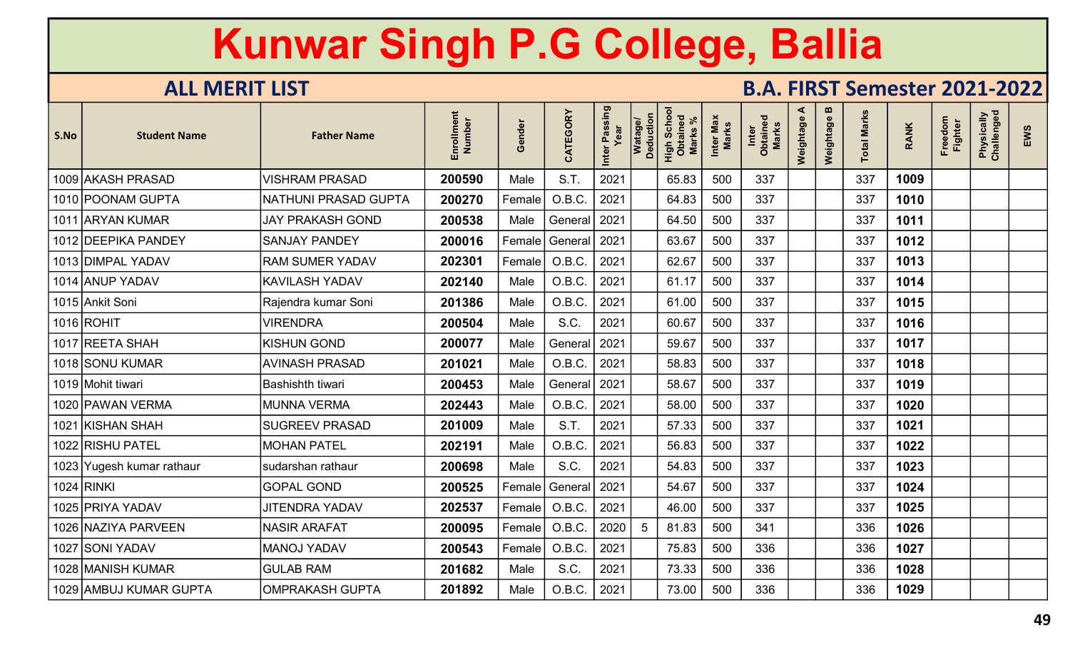| S.No | <b>Student Name</b>       | <b>Father Name</b>      | Enrollmen<br>Number | Gender | CATEGORY | Inter Passing<br>Year | Watage/<br>Deduction<br>High Schoc<br>Obtained<br><b>Marks</b> | Inter Max<br><b>Marks</b> | Inter<br>Obtained<br>Marks | ⋖<br>Weightage | m<br>Weightage | <b>Total Marks</b> | <b>RANK</b> | Freedom<br><b>Fighter</b> | Physically<br>Challenged | EWS |
|------|---------------------------|-------------------------|---------------------|--------|----------|-----------------------|----------------------------------------------------------------|---------------------------|----------------------------|----------------|----------------|--------------------|-------------|---------------------------|--------------------------|-----|
|      | 1009 AKASH PRASAD         | <b>VISHRAM PRASAD</b>   | 200590              | Male   | S.T.     | 2021                  | 65.83                                                          | 500                       | 337                        |                |                | 337                | 1009        |                           |                          |     |
|      | 1010 POONAM GUPTA         | NATHUNI PRASAD GUPTA    | 200270              | Female | O.B.C.   | 2021                  | 64.83                                                          | 500                       | 337                        |                |                | 337                | 1010        |                           |                          |     |
|      | 1011 ARYAN KUMAR          | <b>JAY PRAKASH GOND</b> | 200538              | Male   | General  | 2021                  | 64.50                                                          | 500                       | 337                        |                |                | 337                | 1011        |                           |                          |     |
|      | 1012 DEEPIKA PANDEY       | <b>SANJAY PANDEY</b>    | 200016              | Female | General  | 2021                  | 63.67                                                          | 500                       | 337                        |                |                | 337                | 1012        |                           |                          |     |
|      | 1013 DIMPAL YADAV         | <b>RAM SUMER YADAV</b>  | 202301              | Female | O.B.C.   | 2021                  | 62.67                                                          | 500                       | 337                        |                |                | 337                | 1013        |                           |                          |     |
|      | 1014 ANUP YADAV           | KAVILASH YADAV          | 202140              | Male   | O.B.C.   | 2021                  | 61.17                                                          | 500                       | 337                        |                |                | 337                | 1014        |                           |                          |     |
|      | 1015 Ankit Soni           | Rajendra kumar Soni     | 201386              | Male   | O.B.C.   | 2021                  | 61.00                                                          | 500                       | 337                        |                |                | 337                | 1015        |                           |                          |     |
|      | 1016 ROHIT                | <b>VIRENDRA</b>         | 200504              | Male   | S.C.     | 2021                  | 60.67                                                          | 500                       | 337                        |                |                | 337                | 1016        |                           |                          |     |
|      | 1017 REETA SHAH           | <b>KISHUN GOND</b>      | 200077              | Male   | General  | 2021                  | 59.67                                                          | 500                       | 337                        |                |                | 337                | 1017        |                           |                          |     |
|      | 1018 SONU KUMAR           | <b>AVINASH PRASAD</b>   | 201021              | Male   | O.B.C.   | 2021                  | 58.83                                                          | 500                       | 337                        |                |                | 337                | 1018        |                           |                          |     |
|      | 1019 Mohit tiwari         | <b>Bashishth tiwari</b> | 200453              | Male   | General  | 2021                  | 58.67                                                          | 500                       | 337                        |                |                | 337                | 1019        |                           |                          |     |
|      | 1020 PAWAN VERMA          | <b>MUNNA VERMA</b>      | 202443              | Male   | O.B.C.   | 2021                  | 58.00                                                          | 500                       | 337                        |                |                | 337                | 1020        |                           |                          |     |
| 1021 | <b>KISHAN SHAH</b>        | <b>SUGREEV PRASAD</b>   | 201009              | Male   | S.T.     | 2021                  | 57.33                                                          | 500                       | 337                        |                |                | 337                | 1021        |                           |                          |     |
|      | 1022 RISHU PATEL          | <b>MOHAN PATEL</b>      | 202191              | Male   | O.B.C.   | 2021                  | 56.83                                                          | 500                       | 337                        |                |                | 337                | 1022        |                           |                          |     |
|      | 1023 Yugesh kumar rathaur | sudarshan rathaur       | 200698              | Male   | S.C.     | 2021                  | 54.83                                                          | 500                       | 337                        |                |                | 337                | 1023        |                           |                          |     |
|      | 1024 RINKI                | <b>GOPAL GOND</b>       | 200525              | Female | General  | 2021                  | 54.67                                                          | 500                       | 337                        |                |                | 337                | 1024        |                           |                          |     |
|      | 1025 PRIYA YADAV          | <b>JITENDRA YADAV</b>   | 202537              | Female | O.B.C.   | 2021                  | 46.00                                                          | 500                       | 337                        |                |                | 337                | 1025        |                           |                          |     |
|      | 1026 NAZIYA PARVEEN       | <b>NASIR ARAFAT</b>     | 200095              | Female | O.B.C.   | 2020                  | 81.83                                                          | 500                       | 341                        |                |                | 336                | 1026        |                           |                          |     |
|      | 1027  SONI YADAV          | MANOJ YADAV             | 200543              | Female | O.B.C.   | 2021                  | 75.83                                                          | 500                       | 336                        |                |                | 336                | 1027        |                           |                          |     |
|      | 1028 MANISH KUMAR         | <b>GULAB RAM</b>        | 201682              | Male   | S.C.     | 2021                  | 73.33                                                          | 500                       | 336                        |                |                | 336                | 1028        |                           |                          |     |
|      | 1029 AMBUJ KUMAR GUPTA    | <b>OMPRAKASH GUPTA</b>  | 201892              | Male   | O.B.C.   | 2021                  | 73.00                                                          | 500                       | 336                        |                |                | 336                | 1029        |                           |                          |     |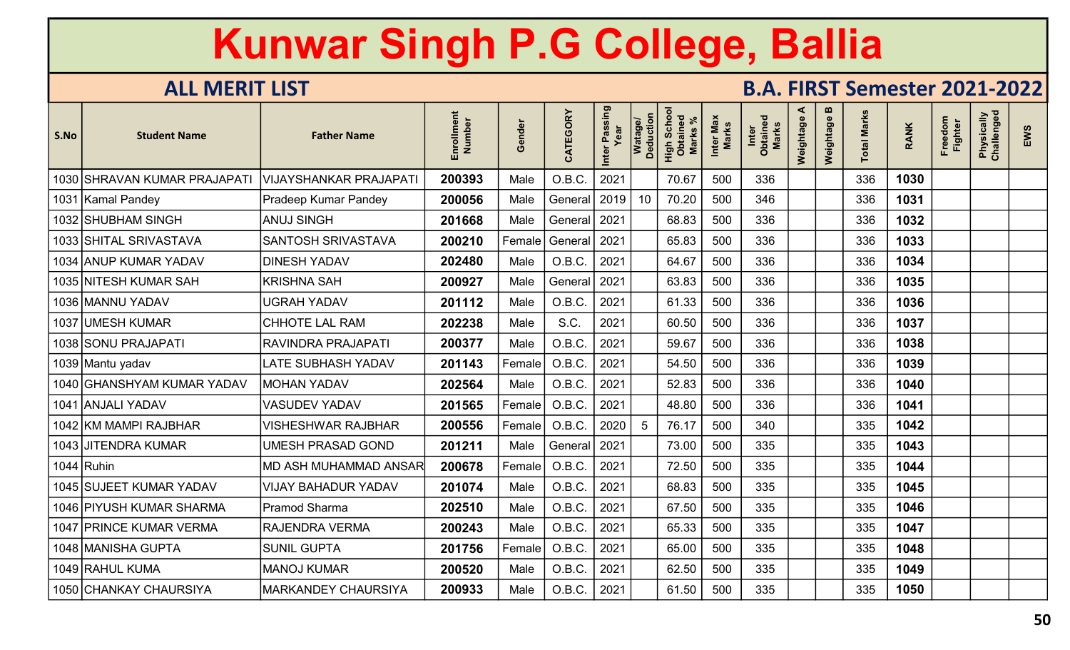| S.No | <b>Student Name</b>          | <b>Father Name</b>            | Number<br>Enrollm | Gender        | CATEGORY | Inter Passing<br>Year | Watage/<br>Deduction | Scho<br>High Scho<br>Obtained<br><b>Marks</b> | Inter Max<br>Marks | Inter<br>Obtained<br><b>Marks</b> | ⋖<br>Weightage | m<br>Weightage | <b>Total Marks</b> | <b>RANK</b> | Freedom<br>Fighter | Physically<br>Challenged | EWS |
|------|------------------------------|-------------------------------|-------------------|---------------|----------|-----------------------|----------------------|-----------------------------------------------|--------------------|-----------------------------------|----------------|----------------|--------------------|-------------|--------------------|--------------------------|-----|
|      | 1030 SHRAVAN KUMAR PRAJAPATI | <b>VIJAYSHANKAR PRAJAPATI</b> | 200393            | Male          | O.B.C.   | 2021                  |                      | 70.67                                         | 500                | 336                               |                |                | 336                | 1030        |                    |                          |     |
|      | 1031  Kamal Pandey           | Pradeep Kumar Pandey          | 200056            | Male          | General  | 2019                  | 10                   | 70.20                                         | 500                | 346                               |                |                | 336                | 1031        |                    |                          |     |
|      | 1032 SHUBHAM SINGH           | <b>ANUJ SINGH</b>             | 201668            | Male          | General  | 2021                  |                      | 68.83                                         | 500                | 336                               |                |                | 336                | 1032        |                    |                          |     |
|      | 1033 SHITAL SRIVASTAVA       | <b>SANTOSH SRIVASTAVA</b>     | 200210            | Female        | General  | 2021                  |                      | 65.83                                         | 500                | 336                               |                |                | 336                | 1033        |                    |                          |     |
|      | 1034 ANUP KUMAR YADAV        | <b>DINESH YADAV</b>           | 202480            | Male          | O.B.C.   | 2021                  |                      | 64.67                                         | 500                | 336                               |                |                | 336                | 1034        |                    |                          |     |
|      | 1035 NITESH KUMAR SAH        | <b>KRISHNA SAH</b>            | 200927            | Male          | General  | 2021                  |                      | 63.83                                         | 500                | 336                               |                |                | 336                | 1035        |                    |                          |     |
|      | 1036 MAANNU YADAV            | <b>JGRAH YADAV</b>            | 201112            | Male          | O.B.C.   | 2021                  |                      | 61.33                                         | 500                | 336                               |                |                | 336                | 1036        |                    |                          |     |
|      | 1037 UMESH KUMAR             | <b>CHHOTE LAL RAM</b>         | 202238            | Male          | S.C.     | 2021                  |                      | 60.50                                         | 500                | 336                               |                |                | 336                | 1037        |                    |                          |     |
|      | 1038 SONU PRAJAPATI          | RAVINDRA PRAJAPATI            | 200377            | Male          | O.B.C.   | 2021                  |                      | 59.67                                         | 500                | 336                               |                |                | 336                | 1038        |                    |                          |     |
|      | 1039 Mantu yadav             | LATE SUBHASH YADAV            | 201143            | Female        | O.B.C.   | 2021                  |                      | 54.50                                         | 500                | 336                               |                |                | 336                | 1039        |                    |                          |     |
|      | 1040 GHANSHYAM KUMAR YADAV   | <b>MOHAN YADAV</b>            | 202564            | Male          | O.B.C.   | 2021                  |                      | 52.83                                         | 500                | 336                               |                |                | 336                | 1040        |                    |                          |     |
|      | 1041 ANJALI YADAV            | <b>VASUDEV YADAV</b>          | 201565            | Female        | O.B.C.   | 2021                  |                      | 48.80                                         | 500                | 336                               |                |                | 336                | 1041        |                    |                          |     |
|      | 1042 KM MAMPI RAJBHAR        | <b>VISHESHWAR RAJBHAR</b>     | 200556            | $\sf Female $ | O.B.C.   | 2020                  | 5                    | 76.17                                         | 500                | 340                               |                |                | 335                | 1042        |                    |                          |     |
|      | 1043 JJITENDRA KUMAR         | UMESH PRASAD GOND             | 201211            | Male          | General  | 2021                  |                      | 73.00                                         | 500                | 335                               |                |                | 335                | 1043        |                    |                          |     |
|      | $1044$ Ruhin                 | <b>MD ASH MUHAMMAD ANSAR</b>  | 200678            | Female        | O.B.C.   | 2021                  |                      | 72.50                                         | 500                | 335                               |                |                | 335                | 1044        |                    |                          |     |
|      | 1045 SUJEET KUMAR YADAV      | <b>VIJAY BAHADUR YADAV</b>    | 201074            | Male          | O.B.C.   | 2021                  |                      | 68.83                                         | 500                | 335                               |                |                | 335                | 1045        |                    |                          |     |
|      | 1046 PIYUSH KUMAR SHARMA     | <b>Pramod Sharma</b>          | 202510            | Male          | O.B.C.   | 2021                  |                      | 67.50                                         | 500                | 335                               |                |                | 335                | 1046        |                    |                          |     |
|      | 1047 PRINCE KUMAR VERMA      | <b>RAJENDRA VERMA</b>         | 200243            | Male          | O.B.C.   | 2021                  |                      | 65.33                                         | 500                | 335                               |                |                | 335                | 1047        |                    |                          |     |
|      | 1048  MANISHA GUPTA          | <b>SUNIL GUPTA</b>            | 201756            | Female        | O.B.C.   | 2021                  |                      | 65.00                                         | 500                | 335                               |                |                | 335                | 1048        |                    |                          |     |
|      | 1049 RAHUL KUMA              | <b>MANOJ KUMAR</b>            | 200520            | Male          | O.B.C.   | 2021                  |                      | 62.50                                         | 500                | 335                               |                |                | 335                | 1049        |                    |                          |     |
|      | 1050 CHANKAY CHAURSIYA       | <b>MARKANDEY CHAURSIYA</b>    | 200933            | Male          | O.B.C.   | 2021                  |                      | 61.50                                         | 500                | 335                               |                |                | 335                | 1050        |                    |                          |     |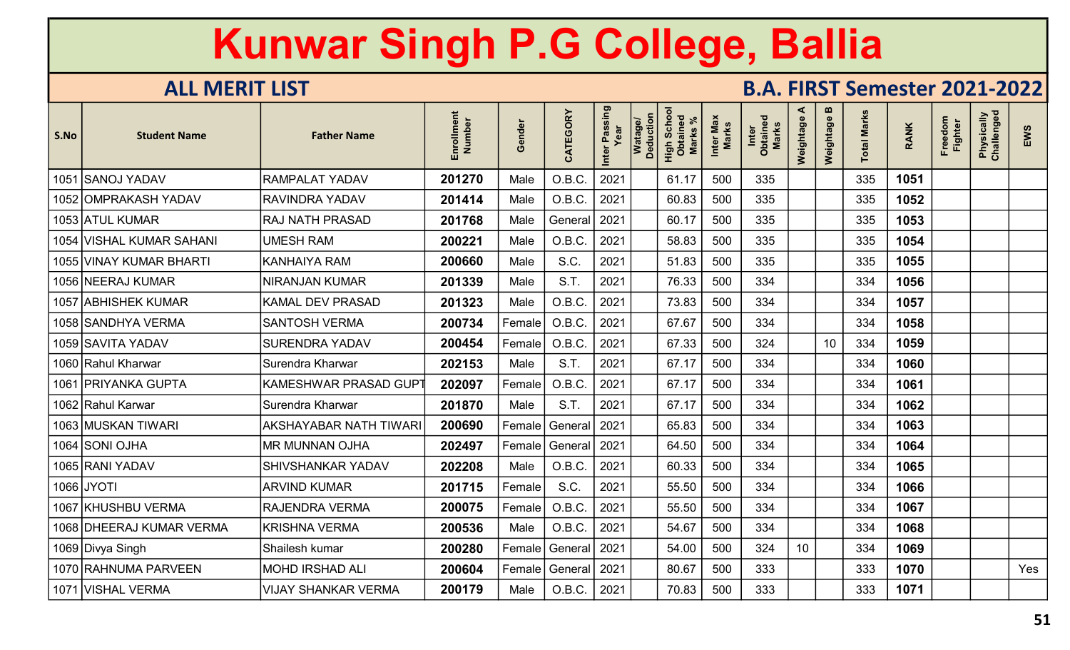| S.No | <b>Student Name</b>        | <b>Father Name</b>            | Enrollment<br><b>Number</b> | inder<br>$\boldsymbol{\omega}$<br>O | CATEGORY | Inter Passing | Watage/<br>Deduction | High Schoo<br>Obtained<br><b>Marks</b> | Inter Max<br>Marks | Inter<br>Obtained<br>Marks | ⋖<br>Weightage | m<br>Weightage | <b>Total Marks</b> | <b>RANK</b> | Freedom<br><b>Fighter</b> | Physically<br>Challenged | EWS |
|------|----------------------------|-------------------------------|-----------------------------|-------------------------------------|----------|---------------|----------------------|----------------------------------------|--------------------|----------------------------|----------------|----------------|--------------------|-------------|---------------------------|--------------------------|-----|
| 1051 | <b>SANOJ YADAV</b>         | <b>RAMPALAT YADAV</b>         | 201270                      | Male                                | O.B.C.   | 2021          |                      | 61.17                                  | 500                | 335                        |                |                | 335                | 1051        |                           |                          |     |
|      | 1052 OMPRAKASH YADAV       | <b>RAVINDRA YADAV</b>         | 201414                      | Male                                | O.B.C.   | 2021          |                      | 60.83                                  | 500                | 335                        |                |                | 335                | 1052        |                           |                          |     |
|      | 1053 ATUL KUMAR            | <b>RAJ NATH PRASAD</b>        | 201768                      | Male                                | General  | 2021          |                      | 60.17                                  | 500                | 335                        |                |                | 335                | 1053        |                           |                          |     |
| 1054 | <b>VISHAL KUMAR SAHANI</b> | UMESH RAM                     | 200221                      | Male                                | O.B.C.   | 2021          |                      | 58.83                                  | 500                | 335                        |                |                | 335                | 1054        |                           |                          |     |
|      | 1055 VINAY KUMAR BHARTI    | <b>KANHAIYA RAM</b>           | 200660                      | Male                                | S.C.     | 2021          |                      | 51.83                                  | 500                | 335                        |                |                | 335                | 1055        |                           |                          |     |
|      | 1056 NEERAJ KUMAR          | <b>NIRANJAN KUMAR</b>         | 201339                      | Male                                | S.T.     | 2021          |                      | 76.33                                  | 500                | 334                        |                |                | 334                | 1056        |                           |                          |     |
|      | 1057 ABHISHEK KUMAR        | <b>KAMAL DEV PRASAD</b>       | 201323                      | Male                                | O.B.C.   | 2021          |                      | 73.83                                  | 500                | 334                        |                |                | 334                | 1057        |                           |                          |     |
|      | 1058   SANDHYA VERMA       | <b>SANTOSH VERMA</b>          | 200734                      | Female                              | O.B.C.   | 2021          |                      | 67.67                                  | 500                | 334                        |                |                | 334                | 1058        |                           |                          |     |
|      | 1059 SAVITA YADAV          | <b>SURENDRA YADAV</b>         | 200454                      | Female                              | O.B.C.   | 2021          |                      | 67.33                                  | 500                | 324                        |                | 10             | 334                | 1059        |                           |                          |     |
|      | 1060 Rahul Kharwar         | Surendra Kharwar              | 202153                      | Male                                | S.T.     | 2021          |                      | 67.17                                  | 500                | 334                        |                |                | 334                | 1060        |                           |                          |     |
| 1061 | PRIYANKA GUPTA             | <b>KAMESHWAR PRASAD GUP</b>   | 202097                      | Female                              | O.B.C.   | 2021          |                      | 67.17                                  | 500                | 334                        |                |                | 334                | 1061        |                           |                          |     |
|      | 1062 Rahul Karwar          | Surendra Kharwar              | 201870                      | Male                                | S.T.     | 2021          |                      | 67.17                                  | 500                | 334                        |                |                | 334                | 1062        |                           |                          |     |
|      | 1063 MUSKAN TIWARI         | <b>AKSHAYABAR NATH TIWARI</b> | 200690                      | Female                              | General  | 2021          |                      | 65.83                                  | 500                | 334                        |                |                | 334                | 1063        |                           |                          |     |
|      | 1064 SONI OJHA             | <b>MR MUNNAN OJHA</b>         | 202497                      | Female                              | General  | 2021          |                      | 64.50                                  | 500                | 334                        |                |                | 334                | 1064        |                           |                          |     |
|      | 1065 RANI YADAV            | <b>SHIVSHANKAR YADAV</b>      | 202208                      | Male                                | O.B.C.   | 2021          |                      | 60.33                                  | 500                | 334                        |                |                | 334                | 1065        |                           |                          |     |
|      | 1066 JYOTI                 | <b>ARVIND KUMAR</b>           | 201715                      | $\mathsf{Female}\vert$              | S.C.     | 2021          |                      | 55.50                                  | 500                | 334                        |                |                | 334                | 1066        |                           |                          |     |
|      | 1067 KHUSHBU VERMA         | <b>RAJENDRA VERMA</b>         | 200075                      | $\sf Female $                       | O.B.C.   | 2021          |                      | 55.50                                  | 500                | 334                        |                |                | 334                | 1067        |                           |                          |     |
|      | 1068 DHEERAJ KUMAR VERMA   | <b>KRISHNA VERMA</b>          | 200536                      | Male                                | O.B.C.   | 2021          |                      | 54.67                                  | 500                | 334                        |                |                | 334                | 1068        |                           |                          |     |
|      | 1069 Divya Singh           | Shailesh kumar                | 200280                      | Female                              | General  | 2021          |                      | 54.00                                  | 500                | 324                        | 10             |                | 334                | 1069        |                           |                          |     |
|      | 1070 RAHNUMA PARVEEN       | MOHD IRSHAD ALI               | 200604                      | Female                              | General  | 2021          |                      | 80.67                                  | 500                | 333                        |                |                | 333                | 1070        |                           |                          | Yes |
|      | 1071 VISHAL VERMA          | <b>VIJAY SHANKAR VERMA</b>    | 200179                      | Male                                | O.B.C.   | 2021          |                      | 70.83                                  | 500                | 333                        |                |                | 333                | 1071        |                           |                          |     |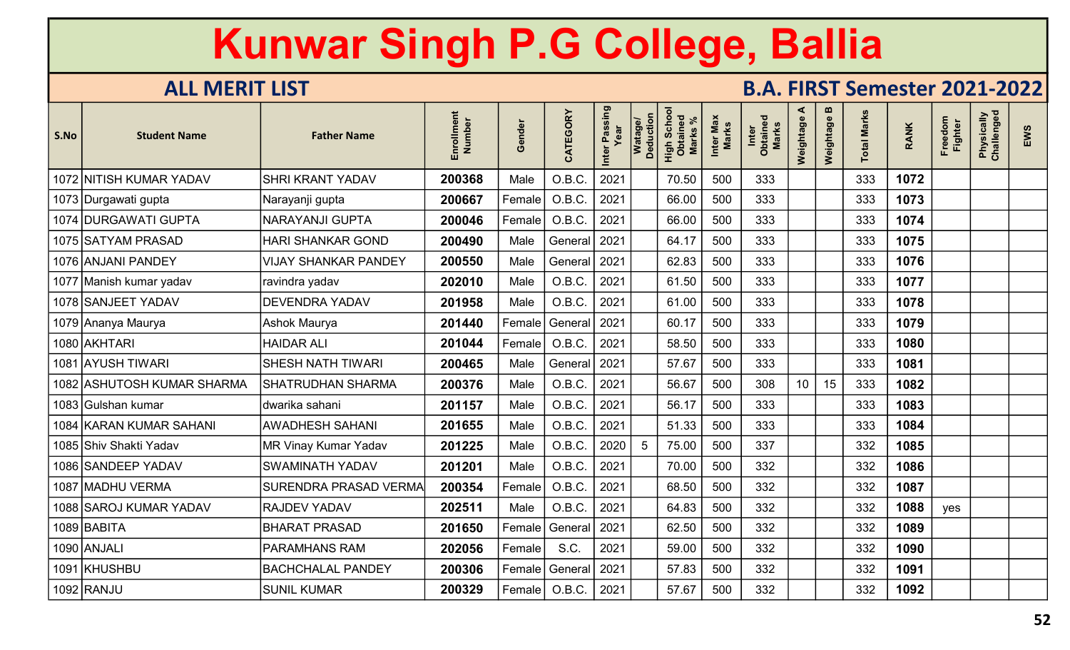| S.No | <b>Student Name</b>        | <b>Father Name</b>           | Enrollment<br>Number | Gender        | CATEGORY | Inter Passing<br>Year | Watage/<br>Deduction | Scho<br>High Scho<br><b>Marks</b> | Inter Max<br>Marks | Inter<br>Obtained<br><b>Marks</b> | ⋖<br>Weightage | m<br>Weightage | otal Marks | <b>RANK</b> | Freedom<br><b>Fighter</b> | Physically<br>Challenged | EWS |
|------|----------------------------|------------------------------|----------------------|---------------|----------|-----------------------|----------------------|-----------------------------------|--------------------|-----------------------------------|----------------|----------------|------------|-------------|---------------------------|--------------------------|-----|
|      | 1072 NITISH KUMAR YADAV    | <b>SHRI KRANT YADAV</b>      | 200368               | Male          | O.B.C.   | 2021                  |                      | 70.50                             | 500                | 333                               |                |                | 333        | 1072        |                           |                          |     |
|      | 1073 Durgawati gupta       | Narayanji gupta              | 200667               | Female        | O.B.C.   | 2021                  |                      | 66.00                             | 500                | 333                               |                |                | 333        | 1073        |                           |                          |     |
|      | 1074 DURGAWATI GUPTA       | NARAYANJI GUPTA              | 200046               | Female        | O.B.C.   | 2021                  |                      | 66.00                             | 500                | 333                               |                |                | 333        | 1074        |                           |                          |     |
|      | 1075 SATYAM PRASAD         | <b>HARI SHANKAR GOND</b>     | 200490               | Male          | General  | 2021                  |                      | 64.17                             | 500                | 333                               |                |                | 333        | 1075        |                           |                          |     |
|      | 1076 ANJANI PANDEY         | <b>VIJAY SHANKAR PANDEY</b>  | 200550               | Male          | General  | 2021                  |                      | 62.83                             | 500                | 333                               |                |                | 333        | 1076        |                           |                          |     |
|      | 1077 Manish kumar yadav    | ravindra yadav               | 202010               | Male          | O.B.C.   | 2021                  |                      | 61.50                             | 500                | 333                               |                |                | 333        | 1077        |                           |                          |     |
|      | 1078 SANJEET YADAV         | <b>DEVENDRA YADAV</b>        | 201958               | Male          | O.B.C.   | 2021                  |                      | 61.00                             | 500                | 333                               |                |                | 333        | 1078        |                           |                          |     |
|      | 1079  Ananya Maurya        | Ashok Maurya                 | 201440               | Female        | General  | 2021                  |                      | 60.17                             | 500                | 333                               |                |                | 333        | 1079        |                           |                          |     |
|      | 1080 AKHTARI               | <b>HAIDAR ALI</b>            | 201044               | Female        | O.B.C.   | 2021                  |                      | 58.50                             | 500                | 333                               |                |                | 333        | 1080        |                           |                          |     |
|      | 1081 AYUSH TIWARI          | <b>SHESH NATH TIWARI</b>     | 200465               | Male          | General  | 2021                  |                      | 57.67                             | 500                | 333                               |                |                | 333        | 1081        |                           |                          |     |
|      | 1082 ASHUTOSH KUMAR SHARMA | <b>SHATRUDHAN SHARMA</b>     | 200376               | Male          | O.B.C.   | 2021                  |                      | 56.67                             | 500                | 308                               | 10             | 15             | 333        | 1082        |                           |                          |     |
|      | 1083 Gulshan kumar         | dwarika sahani               | 201157               | Male          | O.B.C.   | 2021                  |                      | 56.17                             | 500                | 333                               |                |                | 333        | 1083        |                           |                          |     |
|      | 1084 KARAN KUMAR SAHANI    | <b>AWADHESH SAHANI</b>       | 201655               | Male          | O.B.C.   | 2021                  |                      | 51.33                             | 500                | 333                               |                |                | 333        | 1084        |                           |                          |     |
|      | 1085 Shiv Shakti Yadav     | MR Vinay Kumar Yadav         | 201225               | Male          | O.B.C.   | 2020                  | $5\phantom{1}$       | 75.00                             | 500                | 337                               |                |                | 332        | 1085        |                           |                          |     |
|      | 1086 SANDEEP YADAV         | <b>SWAMINATH YADAV</b>       | 201201               | Male          | O.B.C.   | 2021                  |                      | 70.00                             | 500                | 332                               |                |                | 332        | 1086        |                           |                          |     |
|      | 1087 MADHU VERMA           | <b>SURENDRA PRASAD VERMA</b> | 200354               | Female        | O.B.C.   | 2021                  |                      | 68.50                             | 500                | 332                               |                |                | 332        | 1087        |                           |                          |     |
|      | 1088 SAROJ KUMAR YADAV     | <b>RAJDEV YADAV</b>          | 202511               | Male          | O.B.C.   | 2021                  |                      | 64.83                             | 500                | 332                               |                |                | 332        | 1088        | yes                       |                          |     |
|      | 1089 BABITA                | <b>BHARAT PRASAD</b>         | 201650               | Female        | General  | 2021                  |                      | 62.50                             | 500                | 332                               |                |                | 332        | 1089        |                           |                          |     |
|      | 1090 ANJALI                | <b>PARAMHANS RAM</b>         | 202056               | $\sf Female $ | S.C.     | 2021                  |                      | 59.00                             | 500                | 332                               |                |                | 332        | 1090        |                           |                          |     |
| 1091 | KHUSHBU                    | <b>BACHCHALAL PANDEY</b>     | 200306               | Female        | General  | 2021                  |                      | 57.83                             | 500                | 332                               |                |                | 332        | 1091        |                           |                          |     |
|      | 1092 RANJU                 | <b>SUNIL KUMAR</b>           | 200329               | Female        | O.B.C.   | 2021                  |                      | 57.67                             | 500                | 332                               |                |                | 332        | 1092        |                           |                          |     |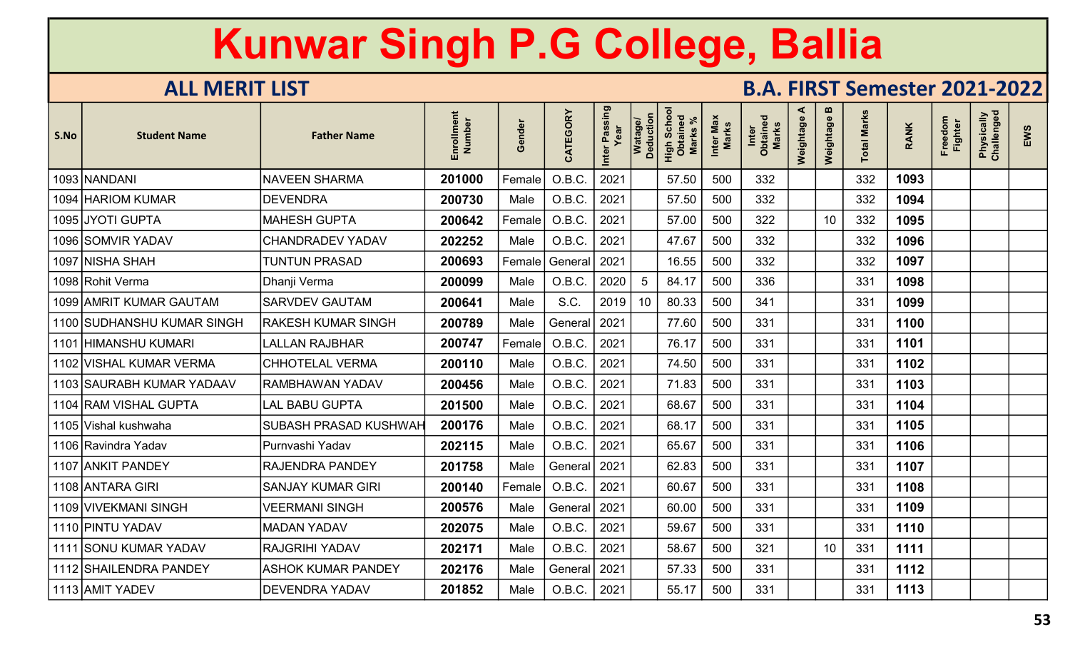| S.No | <b>Student Name</b>        | <b>Father Name</b>        | Enrollment<br>Number | inder<br>$\boldsymbol{\omega}$<br>O | CATEGORY | Passing<br>Inter | Watage/<br>Deduction | Scho<br>High Scho<br>Obtained<br><b>Marks</b> | Inter Max<br>Marks | <b>Marks</b><br>Inter<br>Obtaine | ⋖<br>Weightage | $\mathbf{m}$<br>Weightage | otal Marks | <b>RANK</b> | Freedom<br><b>Fighter</b> | Physically<br>Challenged | EWS |
|------|----------------------------|---------------------------|----------------------|-------------------------------------|----------|------------------|----------------------|-----------------------------------------------|--------------------|----------------------------------|----------------|---------------------------|------------|-------------|---------------------------|--------------------------|-----|
|      | 1093 NANDANI               | <b>NAVEEN SHARMA</b>      | 201000               | Female                              | O.B.C.   | 2021             |                      | 57.50                                         | 500                | 332                              |                |                           | 332        | 1093        |                           |                          |     |
| 1094 | <b>HARIOM KUMAR</b>        | <b>DEVENDRA</b>           | 200730               | Male                                | O.B.C.   | 2021             |                      | 57.50                                         | 500                | 332                              |                |                           | 332        | 1094        |                           |                          |     |
|      | 1095 JYOTI GUPTA           | <b>MAHESH GUPTA</b>       | 200642               | Female                              | O.B.C.   | 2021             |                      | 57.00                                         | 500                | 322                              |                | 10                        | 332        | 1095        |                           |                          |     |
|      | 1096 SOMVIR YADAV          | <b>CHANDRADEV YADAV</b>   | 202252               | Male                                | O.B.C.   | 2021             |                      | 47.67                                         | 500                | 332                              |                |                           | 332        | 1096        |                           |                          |     |
|      | 1097 NISHA SHAH            | <b>TUNTUN PRASAD</b>      | 200693               | Female                              | General  | 2021             |                      | 16.55                                         | 500                | 332                              |                |                           | 332        | 1097        |                           |                          |     |
|      | 1098 Rohit Verma           | Dhanji Verma              | 200099               | Male                                | O.B.C.   | 2020             | 5                    | 84.17                                         | 500                | 336                              |                |                           | 331        | 1098        |                           |                          |     |
|      | 1099 AMRIT KUMAR GAUTAM    | <b>SARVDEV GAUTAM</b>     | 200641               | Male                                | S.C.     | 2019             | 10                   | 80.33                                         | 500                | 341                              |                |                           | 331        | 1099        |                           |                          |     |
|      | 1100 SUDHANSHU KUMAR SINGH | <b>RAKESH KUMAR SINGH</b> | 200789               | Male                                | General  | 2021             |                      | 77.60                                         | 500                | 331                              |                |                           | 331        | 1100        |                           |                          |     |
| 1101 | <b>HIMANSHU KUMARI</b>     | <b>LALLAN RAJBHAR</b>     | 200747               | Female                              | O.B.C.   | 2021             |                      | 76.17                                         | 500                | 331                              |                |                           | 331        | 1101        |                           |                          |     |
|      | 1102 VISHAL KUMAR VERMA    | <b>CHHOTELAL VERMA</b>    | 200110               | Male                                | O.B.C.   | 2021             |                      | 74.50                                         | 500                | 331                              |                |                           | 331        | 1102        |                           |                          |     |
|      | 1103 SAURABH KUMAR YADAAV  | <b>RAMBHAWAN YADAV</b>    | 200456               | Male                                | O.B.C.   | 2021             |                      | 71.83                                         | 500                | 331                              |                |                           | 331        | 1103        |                           |                          |     |
|      | 1104 RAM VISHAL GUPTA      | LAL BABU GUPTA            | 201500               | Male                                | O.B.C.   | 2021             |                      | 68.67                                         | 500                | 331                              |                |                           | 331        | 1104        |                           |                          |     |
|      | 1105 Vishal kushwaha       | SUBASH PRASAD KUSHWAH     | 200176               | Male                                | O.B.C.   | 2021             |                      | 68.17                                         | 500                | 331                              |                |                           | 331        | 1105        |                           |                          |     |
|      | 1106 Ravindra Yadav        | Purnvashi Yadav           | 202115               | Male                                | O.B.C.   | 2021             |                      | 65.67                                         | 500                | 331                              |                |                           | 331        | 1106        |                           |                          |     |
|      | 1107 ANKIT PANDEY          | <b>RAJENDRA PANDEY</b>    | 201758               | Male                                | General  | 2021             |                      | 62.83                                         | 500                | 331                              |                |                           | 331        | 1107        |                           |                          |     |
|      | 1108 ANTARA GIRI           | <b>SANJAY KUMAR GIRI</b>  | 200140               | Female                              | O.B.C.   | 2021             |                      | 60.67                                         | 500                | 331                              |                |                           | 331        | 1108        |                           |                          |     |
|      | 1109 VIVEKMANI SINGH       | VEERMANI SINGH            | 200576               | Male                                | General  | 2021             |                      | 60.00                                         | 500                | 331                              |                |                           | 331        | 1109        |                           |                          |     |
|      | 1110 PINTU YADAV           | <b>MADAN YADAV</b>        | 202075               | Male                                | O.B.C.   | 2021             |                      | 59.67                                         | 500                | 331                              |                |                           | 331        | 1110        |                           |                          |     |
|      | 1111 SONU KUMAR YADAV      | <b>RAJGRIHI YADAV</b>     | 202171               | Male                                | O.B.C.   | 2021             |                      | 58.67                                         | 500                | 321                              |                | 10                        | 331        | 1111        |                           |                          |     |
|      | 1112 SHAILENDRA PANDEY     | <b>ASHOK KUMAR PANDEY</b> | 202176               | Male                                | General  | 2021             |                      | 57.33                                         | 500                | 331                              |                |                           | 331        | 1112        |                           |                          |     |
|      | 1113 AMIT YADEV            | DEVENDRA YADAV            | 201852               | Male                                | O.B.C.   | 2021             |                      | 55.17                                         | 500                | 331                              |                |                           | 331        | 1113        |                           |                          |     |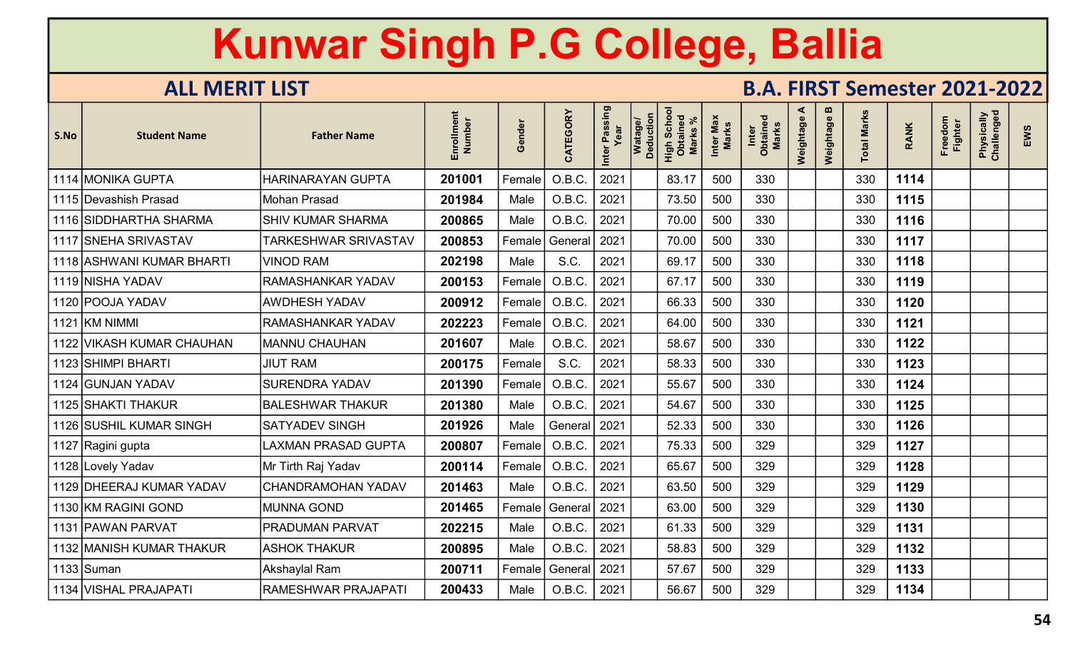| S.No | <b>Student Name</b>       | <b>Father Name</b>          | ξ<br>Number<br>Enrollm | iender<br>O | CATEGORY | Inter Passing<br>Year | Watage/<br>Deduction | Scho<br>High Scho<br>Obtaineo<br><b>Marks</b> | Inter Max<br>Marks | Inter<br>Obtained<br><b>Marks</b> | ⋖<br>Weightage | m<br>Weightage | <b>Total Marks</b> | <b>RANK</b> | Freedom<br><b>Fighter</b> | Physically<br>Challenged | EWS |
|------|---------------------------|-----------------------------|------------------------|-------------|----------|-----------------------|----------------------|-----------------------------------------------|--------------------|-----------------------------------|----------------|----------------|--------------------|-------------|---------------------------|--------------------------|-----|
| 1114 | <b>MONIKA GUPTA</b>       | HARINARAYAN GUPTA           | 201001                 | Female      | O.B.C.   | 2021                  |                      | 83.17                                         | 500                | 330                               |                |                | 330                | 1114        |                           |                          |     |
|      | 1115 Devashish Prasad     | <b>Mohan Prasad</b>         | 201984                 | Male        | O.B.C.   | 2021                  |                      | 73.50                                         | 500                | 330                               |                |                | 330                | 1115        |                           |                          |     |
|      | 1116 SIDDHARTHA SHARMA    | <b>SHIV KUMAR SHARMA</b>    | 200865                 | Male        | O.B.C.   | 2021                  |                      | 70.00                                         | 500                | 330                               |                |                | 330                | 1116        |                           |                          |     |
|      | 1117 SNEHA SRIVASTAV      | <b>TARKESHWAR SRIVASTAV</b> | 200853                 | Female      | General  | 2021                  |                      | 70.00                                         | 500                | 330                               |                |                | 330                | 1117        |                           |                          |     |
|      | 1118 ASHWANI KUMAR BHARTI | <b>VINOD RAM</b>            | 202198                 | Male        | S.C.     | 2021                  |                      | 69.17                                         | 500                | 330                               |                |                | 330                | 1118        |                           |                          |     |
|      | 1119 NISHA YADAV          | RAMASHANKAR YADAV           | 200153                 | Female      | O.B.C.   | 2021                  |                      | 67.17                                         | 500                | 330                               |                |                | 330                | 1119        |                           |                          |     |
|      | 1120 POOJA YADAV          | <b>AWDHESH YADAV</b>        | 200912                 | Female      | O.B.C.   | 2021                  |                      | 66.33                                         | 500                | 330                               |                |                | 330                | 1120        |                           |                          |     |
|      | 1121 KM NIMMI             | RAMASHANKAR YADAV           | 202223                 | Female      | O.B.C.   | 2021                  |                      | 64.00                                         | 500                | 330                               |                |                | 330                | 1121        |                           |                          |     |
|      | 1122 VIKASH KUMAR CHAUHAN | <b>MANNU CHAUHAN</b>        | 201607                 | Male        | O.B.C.   | 2021                  |                      | 58.67                                         | 500                | 330                               |                |                | 330                | 1122        |                           |                          |     |
|      | 1123 SHIMPI BHARTI        | <b>JIUT RAM</b>             | 200175                 | Female      | S.C.     | 2021                  |                      | 58.33                                         | 500                | 330                               |                |                | 330                | 1123        |                           |                          |     |
|      | 1124 GUNJAN YADAV         | <b>SURENDRA YADAV</b>       | 201390                 | Female      | O.B.C.   | 2021                  |                      | 55.67                                         | 500                | 330                               |                |                | 330                | 1124        |                           |                          |     |
|      | 1125 SHAKTI THAKUR        | <b>BALESHWAR THAKUR</b>     | 201380                 | Male        | O.B.C.   | 2021                  |                      | 54.67                                         | 500                | 330                               |                |                | 330                | 1125        |                           |                          |     |
|      | 1126 SUSHIL KUMAR SINGH   | <b>SATYADEV SINGH</b>       | 201926                 | Male        | General  | 2021                  |                      | 52.33                                         | 500                | 330                               |                |                | 330                | 1126        |                           |                          |     |
|      | 1127 Ragini gupta         | LAXMAN PRASAD GUPTA         | 200807                 | Female      | O.B.C.   | 2021                  |                      | 75.33                                         | 500                | 329                               |                |                | 329                | 1127        |                           |                          |     |
|      | 1128 Lovely Yadav         | Mr Tirth Raj Yadav          | 200114                 | Female      | O.B.C.   | 2021                  |                      | 65.67                                         | 500                | 329                               |                |                | 329                | 1128        |                           |                          |     |
|      | 1129 DHEERAJ KUMAR YADAV  | CHANDRAMOHAN YADAV          | 201463                 | Male        | O.B.C.   | 2021                  |                      | 63.50                                         | 500                | 329                               |                |                | 329                | 1129        |                           |                          |     |
|      | 1130 KM RAGINI GOND       | <b>MUNNA GOND</b>           | 201465                 | Female      | General  | 2021                  |                      | 63.00                                         | 500                | 329                               |                |                | 329                | 1130        |                           |                          |     |
|      | 1131 PAWAN PARVAT         | <b>PRADUMAN PARVAT</b>      | 202215                 | Male        | O.B.C.   | 2021                  |                      | 61.33                                         | 500                | 329                               |                |                | 329                | 1131        |                           |                          |     |
|      | 1132 MANISH KUMAR THAKUR  | <b>ASHOK THAKUR</b>         | 200895                 | Male        | O.B.C.   | 2021                  |                      | 58.83                                         | 500                | 329                               |                |                | 329                | 1132        |                           |                          |     |
|      | $1133$ Suman              | Akshaylal Ram               | 200711                 | Female      | General  | 2021                  |                      | 57.67                                         | 500                | 329                               |                |                | 329                | 1133        |                           |                          |     |
|      | 1134 VISHAL PRAJAPATI     | RAMESHWAR PRAJAPATI         | 200433                 | Male        | O.B.C.   | 2021                  |                      | 56.67                                         | 500                | 329                               |                |                | 329                | 1134        |                           |                          |     |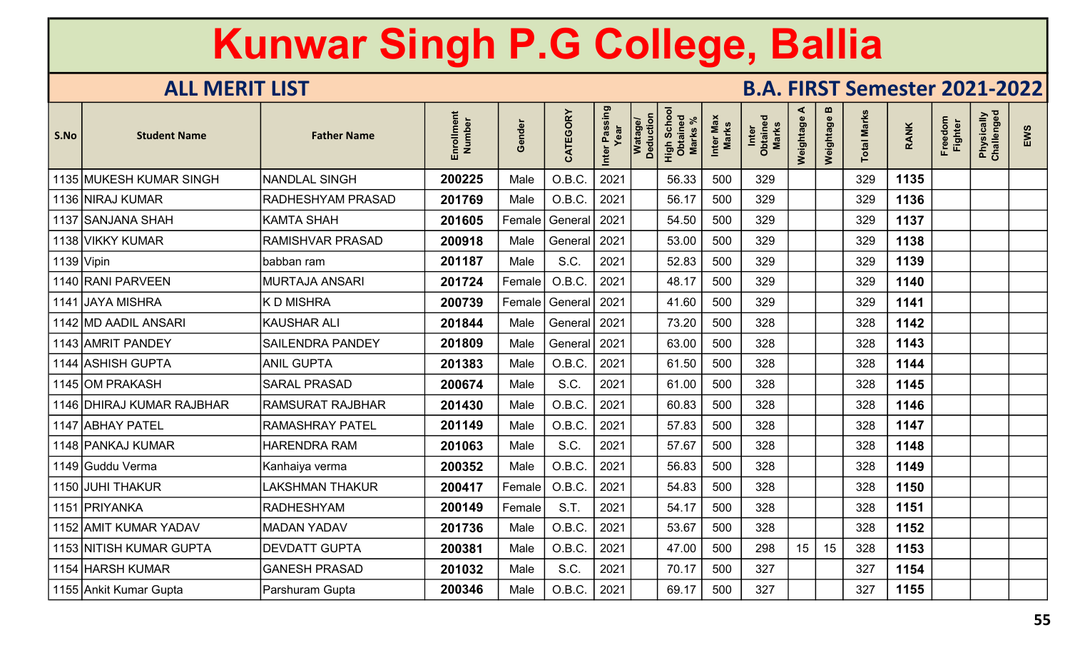| S.No         | <b>Student Name</b>       | <b>Father Name</b>       | Enrollment<br>Number | iender<br>O   | CATEGORY | Inter Passing<br>Year | Watage/<br>Deduction | <b>Scho</b><br>High Scho<br>Obtained<br><b>Marks</b> | Inter Max<br>Marks | Inter<br>Obtained<br><b>Marks</b> | ⋖<br>Weightage | m<br>Weightage | <b>Total Marks</b> | <b>RANK</b> | Freedom<br><b>Fighter</b> | Physically<br>Challenged | EWS |
|--------------|---------------------------|--------------------------|----------------------|---------------|----------|-----------------------|----------------------|------------------------------------------------------|--------------------|-----------------------------------|----------------|----------------|--------------------|-------------|---------------------------|--------------------------|-----|
|              | 1135 MUKESH KUMAR SINGH   | <b>NANDLAL SINGH</b>     | 200225               | Male          | O.B.C.   | 2021                  |                      | 56.33                                                | 500                | 329                               |                |                | 329                | 1135        |                           |                          |     |
|              | 1136 NIRAJ KUMAR          | <b>RADHESHYAM PRASAD</b> | 201769               | Male          | O.B.C.   | 2021                  |                      | 56.17                                                | 500                | 329                               |                |                | 329                | 1136        |                           |                          |     |
|              | 1137 SANJANA SHAH         | <b>KAMTA SHAH</b>        | 201605               | Female        | General  | 2021                  |                      | 54.50                                                | 500                | 329                               |                |                | 329                | 1137        |                           |                          |     |
|              | 1138 VIKKY KUMAR          | <b>RAMISHVAR PRASAD</b>  | 200918               | Male          | General  | 2021                  |                      | 53.00                                                | 500                | 329                               |                |                | 329                | 1138        |                           |                          |     |
| $1139$ Vipin |                           | babban ram               | 201187               | Male          | S.C.     | 2021                  |                      | 52.83                                                | 500                | 329                               |                |                | 329                | 1139        |                           |                          |     |
|              | 1140 RANI PARVEEN         | MURTAJA ANSARI           | 201724               | Female        | O.B.C.   | 2021                  |                      | 48.17                                                | 500                | 329                               |                |                | 329                | 1140        |                           |                          |     |
|              | 1141 JAYA MISHRA          | <b>KD MISHRA</b>         | 200739               | Female        | General  | 2021                  |                      | 41.60                                                | 500                | 329                               |                |                | 329                | 1141        |                           |                          |     |
|              | 1142 MD AADIL ANSARI      | <b>KAUSHAR ALI</b>       | 201844               | Male          | General  | 2021                  |                      | 73.20                                                | 500                | 328                               |                |                | 328                | 1142        |                           |                          |     |
|              | 1143 AMRIT PANDEY         | <b>SAILENDRA PANDEY</b>  | 201809               | Male          | General  | 2021                  |                      | 63.00                                                | 500                | 328                               |                |                | 328                | 1143        |                           |                          |     |
|              | 1144 ASHISH GUPTA         | <b>ANIL GUPTA</b>        | 201383               | Male          | O.B.C.   | 2021                  |                      | 61.50                                                | 500                | 328                               |                |                | 328                | 1144        |                           |                          |     |
|              | 1145 OM PRAKASH           | <b>SARAL PRASAD</b>      | 200674               | Male          | S.C.     | 2021                  |                      | 61.00                                                | 500                | 328                               |                |                | 328                | 1145        |                           |                          |     |
|              | 1146 DHIRAJ KUMAR RAJBHAR | <b>RAMSURAT RAJBHAR</b>  | 201430               | Male          | O.B.C.   | 2021                  |                      | 60.83                                                | 500                | 328                               |                |                | 328                | 1146        |                           |                          |     |
|              | 1147 ABHAY PATEL          | <b>RAMASHRAY PATEL</b>   | 201149               | Male          | O.B.C.   | 2021                  |                      | 57.83                                                | 500                | 328                               |                |                | 328                | 1147        |                           |                          |     |
|              | 1148 PANKAJ KUMAR         | <b>HARENDRA RAM</b>      | 201063               | Male          | S.C.     | 2021                  |                      | 57.67                                                | 500                | 328                               |                |                | 328                | 1148        |                           |                          |     |
|              | 1149 Guddu Verma          | Kanhaiya verma           | 200352               | Male          | O.B.C.   | 2021                  |                      | 56.83                                                | 500                | 328                               |                |                | 328                | 1149        |                           |                          |     |
|              | 1150 JUHI THAKUR          | LAKSHMAN THAKUR          | 200417               | Female        | O.B.C.   | 2021                  |                      | 54.83                                                | 500                | 328                               |                |                | 328                | 1150        |                           |                          |     |
| 1151         | <b>PRIYANKA</b>           | <b>RADHESHYAM</b>        | 200149               | $\sf Female $ | S.T.     | 2021                  |                      | 54.17                                                | 500                | 328                               |                |                | 328                | 1151        |                           |                          |     |
|              | 1152 AMIT KUMAR YADAV     | <b>MADAN YADAV</b>       | 201736               | Male          | O.B.C.   | 2021                  |                      | 53.67                                                | 500                | 328                               |                |                | 328                | 1152        |                           |                          |     |
|              | 1153 NITISH KUMAR GUPTA   | <b>DEVDATT GUPTA</b>     | 200381               | Male          | O.B.C.   | 2021                  |                      | 47.00                                                | 500                | 298                               | 15             | 15             | 328                | 1153        |                           |                          |     |
|              | 1154 HARSH KUMAR          | <b>GANESH PRASAD</b>     | 201032               | Male          | S.C.     | 2021                  |                      | 70.17                                                | 500                | 327                               |                |                | 327                | 1154        |                           |                          |     |
|              | 1155 Ankit Kumar Gupta    | Parshuram Gupta          | 200346               | Male          | O.B.C.   | 2021                  |                      | 69.17                                                | 500                | 327                               |                |                | 327                | 1155        |                           |                          |     |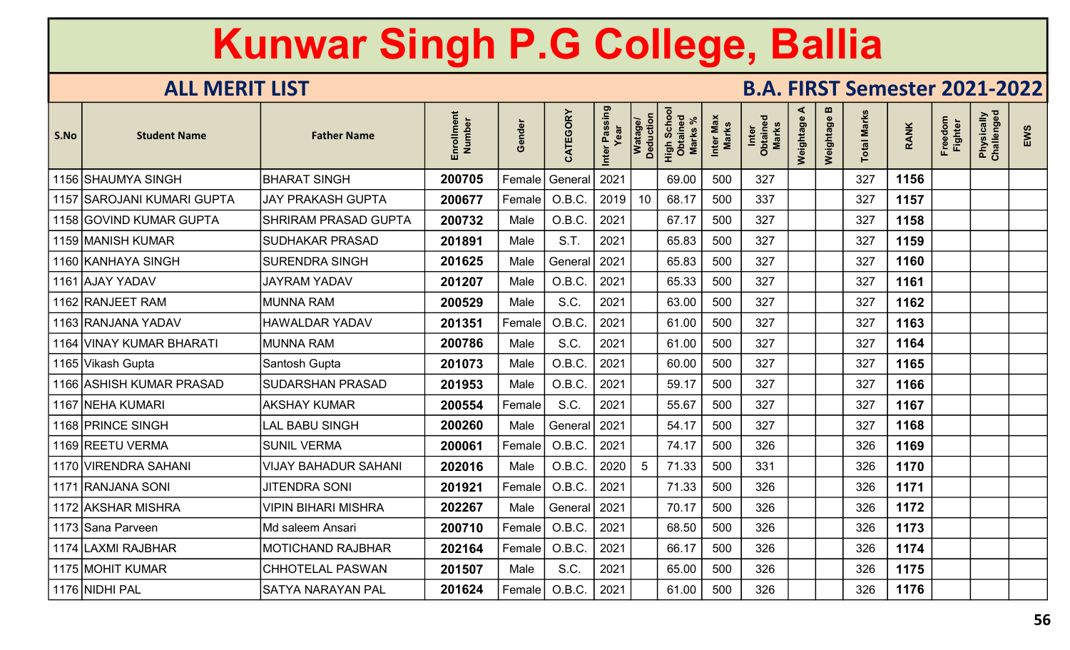| S.No | <b>Student Name</b>        | <b>Father Name</b>          | Enrollment<br>Number | Gender  | CATEGORY | Inter Passing<br>Year | Watage/<br>Deduction | Schor<br>High Scho<br>Obtained<br><b>Marks</b> | Inter Max<br><b>Marks</b> | Inter<br>Obtained<br>Marks | ⋖<br>Weightage | m<br>Weightage | otal Marks | <b>RANK</b> | Freedom<br><b>Fighter</b> | Physically<br>Challenged | EWS |
|------|----------------------------|-----------------------------|----------------------|---------|----------|-----------------------|----------------------|------------------------------------------------|---------------------------|----------------------------|----------------|----------------|------------|-------------|---------------------------|--------------------------|-----|
|      | 1156 SHAUMYA SINGH         | <b>BHARAT SINGH</b>         | 200705               | Female  | General  | 2021                  |                      | 69.00                                          | 500                       | 327                        |                |                | 327        | 1156        |                           |                          |     |
|      | 1157 SAROJANI KUMARI GUPTA | <b>JAY PRAKASH GUPTA</b>    | 200677               | Female  | O.B.C.   | 2019                  | 10 <sup>°</sup>      | 68.17                                          | 500                       | 337                        |                |                | 327        | 1157        |                           |                          |     |
|      | 1158 GOVIND KUMAR GUPTA    | <b>SHRIRAM PRASAD GUPTA</b> | 200732               | Male    | O.B.C.   | 2021                  |                      | 67.17                                          | 500                       | 327                        |                |                | 327        | 1158        |                           |                          |     |
|      | 1159 MANISH KUMAR          | <b>SUDHAKAR PRASAD</b>      | 201891               | Male    | S.T.     | 2021                  |                      | 65.83                                          | 500                       | 327                        |                |                | 327        | 1159        |                           |                          |     |
|      | 1160 KANHAYA SINGH         | <b>SURENDRA SINGH</b>       | 201625               | Male    | General  | 2021                  |                      | 65.83                                          | 500                       | 327                        |                |                | 327        | 1160        |                           |                          |     |
|      | 1161 AJAY YADAV            | <b>JAYRAM YADAV</b>         | 201207               | Male    | O.B.C.   | 2021                  |                      | 65.33                                          | 500                       | 327                        |                |                | 327        | 1161        |                           |                          |     |
|      | 1162 RANJEET RAM           | <b>MUNNA RAM</b>            | 200529               | Male    | S.C.     | 2021                  |                      | 63.00                                          | 500                       | 327                        |                |                | 327        | 1162        |                           |                          |     |
|      | 1163 RANJANA YADAV         | <b>HAWALDAR YADAV</b>       | 201351               | Female! | O.B.C.   | 2021                  |                      | 61.00                                          | 500                       | 327                        |                |                | 327        | 1163        |                           |                          |     |
|      | 1164 VINAY KUMAR BHARATI   | <b>MUNNA RAM</b>            | 200786               | Male    | S.C.     | 2021                  |                      | 61.00                                          | 500                       | 327                        |                |                | 327        | 1164        |                           |                          |     |
|      | 1165 Vikash Gupta          | Santosh Gupta               | 201073               | Male    | O.B.C.   | 2021                  |                      | 60.00                                          | 500                       | 327                        |                |                | 327        | 1165        |                           |                          |     |
|      | 1166 ASHISH KUMAR PRASAD   | SUDARSHAN PRASAD            | 201953               | Male    | O.B.C.   | 2021                  |                      | 59.17                                          | 500                       | 327                        |                |                | 327        | 1166        |                           |                          |     |
|      | 1167 NEHA KUMARI           | <b>AKSHAY KUMAR</b>         | 200554               | Female  | S.C.     | 2021                  |                      | 55.67                                          | 500                       | 327                        |                |                | 327        | 1167        |                           |                          |     |
|      | 1168 PRINCE SINGH          | <b>LAL BABU SINGH</b>       | 200260               | Male    | General  | 2021                  |                      | 54.17                                          | 500                       | 327                        |                |                | 327        | 1168        |                           |                          |     |
|      | 1169 REETU VERMA           | <b>SUNIL VERMA</b>          | 200061               | Female  | O.B.C    | 2021                  |                      | 74.17                                          | 500                       | 326                        |                |                | 326        | 1169        |                           |                          |     |
|      | 1170 VIRENDRA SAHANI       | <b>VIJAY BAHADUR SAHANI</b> | 202016               | Male    | O.B.C.   | 2020                  | 5                    | 71.33                                          | 500                       | 331                        |                |                | 326        | 1170        |                           |                          |     |
|      | 1171 RANJANA SONI          | <b>JITENDRA SONI</b>        | 201921               | Female  | O.B.C    | 2021                  |                      | 71.33                                          | 500                       | 326                        |                |                | 326        | 1171        |                           |                          |     |
|      | 1172 AKSHAR MISHRA         | <b>VIPIN BIHARI MISHRA</b>  | 202267               | Male    | General  | 2021                  |                      | 70.17                                          | 500                       | 326                        |                |                | 326        | 1172        |                           |                          |     |
|      | 1173 Sana Parveen          | Md saleem Ansari            | 200710               | Female  | O.B.C.   | 2021                  |                      | 68.50                                          | 500                       | 326                        |                |                | 326        | 1173        |                           |                          |     |
|      | 1174 LAXMI RAJBHAR         | <b>MOTICHAND RAJBHAR</b>    | 202164               | Female! | O.B.C.   | 2021                  |                      | 66.17                                          | 500                       | 326                        |                |                | 326        | 1174        |                           |                          |     |
|      | 1175 MOHIT KUMAR           | <b>CHHOTELAL PASWAN</b>     | 201507               | Male    | S.C.     | 2021                  |                      | 65.00                                          | 500                       | 326                        |                |                | 326        | 1175        |                           |                          |     |
|      | 1176 NIDHI PAL             | <b>SATYA NARAYAN PAL</b>    | 201624               | Female  | O.B.C.   | 2021                  |                      | 61.00                                          | 500                       | 326                        |                |                | 326        | 1176        |                           |                          |     |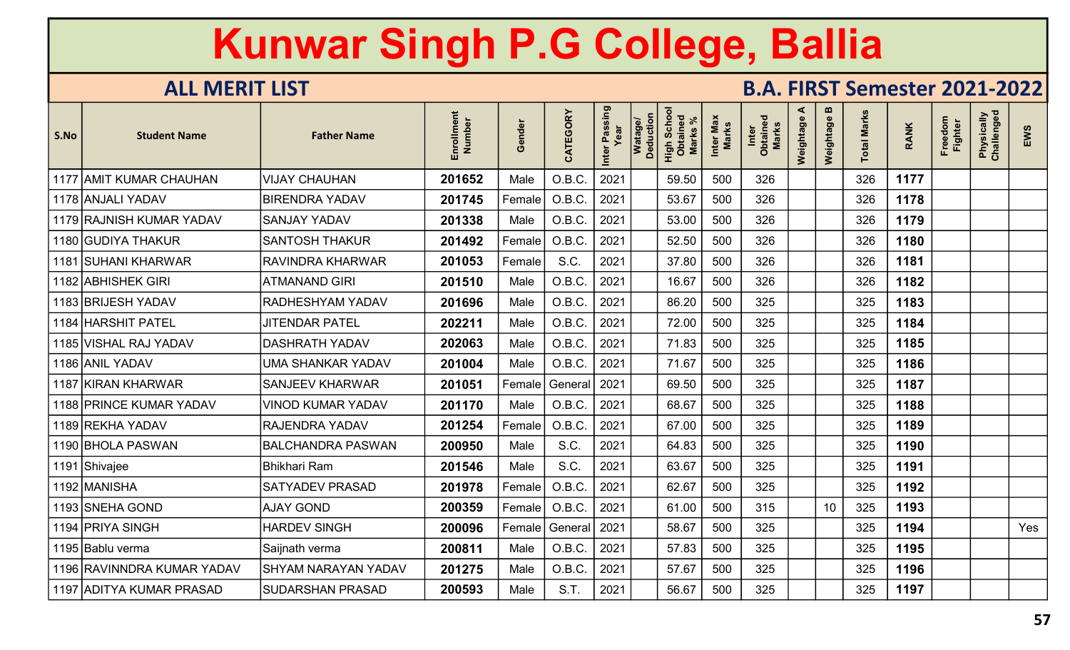| S.No | <b>Student Name</b>        | <b>Father Name</b>         | Enrollment<br>Number | iender<br>O | CATEGORY | Inter Passing<br>Year | Watage/<br>Deduction<br><b>Scho</b> | High Scho<br>Obtained<br><b>Marks</b> | Inter Max<br>Marks | Inter<br>Obtained<br>Marks | ⋖<br>Weightage | m<br>Weightage | otal Marks | <b>RANK</b> | Freedom<br><b>Fighter</b> | Physically<br>Challenged | EWS |
|------|----------------------------|----------------------------|----------------------|-------------|----------|-----------------------|-------------------------------------|---------------------------------------|--------------------|----------------------------|----------------|----------------|------------|-------------|---------------------------|--------------------------|-----|
|      | 1177 AMIT KUMAR CHAUHAN    | <b>VIJAY CHAUHAN</b>       | 201652               | Male        | O.B.C.   | 2021                  |                                     | 59.50                                 | 500                | 326                        |                |                | 326        | 1177        |                           |                          |     |
|      | 1178 ANJALI YADAV          | <b>BIRENDRA YADAV</b>      | 201745               | Female      | O.B.C.   | 2021                  |                                     | 53.67                                 | 500                | 326                        |                |                | 326        | 1178        |                           |                          |     |
|      | 1179 RAJNISH KUMAR YADAV   | <b>SANJAY YADAV</b>        | 201338               | Male        | O.B.C    | 2021                  |                                     | 53.00                                 | 500                | 326                        |                |                | 326        | 1179        |                           |                          |     |
|      | 1180 GUDIYA THAKUR         | <b>SANTOSH THAKUR</b>      | 201492               | Female      | O.B.C.   | 2021                  |                                     | 52.50                                 | 500                | 326                        |                |                | 326        | 1180        |                           |                          |     |
|      | 1181 SUHANI KHARWAR        | RAVINDRA KHARWAR           | 201053               | Female      | S.C.     | 2021                  |                                     | 37.80                                 | 500                | 326                        |                |                | 326        | 1181        |                           |                          |     |
|      | 1182 ABHISHEK GIRI         | <b>ATMANAND GIRI</b>       | 201510               | Male        | O.B.C.   | 2021                  |                                     | 16.67                                 | 500                | 326                        |                |                | 326        | 1182        |                           |                          |     |
|      | 1183 BRIJESH YADAV         | RADHESHYAM YADAV           | 201696               | Male        | O.B.C.   | 2021                  |                                     | 86.20                                 | 500                | 325                        |                |                | 325        | 1183        |                           |                          |     |
|      | 1184 HARSHIT PATEL         | <b>JITENDAR PATEL</b>      | 202211               | Male        | O.B.C.   | 2021                  |                                     | 72.00                                 | 500                | 325                        |                |                | 325        | 1184        |                           |                          |     |
|      | 1185 VISHAL RAJ YADAV      | <b>DASHRATH YADAV</b>      | 202063               | Male        | O.B.C.   | 2021                  |                                     | 71.83                                 | 500                | 325                        |                |                | 325        | 1185        |                           |                          |     |
|      | 1186 ANIL YADAV            | <b>UMA SHANKAR YADAV</b>   | 201004               | Male        | O.B.C.   | 2021                  |                                     | 71.67                                 | 500                | 325                        |                |                | 325        | 1186        |                           |                          |     |
|      | 1187 KIRAN KHARWAR         | <b>SANJEEV KHARWAR</b>     | 201051               | Female      | General  | 2021                  |                                     | 69.50                                 | 500                | 325                        |                |                | 325        | 1187        |                           |                          |     |
|      | 1188 PRINCE KUMAR YADAV    | <b>VINOD KUMAR YADAV</b>   | 201170               | Male        | O.B.C.   | 2021                  |                                     | 68.67                                 | 500                | 325                        |                |                | 325        | 1188        |                           |                          |     |
|      | 1189 REKHA YADAV           | RAJENDRA YADAV             | 201254               | Female!     | O.B.C.   | 2021                  |                                     | 67.00                                 | 500                | 325                        |                |                | 325        | 1189        |                           |                          |     |
|      | 1190 BHOLA PASWAN          | <b>BALCHANDRA PASWAN</b>   | 200950               | Male        | S.C.     | 2021                  |                                     | 64.83                                 | 500                | 325                        |                |                | 325        | 1190        |                           |                          |     |
|      | 1191 Shivajee              | Bhikhari Ram               | 201546               | Male        | S.C.     | 2021                  |                                     | 63.67                                 | 500                | 325                        |                |                | 325        | 1191        |                           |                          |     |
|      | 1192 MANISHA               | <b>SATYADEV PRASAD</b>     | 201978               | Female      | O.B.C    | 2021                  |                                     | 62.67                                 | 500                | 325                        |                |                | 325        | 1192        |                           |                          |     |
|      | 1193 SNEHA GOND            | <b>AJAY GOND</b>           | 200359               | Female      | O.B.C.   | 2021                  |                                     | 61.00                                 | 500                | 315                        |                | 10             | 325        | 1193        |                           |                          |     |
|      | 1194 PRIYA SINGH           | <b>HARDEV SINGH</b>        | 200096               | Female      | General  | 2021                  |                                     | 58.67                                 | 500                | 325                        |                |                | 325        | 1194        |                           |                          | Yes |
|      | 1195 Bablu verma           | Saijnath verma             | 200811               | Male        | O.B.C.   | 2021                  |                                     | 57.83                                 | 500                | 325                        |                |                | 325        | 1195        |                           |                          |     |
|      | 1196 RAVINNDRA KUMAR YADAV | <b>SHYAM NARAYAN YADAV</b> | 201275               | Male        | O.B.C.   | 2021                  |                                     | 57.67                                 | 500                | 325                        |                |                | 325        | 1196        |                           |                          |     |
|      | 1197 ADITYA KUMAR PRASAD   | <b>SUDARSHAN PRASAD</b>    | 200593               | Male        | S.T.     | 2021                  |                                     | 56.67                                 | 500                | 325                        |                |                | 325        | 1197        |                           |                          |     |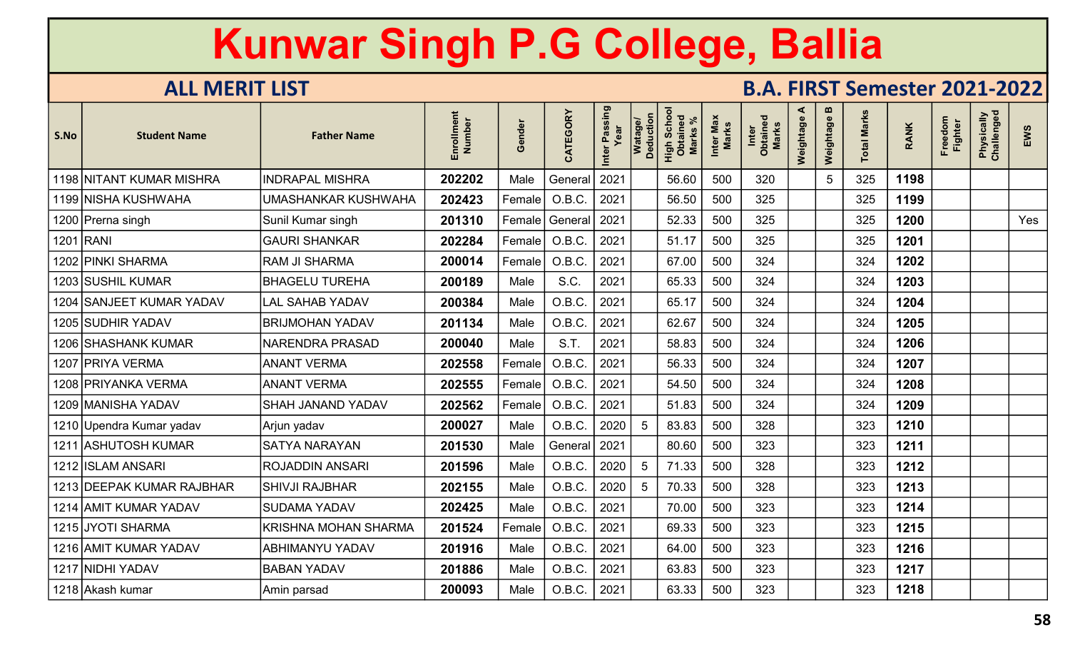| S.No | <b>Student Name</b>       | <b>Father Name</b>          | Enrollment<br>Number | Gender | CATEGORY | Inter Passing<br>Year | Watage/<br>Deduction | Schor<br>High Scho<br>Obtaineo<br><b>Marks</b> | Inter Max<br>Marks | Inter<br>Obtained<br>Marks | ⋖<br>Weightage | $\boldsymbol{\omega}$<br>Weightage | otal Marks | <b>RANK</b> | Freedom<br><b>Fighter</b> | Physically<br>Challenged | EWS |
|------|---------------------------|-----------------------------|----------------------|--------|----------|-----------------------|----------------------|------------------------------------------------|--------------------|----------------------------|----------------|------------------------------------|------------|-------------|---------------------------|--------------------------|-----|
|      | 1198 NITANT KUMAR MISHRA  | <b>INDRAPAL MISHRA</b>      | 202202               | Male   | General  | 2021                  |                      | 56.60                                          | 500                | 320                        |                | $5\overline{)}$                    | 325        | 1198        |                           |                          |     |
|      | 1199 NISHA KUSHWAHA       | UMASHANKAR KUSHWAHA         | 202423               | Female | O.B.C.   | 2021                  |                      | 56.50                                          | 500                | 325                        |                |                                    | 325        | 1199        |                           |                          |     |
|      | 1200 Prerna singh         | Sunil Kumar singh           | 201310               | Female | General  | 2021                  |                      | 52.33                                          | 500                | 325                        |                |                                    | 325        | 1200        |                           |                          | Yes |
|      | 1201 RANI                 | <b>GAURI SHANKAR</b>        | 202284               | Female | O.B.C    | 2021                  |                      | 51.17                                          | 500                | 325                        |                |                                    | 325        | 1201        |                           |                          |     |
|      | 1202 PINKI SHARMA         | <b>RAM JI SHARMA</b>        | 200014               | Female | O.B.C    | 2021                  |                      | 67.00                                          | 500                | 324                        |                |                                    | 324        | 1202        |                           |                          |     |
|      | 1203 SUSHIL KUMAR         | <b>BHAGELU TUREHA</b>       | 200189               | Male   | S.C.     | 2021                  |                      | 65.33                                          | 500                | 324                        |                |                                    | 324        | 1203        |                           |                          |     |
|      | 1204 SANJEET KUMAR YADAV  | <b>LAL SAHAB YADAV</b>      | 200384               | Male   | O.B.C.   | 2021                  |                      | 65.17                                          | 500                | 324                        |                |                                    | 324        | 1204        |                           |                          |     |
|      | 1205 SUDHIR YADAV         | <b>BRIJMOHAN YADAV</b>      | 201134               | Male   | O.B.C.   | 2021                  |                      | 62.67                                          | 500                | 324                        |                |                                    | 324        | 1205        |                           |                          |     |
|      | 1206 SHASHANK KUMAR       | <b>NARENDRA PRASAD</b>      | 200040               | Male   | S.T.     | 2021                  |                      | 58.83                                          | 500                | 324                        |                |                                    | 324        | 1206        |                           |                          |     |
|      | 1207 PRIYA VERMA          | <b>ANANT VERMA</b>          | 202558               | Female | O.B.C.   | 2021                  |                      | 56.33                                          | 500                | 324                        |                |                                    | 324        | 1207        |                           |                          |     |
|      | 1208 PRIYANKA VERMA       | <b>ANANT VERMA</b>          | 202555               | Female | O.B.C    | 2021                  |                      | 54.50                                          | 500                | 324                        |                |                                    | 324        | 1208        |                           |                          |     |
|      | 1209 MANISHA YADAV        | <b>SHAH JANAND YADAV</b>    | 202562               | Female | O.B.C    | 2021                  |                      | 51.83                                          | 500                | 324                        |                |                                    | 324        | 1209        |                           |                          |     |
|      | 1210 Upendra Kumar yadav  | Arjun yadav                 | 200027               | Male   | O.B.C.   | 2020                  | 5                    | 83.83                                          | 500                | 328                        |                |                                    | 323        | 1210        |                           |                          |     |
|      | 1211 ASHUTOSH KUMAR       | <b>SATYA NARAYAN</b>        | 201530               | Male   | General  | 2021                  |                      | 80.60                                          | 500                | 323                        |                |                                    | 323        | 1211        |                           |                          |     |
|      | 1212 ISLAM ANSARI         | <b>ROJADDIN ANSARI</b>      | 201596               | Male   | O.B.C.   | 2020                  | $5\phantom{.0}$      | 71.33                                          | 500                | 328                        |                |                                    | 323        | 1212        |                           |                          |     |
|      | 1213 DEEPAK KUMAR RAJBHAR | <b>SHIVJI RAJBHAR</b>       | 202155               | Male   | O.B.C    | 2020                  | 5                    | 70.33                                          | 500                | 328                        |                |                                    | 323        | 1213        |                           |                          |     |
|      | 1214 AMIT KUMAR YADAV     | <b>SUDAMA YADAV</b>         | 202425               | Male   | O.B.C.   | 2021                  |                      | 70.00                                          | 500                | 323                        |                |                                    | 323        | 1214        |                           |                          |     |
|      | 1215 JYOTI SHARMA         | <b>KRISHNA MOHAN SHARMA</b> | 201524               | Female | O.B.C.   | 2021                  |                      | 69.33                                          | 500                | 323                        |                |                                    | 323        | 1215        |                           |                          |     |
|      | 1216 AMIT KUMAR YADAV     | <b>ABHIMANYU YADAV</b>      | 201916               | Male   | O.B.C.   | 2021                  |                      | 64.00                                          | 500                | 323                        |                |                                    | 323        | 1216        |                           |                          |     |
|      | 1217 NIDHI YADAV          | <b>BABAN YADAV</b>          | 201886               | Male   | O.B.C.   | 2021                  |                      | 63.83                                          | 500                | 323                        |                |                                    | 323        | 1217        |                           |                          |     |
|      | 1218 Akash kumar          | Amin parsad                 | 200093               | Male   | O.B.C.   | 2021                  |                      | 63.33                                          | 500                | 323                        |                |                                    | 323        | 1218        |                           |                          |     |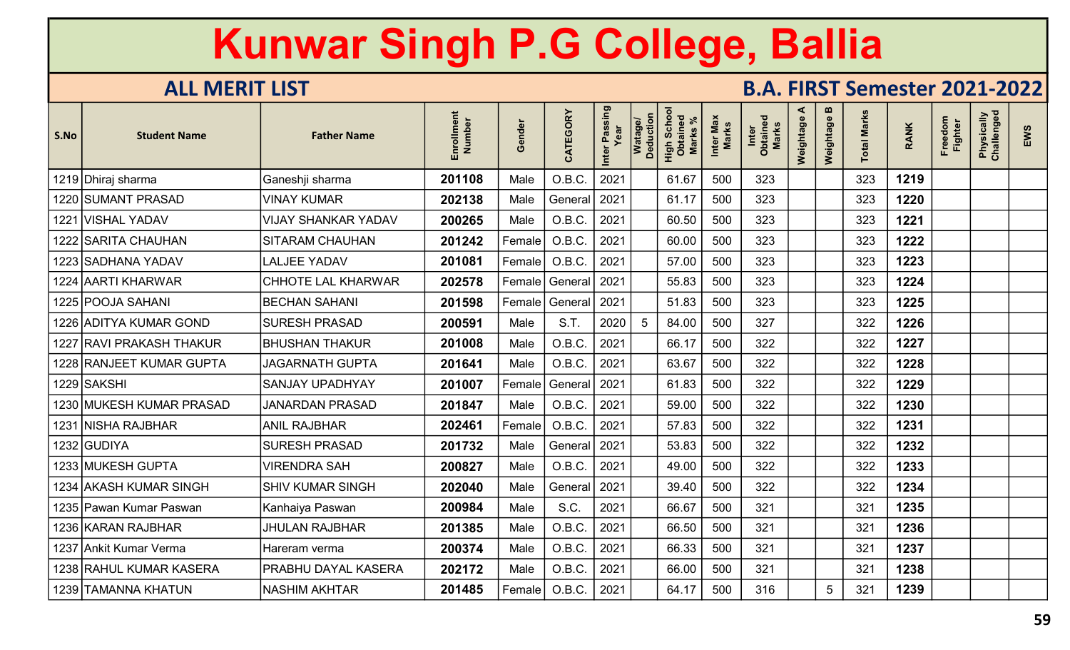| S.No | <b>Student Name</b>       | <b>Father Name</b>         | Enrollment<br>Number | Gender | CATEGORY | Inter Passing<br>Year | Watage/<br>Deduction | <b>Scho</b><br>aine<br><b>Marks</b><br>High<br>Obta | Inter Max<br>Marks | Inter<br>Obtained<br><b>Marks</b> | ⋖<br>Weightage | $\boldsymbol{\omega}$<br>Weightage | otal Marks | <b>RANK</b> | Freedom<br>Fighter | Physically<br>Challenged | EWS |
|------|---------------------------|----------------------------|----------------------|--------|----------|-----------------------|----------------------|-----------------------------------------------------|--------------------|-----------------------------------|----------------|------------------------------------|------------|-------------|--------------------|--------------------------|-----|
|      | 1219 Dhiraj sharma        | Ganeshji sharma            | 201108               | Male   | O.B.C.   | 2021                  |                      | 61.67                                               | 500                | 323                               |                |                                    | 323        | 1219        |                    |                          |     |
|      | 1220 SUMANT PRASAD        | <b>VINAY KUMAR</b>         | 202138               | Male   | General  | 2021                  |                      | 61.17                                               | 500                | 323                               |                |                                    | 323        | 1220        |                    |                          |     |
|      | 1221 VISHAL YADAV         | <b>VIJAY SHANKAR YADAV</b> | 200265               | Male   | O.B.C.   | 2021                  |                      | 60.50                                               | 500                | 323                               |                |                                    | 323        | 1221        |                    |                          |     |
|      | 1222 SARITA CHAUHAN       | SITARAM CHAUHAN            | 201242               | Female | O.B.C.   | 2021                  |                      | 60.00                                               | 500                | 323                               |                |                                    | 323        | 1222        |                    |                          |     |
|      | 1223 SADHANA YADAV        | <b>LALJEE YADAV</b>        | 201081               | Female | O.B.C    | 2021                  |                      | 57.00                                               | 500                | 323                               |                |                                    | 323        | 1223        |                    |                          |     |
|      | 1224 AARTI KHARWAR        | CHHOTE LAL KHARWAR         | 202578               | Female | General  | 2021                  |                      | 55.83                                               | 500                | 323                               |                |                                    | 323        | 1224        |                    |                          |     |
|      | 1225 POOJA SAHANI         | <b>BECHAN SAHANI</b>       | 201598               | Female | General  | 2021                  |                      | 51.83                                               | 500                | 323                               |                |                                    | 323        | 1225        |                    |                          |     |
|      | 1226 ADITYA KUMAR GOND    | <b>SURESH PRASAD</b>       | 200591               | Male   | S.T.     | 2020                  | 5                    | 84.00                                               | 500                | 327                               |                |                                    | 322        | 1226        |                    |                          |     |
|      | 1227 RAVI PRAKASH THAKUR  | <b>BHUSHAN THAKUR</b>      | 201008               | Male   | O.B.C.   | 2021                  |                      | 66.17                                               | 500                | 322                               |                |                                    | 322        | 1227        |                    |                          |     |
|      | 1228 RANJEET KUMAR GUPTA  | <b>JAGARNATH GUPTA</b>     | 201641               | Male   | O.B.C.   | 2021                  |                      | 63.67                                               | 500                | 322                               |                |                                    | 322        | 1228        |                    |                          |     |
|      | 1229 SAKSHI               | SANJAY UPADHYAY            | 201007               | Female | General  | 2021                  |                      | 61.83                                               | 500                | 322                               |                |                                    | 322        | 1229        |                    |                          |     |
|      | 1230 MUKESH KUMAR PRASAD  | <b>JANARDAN PRASAD</b>     | 201847               | Male   | O.B.C.   | 2021                  |                      | 59.00                                               | 500                | 322                               |                |                                    | 322        | 1230        |                    |                          |     |
|      | 1231 NISHA RAJBHAR        | <b>ANIL RAJBHAR</b>        | 202461               | Female | O.B.C.   | 2021                  |                      | 57.83                                               | 500                | 322                               |                |                                    | 322        | 1231        |                    |                          |     |
|      | 1232 GUDIYA               | <b>SURESH PRASAD</b>       | 201732               | Male   | General  | 2021                  |                      | 53.83                                               | 500                | 322                               |                |                                    | 322        | 1232        |                    |                          |     |
|      | 1233 MUKESH GUPTA         | <b>VIRENDRA SAH</b>        | 200827               | Male   | O.B.C.   | 2021                  |                      | 49.00                                               | 500                | 322                               |                |                                    | 322        | 1233        |                    |                          |     |
|      | 1234 AKASH KUMAR SINGH    | <b>SHIV KUMAR SINGH</b>    | 202040               | Male   | Genera   | 2021                  |                      | 39.40                                               | 500                | 322                               |                |                                    | 322        | 1234        |                    |                          |     |
|      | 1235   Pawan Kumar Paswan | Kanhaiya Paswan            | 200984               | Male   | S.C.     | 2021                  |                      | 66.67                                               | 500                | 321                               |                |                                    | 321        | 1235        |                    |                          |     |
|      | 1236 KARAN RAJBHAR        | <b>JHULAN RAJBHAR</b>      | 201385               | Male   | O.B.C.   | 2021                  |                      | 66.50                                               | 500                | 321                               |                |                                    | 321        | 1236        |                    |                          |     |
|      | 1237 Ankit Kumar Verma    | Hareram verma              | 200374               | Male   | O.B.C.   | 2021                  |                      | 66.33                                               | 500                | 321                               |                |                                    | 321        | 1237        |                    |                          |     |
|      | 1238 RAHUL KUMAR KASERA   | PRABHU DAYAL KASERA        | 202172               | Male   | O.B.C.   | 2021                  |                      | 66.00                                               | 500                | 321                               |                |                                    | 321        | 1238        |                    |                          |     |
|      | 1239 TAMANNA KHATUN       | NASHIM AKHTAR              | 201485               | Female | O.B.C.   | 2021                  |                      | 64.17                                               | 500                | 316                               |                | $5\phantom{.0}$                    | 321        | 1239        |                    |                          |     |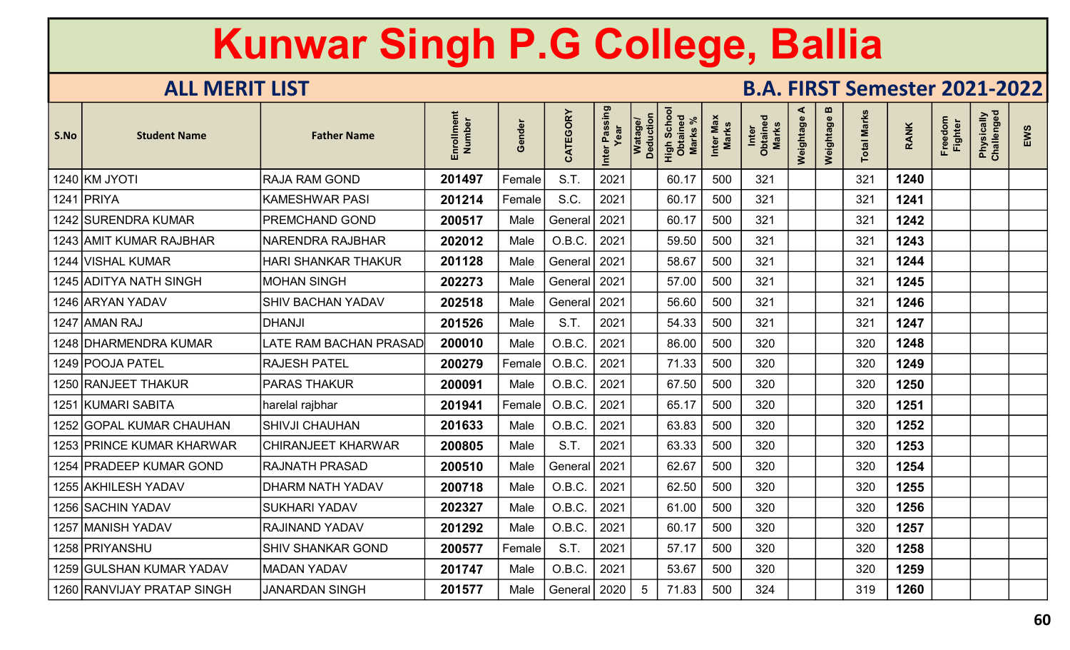| S.No | <b>Student Name</b>        | <b>Father Name</b>        | Enrollmen<br>Number | inder<br>$\mathbf{\omega}$<br>C | CATEGORY | Passing<br>Inter | Watage/<br>Deduction<br>High Schoc<br>Obtained<br><b>Marks</b> | Max<br><b>Marks</b><br>Inter | Marks<br>Inter<br>Obtaine | ⋖<br>Weightage | $\mathbf{m}$<br>Weightage | <b>Total Marks</b> | <b>RANK</b> | Freedom<br><b>Fighter</b> | Physically<br>Challenged | EWS |
|------|----------------------------|---------------------------|---------------------|---------------------------------|----------|------------------|----------------------------------------------------------------|------------------------------|---------------------------|----------------|---------------------------|--------------------|-------------|---------------------------|--------------------------|-----|
|      | 1240 KM JYOTI              | <b>RAJA RAM GOND</b>      | 201497              | Female                          | S.T.     | 2021             | 60.17                                                          | 500                          | 321                       |                |                           | 321                | 1240        |                           |                          |     |
|      | 1241 PRIYA                 | <b>KAMESHWAR PASI</b>     | 201214              | Female                          | S.C.     | 2021             | 60.17                                                          | 500                          | 321                       |                |                           | 321                | 1241        |                           |                          |     |
|      | 1242 SURENDRA KUMAR        | PREMCHAND GOND            | 200517              | Male                            | General  | 2021             | 60.17                                                          | 500                          | 321                       |                |                           | 321                | 1242        |                           |                          |     |
|      | 1243 AMIT KUMAR RAJBHAR    | <b>NARENDRA RAJBHAR</b>   | 202012              | Male                            | O.B.C.   | 2021             | 59.50                                                          | 500                          | 321                       |                |                           | 321                | 1243        |                           |                          |     |
|      | 1244 VISHAL KUMAR          | HARI SHANKAR THAKUR       | 201128              | Male                            | General  | 2021             | 58.67                                                          | 500                          | 321                       |                |                           | 321                | 1244        |                           |                          |     |
|      | 1245 ADITYA NATH SINGH     | <b>MOHAN SINGH</b>        | 202273              | Male                            | General  | 2021             | 57.00                                                          | 500                          | 321                       |                |                           | 321                | 1245        |                           |                          |     |
|      | 1246 ARYAN YADAV           | <b>SHIV BACHAN YADAV</b>  | 202518              | Male                            | General  | 2021             | 56.60                                                          | 500                          | 321                       |                |                           | 321                | 1246        |                           |                          |     |
|      | 1247 AMMAN RAJ             | <b>DHANJI</b>             | 201526              | Male                            | S.T.     | 2021             | 54.33                                                          | 500                          | 321                       |                |                           | 321                | 1247        |                           |                          |     |
|      | 1248 DHARMENDRA KUMAR      | LATE RAM BACHAN PRASAD    | 200010              | Male                            | O.B.C.   | 2021             | 86.00                                                          | 500                          | 320                       |                |                           | 320                | 1248        |                           |                          |     |
|      | 1249 POOJA PATEL           | <b>RAJESH PATEL</b>       | 200279              | Female                          | O.B.C.   | 2021             | 71.33                                                          | 500                          | 320                       |                |                           | 320                | 1249        |                           |                          |     |
|      | 1250 RANJEET THAKUR        | <b>PARAS THAKUR</b>       | 200091              | Male                            | O.B.C.   | 2021             | 67.50                                                          | 500                          | 320                       |                |                           | 320                | 1250        |                           |                          |     |
| 1251 | <b>KUMARI SABITA</b>       | harelal rajbhar           | 201941              | Female                          | O.B.C.   | 2021             | 65.17                                                          | 500                          | 320                       |                |                           | 320                | 1251        |                           |                          |     |
| 1252 | <b>GOPAL KUMAR CHAUHAN</b> | <b>SHIVJI CHAUHAN</b>     | 201633              | Male                            | O.B.C.   | 2021             | 63.83                                                          | 500                          | 320                       |                |                           | 320                | 1252        |                           |                          |     |
|      | 1253 PRINCE KUMAR KHARWAR  | <b>CHIRANJEET KHARWAR</b> | 200805              | Male                            | S.T.     | 2021             | 63.33                                                          | 500                          | 320                       |                |                           | 320                | 1253        |                           |                          |     |
|      | 1254 PRADEEP KUMAR GOND    | <b>RAJNATH PRASAD</b>     | 200510              | Male                            | General  | 2021             | 62.67                                                          | 500                          | 320                       |                |                           | 320                | 1254        |                           |                          |     |
|      | 1255 AKHILESH YADAV        | DHARM NATH YADAV          | 200718              | Male                            | O.B.C.   | 2021             | 62.50                                                          | 500                          | 320                       |                |                           | 320                | 1255        |                           |                          |     |
|      | 1256 SACHIN YADAV          | <b>SUKHARI YADAV</b>      | 202327              | Male                            | O.B.C.   | 2021             | 61.00                                                          | 500                          | 320                       |                |                           | 320                | 1256        |                           |                          |     |
|      | 1257  MANISH YADAV         | RAJINAND YADAV            | 201292              | Male                            | O.B.C.   | 2021             | 60.17                                                          | 500                          | 320                       |                |                           | 320                | 1257        |                           |                          |     |
|      | 1258   PRIYANSHU           | <b>SHIV SHANKAR GOND</b>  | 200577              | Female                          | S.T.     | 2021             | 57.17                                                          | 500                          | 320                       |                |                           | 320                | 1258        |                           |                          |     |
|      | 1259 GULSHAN KUMAR YADAV   | <b>MADAN YADAV</b>        | 201747              | Male                            | O.B.C.   | 2021             | 53.67                                                          | 500                          | 320                       |                |                           | 320                | 1259        |                           |                          |     |
|      | 1260 RANVIJAY PRATAP SINGH | <b>JANARDAN SINGH</b>     | 201577              | Male                            | General  | 2020             | 71.83                                                          | 500                          | 324                       |                |                           | 319                | 1260        |                           |                          |     |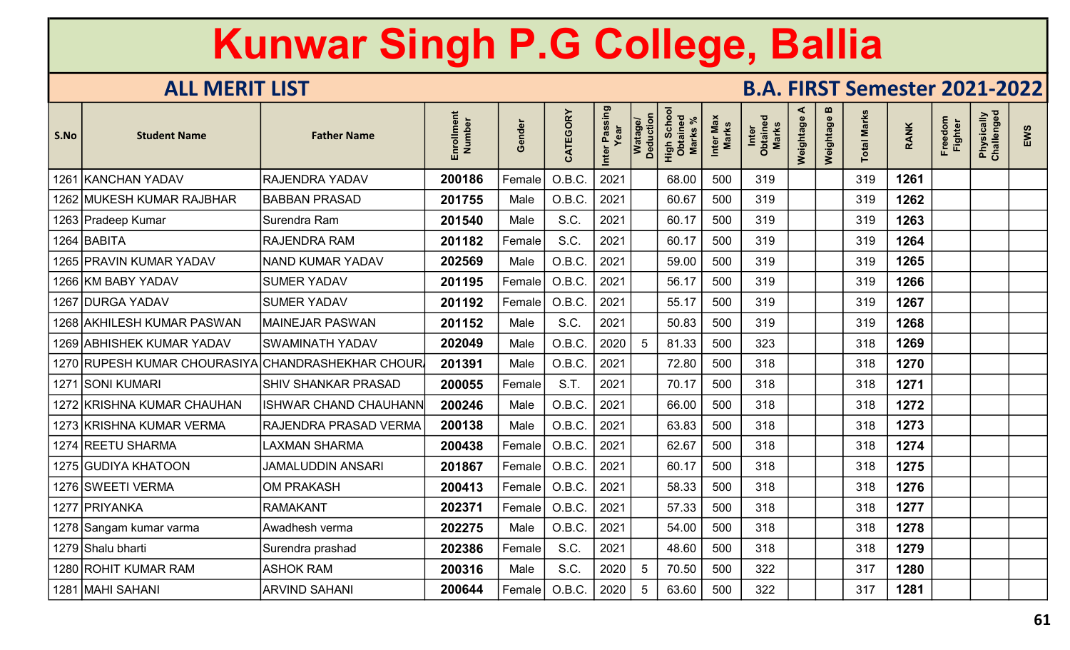| S.No | <b>Student Name</b>                               | <b>Father Name</b>           | Enrollment<br>Number | Gender | CATEGORY | Inter Passing<br>Year | Watage/<br>Deduction | Scho<br>High Scho<br>Obtaineo<br><b>Marks</b> | Inter Max<br>Marks | Inter<br>Obtained<br>Marks | ⋖<br>Weightage | $\boldsymbol{\omega}$<br>Weightage | <b>Total Marks</b> | <b>RANK</b> | Freedom<br>Fighter | Physically<br>Challenged | EWS |
|------|---------------------------------------------------|------------------------------|----------------------|--------|----------|-----------------------|----------------------|-----------------------------------------------|--------------------|----------------------------|----------------|------------------------------------|--------------------|-------------|--------------------|--------------------------|-----|
|      | 1261 KANCHAN YADAV                                | <b>RAJENDRA YADAV</b>        | 200186               | Female | O.B.C.   | 2021                  |                      | 68.00                                         | 500                | 319                        |                |                                    | 319                | 1261        |                    |                          |     |
|      | 1262 MUKESH KUMAR RAJBHAR                         | <b>BABBAN PRASAD</b>         | 201755               | Male   | O.B.C.   | 2021                  |                      | 60.67                                         | 500                | 319                        |                |                                    | 319                | 1262        |                    |                          |     |
|      | 1263 Pradeep Kumar                                | Surendra Ram                 | 201540               | Male   | S.C.     | 2021                  |                      | 60.17                                         | 500                | 319                        |                |                                    | 319                | 1263        |                    |                          |     |
|      | 1264 BABITA                                       | <b>RAJENDRA RAM</b>          | 201182               | Female | S.C.     | 2021                  |                      | 60.17                                         | 500                | 319                        |                |                                    | 319                | 1264        |                    |                          |     |
|      | 1265 PRAVIN KUMAR YADAV                           | <b>NAND KUMAR YADAV</b>      | 202569               | Male   | O.B.C    | 2021                  |                      | 59.00                                         | 500                | 319                        |                |                                    | 319                | 1265        |                    |                          |     |
|      | 1266 KM BABY YADAV                                | <b>SUMER YADAV</b>           | 201195               | Female | O.B.C.   | 2021                  |                      | 56.17                                         | 500                | 319                        |                |                                    | 319                | 1266        |                    |                          |     |
|      | 1267 DURGA YADAV                                  | <b>SUMER YADAV</b>           | 201192               | Female | O.B.C.   | 2021                  |                      | 55.17                                         | 500                | 319                        |                |                                    | 319                | 1267        |                    |                          |     |
|      | 1268 AKHILESH KUMAR PASWAN                        | <b>MAINEJAR PASWAN</b>       | 201152               | Male   | S.C.     | 2021                  |                      | 50.83                                         | 500                | 319                        |                |                                    | 319                | 1268        |                    |                          |     |
|      | 1269 ABHISHEK KUMAR YADAV                         | <b>SWAMINATH YADAV</b>       | 202049               | Male   | O.B.C.   | 2020                  | 5                    | 81.33                                         | 500                | 323                        |                |                                    | 318                | 1269        |                    |                          |     |
|      | 1270 RUPESH KUMAR CHOURASIYA CHANDRASHEKHAR CHOUR |                              | 201391               | Male   | O.B.C.   | 2021                  |                      | 72.80                                         | 500                | 318                        |                |                                    | 318                | 1270        |                    |                          |     |
|      | 1271 SONI KUMARI                                  | <b>SHIV SHANKAR PRASAD</b>   | 200055               | Female | S.T.     | 2021                  |                      | 70.17                                         | 500                | 318                        |                |                                    | 318                | 1271        |                    |                          |     |
|      | 1272 KRISHNA KUMAR CHAUHAN                        | <b>ISHWAR CHAND CHAUHANN</b> | 200246               | Male   | O.B.C.   | 2021                  |                      | 66.00                                         | 500                | 318                        |                |                                    | 318                | 1272        |                    |                          |     |
|      | 1273 KRISHNA KUMAR VERMA                          | RAJENDRA PRASAD VERMA        | 200138               | Male   | O.B.C.   | 2021                  |                      | 63.83                                         | 500                | 318                        |                |                                    | 318                | 1273        |                    |                          |     |
|      | 1274 REETU SHARMA                                 | <b>LAXMAN SHARMA</b>         | 200438               | Female | O.B.C    | 2021                  |                      | 62.67                                         | 500                | 318                        |                |                                    | 318                | 1274        |                    |                          |     |
|      | 1275 GUDIYA KHATOON                               | <b>JAMALUDDIN ANSARI</b>     | 201867               | Female | O.B.C    | 2021                  |                      | 60.17                                         | 500                | 318                        |                |                                    | 318                | 1275        |                    |                          |     |
|      | 1276 SWEETI VERMA                                 | <b>OM PRAKASH</b>            | 200413               | Female | O.B.C    | 2021                  |                      | 58.33                                         | 500                | 318                        |                |                                    | 318                | 1276        |                    |                          |     |
|      | 1277 PRIYANKA                                     | <b>RAMAKANT</b>              | 202371               | Female | O.B.C.   | 2021                  |                      | 57.33                                         | 500                | 318                        |                |                                    | 318                | 1277        |                    |                          |     |
|      | 1278 Sangam kumar varma                           | Awadhesh verma               | 202275               | Male   | O.B.C.   | 2021                  |                      | 54.00                                         | 500                | 318                        |                |                                    | 318                | 1278        |                    |                          |     |
|      | 1279 Shalu bharti                                 | Surendra prashad             | 202386               | Female | S.C.     | 2021                  |                      | 48.60                                         | 500                | 318                        |                |                                    | 318                | 1279        |                    |                          |     |
|      | 1280 ROHIT KUMAR RAM                              | <b>ASHOK RAM</b>             | 200316               | Male   | S.C.     | 2020                  | 5                    | 70.50                                         | 500                | 322                        |                |                                    | 317                | 1280        |                    |                          |     |
|      | 1281 MAHI SAHANI                                  | <b>ARVIND SAHANI</b>         | 200644               | Female | O.B.C.   | 2020                  | 5                    | 63.60                                         | 500                | 322                        |                |                                    | 317                | 1281        |                    |                          |     |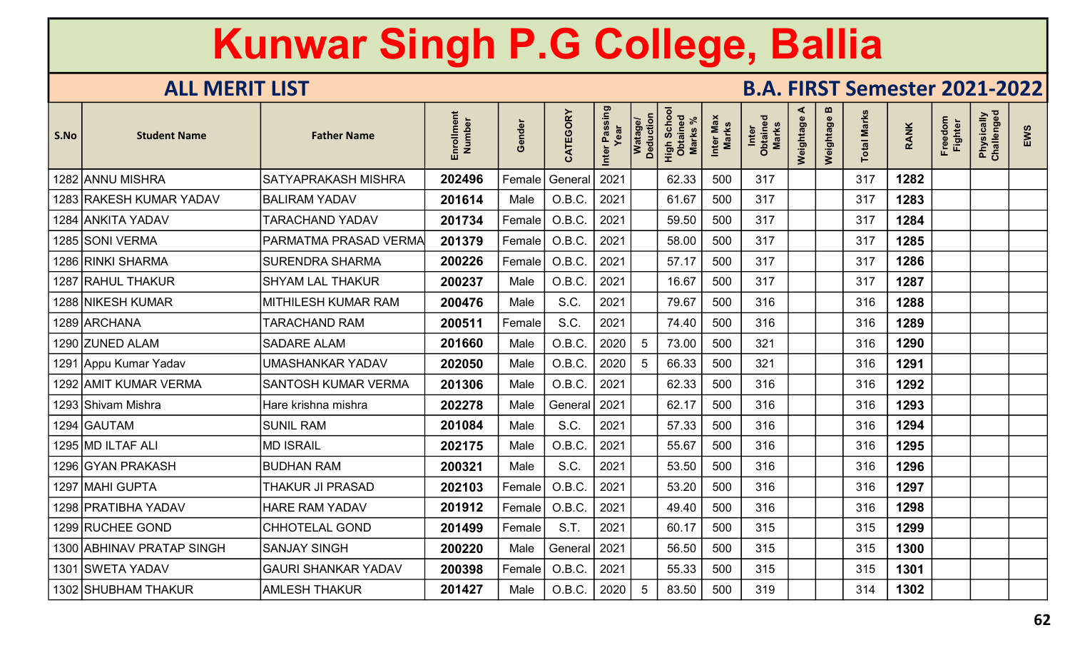| S.No | <b>Student Name</b>       | <b>Father Name</b>         | ent<br>Number<br>Enrollm | inder<br>$\boldsymbol{\omega}$<br>O | CATEGORY | Inter Passing | Watage/<br>Deduction | Scho<br>High Scho<br>Obtained<br><b>Marks</b> | Inter Max<br>Marks | Inter<br>Obtained<br>Marks | ⋖<br>Weightage | m<br>Weightage | otal Marks | <b>RANK</b> | Freedom<br><b>Fighter</b> | Physically<br>Challenged | EWS |
|------|---------------------------|----------------------------|--------------------------|-------------------------------------|----------|---------------|----------------------|-----------------------------------------------|--------------------|----------------------------|----------------|----------------|------------|-------------|---------------------------|--------------------------|-----|
|      | 1282 ANNU MISHRA          | <b>SATYAPRAKASH MISHRA</b> | 202496                   | Female                              | General  | 2021          |                      | 62.33                                         | 500                | 317                        |                |                | 317        | 1282        |                           |                          |     |
|      | 1283 RAKESH KUMAR YADAV   | <b>BALIRAM YADAV</b>       | 201614                   | Male                                | O.B.C.   | 2021          |                      | 61.67                                         | 500                | 317                        |                |                | 317        | 1283        |                           |                          |     |
|      | 1284 ANKITA YADAV         | <b>TARACHAND YADAV</b>     | 201734                   | Female                              | O.B.C.   | 2021          |                      | 59.50                                         | 500                | 317                        |                |                | 317        | 1284        |                           |                          |     |
|      | 1285 SONI VERMA           | PARMATMA PRASAD VERMA      | 201379                   | Female                              | O.B.C.   | 2021          |                      | 58.00                                         | 500                | 317                        |                |                | 317        | 1285        |                           |                          |     |
|      | 1286 RINKI SHARMA         | <b>SURENDRA SHARMA</b>     | 200226                   | Female                              | O.B.C.   | 2021          |                      | 57.17                                         | 500                | 317                        |                |                | 317        | 1286        |                           |                          |     |
|      | 1287 RAHUL THAKUR         | <b>SHYAM LAL THAKUR</b>    | 200237                   | Male                                | O.B.C.   | 2021          |                      | 16.67                                         | 500                | 317                        |                |                | 317        | 1287        |                           |                          |     |
|      | 1288 NIKESH KUMAR         | MITHILESH KUMAR RAM        | 200476                   | Male                                | S.C.     | 2021          |                      | 79.67                                         | 500                | 316                        |                |                | 316        | 1288        |                           |                          |     |
|      | 1289 ARCHANA              | TARACHAND RAM              | 200511                   | Female                              | S.C.     | 2021          |                      | 74.40                                         | 500                | 316                        |                |                | 316        | 1289        |                           |                          |     |
|      | 1290 ZUNED ALAM           | <b>SADARE ALAM</b>         | 201660                   | Male                                | O.B.C.   | 2020          | -5                   | 73.00                                         | 500                | 321                        |                |                | 316        | 1290        |                           |                          |     |
|      | 1291 Appu Kumar Yadav     | UMASHANKAR YADAV           | 202050                   | Male                                | O.B.C.   | 2020          | 5                    | 66.33                                         | 500                | 321                        |                |                | 316        | 1291        |                           |                          |     |
|      | 1292 AMIT KUMAR VERMA     | SANTOSH KUMAR VERMA        | 201306                   | Male                                | O.B.C.   | 2021          |                      | 62.33                                         | 500                | 316                        |                |                | 316        | 1292        |                           |                          |     |
|      | 1293 Shivam Mishra        | Hare krishna mishra        | 202278                   | Male                                | General  | 2021          |                      | 62.17                                         | 500                | 316                        |                |                | 316        | 1293        |                           |                          |     |
|      | 1294 GAUTAM               | <b>SUNIL RAM</b>           | 201084                   | Male                                | S.C.     | 2021          |                      | 57.33                                         | 500                | 316                        |                |                | 316        | 1294        |                           |                          |     |
|      | 1295 MD ILTAF ALI         | <b>MD ISRAIL</b>           | 202175                   | Male                                | O.B.C.   | 2021          |                      | 55.67                                         | 500                | 316                        |                |                | 316        | 1295        |                           |                          |     |
|      | 1296 GYAN PRAKASH         | <b>BUDHAN RAM</b>          | 200321                   | Male                                | S.C.     | 2021          |                      | 53.50                                         | 500                | 316                        |                |                | 316        | 1296        |                           |                          |     |
|      | 1297 MAHI GUPTA           | THAKUR JI PRASAD           | 202103                   | Female                              | O.B.C.   | 2021          |                      | 53.20                                         | 500                | 316                        |                |                | 316        | 1297        |                           |                          |     |
|      | 1298   PRATIBHA YADAV     | <b>HARE RAM YADAV</b>      | 201912                   | Female                              | O.B.C.   | 2021          |                      | 49.40                                         | 500                | 316                        |                |                | 316        | 1298        |                           |                          |     |
|      | 1299 RUCHEE GOND          | <b>CHHOTELAL GOND</b>      | 201499                   | Female                              | S.T.     | 2021          |                      | 60.17                                         | 500                | 315                        |                |                | 315        | 1299        |                           |                          |     |
|      | 1300 ABHINAV PRATAP SINGH | <b>SANJAY SINGH</b>        | 200220                   | Male                                | General  | 2021          |                      | 56.50                                         | 500                | 315                        |                |                | 315        | 1300        |                           |                          |     |
| 1301 | <b>SWETA YADAV</b>        | <b>GAURI SHANKAR YADAV</b> | 200398                   | Female                              | O.B.C.   | 2021          |                      | 55.33                                         | 500                | 315                        |                |                | 315        | 1301        |                           |                          |     |
|      | 1302 SHUBHAM THAKUR       | <b>AMLESH THAKUR</b>       | 201427                   | Male                                | O.B.C.   | 2020          | .5                   | 83.50                                         | 500                | 319                        |                |                | 314        | 1302        |                           |                          |     |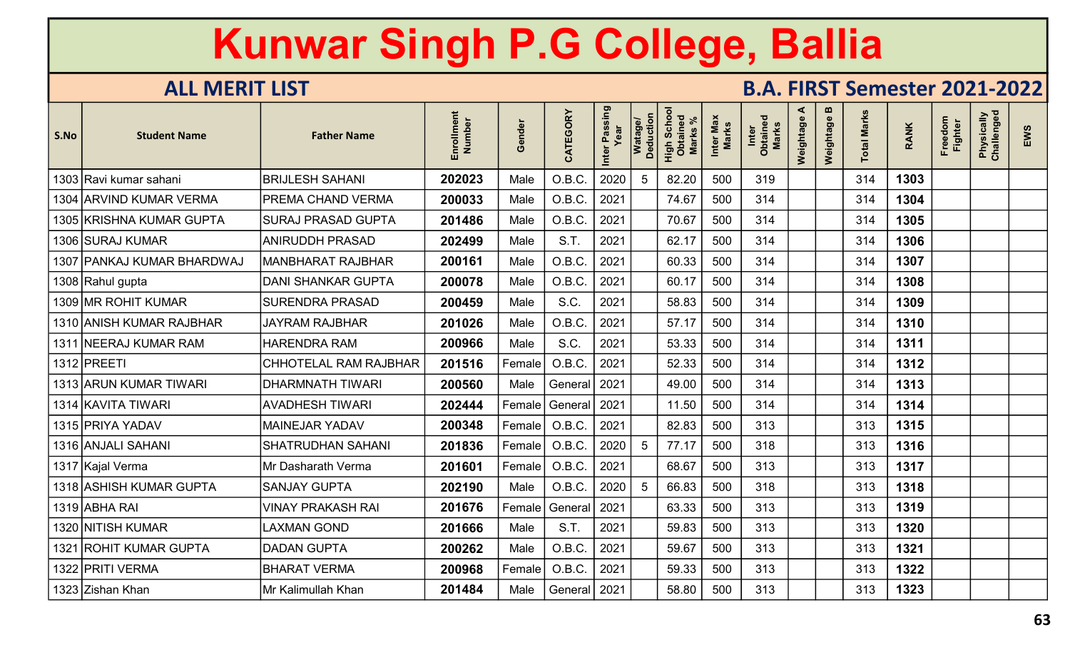| S.No | <b>Student Name</b>          | <b>Father Name</b>           | ent<br>Enrollmen<br>Number | inder<br>$\boldsymbol{\omega}$<br>O | CATEGORY       | Passing<br>Inter | Watage/<br>Deduction | Scho<br>High Scho<br>Obtaineo<br><b>Marks</b> | Inter Max<br>Marks | Inter<br>Obtained<br><b>Marks</b> | ⋖<br>Weightage | $\mathbf{m}$<br>Weightage | otal Marks | <b>RANK</b> | Freedom<br><b>Fighter</b> | Physically<br>Challenged | EWS |
|------|------------------------------|------------------------------|----------------------------|-------------------------------------|----------------|------------------|----------------------|-----------------------------------------------|--------------------|-----------------------------------|----------------|---------------------------|------------|-------------|---------------------------|--------------------------|-----|
|      | 1303 Ravi kumar sahani       | <b>BRIJLESH SAHANI</b>       | 202023                     | Male                                | O.B.C.         | 2020             | 5                    | 82.20                                         | 500                | 319                               |                |                           | 314        | 1303        |                           |                          |     |
|      | 1304 ARVIND KUMAR VERMA      | PREMA CHAND VERMA            | 200033                     | Male                                | O.B.C.         | 2021             |                      | 74.67                                         | 500                | 314                               |                |                           | 314        | 1304        |                           |                          |     |
|      | 1305 KRISHNA KUMAR GUPTA     | <b>SURAJ PRASAD GUPTA</b>    | 201486                     | Male                                | O.B.C.         | 2021             |                      | 70.67                                         | 500                | 314                               |                |                           | 314        | 1305        |                           |                          |     |
|      | 1306 SURAJ KUMAR             | <b>ANIRUDDH PRASAD</b>       | 202499                     | Male                                | S.T.           | 2021             |                      | 62.17                                         | 500                | 314                               |                |                           | 314        | 1306        |                           |                          |     |
|      | 1307   PANKAJ KUMAR BHARDWAJ | <b>MANBHARAT RAJBHAR</b>     | 200161                     | Male                                | O.B.C.         | 2021             |                      | 60.33                                         | 500                | 314                               |                |                           | 314        | 1307        |                           |                          |     |
|      | 1308 Rahul gupta             | <b>DANI SHANKAR GUPTA</b>    | 200078                     | Male                                | O.B.C.         | 2021             |                      | 60.17                                         | 500                | 314                               |                |                           | 314        | 1308        |                           |                          |     |
|      | 1309 MR ROHIT KUMAR          | <b>SURENDRA PRASAD</b>       | 200459                     | Male                                | S.C.           | 2021             |                      | 58.83                                         | 500                | 314                               |                |                           | 314        | 1309        |                           |                          |     |
|      | 1310 ANISH KUMAR RAJBHAR     | <b>JAYRAM RAJBHAR</b>        | 201026                     | Male                                | O.B.C.         | 2021             |                      | 57.17                                         | 500                | 314                               |                |                           | 314        | 1310        |                           |                          |     |
|      | 1311 NEERAJ KUMAR RAM        | <b>HARENDRA RAM</b>          | 200966                     | Male                                | S.C.           | 2021             |                      | 53.33                                         | 500                | 314                               |                |                           | 314        | 1311        |                           |                          |     |
|      | 1312 PREETI                  | <b>CHHOTELAL RAM RAJBHAR</b> | 201516                     | Female                              | O.B.C.         | 2021             |                      | 52.33                                         | 500                | 314                               |                |                           | 314        | 1312        |                           |                          |     |
|      | 1313 ARUN KUMAR TIWARI       | <b>DHARMNATH TIWARI</b>      | 200560                     | Male                                | General        | 2021             |                      | 49.00                                         | 500                | 314                               |                |                           | 314        | 1313        |                           |                          |     |
|      | 1314 KAVITA TIWARI           | <b>AVADHESH TIWARI</b>       | 202444                     | Female                              | General        | 2021             |                      | 11.50                                         | 500                | 314                               |                |                           | 314        | 1314        |                           |                          |     |
|      | 1315 PRIYA YADAV             | <b>MAINEJAR YADAV</b>        | 200348                     | $\sf Female $                       | O.B.C.         | 2021             |                      | 82.83                                         | 500                | 313                               |                |                           | 313        | 1315        |                           |                          |     |
|      | 1316 ANJALI SAHANI           | <b>SHATRUDHAN SAHANI</b>     | 201836                     | Female                              | O.B.C.         | 2020             | 5                    | 77.17                                         | 500                | 318                               |                |                           | 313        | 1316        |                           |                          |     |
|      | 1317 Kajal Verma             | Mr Dasharath Verma           | 201601                     | Female                              | O.B.C.         | 2021             |                      | 68.67                                         | 500                | 313                               |                |                           | 313        | 1317        |                           |                          |     |
|      | 1318 ASHISH KUMAR GUPTA      | <b>SANJAY GUPTA</b>          | 202190                     | Male                                | O.B.C.         | 2020             | -5                   | 66.83                                         | 500                | 318                               |                |                           | 313        | 1318        |                           |                          |     |
|      | 1319 ABHA RAI                | <b>VINAY PRAKASH RAI</b>     | 201676                     | Female                              | General        | 2021             |                      | 63.33                                         | 500                | 313                               |                |                           | 313        | 1319        |                           |                          |     |
|      | 1320 NITISH KUMAR            | LAXMAN GOND                  | 201666                     | Male                                | S.T.           | 2021             |                      | 59.83                                         | 500                | 313                               |                |                           | 313        | 1320        |                           |                          |     |
| 1321 | ROHIT KUMAR GUPTA            | <b>DADAN GUPTA</b>           | 200262                     | Male                                | O.B.C.         | 2021             |                      | 59.67                                         | 500                | 313                               |                |                           | 313        | 1321        |                           |                          |     |
|      | 1322 PRITI VERMA             | <b>BHARAT VERMA</b>          | 200968                     | Female                              | O.B.C.         | 2021             |                      | 59.33                                         | 500                | 313                               |                |                           | 313        | 1322        |                           |                          |     |
|      | 1323 Zishan Khan             | Mr Kalimullah Khan           | 201484                     | Male                                | General   2021 |                  |                      | 58.80                                         | 500                | 313                               |                |                           | 313        | 1323        |                           |                          |     |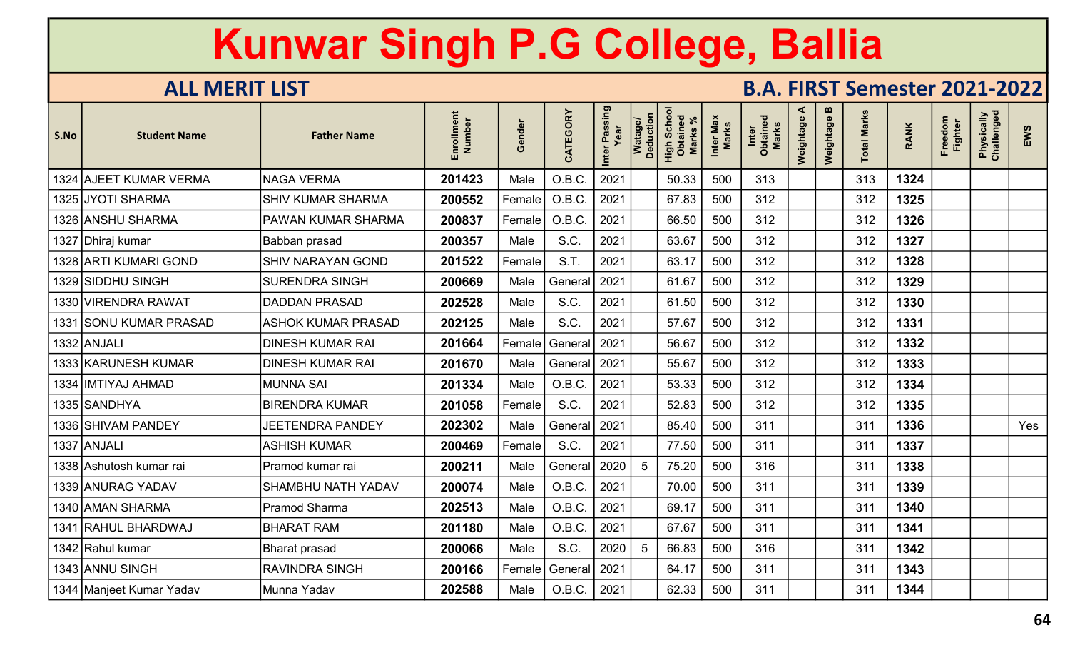| S.No | <b>Student Name</b>      | <b>Father Name</b>        | Enrollment<br>Number | Gender | CATEGORY | Inter Passing<br>Year | Watage/<br>Deduction | <b>Scho</b><br>High Scho<br><b>Marks</b> | Inter Max<br>Marks | Inter<br>Obtained<br><b>Marks</b> | ⋖<br>Weightage | $\mathbf{u}$<br>Weightage | otal Marks | <b>RANK</b> | Freedom<br><b>Fighter</b> | Physically<br>Challenged | EWS |
|------|--------------------------|---------------------------|----------------------|--------|----------|-----------------------|----------------------|------------------------------------------|--------------------|-----------------------------------|----------------|---------------------------|------------|-------------|---------------------------|--------------------------|-----|
|      | 1324 AJEET KUMAR VERMA   | <b>NAGA VERMA</b>         | 201423               | Male   | O.B.C.   | 2021                  |                      | 50.33                                    | 500                | 313                               |                |                           | 313        | 1324        |                           |                          |     |
|      | 1325 JYOTI SHARMA        | <b>SHIV KUMAR SHARMA</b>  | 200552               | Female | O.B.C.   | 2021                  |                      | 67.83                                    | 500                | 312                               |                |                           | 312        | 1325        |                           |                          |     |
|      | 1326 ANSHU SHARMA        | PAWAN KUMAR SHARMA        | 200837               | Female | O.B.C.   | 2021                  |                      | 66.50                                    | 500                | 312                               |                |                           | 312        | 1326        |                           |                          |     |
|      | 1327 Dhiraj kumar        | Babban prasad             | 200357               | Male   | S.C.     | 2021                  |                      | 63.67                                    | 500                | 312                               |                |                           | 312        | 1327        |                           |                          |     |
|      | 1328 ARTI KUMARI GOND    | SHIV NARAYAN GOND         | 201522               | Female | S.T.     | 2021                  |                      | 63.17                                    | 500                | 312                               |                |                           | 312        | 1328        |                           |                          |     |
|      | 1329 SIDDHU SINGH        | <b>SURENDRA SINGH</b>     | 200669               | Male   | Genera   | 2021                  |                      | 61.67                                    | 500                | 312                               |                |                           | 312        | 1329        |                           |                          |     |
|      | 1330 VIRENDRA RAWAT      | <b>DADDAN PRASAD</b>      | 202528               | Male   | S.C.     | 2021                  |                      | 61.50                                    | 500                | 312                               |                |                           | 312        | 1330        |                           |                          |     |
|      | 1331 SONU KUMAR PRASAD   | <b>ASHOK KUMAR PRASAD</b> | 202125               | Male   | S.C.     | 2021                  |                      | 57.67                                    | 500                | 312                               |                |                           | 312        | 1331        |                           |                          |     |
|      | 1332 ANJALI              | <b>DINESH KUMAR RAI</b>   | 201664               | Female | General  | 2021                  |                      | 56.67                                    | 500                | 312                               |                |                           | 312        | 1332        |                           |                          |     |
|      | 1333 KARUNESH KUMAR      | <b>DINESH KUMAR RAI</b>   | 201670               | Male   | General  | 2021                  |                      | 55.67                                    | 500                | 312                               |                |                           | 312        | 1333        |                           |                          |     |
|      | 1334   IMTIYAJ AHMAD     | <b>MUNNA SAI</b>          | 201334               | Male   | O.B.C.   | 2021                  |                      | 53.33                                    | 500                | 312                               |                |                           | 312        | 1334        |                           |                          |     |
|      | 1335 SANDHYA             | <b>BIRENDRA KUMAR</b>     | 201058               | Female | S.C.     | 2021                  |                      | 52.83                                    | 500                | 312                               |                |                           | 312        | 1335        |                           |                          |     |
|      | 1336 SHIVAM PANDEY       | <b>JEETENDRA PANDEY</b>   | 202302               | Male   | General  | 2021                  |                      | 85.40                                    | 500                | 311                               |                |                           | 311        | 1336        |                           |                          | Yes |
|      | 1337 ANJALI              | <b>ASHISH KUMAR</b>       | 200469               | Female | S.C.     | 2021                  |                      | 77.50                                    | 500                | 311                               |                |                           | 311        | 1337        |                           |                          |     |
|      | 1338 Ashutosh kumar rai  | Pramod kumar rai          | 200211               | Male   | Genera   | 2020                  | 5                    | 75.20                                    | 500                | 316                               |                |                           | 311        | 1338        |                           |                          |     |
|      | 1339 ANURAG YADAV        | SHAMBHU NATH YADAV        | 200074               | Male   | O.B.C.   | 2021                  |                      | 70.00                                    | 500                | 311                               |                |                           | 311        | 1339        |                           |                          |     |
|      | 1340 AMAN SHARMA         | Pramod Sharma             | 202513               | Male   | O.B.C.   | 2021                  |                      | 69.17                                    | 500                | 311                               |                |                           | 311        | 1340        |                           |                          |     |
|      | 1341 RAHUL BHARDWAJ      | <b>BHARAT RAM</b>         | 201180               | Male   | O.B.C.   | 2021                  |                      | 67.67                                    | 500                | 311                               |                |                           | 311        | 1341        |                           |                          |     |
|      | 1342 Rahul kumar         | <b>Bharat prasad</b>      | 200066               | Male   | S.C.     | 2020                  | 5                    | 66.83                                    | 500                | 316                               |                |                           | 311        | 1342        |                           |                          |     |
|      | 1343 ANNU SINGH          | <b>RAVINDRA SINGH</b>     | 200166               | Female | General  | 2021                  |                      | 64.17                                    | 500                | 311                               |                |                           | 311        | 1343        |                           |                          |     |
|      | 1344 Manjeet Kumar Yadav | Munna Yadav               | 202588               | Male   | O.B.C.   | 2021                  |                      | 62.33                                    | 500                | 311                               |                |                           | 311        | 1344        |                           |                          |     |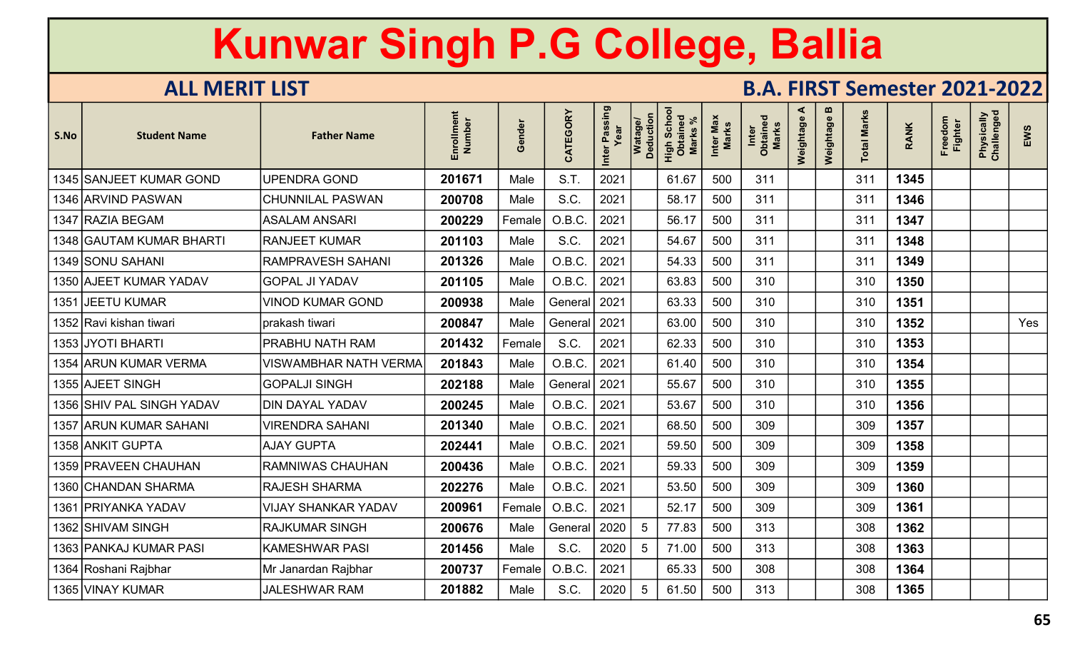| S.No | <b>Student Name</b>       | <b>Father Name</b>           | Enrollment<br>Number | Gender | CATEGORY       | Inter Passing<br>Year | Watage/<br>Deduction | High Schoo<br>Obtained<br>Marks % | Inter Max<br>Marks | Inter<br>Obtained<br>Marks | ⋖<br>Weightage | $\boldsymbol{\omega}$<br>Weightage | <b>Total Marks</b> | <b>RANK</b> | Freedom<br>Fighter | Physically<br>Challenged | EWS |
|------|---------------------------|------------------------------|----------------------|--------|----------------|-----------------------|----------------------|-----------------------------------|--------------------|----------------------------|----------------|------------------------------------|--------------------|-------------|--------------------|--------------------------|-----|
|      | 1345 SANJEET KUMAR GOND   | <b>UPENDRA GOND</b>          | 201671               | Male   | S.T.           | 2021                  |                      | 61.67                             | 500                | 311                        |                |                                    | 311                | 1345        |                    |                          |     |
|      | 1346 ARVIND PASWAN        | <b>CHUNNILAL PASWAN</b>      | 200708               | Male   | S.C.           | 2021                  |                      | 58.17                             | 500                | 311                        |                |                                    | 311                | 1346        |                    |                          |     |
|      | 1347 RAZIA BEGAM          | <b>ASALAM ANSARI</b>         | 200229               | Female | O.B.C          | 2021                  |                      | 56.17                             | 500                | 311                        |                |                                    | 311                | 1347        |                    |                          |     |
|      | 1348 GAUTAM KUMAR BHARTI  | <b>RANJEET KUMAR</b>         | 201103               | Male   | S.C.           | 2021                  |                      | 54.67                             | 500                | 311                        |                |                                    | 311                | 1348        |                    |                          |     |
|      | 1349 SONU SAHANI          | <b>RAMPRAVESH SAHANI</b>     | 201326               | Male   | O.B.C          | 2021                  |                      | 54.33                             | 500                | 311                        |                |                                    | 311                | 1349        |                    |                          |     |
|      | 1350 AJEET KUMAR YADAV    | <b>GOPAL JI YADAV</b>        | 201105               | Male   | O.B.C.         | 2021                  |                      | 63.83                             | 500                | 310                        |                |                                    | 310                | 1350        |                    |                          |     |
|      | 1351 JEETU KUMAR          | <b>VINOD KUMAR GOND</b>      | 200938               | Male   | General        | 2021                  |                      | 63.33                             | 500                | 310                        |                |                                    | 310                | 1351        |                    |                          |     |
|      | 1352 Ravi kishan tiwari   | prakash tiwari               | 200847               | Male   | General   2021 |                       |                      | 63.00                             | 500                | 310                        |                |                                    | 310                | 1352        |                    |                          | Yes |
|      | 1353 JYOTI BHARTI         | PRABHU NATH RAM              | 201432               | Female | S.C.           | 2021                  |                      | 62.33                             | 500                | 310                        |                |                                    | 310                | 1353        |                    |                          |     |
|      | 1354 ARUN KUMAR VERMA     | <b>VISWAMBHAR NATH VERMA</b> | 201843               | Male   | O.B.C.         | 2021                  |                      | 61.40                             | 500                | 310                        |                |                                    | 310                | 1354        |                    |                          |     |
|      | 1355 AJEET SINGH          | <b>GOPALJI SINGH</b>         | 202188               | Male   | General 2021   |                       |                      | 55.67                             | 500                | 310                        |                |                                    | 310                | 1355        |                    |                          |     |
|      | 1356 SHIV PAL SINGH YADAV | <b>DIN DAYAL YADAV</b>       | 200245               | Male   | O.B.C.         | 2021                  |                      | 53.67                             | 500                | 310                        |                |                                    | 310                | 1356        |                    |                          |     |
|      | 1357 ARUN KUMAR SAHANI    | <b>VIRENDRA SAHANI</b>       | 201340               | Male   | O.B.C.         | 2021                  |                      | 68.50                             | 500                | 309                        |                |                                    | 309                | 1357        |                    |                          |     |
|      | 1358 ANKIT GUPTA          | <b>AJAY GUPTA</b>            | 202441               | Male   | O.B.C.         | 2021                  |                      | 59.50                             | 500                | 309                        |                |                                    | 309                | 1358        |                    |                          |     |
|      | 1359   PRAVEEN CHAUHAN    | <b>RAMNIWAS CHAUHAN</b>      | 200436               | Male   | O.B.C.         | 2021                  |                      | 59.33                             | 500                | 309                        |                |                                    | 309                | 1359        |                    |                          |     |
|      | 1360 CHANDAN SHARMA       | <b>RAJESH SHARMA</b>         | 202276               | Male   | O.B.C          | 2021                  |                      | 53.50                             | 500                | 309                        |                |                                    | 309                | 1360        |                    |                          |     |
|      | 1361 PRIYANKA YADAV       | <b>VIJAY SHANKAR YADAV</b>   | 200961               | Female | O.B.C.         | 2021                  |                      | 52.17                             | 500                | 309                        |                |                                    | 309                | 1361        |                    |                          |     |
|      | 1362 SHIVAM SINGH         | <b>RAJKUMAR SINGH</b>        | 200676               | Male   | General        | 2020                  | 5                    | 77.83                             | 500                | 313                        |                |                                    | 308                | 1362        |                    |                          |     |
|      | 1363 PANKAJ KUMAR PASI    | <b>KAMESHWAR PASI</b>        | 201456               | Male   | S.C.           | 2020                  | 5                    | 71.00                             | 500                | 313                        |                |                                    | 308                | 1363        |                    |                          |     |
|      | 1364 Roshani Rajbhar      | Mr Janardan Rajbhar          | 200737               | Female | O.B.C.         | 2021                  |                      | 65.33                             | 500                | 308                        |                |                                    | 308                | 1364        |                    |                          |     |
|      | 1365 VINAY KUMAR          | <b>JALESHWAR RAM</b>         | 201882               | Male   | S.C.           | 2020                  | 5                    | 61.50                             | 500                | 313                        |                |                                    | 308                | 1365        |                    |                          |     |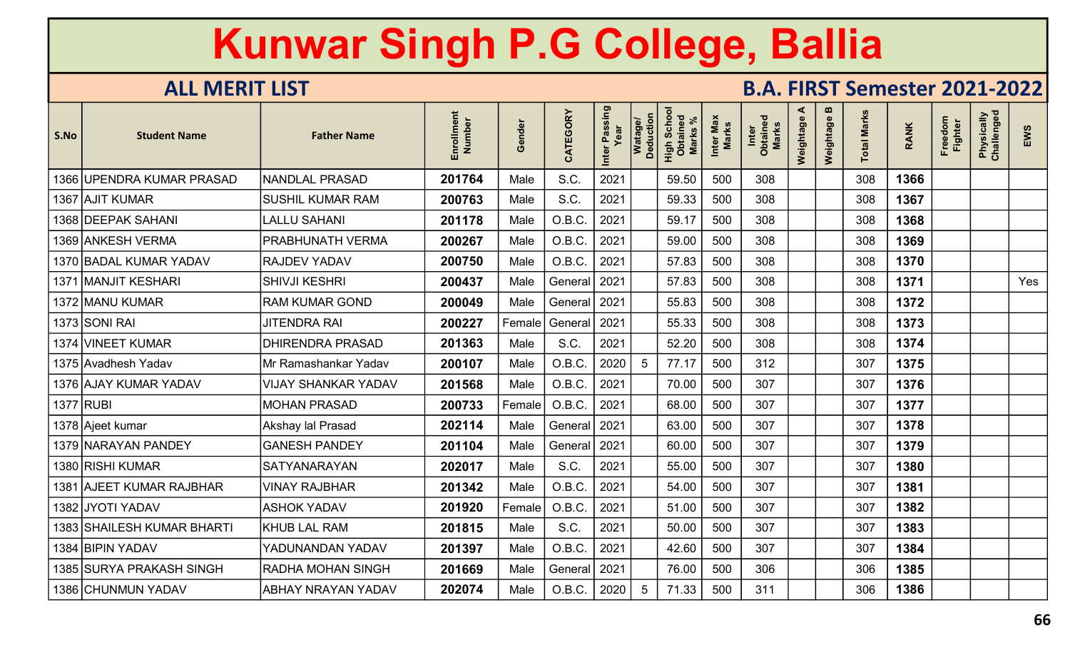| <b>Student Name</b> | <b>Father Name</b>                                                                                                                                                                                                                                                                                                                                                                                                                                                                | Enrollment<br>Number | iender<br>O | CATEGORY | Inter Passing |    | <b>Scho</b><br>High Scho<br>Obtained<br><b>Marks</b> | Inter Max<br>Marks | Inter<br>Obtained<br><b>Marks</b> | ⋖<br>Weightage | m<br>Weightage | <b>Total Marks</b> | <b>RANK</b> | Freedom<br><b>Fighter</b> | Physically<br>Challenged | EWS |
|---------------------|-----------------------------------------------------------------------------------------------------------------------------------------------------------------------------------------------------------------------------------------------------------------------------------------------------------------------------------------------------------------------------------------------------------------------------------------------------------------------------------|----------------------|-------------|----------|---------------|----|------------------------------------------------------|--------------------|-----------------------------------|----------------|----------------|--------------------|-------------|---------------------------|--------------------------|-----|
|                     | <b>NANDLAL PRASAD</b>                                                                                                                                                                                                                                                                                                                                                                                                                                                             | 201764               | Male        | S.C.     | 2021          |    | 59.50                                                | 500                | 308                               |                |                | 308                | 1366        |                           |                          |     |
|                     | <b>SUSHIL KUMAR RAM</b>                                                                                                                                                                                                                                                                                                                                                                                                                                                           | 200763               | Male        | S.C.     | 2021          |    | 59.33                                                | 500                | 308                               |                |                | 308                | 1367        |                           |                          |     |
|                     | <b>LALLU SAHANI</b>                                                                                                                                                                                                                                                                                                                                                                                                                                                               | 201178               | Male        | O.B.C.   | 2021          |    | 59.17                                                | 500                | 308                               |                |                | 308                | 1368        |                           |                          |     |
|                     | PRABHUNATH VERMA                                                                                                                                                                                                                                                                                                                                                                                                                                                                  | 200267               | Male        | O.B.C.   | 2021          |    | 59.00                                                | 500                | 308                               |                |                | 308                | 1369        |                           |                          |     |
|                     | <b>RAJDEV YADAV</b>                                                                                                                                                                                                                                                                                                                                                                                                                                                               | 200750               | Male        | O.B.C.   | 2021          |    | 57.83                                                | 500                | 308                               |                |                | 308                | 1370        |                           |                          |     |
|                     | <b>SHIVJI KESHRI</b>                                                                                                                                                                                                                                                                                                                                                                                                                                                              | 200437               | Male        | General  | 2021          |    | 57.83                                                | 500                | 308                               |                |                | 308                | 1371        |                           |                          | Yes |
|                     | <b>RAM KUMAR GOND</b>                                                                                                                                                                                                                                                                                                                                                                                                                                                             | 200049               | Male        | General  | 2021          |    | 55.83                                                | 500                | 308                               |                |                | 308                | 1372        |                           |                          |     |
|                     | <b>JITENDRA RAI</b>                                                                                                                                                                                                                                                                                                                                                                                                                                                               | 200227               | Female      | General  | 2021          |    | 55.33                                                | 500                | 308                               |                |                | 308                | 1373        |                           |                          |     |
|                     | <b>DHIRENDRA PRASAD</b>                                                                                                                                                                                                                                                                                                                                                                                                                                                           | 201363               | Male        | S.C.     | 2021          |    | 52.20                                                | 500                | 308                               |                |                | 308                | 1374        |                           |                          |     |
|                     | Mr Ramashankar Yadav                                                                                                                                                                                                                                                                                                                                                                                                                                                              | 200107               | Male        | O.B.C.   | 2020          | -5 | 77.17                                                | 500                | 312                               |                |                | 307                | 1375        |                           |                          |     |
|                     | <b>VIJAY SHANKAR YADAV</b>                                                                                                                                                                                                                                                                                                                                                                                                                                                        | 201568               | Male        | O.B.C.   | 2021          |    | 70.00                                                | 500                | 307                               |                |                | 307                | 1376        |                           |                          |     |
|                     | <b>MOHAN PRASAD</b>                                                                                                                                                                                                                                                                                                                                                                                                                                                               | 200733               | Female      | O.B.C.   | 2021          |    | 68.00                                                | 500                | 307                               |                |                | 307                | 1377        |                           |                          |     |
|                     | Akshay lal Prasad                                                                                                                                                                                                                                                                                                                                                                                                                                                                 | 202114               | Male        | General  | 2021          |    | 63.00                                                | 500                | 307                               |                |                | 307                | 1378        |                           |                          |     |
|                     | <b>GANESH PANDEY</b>                                                                                                                                                                                                                                                                                                                                                                                                                                                              | 201104               | Male        | General  | 2021          |    | 60.00                                                | 500                | 307                               |                |                | 307                | 1379        |                           |                          |     |
|                     | <b>SATYANARAYAN</b>                                                                                                                                                                                                                                                                                                                                                                                                                                                               | 202017               | Male        | S.C.     | 2021          |    | 55.00                                                | 500                | 307                               |                |                | 307                | 1380        |                           |                          |     |
|                     | <b>VINAY RAJBHAR</b>                                                                                                                                                                                                                                                                                                                                                                                                                                                              | 201342               | Male        | O.B.C.   | 2021          |    | 54.00                                                | 500                | 307                               |                |                | 307                | 1381        |                           |                          |     |
|                     | <b>ASHOK YADAV</b>                                                                                                                                                                                                                                                                                                                                                                                                                                                                | 201920               | Female      | O.B.C.   | 2021          |    | 51.00                                                | 500                | 307                               |                |                | 307                | 1382        |                           |                          |     |
|                     | <b>KHUB LAL RAM</b>                                                                                                                                                                                                                                                                                                                                                                                                                                                               | 201815               | Male        | S.C.     | 2021          |    | 50.00                                                | 500                | 307                               |                |                | 307                | 1383        |                           |                          |     |
|                     | YADUNANDAN YADAV                                                                                                                                                                                                                                                                                                                                                                                                                                                                  | 201397               | Male        | O.B.C.   | 2021          |    | 42.60                                                | 500                | 307                               |                |                | 307                | 1384        |                           |                          |     |
|                     | RADHA MOHAN SINGH                                                                                                                                                                                                                                                                                                                                                                                                                                                                 | 201669               | Male        | General  | 2021          |    | 76.00                                                | 500                | 306                               |                |                | 306                | 1385        |                           |                          |     |
|                     | ABHAY NRAYAN YADAV                                                                                                                                                                                                                                                                                                                                                                                                                                                                | 202074               | Male        | O.B.C.   | 2020          | 5  | 71.33                                                | 500                | 311                               |                |                | 306                | 1386        |                           |                          |     |
| S.No                | 1366 UPENDRA KUMAR PRASAD<br>1367 AJIT KUMAR<br>1368 DEEPAK SAHANI<br>1369 ANKESH VERMA<br>1370 BADAL KUMAR YADAV<br>1371 MANJIT KESHARI<br>1372 MANU KUMAR<br>1373 SONI RAI<br>1374 VINEET KUMAR<br>1375 Avadhesh Yadav<br>1376 AJAY KUMAR YADAV<br>1377 RUBI<br>1378 Ajeet kumar<br>1379 NARAYAN PANDEY<br>1380 RISHI KUMAR<br>1381 AJEET KUMAR RAJBHAR<br>1382 JYOTI YADAV<br>1383 SHAILESH KUMAR BHARTI<br>1384 BIPIN YADAV<br>1385 SURYA PRAKASH SINGH<br>1386 CHUNMUN YADAV |                      |             |          |               |    | Watage/<br>Deduction                                 |                    |                                   |                |                |                    |             |                           |                          |     |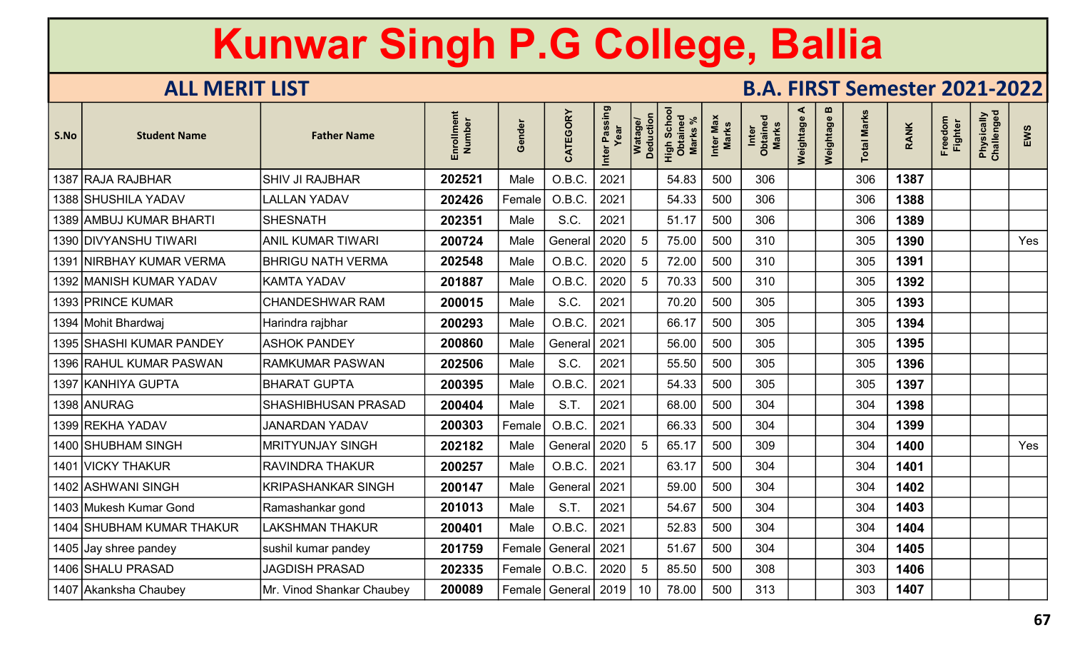| S.No | <b>Student Name</b>         | <b>Father Name</b>         | Enrollment<br>Number | iender<br>O | CATEGORY                | Inter Passing | Watage/<br>Deduction | Scho<br>High Scho<br>Obtained<br><b>Marks</b> | Inter Max<br>Marks | Inter<br>Obtained<br><b>Marks</b> | ⋖<br>Weightage | m<br>Weightage | <b>Total Marks</b> | <b>RANK</b> | Freedom<br><b>Fighter</b> | Physically<br>Challenged | EWS |
|------|-----------------------------|----------------------------|----------------------|-------------|-------------------------|---------------|----------------------|-----------------------------------------------|--------------------|-----------------------------------|----------------|----------------|--------------------|-------------|---------------------------|--------------------------|-----|
|      | 1387 RAJA RAJBHAR           | <b>SHIV JI RAJBHAR</b>     | 202521               | Male        | O.B.C.                  | 2021          |                      | 54.83                                         | 500                | 306                               |                |                | 306                | 1387        |                           |                          |     |
|      | 1388 SHUSHILA YADAV         | <b>LALLAN YADAV</b>        | 202426               | Female      | O.B.C.                  | 2021          |                      | 54.33                                         | 500                | 306                               |                |                | 306                | 1388        |                           |                          |     |
|      | 1389 AMBUJ KUMAR BHARTI     | <b>SHESNATH</b>            | 202351               | Male        | S.C.                    | 2021          |                      | 51.17                                         | 500                | 306                               |                |                | 306                | 1389        |                           |                          |     |
|      | 1390 DIVYANSHU TIWARI       | <b>ANIL KUMAR TIWARI</b>   | 200724               | Male        | General                 | 2020          | 5                    | 75.00                                         | 500                | 310                               |                |                | 305                | 1390        |                           |                          | Yes |
| 1391 | <b>NIRBHAY KUMAR VERMA</b>  | <b>BHRIGU NATH VERMA</b>   | 202548               | Male        | O.B.C.                  | 2020          | 5                    | 72.00                                         | 500                | 310                               |                |                | 305                | 1391        |                           |                          |     |
|      | 1392 MANISH KUMAR YADAV     | <b>KAMTA YADAV</b>         | 201887               | Male        | O.B.C.                  | 2020          | 5                    | 70.33                                         | 500                | 310                               |                |                | 305                | 1392        |                           |                          |     |
|      | 1393 PRINCE KUMAR           | <b>CHANDESHWAR RAM</b>     | 200015               | Male        | S.C.                    | 2021          |                      | 70.20                                         | 500                | 305                               |                |                | 305                | 1393        |                           |                          |     |
|      | 1394 Mohit Bhardwaj         | Harindra rajbhar           | 200293               | Male        | O.B.C.                  | 2021          |                      | 66.17                                         | 500                | 305                               |                |                | 305                | 1394        |                           |                          |     |
|      | 1395 SHASHI KUMAR PANDEY    | <b>ASHOK PANDEY</b>        | 200860               | Male        | General                 | 2021          |                      | 56.00                                         | 500                | 305                               |                |                | 305                | 1395        |                           |                          |     |
|      | 1396 RAHUL KUMAR PASWAN     | <b>RAMKUMAR PASWAN</b>     | 202506               | Male        | S.C.                    | 2021          |                      | 55.50                                         | 500                | 305                               |                |                | 305                | 1396        |                           |                          |     |
|      | 1397 KANHIYA GUPTA          | <b>BHARAT GUPTA</b>        | 200395               | Male        | O.B.C.                  | 2021          |                      | 54.33                                         | 500                | 305                               |                |                | 305                | 1397        |                           |                          |     |
|      | 1398 ANURAG                 | <b>SHASHIBHUSAN PRASAD</b> | 200404               | Male        | S.T.                    | 2021          |                      | 68.00                                         | 500                | 304                               |                |                | 304                | 1398        |                           |                          |     |
|      | 1399 REKHA YADAV            | <b>JANARDAN YADAV</b>      | 200303               | Female      | O.B.C.                  | 2021          |                      | 66.33                                         | 500                | 304                               |                |                | 304                | 1399        |                           |                          |     |
|      | 1400 SHUBHAM SINGH          | <b>MRITYUNJAY SINGH</b>    | 202182               | Male        | General                 | 2020          | 5                    | 65.17                                         | 500                | 309                               |                |                | 304                | 1400        |                           |                          | Yes |
|      | 1401 VICKY THAKUR           | <b>RAVINDRA THAKUR</b>     | 200257               | Male        | O.B.C.                  | 2021          |                      | 63.17                                         | 500                | 304                               |                |                | 304                | 1401        |                           |                          |     |
|      | 1402 ASHWANI SINGH          | <b>KRIPASHANKAR SINGH</b>  | 200147               | Male        | General                 | 2021          |                      | 59.00                                         | 500                | 304                               |                |                | 304                | 1402        |                           |                          |     |
|      | 1403 Mukesh Kumar Gond      | Ramashankar gond           | 201013               | Male        | S.T.                    | 2021          |                      | 54.67                                         | 500                | 304                               |                |                | 304                | 1403        |                           |                          |     |
| 1404 | <b>SHUBHAM KUMAR THAKUR</b> | LAKSHMAN THAKUR            | 200401               | Male        | O.B.C.                  | 2021          |                      | 52.83                                         | 500                | 304                               |                |                | 304                | 1404        |                           |                          |     |
|      | 1405 Jay shree pandey       | sushil kumar pandey        | 201759               | Female      | General                 | 2021          |                      | 51.67                                         | 500                | 304                               |                |                | 304                | 1405        |                           |                          |     |
|      | 1406 SHALU PRASAD           | <b>JAGDISH PRASAD</b>      | 202335               | Female      | O.B.C.                  | 2020          | 5                    | 85.50                                         | 500                | 308                               |                |                | 303                | 1406        |                           |                          |     |
|      | 1407 Akanksha Chaubey       | Mr. Vinod Shankar Chaubey  | 200089               |             | Female   General   2019 |               | 10                   | 78.00                                         | 500                | 313                               |                |                | 303                | 1407        |                           |                          |     |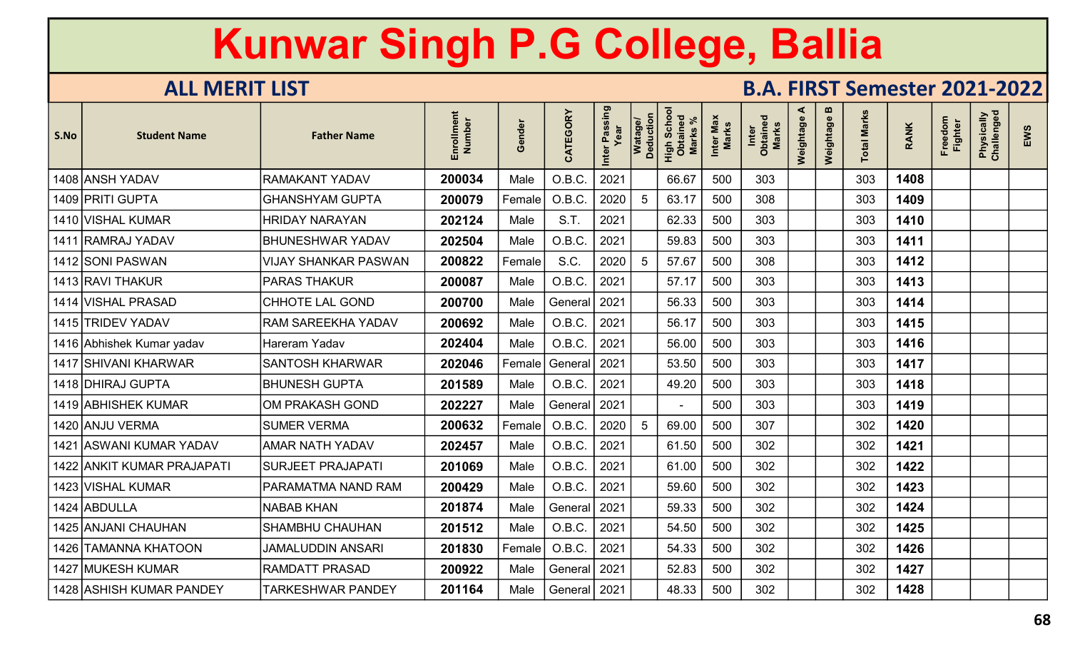| S.No | <b>Student Name</b>        | <b>Father Name</b>          | Enrollment<br>Number | Gender | CATEGORY       | Inter Passing | Watage/<br>Deduction | Scho<br>High Scho<br>Obtained<br><b>Marks</b> | Inter Max<br>Marks | Inter<br>Obtained<br><b>Marks</b> | ⋖<br>Weightage | m<br>Weightage | <b>Total Marks</b> | <b>RANK</b> | Freedom<br>Fighter | Physically<br>Challenged | EWS |
|------|----------------------------|-----------------------------|----------------------|--------|----------------|---------------|----------------------|-----------------------------------------------|--------------------|-----------------------------------|----------------|----------------|--------------------|-------------|--------------------|--------------------------|-----|
|      | 1408 ANSH YADAV            | <b>RAMAKANT YADAV</b>       | 200034               | Male   | O.B.C.         | 2021          |                      | 66.67                                         | 500                | 303                               |                |                | 303                | 1408        |                    |                          |     |
|      | 1409 PRITI GUPTA           | <b>GHANSHYAM GUPTA</b>      | 200079               | Female | O.B.C.         | 2020          | 5                    | 63.17                                         | 500                | 308                               |                |                | 303                | 1409        |                    |                          |     |
|      | 1410 VISHAL KUMAR          | <b>HRIDAY NARAYAN</b>       | 202124               | Male   | S.T.           | 2021          |                      | 62.33                                         | 500                | 303                               |                |                | 303                | 1410        |                    |                          |     |
|      | 1411 RAMRAJ YADAV          | <b>BHUNESHWAR YADAV</b>     | 202504               | Male   | O.B.C.         | 2021          |                      | 59.83                                         | 500                | 303                               |                |                | 303                | 1411        |                    |                          |     |
|      | 1412 SONI PASWAN           | <b>VIJAY SHANKAR PASWAN</b> | 200822               | Female | S.C.           | 2020          |                      | 57.67                                         | 500                | 308                               |                |                | 303                | 1412        |                    |                          |     |
|      | 1413 RAVI THAKUR           | <b>PARAS THAKUR</b>         | 200087               | Male   | O.B.C.         | 2021          |                      | 57.17                                         | 500                | 303                               |                |                | 303                | 1413        |                    |                          |     |
|      | 1414 VISHAL PRASAD         | CHHOTE LAL GOND             | 200700               | Male   | General        | 2021          |                      | 56.33                                         | 500                | 303                               |                |                | 303                | 1414        |                    |                          |     |
|      | 1415 TRIDEV YADAV          | RAM SAREEKHA YADAV          | 200692               | Male   | O.B.C.         | 2021          |                      | 56.17                                         | 500                | 303                               |                |                | 303                | 1415        |                    |                          |     |
|      | 1416 Abhishek Kumar yadav  | Hareram Yadav               | 202404               | Male   | O.B.C.         | 2021          |                      | 56.00                                         | 500                | 303                               |                |                | 303                | 1416        |                    |                          |     |
|      | 1417 SHIVANI KHARWAR       | <b>SANTOSH KHARWAR</b>      | 202046               | Female | General        | 2021          |                      | 53.50                                         | 500                | 303                               |                |                | 303                | 1417        |                    |                          |     |
|      | 1418 DHIRAJ GUPTA          | <b>BHUNESH GUPTA</b>        | 201589               | Male   | O.B.C.         | 2021          |                      | 49.20                                         | 500                | 303                               |                |                | 303                | 1418        |                    |                          |     |
|      | 1419 ABHISHEK KUMAR        | OM PRAKASH GOND             | 202227               | Male   | General        | 2021          |                      |                                               | 500                | 303                               |                |                | 303                | 1419        |                    |                          |     |
|      | 1420 ANJU VERMA            | <b>SUMER VERMA</b>          | 200632               | Female | O.B.C.         | 2020          | 5                    | 69.00                                         | 500                | 307                               |                |                | 302                | 1420        |                    |                          |     |
|      | 1421 ASWANI KUMAR YADAV    | <b>AMAR NATH YADAV</b>      | 202457               | Male   | O.B.C.         | 2021          |                      | 61.50                                         | 500                | 302                               |                |                | 302                | 1421        |                    |                          |     |
|      | 1422 ANKIT KUMAR PRAJAPATI | <b>SURJEET PRAJAPATI</b>    | 201069               | Male   | O.B.C.         | 2021          |                      | 61.00                                         | 500                | 302                               |                |                | 302                | 1422        |                    |                          |     |
|      | 1423 VISHAL KUMAR          | PARAMATMA NAND RAM          | 200429               | Male   | O.B.C.         | 2021          |                      | 59.60                                         | 500                | 302                               |                |                | 302                | 1423        |                    |                          |     |
|      | 1424 ABDULLA               | <b>NABAB KHAN</b>           | 201874               | Male   | General        | 2021          |                      | 59.33                                         | 500                | 302                               |                |                | 302                | 1424        |                    |                          |     |
|      | 1425 ANJANI CHAUHAN        | <b>SHAMBHU CHAUHAN</b>      | 201512               | Male   | O.B.C.         | 2021          |                      | 54.50                                         | 500                | 302                               |                |                | 302                | 1425        |                    |                          |     |
|      | 1426   TAMANNA KHATOON     | JAMALUDDIN ANSARI           | 201830               | Female | O.B.C.         | 2021          |                      | 54.33                                         | 500                | 302                               |                |                | 302                | 1426        |                    |                          |     |
|      | 1427 MUKESH KUMAR          | <b>RAMDATT PRASAD</b>       | 200922               | Male   | General        | 2021          |                      | 52.83                                         | 500                | 302                               |                |                | 302                | 1427        |                    |                          |     |
|      | 1428 ASHISH KUMAR PANDEY   | <b>TARKESHWAR PANDEY</b>    | 201164               | Male   | General   2021 |               |                      | 48.33                                         | 500                | 302                               |                |                | 302                | 1428        |                    |                          |     |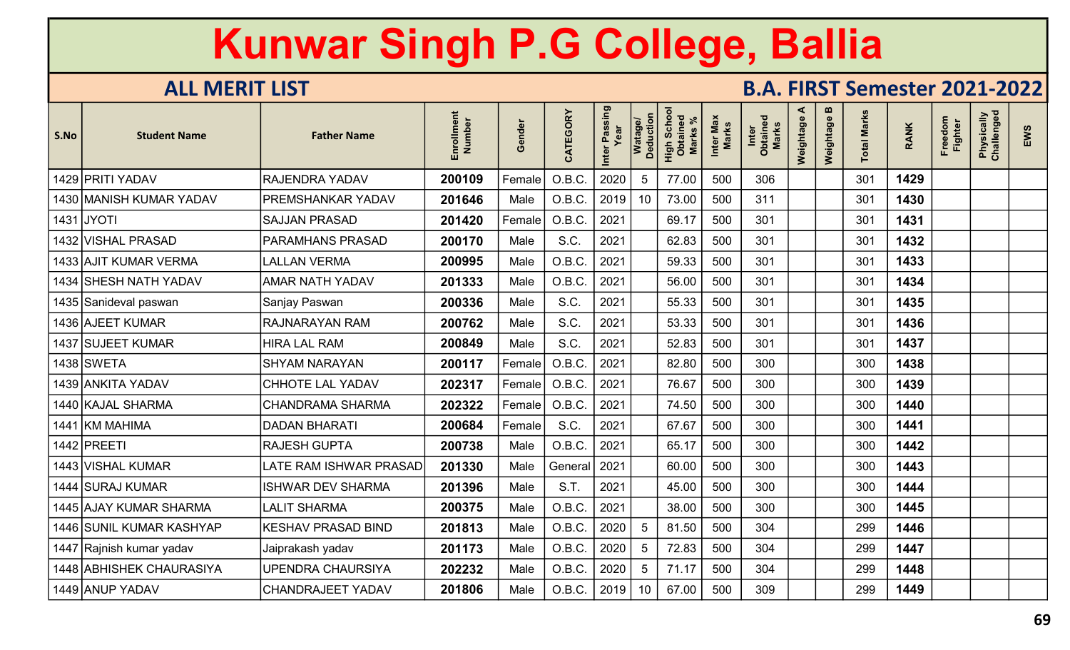| <b>Student Name</b> | <b>Father Name</b>                                                                                                                                                                                                                                                                                                                                                                                                                                                            | Enrollment<br>Number                                          | iender<br>O | CATEGORY                                             | Inter Passing |    | Scho<br>High Scho<br>Obtained<br><b>Marks</b> | Inter Max<br>Marks | Inter<br>Obtained<br><b>Marks</b> | ⋖<br>Weightage | $\mathbf{m}$<br>Weightage | <b>Total Marks</b> | <b>RANK</b> | Freedom<br><b>Fighter</b> | Physically<br>Challenged | EWS |
|---------------------|-------------------------------------------------------------------------------------------------------------------------------------------------------------------------------------------------------------------------------------------------------------------------------------------------------------------------------------------------------------------------------------------------------------------------------------------------------------------------------|---------------------------------------------------------------|-------------|------------------------------------------------------|---------------|----|-----------------------------------------------|--------------------|-----------------------------------|----------------|---------------------------|--------------------|-------------|---------------------------|--------------------------|-----|
|                     |                                                                                                                                                                                                                                                                                                                                                                                                                                                                               | 200109                                                        | Female      | O.B.C.                                               | 2020          | 5  | 77.00                                         | 500                | 306                               |                |                           | 301                | 1429        |                           |                          |     |
|                     | PREMSHANKAR YADAV                                                                                                                                                                                                                                                                                                                                                                                                                                                             | 201646                                                        | Male        | O.B.C.                                               | 2019          | 10 | 73.00                                         | 500                | 311                               |                |                           | 301                | 1430        |                           |                          |     |
|                     |                                                                                                                                                                                                                                                                                                                                                                                                                                                                               | 201420                                                        | Female      | O.B.C.                                               | 2021          |    | 69.17                                         | 500                | 301                               |                |                           | 301                | 1431        |                           |                          |     |
|                     | <b>PARAMHANS PRASAD</b>                                                                                                                                                                                                                                                                                                                                                                                                                                                       | 200170                                                        | Male        | S.C.                                                 | 2021          |    | 62.83                                         | 500                | 301                               |                |                           | 301                | 1432        |                           |                          |     |
|                     | <b>LALLAN VERMA</b>                                                                                                                                                                                                                                                                                                                                                                                                                                                           | 200995                                                        | Male        | O.B.C.                                               | 2021          |    | 59.33                                         | 500                | 301                               |                |                           | 301                | 1433        |                           |                          |     |
|                     | <b>AMAR NATH YADAV</b>                                                                                                                                                                                                                                                                                                                                                                                                                                                        | 201333                                                        | Male        | O.B.C.                                               | 2021          |    | 56.00                                         | 500                | 301                               |                |                           | 301                | 1434        |                           |                          |     |
|                     | Sanjay Paswan                                                                                                                                                                                                                                                                                                                                                                                                                                                                 | 200336                                                        | Male        | S.C.                                                 | 2021          |    | 55.33                                         | 500                | 301                               |                |                           | 301                | 1435        |                           |                          |     |
|                     | <b>RAJNARAYAN RAM</b>                                                                                                                                                                                                                                                                                                                                                                                                                                                         | 200762                                                        | Male        | S.C.                                                 | 2021          |    | 53.33                                         | 500                | 301                               |                |                           | 301                | 1436        |                           |                          |     |
|                     | <b>HIRA LAL RAM</b>                                                                                                                                                                                                                                                                                                                                                                                                                                                           | 200849                                                        | Male        | S.C.                                                 | 2021          |    | 52.83                                         | 500                | 301                               |                |                           | 301                | 1437        |                           |                          |     |
|                     | <b>SHYAM NARAYAN</b>                                                                                                                                                                                                                                                                                                                                                                                                                                                          | 200117                                                        |             | O.B.C.                                               | 2021          |    | 82.80                                         | 500                | 300                               |                |                           | 300                | 1438        |                           |                          |     |
|                     | CHHOTE LAL YADAV                                                                                                                                                                                                                                                                                                                                                                                                                                                              | 202317                                                        |             | O.B.C.                                               | 2021          |    | 76.67                                         | 500                | 300                               |                |                           | 300                | 1439        |                           |                          |     |
|                     | CHANDRAMA SHARMA                                                                                                                                                                                                                                                                                                                                                                                                                                                              | 202322                                                        |             | O.B.C.                                               | 2021          |    | 74.50                                         | 500                | 300                               |                |                           | 300                | 1440        |                           |                          |     |
|                     | <b>DADAN BHARATI</b>                                                                                                                                                                                                                                                                                                                                                                                                                                                          | 200684                                                        |             | S.C.                                                 | 2021          |    | 67.67                                         | 500                | 300                               |                |                           | 300                | 1441        |                           |                          |     |
|                     |                                                                                                                                                                                                                                                                                                                                                                                                                                                                               | 200738                                                        | Male        | O.B.C.                                               | 2021          |    | 65.17                                         | 500                | 300                               |                |                           | 300                | 1442        |                           |                          |     |
|                     | LATE RAM ISHWAR PRASAD                                                                                                                                                                                                                                                                                                                                                                                                                                                        | 201330                                                        | Male        | General                                              | 2021          |    | 60.00                                         | 500                | 300                               |                |                           | 300                | 1443        |                           |                          |     |
|                     | <b>ISHWAR DEV SHARMA</b>                                                                                                                                                                                                                                                                                                                                                                                                                                                      | 201396                                                        | Male        | S.T.                                                 | 2021          |    | 45.00                                         | 500                | 300                               |                |                           | 300                | 1444        |                           |                          |     |
|                     | <b>LALIT SHARMA</b>                                                                                                                                                                                                                                                                                                                                                                                                                                                           | 200375                                                        | Male        | O.B.C.                                               | 2021          |    | 38.00                                         | 500                | 300                               |                |                           | 300                | 1445        |                           |                          |     |
|                     | <b>KESHAV PRASAD BIND</b>                                                                                                                                                                                                                                                                                                                                                                                                                                                     | 201813                                                        | Male        | O.B.C.                                               | 2020          | -5 | 81.50                                         | 500                | 304                               |                |                           | 299                | 1446        |                           |                          |     |
|                     | Jaiprakash yadav                                                                                                                                                                                                                                                                                                                                                                                                                                                              | 201173                                                        | Male        | O.B.C.                                               | 2020          | 5  | 72.83                                         | 500                | 304                               |                |                           | 299                | 1447        |                           |                          |     |
|                     | <b>JPENDRA CHAURSIYA</b>                                                                                                                                                                                                                                                                                                                                                                                                                                                      | 202232                                                        | Male        | O.B.C.                                               | 2020          | 5  | 71.17                                         | 500                | 304                               |                |                           | 299                | 1448        |                           |                          |     |
|                     | <b>CHANDRAJEET YADAV</b>                                                                                                                                                                                                                                                                                                                                                                                                                                                      | 201806                                                        | Male        | O.B.C.                                               | 2019          | 10 | 67.00                                         | 500                | 309                               |                |                           | 299                | 1449        |                           |                          |     |
|                     | 1429 PRITI YADAV<br>1430   MANISH KUMAR YADAV<br>1431 JYOTI<br>1432 VISHAL PRASAD<br>1433 AJIT KUMAR VERMA<br>1434 SHESH NATH YADAV<br>1435 Sanideval paswan<br>1436 AJEET KUMAR<br>1437 SUJEET KUMAR<br>1438 SWETA<br>1439 ANKITA YADAV<br>1440 KAJAL SHARMA<br>KM MAHIMA<br>1442 PREETI<br>1443 VISHAL KUMAR<br><b>SURAJ KUMAR</b><br>1444<br>1445 AJAY KUMAR SHARMA<br>1446 SUNIL KUMAR KASHYAP<br>1447 Rajnish kumar yadav<br>1448 ABHISHEK CHAURASIYA<br>1449 ANUP YADAV | <b>RAJENDRA YADAV</b><br><b>SAJJAN PRASAD</b><br>RAJESH GUPTA |             | Female  <br>Female<br>$\sf Female $<br>$\sf Female $ |               |    | Watage/<br>Deduction                          |                    |                                   |                |                           |                    |             |                           |                          |     |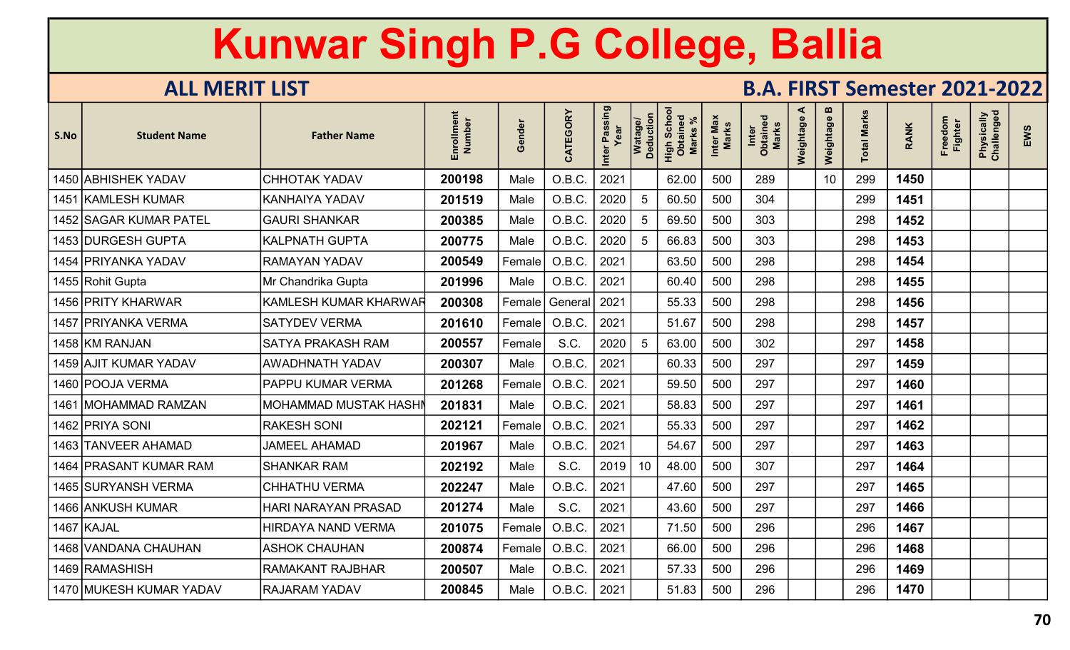| S.No | <b>Student Name</b>      | <b>Father Name</b>       | ent<br>Number<br>Enrollm | inder<br>$\boldsymbol{\omega}$<br>O | CATEGORY | Inter Passing | Watage/<br>Deduction | Scho<br>High Scho<br>Obtained<br><b>Marks</b> | Inter Max<br>Marks | Inter<br>Obtained<br>Marks | ⋖<br>Weightage | m<br>Weightage | <b>Total Marks</b> | <b>RANK</b> | Freedom<br><b>Fighter</b> | Physically<br>Challenged | EWS |
|------|--------------------------|--------------------------|--------------------------|-------------------------------------|----------|---------------|----------------------|-----------------------------------------------|--------------------|----------------------------|----------------|----------------|--------------------|-------------|---------------------------|--------------------------|-----|
|      | 1450 ABHISHEK YADAV      | <b>CHHOTAK YADAV</b>     | 200198                   | Male                                | O.B.C.   | 2021          |                      | 62.00                                         | 500                | 289                        |                | 10             | 299                | 1450        |                           |                          |     |
| 1451 | <b>KAMLESH KUMAR</b>     | <b>KANHAIYA YADAV</b>    | 201519                   | Male                                | O.B.C.   | 2020          | 5                    | 60.50                                         | 500                | 304                        |                |                | 299                | 1451        |                           |                          |     |
|      | 1452 SAGAR KUMAR PATEL   | <b>GAURI SHANKAR</b>     | 200385                   | Male                                | O.B.C.   | 2020          | 5                    | 69.50                                         | 500                | 303                        |                |                | 298                | 1452        |                           |                          |     |
|      | 1453 DURGESH GUPTA       | <b>KALPNATH GUPTA</b>    | 200775                   | Male                                | O.B.C.   | 2020          | -5                   | 66.83                                         | 500                | 303                        |                |                | 298                | 1453        |                           |                          |     |
|      | 1454   PRIYANKA YADAV    | <b>RAMAYAN YADAV</b>     | 200549                   | Female                              | O.B.C.   | 2021          |                      | 63.50                                         | 500                | 298                        |                |                | 298                | 1454        |                           |                          |     |
|      | 1455 Rohit Gupta         | Mr Chandrika Gupta       | 201996                   | Male                                | O.B.C.   | 2021          |                      | 60.40                                         | 500                | 298                        |                |                | 298                | 1455        |                           |                          |     |
|      | 1456 PRITY KHARWAR       | KAMLESH KUMAR KHARWAR    | 200308                   | Female                              | General  | 2021          |                      | 55.33                                         | 500                | 298                        |                |                | 298                | 1456        |                           |                          |     |
|      | 1457   PRIYANKA VERMA    | <b>SATYDEV VERMA</b>     | 201610                   | Female                              | O.B.C.   | 2021          |                      | 51.67                                         | 500                | 298                        |                |                | 298                | 1457        |                           |                          |     |
|      | 1458 KM RANJAN           | <b>SATYA PRAKASH RAM</b> | 200557                   | Female                              | S.C.     | 2020          | 5                    | 63.00                                         | 500                | 302                        |                |                | 297                | 1458        |                           |                          |     |
|      | 1459 AJIT KUMAR YADAV    | <b>AWADHNATH YADAV</b>   | 200307                   | Male                                | O.B.C.   | 2021          |                      | 60.33                                         | 500                | 297                        |                |                | 297                | 1459        |                           |                          |     |
|      | 1460 POOJA VERMA         | PAPPU KUMAR VERMA        | 201268                   | Female                              | O.B.C.   | 2021          |                      | 59.50                                         | 500                | 297                        |                |                | 297                | 1460        |                           |                          |     |
| 1461 | MOHAMMAD RAMZAN          | MOHAMMAD MUSTAK HASHI    | 201831                   | Male                                | O.B.C.   | 2021          |                      | 58.83                                         | 500                | 297                        |                |                | 297                | 1461        |                           |                          |     |
|      | 1462 PRIYA SONI          | <b>RAKESH SONI</b>       | 202121                   | Female                              | O.B.C.   | 2021          |                      | 55.33                                         | 500                | 297                        |                |                | 297                | 1462        |                           |                          |     |
|      | 1463 TANVEER AHAMAD      | <b>JAMEEL AHAMAD</b>     | 201967                   | Male                                | O.B.C.   | 2021          |                      | 54.67                                         | 500                | 297                        |                |                | 297                | 1463        |                           |                          |     |
| 1464 | <b>PRASANT KUMAR RAM</b> | <b>SHANKAR RAM</b>       | 202192                   | Male                                | S.C.     | 2019          | 10                   | 48.00                                         | 500                | 307                        |                |                | 297                | 1464        |                           |                          |     |
|      | 1465 SURYANSH VERMA      | <b>CHHATHU VERMA</b>     | 202247                   | Male                                | O.B.C.   | 2021          |                      | 47.60                                         | 500                | 297                        |                |                | 297                | 1465        |                           |                          |     |
|      | 1466 ANKUSH KUMAR        | HARI NARAYAN PRASAD      | 201274                   | Male                                | S.C.     | 2021          |                      | 43.60                                         | 500                | 297                        |                |                | 297                | 1466        |                           |                          |     |
|      | 1467 KAJAL               | HIRDAYA NAND VERMA       | 201075                   | Female                              | O.B.C.   | 2021          |                      | 71.50                                         | 500                | 296                        |                |                | 296                | 1467        |                           |                          |     |
|      | 1468 VANDANA CHAUHAN     | <b>ASHOK CHAUHAN</b>     | 200874                   | Female                              | O.B.C.   | 2021          |                      | 66.00                                         | 500                | 296                        |                |                | 296                | 1468        |                           |                          |     |
|      | 1469 RAMASHISH           | <b>RAMAKANT RAJBHAR</b>  | 200507                   | Male                                | O.B.C.   | 2021          |                      | 57.33                                         | 500                | 296                        |                |                | 296                | 1469        |                           |                          |     |
|      | 1470 MUKESH KUMAR YADAV  | <b>RAJARAM YADAV</b>     | 200845                   | Male                                | O.B.C.   | 2021          |                      | 51.83                                         | 500                | 296                        |                |                | 296                | 1470        |                           |                          |     |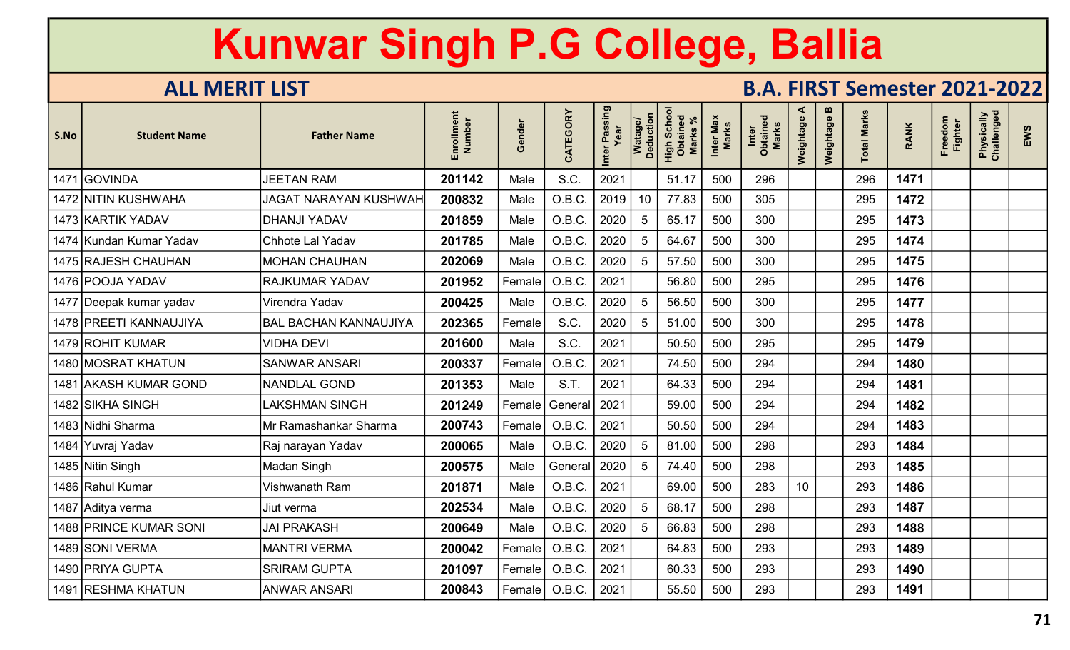| S.No | <b>Student Name</b>     | <b>Father Name</b>           | Enrollment<br>Number | Gender        | CATEGORY | Inter Passing<br>Year | Watage/<br>Deduction | Scho<br>High Scho<br>Obtaineo<br><b>Marks</b> | Inter Max<br>Marks | Inter<br>Obtained<br><b>Marks</b> | ⋖<br>Weightage | m<br>Weightage | <b>Total Marks</b> | <b>RANK</b> | Freedom<br><b>Fighter</b> | Physically<br>Challenged | EWS |
|------|-------------------------|------------------------------|----------------------|---------------|----------|-----------------------|----------------------|-----------------------------------------------|--------------------|-----------------------------------|----------------|----------------|--------------------|-------------|---------------------------|--------------------------|-----|
| 1471 | <b>GOVINDA</b>          | <b>JEETAN RAM</b>            | 201142               | Male          | S.C.     | 2021                  |                      | 51.17                                         | 500                | 296                               |                |                | 296                | 1471        |                           |                          |     |
|      | 1472 NITIN KUSHWAHA     | <b>JAGAT NARAYAN KUSHWAH</b> | 200832               | Male          | O.B.C.   | 2019                  | 10                   | 77.83                                         | 500                | 305                               |                |                | 295                | 1472        |                           |                          |     |
|      | 1473 KARTIK YADAV       | <b>DHANJI YADAV</b>          | 201859               | Male          | O.B.C.   | 2020                  | 5                    | 65.17                                         | 500                | 300                               |                |                | 295                | 1473        |                           |                          |     |
|      | 1474 Kundan Kumar Yadav | Chhote Lal Yadav             | 201785               | Male          | O.B.C.   | 2020                  | 5                    | 64.67                                         | 500                | 300                               |                |                | 295                | 1474        |                           |                          |     |
|      | 1475 RAJESH CHAUHAN     | <b>MOHAN CHAUHAN</b>         | 202069               | Male          | O.B.C.   | 2020                  |                      | 57.50                                         | 500                | 300                               |                |                | 295                | 1475        |                           |                          |     |
|      | 1476 POOJA YADAV        | <b>RAJKUMAR YADAV</b>        | 201952               | Female        | O.B.C.   | 2021                  |                      | 56.80                                         | 500                | 295                               |                |                | 295                | 1476        |                           |                          |     |
|      | 1477 Deepak kumar yadav | Virendra Yadav               | 200425               | Male          | O.B.C.   | 2020                  | 5                    | 56.50                                         | 500                | 300                               |                |                | 295                | 1477        |                           |                          |     |
|      | 1478 PREETI KANNAUJIYA  | <b>BAL BACHAN KANNAUJIYA</b> | 202365               | Female        | S.C.     | 2020                  | 5                    | 51.00                                         | 500                | 300                               |                |                | 295                | 1478        |                           |                          |     |
|      | 1479 ROHIT KUMAR        | <b>VIDHA DEVI</b>            | 201600               | Male          | S.C.     | 2021                  |                      | 50.50                                         | 500                | 295                               |                |                | 295                | 1479        |                           |                          |     |
|      | 1480 MOSRAT KHATUN      | <b>SANWAR ANSARI</b>         | 200337               | Female        | O.B.C.   | 2021                  |                      | 74.50                                         | 500                | 294                               |                |                | 294                | 1480        |                           |                          |     |
| 1481 | <b>AKASH KUMAR GOND</b> | <b>NANDLAL GOND</b>          | 201353               | Male          | S.T.     | 2021                  |                      | 64.33                                         | 500                | 294                               |                |                | 294                | 1481        |                           |                          |     |
|      | 1482 SIKHA SINGH        | LAKSHMAN SINGH               | 201249               | $\sf Female $ | General  | 2021                  |                      | 59.00                                         | 500                | 294                               |                |                | 294                | 1482        |                           |                          |     |
|      | 1483 Nidhi Sharma       | Mr Ramashankar Sharma        | 200743               | $\sf Female $ | O.B.C.   | 2021                  |                      | 50.50                                         | 500                | 294                               |                |                | 294                | 1483        |                           |                          |     |
|      | 1484 Yuvraj Yadav       | Raj narayan Yadav            | 200065               | Male          | O.B.C.   | 2020                  | 5                    | 81.00                                         | 500                | 298                               |                |                | 293                | 1484        |                           |                          |     |
|      | 1485 Nitin Singh        | Madan Singh                  | 200575               | Male          | General  | 2020                  | 5                    | 74.40                                         | 500                | 298                               |                |                | 293                | 1485        |                           |                          |     |
|      | 1486 Rahul Kumar        | Vishwanath Ram               | 201871               | Male          | O.B.C.   | 2021                  |                      | 69.00                                         | 500                | 283                               | 10             |                | 293                | 1486        |                           |                          |     |
|      | 1487 Aditya verma       | Jiut verma                   | 202534               | Male          | O.B.C.   | 2020                  | 5                    | 68.17                                         | 500                | 298                               |                |                | 293                | 1487        |                           |                          |     |
|      | 1488 PRINCE KUMAR SONI  | <b>JAI PRAKASH</b>           | 200649               | Male          | O.B.C.   | 2020                  | -5                   | 66.83                                         | 500                | 298                               |                |                | 293                | 1488        |                           |                          |     |
|      | 1489 SONI VERMA         | <b>MANTRI VERMA</b>          | 200042               | Female        | O.B.C.   | 2021                  |                      | 64.83                                         | 500                | 293                               |                |                | 293                | 1489        |                           |                          |     |
|      | 1490 PRIYA GUPTA        | <b>SRIRAM GUPTA</b>          | 201097               | Female        | O.B.C.   | 2021                  |                      | 60.33                                         | 500                | 293                               |                |                | 293                | 1490        |                           |                          |     |
|      | 1491 RESHMA KHATUN      | <b>ANWAR ANSARI</b>          | 200843               | Female        | O.B.C.   | 2021                  |                      | 55.50                                         | 500                | 293                               |                |                | 293                | 1491        |                           |                          |     |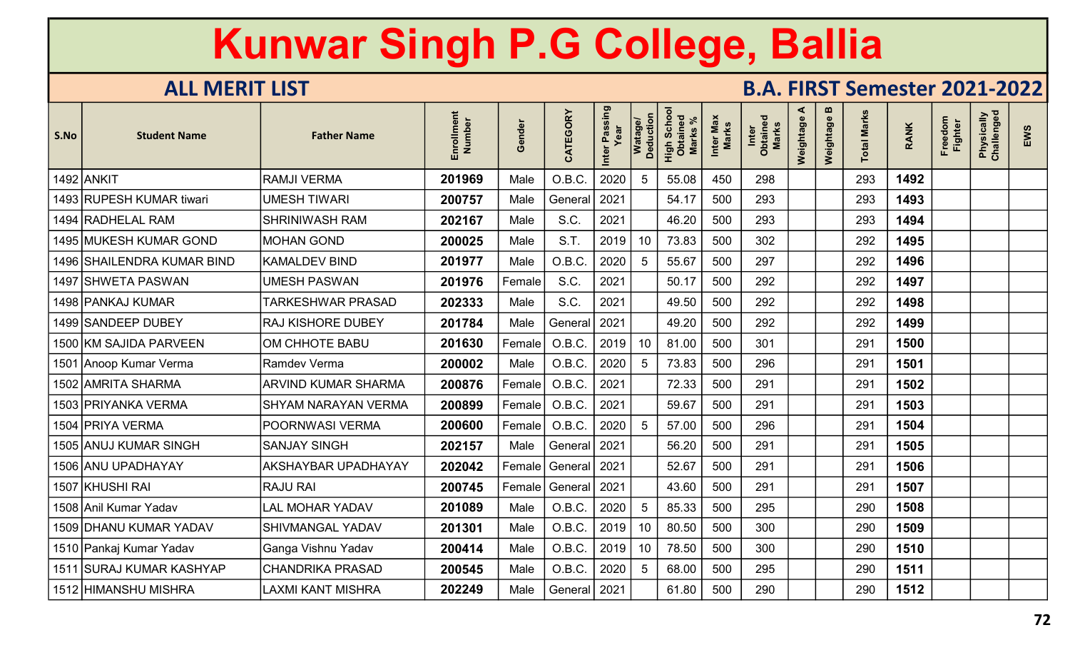| S.No | <b>Student Name</b>        | <b>Father Name</b>         | en<br><b>Number</b><br>Enrollm | iender<br>O   | CATEGORY     | Passing<br>Inter | Watage/<br>Deduction | Scho<br>High Scho<br><b>Marks</b> | Max<br>Marks<br>Inter | <b>Marks</b><br>Inter<br>Obtaine | ⋖<br>Weightage | $\mathbf{m}$<br>Weightage | <b>Total Marks</b> | <b>RANK</b> | Freedom<br><b>Fighter</b> | Physically<br>Challenged | EWS |
|------|----------------------------|----------------------------|--------------------------------|---------------|--------------|------------------|----------------------|-----------------------------------|-----------------------|----------------------------------|----------------|---------------------------|--------------------|-------------|---------------------------|--------------------------|-----|
|      | 1492 ANKIT                 | <b>RAMJI VERMA</b>         | 201969                         | Male          | O.B.C.       | 2020             | 5                    | 55.08                             | 450                   | 298                              |                |                           | 293                | 1492        |                           |                          |     |
|      | 1493 RUPESH KUMAR tiwari   | <b>JMESH TIWARI</b>        | 200757                         | Male          | General      | 2021             |                      | 54.17                             | 500                   | 293                              |                |                           | 293                | 1493        |                           |                          |     |
|      | 1494 RADHELAL RAM          | <b>SHRINIWASH RAM</b>      | 202167                         | Male          | S.C.         | 2021             |                      | 46.20                             | 500                   | 293                              |                |                           | 293                | 1494        |                           |                          |     |
|      | 1495 MUKESH KUMAR GOND     | <b>MOHAN GOND</b>          | 200025                         | Male          | S.T.         | 2019             | 10                   | 73.83                             | 500                   | 302                              |                |                           | 292                | 1495        |                           |                          |     |
|      | 1496 SHAILENDRA KUMAR BIND | <b>KAMALDEV BIND</b>       | 201977                         | Male          | O.B.C.       | 2020             | 5                    | 55.67                             | 500                   | 297                              |                |                           | 292                | 1496        |                           |                          |     |
|      | 1497 SHWETA PASWAN         | <b>JMESH PASWAN</b>        | 201976                         | Female        | S.C.         | 2021             |                      | 50.17                             | 500                   | 292                              |                |                           | 292                | 1497        |                           |                          |     |
|      | 1498 PANKAJ KUMAR          | <b>TARKESHWAR PRASAD</b>   | 202333                         | Male          | S.C.         | 2021             |                      | 49.50                             | 500                   | 292                              |                |                           | 292                | 1498        |                           |                          |     |
|      | 1499 SANDEEP DUBEY         | <b>RAJ KISHORE DUBEY</b>   | 201784                         | Male          | General      | 2021             |                      | 49.20                             | 500                   | 292                              |                |                           | 292                | 1499        |                           |                          |     |
|      | 1500 KM SAJIDA PARVEEN     | OM CHHOTE BABU             | 201630                         | $\sf Female $ | O.B.C.       | 2019             | 10                   | 81.00                             | 500                   | 301                              |                |                           | 291                | 1500        |                           |                          |     |
|      | 1501 Anoop Kumar Verma     | <b>Ramdev Verma</b>        | 200002                         | Male          | O.B.C.       | 2020             | 5                    | 73.83                             | 500                   | 296                              |                |                           | 291                | 1501        |                           |                          |     |
|      | 1502 AMRITA SHARMA         | <b>ARVIND KUMAR SHARMA</b> | 200876                         | Female        | O.B.C.       | 2021             |                      | 72.33                             | 500                   | 291                              |                |                           | 291                | 1502        |                           |                          |     |
|      | 1503 PRIYANKA VERMA        | <b>SHYAM NARAYAN VERMA</b> | 200899                         | Female        | O.B.C.       | 2021             |                      | 59.67                             | 500                   | 291                              |                |                           | 291                | 1503        |                           |                          |     |
|      | 1504   PRIYA VERMA         | POORNWASI VERMA            | 200600                         | Female        | O.B.C.       | 2020             | 5                    | 57.00                             | 500                   | 296                              |                |                           | 291                | 1504        |                           |                          |     |
|      | 1505 ANUJ KUMAR SINGH      | <b>SANJAY SINGH</b>        | 202157                         | Male          | General      | 2021             |                      | 56.20                             | 500                   | 291                              |                |                           | 291                | 1505        |                           |                          |     |
|      | 1506 ANU UPADHAYAY         | <b>AKSHAYBAR UPADHAYAY</b> | 202042                         | Female        | General      | 2021             |                      | 52.67                             | 500                   | 291                              |                |                           | 291                | 1506        |                           |                          |     |
|      | 1507 KHUSHI RAI            | <b>RAJU RAI</b>            | 200745                         | Female        | General      | 2021             |                      | 43.60                             | 500                   | 291                              |                |                           | 291                | 1507        |                           |                          |     |
|      | 1508 Anil Kumar Yadav      | LAL MOHAR YADAV            | 201089                         | Male          | O.B.C.       | 2020             | 5                    | 85.33                             | 500                   | 295                              |                |                           | 290                | 1508        |                           |                          |     |
|      | 1509 DHANU KUMAR YADAV     | <b>SHIVMANGAL YADAV</b>    | 201301                         | Male          | O.B.C.       | 2019             | 10                   | 80.50                             | 500                   | 300                              |                |                           | 290                | 1509        |                           |                          |     |
|      | 1510 Pankaj Kumar Yadav    | Ganga Vishnu Yadav         | 200414                         | Male          | O.B.C.       | 2019             | 10                   | 78.50                             | 500                   | 300                              |                |                           | 290                | 1510        |                           |                          |     |
| 1511 | <b>SURAJ KUMAR KASHYAP</b> | <b>CHANDRIKA PRASAD</b>    | 200545                         | Male          | O.B.C.       | 2020             | 5                    | 68.00                             | 500                   | 295                              |                |                           | 290                | 1511        |                           |                          |     |
|      | 1512 HIMANSHU MISHRA       | LAXMI KANT MISHRA          | 202249                         | Male          | General 2021 |                  |                      | 61.80                             | 500                   | 290                              |                |                           | 290                | 1512        |                           |                          |     |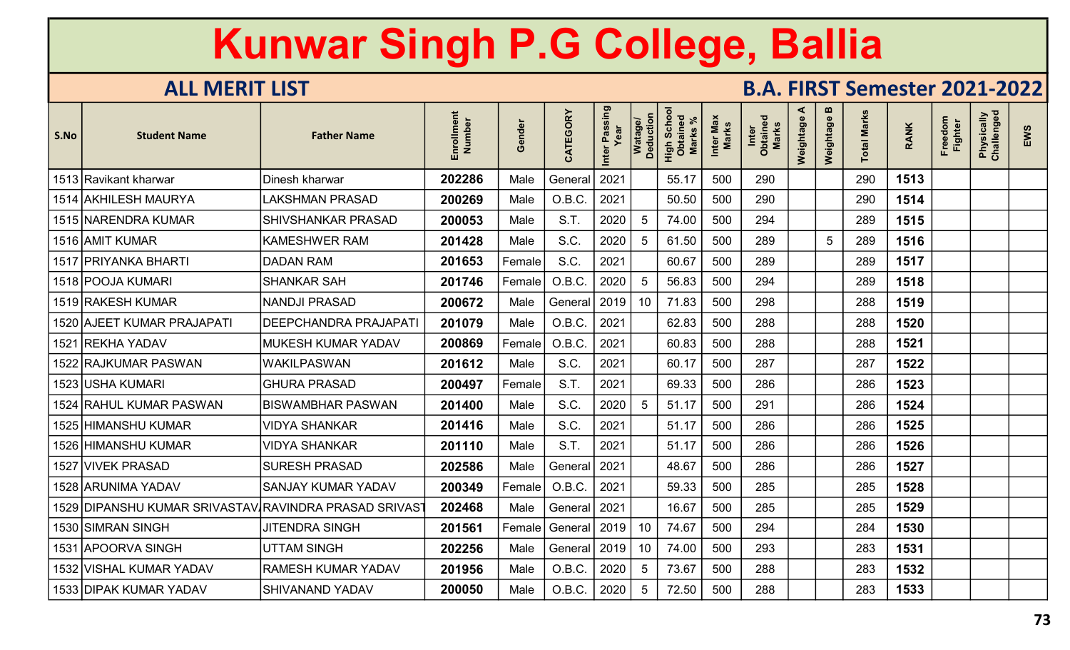| S.No | <b>Student Name</b>           | <b>Father Name</b>        | ent<br>Enrollmen<br>Number | inder<br>$\boldsymbol{\omega}$<br>O | CATEGORY | Inter Passing | Watage/<br>Deduction | Scho<br>High Scho<br>Obtained<br><b>Marks</b> | Inter Max<br>Marks | Inter<br>Obtained<br>Marks | ⋖<br>Weightage | m<br>Weightage | otal Marks | <b>RANK</b> | Freedom<br><b>Fighter</b> | Physically<br>Challenged | EWS |
|------|-------------------------------|---------------------------|----------------------------|-------------------------------------|----------|---------------|----------------------|-----------------------------------------------|--------------------|----------------------------|----------------|----------------|------------|-------------|---------------------------|--------------------------|-----|
|      | 1513 Ravikant kharwar         | Dinesh kharwar            | 202286                     | Male                                | General  | 2021          |                      | 55.17                                         | 500                | 290                        |                |                | 290        | 1513        |                           |                          |     |
|      | 1514 AKHILESH MAURYA          | LAKSHMAN PRASAD           | 200269                     | Male                                | O.B.C.   | 2021          |                      | 50.50                                         | 500                | 290                        |                |                | 290        | 1514        |                           |                          |     |
|      | 1515 NARENDRA KUMAR           | <b>SHIVSHANKAR PRASAD</b> | 200053                     | Male                                | S.T.     | 2020          | 5                    | 74.00                                         | 500                | 294                        |                |                | 289        | 1515        |                           |                          |     |
|      | 1516 AMIT KUMAR               | <b>KAMESHWER RAM</b>      | 201428                     | Male                                | S.C.     | 2020          | 5                    | 61.50                                         | 500                | 289                        |                | $\sqrt{5}$     | 289        | 1516        |                           |                          |     |
|      | 1517   PRIYANKA BHARTI        | <b>DADAN RAM</b>          | 201653                     | Female                              | S.C.     | 2021          |                      | 60.67                                         | 500                | 289                        |                |                | 289        | 1517        |                           |                          |     |
|      | 1518 POOJA KUMARI             | <b>SHANKAR SAH</b>        | 201746                     | Female                              | O.B.C.   | 2020          | 5                    | 56.83                                         | 500                | 294                        |                |                | 289        | 1518        |                           |                          |     |
|      | 1519 RAKESH KUMAR             | <b>NANDJI PRASAD</b>      | 200672                     | Male                                | General  | 2019          | 10                   | 71.83                                         | 500                | 298                        |                |                | 288        | 1519        |                           |                          |     |
|      | 1520 AJEET KUMAR PRAJAPATI    | DEEPCHANDRA PRAJAPATI     | 201079                     | Male                                | O.B.C.   | 2021          |                      | 62.83                                         | 500                | 288                        |                |                | 288        | 1520        |                           |                          |     |
|      | 1521 REKHA YADAV              | MUKESH KUMAR YADAV        | 200869                     | Female                              | O.B.C.   | 2021          |                      | 60.83                                         | 500                | 288                        |                |                | 288        | 1521        |                           |                          |     |
|      | 1522 RAJKUMAR PASWAN          | <b>WAKILPASWAN</b>        | 201612                     | Male                                | S.C.     | 2021          |                      | 60.17                                         | 500                | 287                        |                |                | 287        | 1522        |                           |                          |     |
|      | 1523 USHA KUMARI              | <b>GHURA PRASAD</b>       | 200497                     | Female                              | S.T.     | 2021          |                      | 69.33                                         | 500                | 286                        |                |                | 286        | 1523        |                           |                          |     |
|      | 1524 RAHUL KUMAR PASWAN       | <b>BISWAMBHAR PASWAN</b>  | 201400                     | Male                                | S.C.     | 2020          | 5                    | 51.17                                         | 500                | 291                        |                |                | 286        | 1524        |                           |                          |     |
|      | 1525 HIMANSHU KUMAR           | <b>VIDYA SHANKAR</b>      | 201416                     | Male                                | S.C.     | 2021          |                      | 51.17                                         | 500                | 286                        |                |                | 286        | 1525        |                           |                          |     |
|      | 1526 HIMANSHU KUMAR           | <b>VIDYA SHANKAR</b>      | 201110                     | Male                                | S.T.     | 2021          |                      | 51.17                                         | 500                | 286                        |                |                | 286        | 1526        |                           |                          |     |
|      | 1527 VIVEK PRASAD             | <b>SURESH PRASAD</b>      | 202586                     | Male                                | General  | 2021          |                      | 48.67                                         | 500                | 286                        |                |                | 286        | 1527        |                           |                          |     |
|      | 1528 ARUNIMA YADAV            | <b>SANJAY KUMAR YADAV</b> | 200349                     | Female                              | O.B.C.   | 2021          |                      | 59.33                                         | 500                | 285                        |                |                | 285        | 1528        |                           |                          |     |
|      | 1529 DIPANSHU KUMAR SRIVASTAV | RAVINDRA PRASAD SRIVAS    | 202468                     | Male                                | General  | 2021          |                      | 16.67                                         | 500                | 285                        |                |                | 285        | 1529        |                           |                          |     |
|      | 1530   SIMRAN SINGH           | <b>JITENDRA SINGH</b>     | 201561                     | Female                              | General  | 2019          | 10                   | 74.67                                         | 500                | 294                        |                |                | 284        | 1530        |                           |                          |     |
|      | 1531 APOORVA SINGH            | <b>UTTAM SINGH</b>        | 202256                     | Male                                | General  | 2019          | 10                   | 74.00                                         | 500                | 293                        |                |                | 283        | 1531        |                           |                          |     |
|      | 1532 VISHAL KUMAR YADAV       | <b>RAMESH KUMAR YADAV</b> | 201956                     | Male                                | O.B.C.   | 2020          | 5                    | 73.67                                         | 500                | 288                        |                |                | 283        | 1532        |                           |                          |     |
|      | 1533 DIPAK KUMAR YADAV        | <b>SHIVANAND YADAV</b>    | 200050                     | Male                                | O.B.C.   | 2020          | 5                    | 72.50                                         | 500                | 288                        |                |                | 283        | 1533        |                           |                          |     |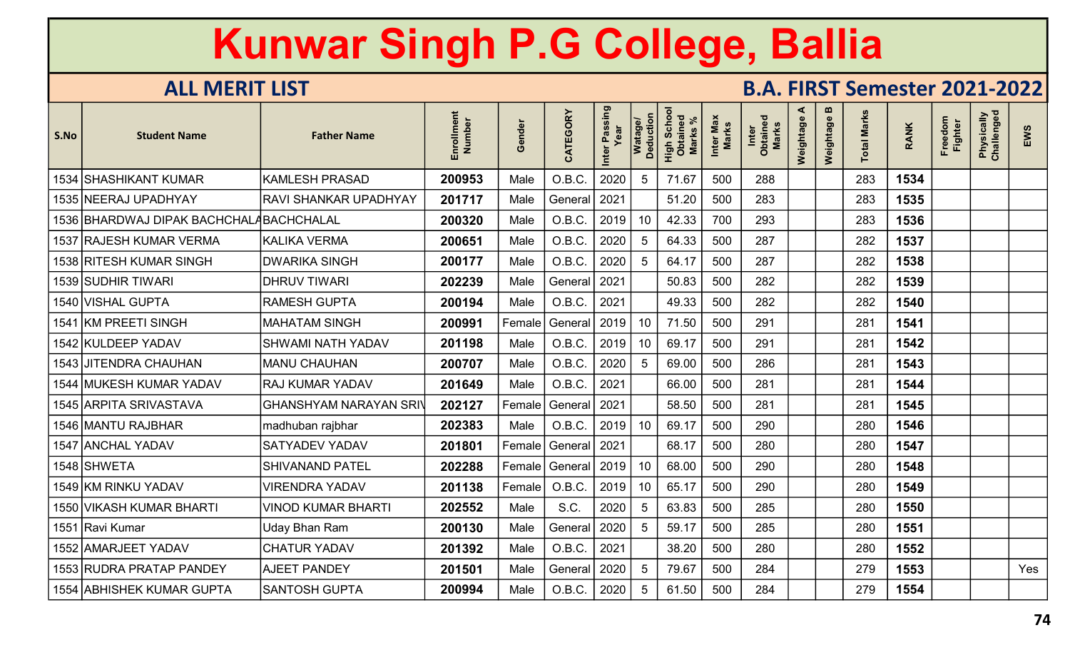| S.No | <b>Student Name</b>                     | <b>Father Name</b>            | Enrollment<br>Number | iender<br>O | CATEGORY | Inter Passing | Watage/<br>Deduction | <b>Scho</b><br>High Scho<br>Obtaineo<br><b>Marks</b> | Inter Max<br>Marks | Inter<br>Obtained<br><b>Marks</b> | ⋖<br>Weightage | $\mathbf{u}$<br>Weightage | otal Marks | <b>RANK</b> | Freedom<br><b>Fighter</b> | Physically<br>Challenged | EWS |
|------|-----------------------------------------|-------------------------------|----------------------|-------------|----------|---------------|----------------------|------------------------------------------------------|--------------------|-----------------------------------|----------------|---------------------------|------------|-------------|---------------------------|--------------------------|-----|
|      | 1534 SHASHIKANT KUMAR                   | <b>KAMLESH PRASAD</b>         | 200953               | Male        | O.B.C.   | 2020          | 5                    | 71.67                                                | 500                | 288                               |                |                           | 283        | 1534        |                           |                          |     |
|      | 1535 NEERAJ UPADHYAY                    | RAVI SHANKAR UPADHYAY         | 201717               | Male        | General  | 2021          |                      | 51.20                                                | 500                | 283                               |                |                           | 283        | 1535        |                           |                          |     |
|      | 1536 BHARDWAJ DIPAK BACHCHALABACHCHALAL |                               | 200320               | Male        | O.B.C.   | 2019          | 10 <sup>°</sup>      | 42.33                                                | 700                | 293                               |                |                           | 283        | 1536        |                           |                          |     |
|      | 1537 RAJESH KUMAR VERMA                 | <b>KALIKA VERMA</b>           | 200651               | Male        | O.B.C.   | 2020          | 5                    | 64.33                                                | 500                | 287                               |                |                           | 282        | 1537        |                           |                          |     |
|      | 1538 RITESH KUMAR SINGH                 | <b>DWARIKA SINGH</b>          | 200177               | Male        | O.B.C.   | 2020          | 5                    | 64.17                                                | 500                | 287                               |                |                           | 282        | 1538        |                           |                          |     |
|      | 1539 SUDHIR TIWARI                      | <b>DHRUV TIWARI</b>           | 202239               | Male        | General  | 2021          |                      | 50.83                                                | 500                | 282                               |                |                           | 282        | 1539        |                           |                          |     |
|      | 1540 VISHAL GUPTA                       | <b>RAMESH GUPTA</b>           | 200194               | Male        | O.B.C.   | 2021          |                      | 49.33                                                | 500                | 282                               |                |                           | 282        | 1540        |                           |                          |     |
|      | 1541 KM PREETI SINGH                    | <b>MAHATAM SINGH</b>          | 200991               | Female      | General  | 2019          | 10 <sup>°</sup>      | 71.50                                                | 500                | 291                               |                |                           | 281        | 1541        |                           |                          |     |
|      | 1542 KULDEEP YADAV                      | <b>SHWAMI NATH YADAV</b>      | 201198               | Male        | O.B.C.   | 2019          | 10                   | 69.17                                                | 500                | 291                               |                |                           | 281        | 1542        |                           |                          |     |
|      | 1543 JITENDRA CHAUHAN                   | <b>MANU CHAUHAN</b>           | 200707               | Male        | O.B.C.   | 2020          | 5                    | 69.00                                                | 500                | 286                               |                |                           | 281        | 1543        |                           |                          |     |
|      | 1544 MUKESH KUMAR YADAV                 | <b>RAJ KUMAR YADAV</b>        | 201649               | Male        | O.B.C.   | 2021          |                      | 66.00                                                | 500                | 281                               |                |                           | 281        | 1544        |                           |                          |     |
|      | 1545 ARPITA SRIVASTAVA                  | <b>GHANSHYAM NARAYAN SRIV</b> | 202127               | Female      | General  | 2021          |                      | 58.50                                                | 500                | 281                               |                |                           | 281        | 1545        |                           |                          |     |
|      | 1546 MANTU RAJBHAR                      | madhuban rajbhar              | 202383               | Male        | O.B.C.   | 2019          | 10 <sup>°</sup>      | 69.17                                                | 500                | 290                               |                |                           | 280        | 1546        |                           |                          |     |
|      | 1547 ANCHAL YADAV                       | SATYADEV YADAV                | 201801               | Female      | General  | 2021          |                      | 68.17                                                | 500                | 280                               |                |                           | 280        | 1547        |                           |                          |     |
|      | 1548 SHWETA                             | <b>SHIVANAND PATEL</b>        | 202288               | Female      | General  | 2019          | 10                   | 68.00                                                | 500                | 290                               |                |                           | 280        | 1548        |                           |                          |     |
|      | 1549 KM RINKU YADAV                     | <b>VIRENDRA YADAV</b>         | 201138               | Female      | O.B.C    | 2019          | 10                   | 65.17                                                | 500                | 290                               |                |                           | 280        | 1549        |                           |                          |     |
|      | 1550 VIKASH KUMAR BHARTI                | <b>VINOD KUMAR BHARTI</b>     | 202552               | Male        | S.C.     | 2020          | 5                    | 63.83                                                | 500                | 285                               |                |                           | 280        | 1550        |                           |                          |     |
|      | 1551 Ravi Kumar                         | Uday Bhan Ram                 | 200130               | Male        | General  | 2020          | 5                    | 59.17                                                | 500                | 285                               |                |                           | 280        | 1551        |                           |                          |     |
|      | 1552 AMARJEET YADAV                     | <b>CHATUR YADAV</b>           | 201392               | Male        | O.B.C.   | 2021          |                      | 38.20                                                | 500                | 280                               |                |                           | 280        | 1552        |                           |                          |     |
|      | 1553 RUDRA PRATAP PANDEY                | <b>AJEET PANDEY</b>           | 201501               | Male        | General  | 2020          | 5                    | 79.67                                                | 500                | 284                               |                |                           | 279        | 1553        |                           |                          | Yes |
|      | 1554 ABHISHEK KUMAR GUPTA               | <b>SANTOSH GUPTA</b>          | 200994               | Male        | O.B.C.   | 2020          | 5                    | 61.50                                                | 500                | 284                               |                |                           | 279        | 1554        |                           |                          |     |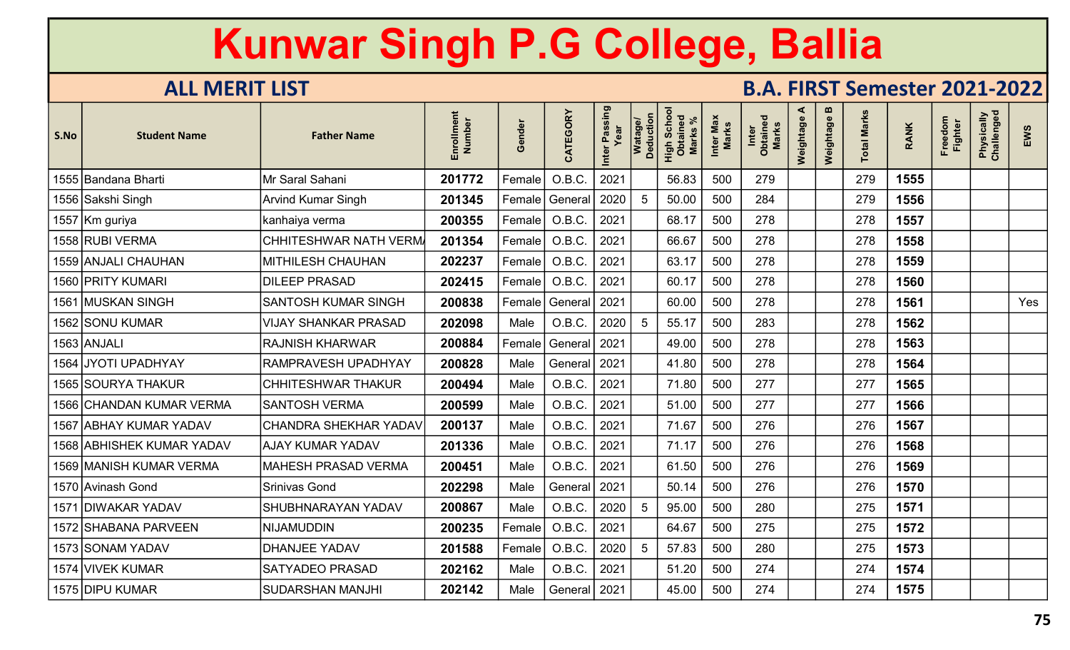| S.No | <b>Student Name</b>       | <b>Father Name</b>           | ent<br>Number<br>Enrollm | iender<br>O   | CATEGORY       | Inter Passing | Watage/<br>Deduction | Scho<br>High Scho<br>Obtaineo<br><b>Marks</b> | Inter Max<br>Marks | Inter<br>Obtained<br><b>Marks</b> | ⋖<br>Weightage | $\mathbf{m}$<br>Weightage | otal Marks | <b>RANK</b> | Freedom<br><b>Fighter</b> | Physically<br>Challenged | EWS |
|------|---------------------------|------------------------------|--------------------------|---------------|----------------|---------------|----------------------|-----------------------------------------------|--------------------|-----------------------------------|----------------|---------------------------|------------|-------------|---------------------------|--------------------------|-----|
|      | 1555 Bandana Bharti       | Mr Saral Sahani              | 201772                   | Female        | O.B.C.         | 2021          |                      | 56.83                                         | 500                | 279                               |                |                           | 279        | 1555        |                           |                          |     |
|      | 1556 Sakshi Singh         | <b>Arvind Kumar Singh</b>    | 201345                   | $\sf Female $ | General        | 2020          | .5                   | 50.00                                         | 500                | 284                               |                |                           | 279        | 1556        |                           |                          |     |
|      | 1557 Km guriya            | kanhaiya verma               | 200355                   | Female        | O.B.C.         | 2021          |                      | 68.17                                         | 500                | 278                               |                |                           | 278        | 1557        |                           |                          |     |
|      | 1558 RUBI VERMA           | <b>CHHITESHWAR NATH VERM</b> | 201354                   | Female        | O.B.C.         | 2021          |                      | 66.67                                         | 500                | 278                               |                |                           | 278        | 1558        |                           |                          |     |
|      | 1559 ANJALI CHAUHAN       | <b>MITHILESH CHAUHAN</b>     | 202237                   | Female        | O.B.C.         | 2021          |                      | 63.17                                         | 500                | 278                               |                |                           | 278        | 1559        |                           |                          |     |
|      | 1560 PRITY KUMARI         | <b>DILEEP PRASAD</b>         | 202415                   | Female        | O.B.C.         | 2021          |                      | 60.17                                         | 500                | 278                               |                |                           | 278        | 1560        |                           |                          |     |
| 1561 | <b>MUSKAN SINGH</b>       | <b>SANTOSH KUMAR SINGH</b>   | 200838                   | $\sf Female $ | General        | 2021          |                      | 60.00                                         | 500                | 278                               |                |                           | 278        | 1561        |                           |                          | Yes |
|      | 1562 SONU KUMAR           | <b>VIJAY SHANKAR PRASAD</b>  | 202098                   | Male          | O.B.C.         | 2020          | 5                    | 55.17                                         | 500                | 283                               |                |                           | 278        | 1562        |                           |                          |     |
|      | 1563 ANJALI               | <b>RAJNISH KHARWAR</b>       | 200884                   | Female        | General        | 2021          |                      | 49.00                                         | 500                | 278                               |                |                           | 278        | 1563        |                           |                          |     |
|      | 1564 JYOTI UPADHYAY       | RAMPRAVESH UPADHYAY          | 200828                   | Male          | General        | 2021          |                      | 41.80                                         | 500                | 278                               |                |                           | 278        | 1564        |                           |                          |     |
|      | 1565 SOURYA THAKUR        | <b>CHHITESHWAR THAKUR</b>    | 200494                   | Male          | O.B.C.         | 2021          |                      | 71.80                                         | 500                | 277                               |                |                           | 277        | 1565        |                           |                          |     |
|      | 1566 CHANDAN KUMAR VERMA  | <b>SANTOSH VERMA</b>         | 200599                   | Male          | O.B.C.         | 2021          |                      | 51.00                                         | 500                | 277                               |                |                           | 277        | 1566        |                           |                          |     |
|      | 1567 ABHAY KUMAR YADAV    | <b>CHANDRA SHEKHAR YADAV</b> | 200137                   | Male          | O.B.C.         | 2021          |                      | 71.67                                         | 500                | 276                               |                |                           | 276        | 1567        |                           |                          |     |
|      | 1568 ABHISHEK KUMAR YADAV | <b>AJAY KUMAR YADAV</b>      | 201336                   | Male          | O.B.C.         | 2021          |                      | 71.17                                         | 500                | 276                               |                |                           | 276        | 1568        |                           |                          |     |
|      | 1569 MANISH KUMAR VERMA   | <b>MAHESH PRASAD VERMA</b>   | 200451                   | Male          | O.B.C.         | 2021          |                      | 61.50                                         | 500                | 276                               |                |                           | 276        | 1569        |                           |                          |     |
|      | 1570 Avinash Gond         | <b>Srinivas Gond</b>         | 202298                   | Male          | General        | 2021          |                      | 50.14                                         | 500                | 276                               |                |                           | 276        | 1570        |                           |                          |     |
| 1571 | <b>DIWAKAR YADAV</b>      | SHUBHNARAYAN YADAV           | 200867                   | Male          | O.B.C.         | 2020          | 5                    | 95.00                                         | 500                | 280                               |                |                           | 275        | 1571        |                           |                          |     |
|      | 1572 SHABANA PARVEEN      | <b>NIJAMUDDIN</b>            | 200235                   | Female        | O.B.C.         | 2021          |                      | 64.67                                         | 500                | 275                               |                |                           | 275        | 1572        |                           |                          |     |
|      | 1573 SONAM YADAV          | <b>DHANJEE YADAV</b>         | 201588                   | Female        | O.B.C.         | 2020          | -5                   | 57.83                                         | 500                | 280                               |                |                           | 275        | 1573        |                           |                          |     |
|      | 1574 VIVEK KUMAR          | <b>SATYADEO PRASAD</b>       | 202162                   | Male          | O.B.C.         | 2021          |                      | 51.20                                         | 500                | 274                               |                |                           | 274        | 1574        |                           |                          |     |
|      | 1575 DIPU KUMAR           | <b>SUDARSHAN MANJHI</b>      | 202142                   | Male          | General   2021 |               |                      | 45.00                                         | 500                | 274                               |                |                           | 274        | 1575        |                           |                          |     |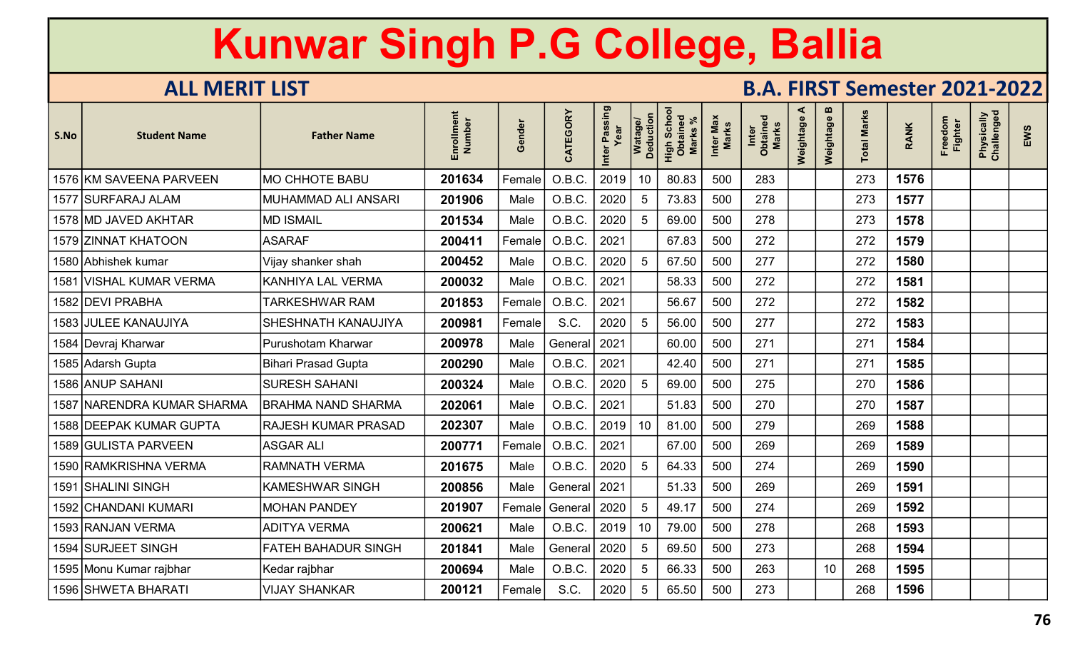| S.No | <b>Student Name</b>        | <b>Father Name</b>         | Enrollment<br>Number | Gender | CATEGORY       | Inter Passing<br>Year | Watage/<br>Deduction | Scho<br>High Scho<br>Obtaineo<br><b>Marks</b> | Inter Max<br>Marks | Inter<br>Obtained<br>Marks | ⋖<br>Weightage | $\boldsymbol{\omega}$<br>Weightage | <b>Total Marks</b> | <b>RANK</b> | Freedom<br><b>Fighter</b> | Physically<br>Challenged | EWS |
|------|----------------------------|----------------------------|----------------------|--------|----------------|-----------------------|----------------------|-----------------------------------------------|--------------------|----------------------------|----------------|------------------------------------|--------------------|-------------|---------------------------|--------------------------|-----|
|      | 1576 KM SAVEENA PARVEEN    | <b>MO CHHOTE BABU</b>      | 201634               | Female | O.B.C.         | 2019                  | 10 <sup>°</sup>      | 80.83                                         | 500                | 283                        |                |                                    | 273                | 1576        |                           |                          |     |
|      | 1577 SURFARAJ ALAM         | MUHAMMAD ALI ANSARI        | 201906               | Male   | O.B.C.         | 2020                  | 5                    | 73.83                                         | 500                | 278                        |                |                                    | 273                | 1577        |                           |                          |     |
|      | 1578 MD JAVED AKHTAR       | <b>MD ISMAIL</b>           | 201534               | Male   | O.B.C.         | 2020                  | 5                    | 69.00                                         | 500                | 278                        |                |                                    | 273                | 1578        |                           |                          |     |
|      | 1579 ZINNAT KHATOON        | <b>ASARAF</b>              | 200411               | Female | O.B.C.         | 2021                  |                      | 67.83                                         | 500                | 272                        |                |                                    | 272                | 1579        |                           |                          |     |
|      | 1580 Abhishek kumar        | Vijay shanker shah         | 200452               | Male   | O.B.C          | 2020                  |                      | 67.50                                         | 500                | 277                        |                |                                    | 272                | 1580        |                           |                          |     |
|      | 1581 VISHAL KUMAR VERMA    | <b>KANHIYA LAL VERMA</b>   | 200032               | Male   | O.B.C.         | 2021                  |                      | 58.33                                         | 500                | 272                        |                |                                    | 272                | 1581        |                           |                          |     |
|      | 1582 DEVI PRABHA           | <b>TARKESHWAR RAM</b>      | 201853               | Female | O.B.C.         | 2021                  |                      | 56.67                                         | 500                | 272                        |                |                                    | 272                | 1582        |                           |                          |     |
|      | 1583 JULEE KANAUJIYA       | SHESHNATH KANAUJIYA        | 200981               | Female | S.C.           | 2020                  | 5                    | 56.00                                         | 500                | 277                        |                |                                    | 272                | 1583        |                           |                          |     |
|      | 1584 Devraj Kharwar        | Purushotam Kharwar         | 200978               | Male   | General   2021 |                       |                      | 60.00                                         | 500                | 271                        |                |                                    | 271                | 1584        |                           |                          |     |
|      | 1585 Adarsh Gupta          | <b>Bihari Prasad Gupta</b> | 200290               | Male   | O.B.C.         | 2021                  |                      | 42.40                                         | 500                | 271                        |                |                                    | 271                | 1585        |                           |                          |     |
|      | 1586 ANUP SAHANI           | <b>SURESH SAHANI</b>       | 200324               | Male   | O.B.C.         | 2020                  | $5\phantom{.0}$      | 69.00                                         | 500                | 275                        |                |                                    | 270                | 1586        |                           |                          |     |
|      | 1587 NARENDRA KUMAR SHARMA | <b>BRAHMA NAND SHARMA</b>  | 202061               | Male   | O.B.C.         | 2021                  |                      | 51.83                                         | 500                | 270                        |                |                                    | 270                | 1587        |                           |                          |     |
|      | 1588 DEEPAK KUMAR GUPTA    | <b>RAJESH KUMAR PRASAD</b> | 202307               | Male   | O.B.C.         | 2019                  | 10                   | 81.00                                         | 500                | 279                        |                |                                    | 269                | 1588        |                           |                          |     |
|      | 1589 GULISTA PARVEEN       | <b>ASGAR ALI</b>           | 200771               | Female | O.B.C          | 2021                  |                      | 67.00                                         | 500                | 269                        |                |                                    | 269                | 1589        |                           |                          |     |
|      | 1590 RAMKRISHNA VERMA      | <b>RAMNATH VERMA</b>       | 201675               | Male   | O.B.C.         | 2020                  | 5                    | 64.33                                         | 500                | 274                        |                |                                    | 269                | 1590        |                           |                          |     |
|      | 1591 SHALINI SINGH         | <b>KAMESHWAR SINGH</b>     | 200856               | Male   | General 2021   |                       |                      | 51.33                                         | 500                | 269                        |                |                                    | 269                | 1591        |                           |                          |     |
|      | 1592 CHANDANI KUMARI       | <b>MOHAN PANDEY</b>        | 201907               | Female | General        | 2020                  | 5                    | 49.17                                         | 500                | 274                        |                |                                    | 269                | 1592        |                           |                          |     |
|      | 1593 RANJAN VERMA          | <b>ADITYA VERMA</b>        | 200621               | Male   | O.B.C.         | 2019                  | 10                   | 79.00                                         | 500                | 278                        |                |                                    | 268                | 1593        |                           |                          |     |
|      | 1594 SURJEET SINGH         | <b>FATEH BAHADUR SINGH</b> | 201841               | Male   | General        | 2020                  | 5                    | 69.50                                         | 500                | 273                        |                |                                    | 268                | 1594        |                           |                          |     |
|      | 1595 Monu Kumar rajbhar    | Kedar rajbhar              | 200694               | Male   | O.B.C.         | 2020                  | 5                    | 66.33                                         | 500                | 263                        |                | 10                                 | 268                | 1595        |                           |                          |     |
|      | 1596 SHWETA BHARATI        | <b>VIJAY SHANKAR</b>       | 200121               | Female | S.C.           | 2020                  | 5                    | 65.50                                         | 500                | 273                        |                |                                    | 268                | 1596        |                           |                          |     |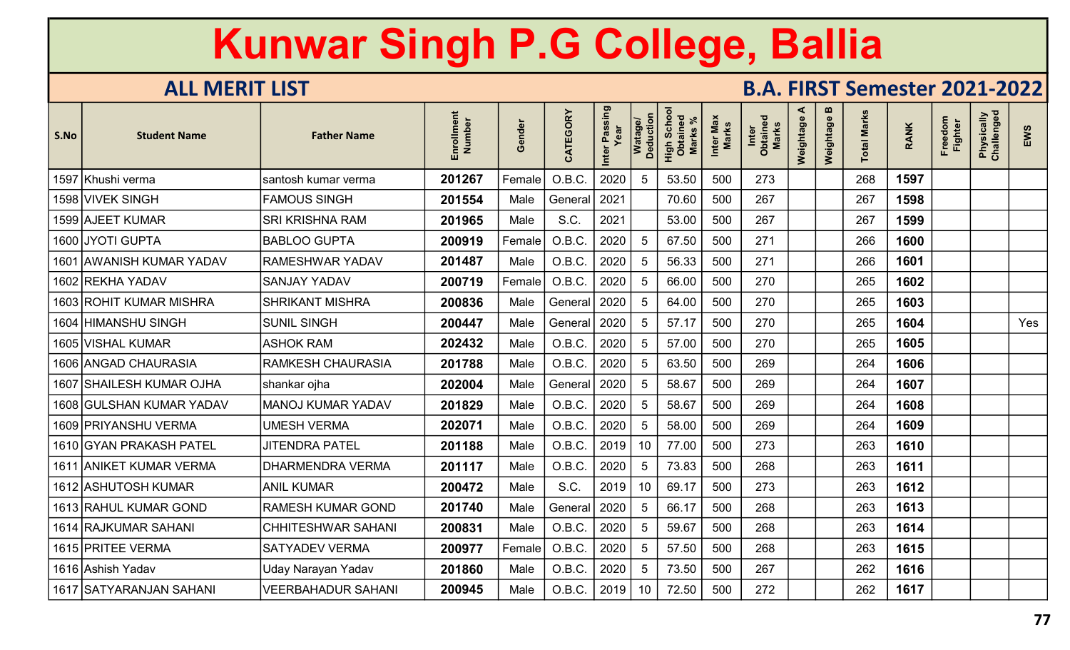| S.No | <b>Student Name</b>      | <b>Father Name</b>        | Enrollment<br><b>Number</b> | Gender | CATEGORY | Inter Passing<br>Year | Watage/<br>Deduction | <b>Scho</b><br>aine<br><b>Marks</b><br>High:<br>Obta | Inter Max<br><b>Marks</b> | Inter<br>Obtained<br><b>Marks</b> | ⋖<br>Weightage | $\mathbf{u}$<br>Weightage | <b>Total Marks</b> | <b>RANK</b> | Freedom<br>Fighter | Physically<br>Challenged | EWS |
|------|--------------------------|---------------------------|-----------------------------|--------|----------|-----------------------|----------------------|------------------------------------------------------|---------------------------|-----------------------------------|----------------|---------------------------|--------------------|-------------|--------------------|--------------------------|-----|
|      | 1597 Khushi verma        | santosh kumar verma       | 201267                      | Female | O.B.C.   | 2020                  | 5                    | 53.50                                                | 500                       | 273                               |                |                           | 268                | 1597        |                    |                          |     |
|      | 1598 VIVEK SINGH         | <b>FAMOUS SINGH</b>       | 201554                      | Male   | General  | 2021                  |                      | 70.60                                                | 500                       | 267                               |                |                           | 267                | 1598        |                    |                          |     |
|      | 1599 AJEET KUMAR         | <b>SRI KRISHNA RAM</b>    | 201965                      | Male   | S.C.     | 2021                  |                      | 53.00                                                | 500                       | 267                               |                |                           | 267                | 1599        |                    |                          |     |
|      | 1600 JYOTI GUPTA         | <b>BABLOO GUPTA</b>       | 200919                      | Female | O.B.C.   | 2020                  | 5                    | 67.50                                                | 500                       | 271                               |                |                           | 266                | 1600        |                    |                          |     |
|      | 1601 AWANISH KUMAR YADAV | RAMESHWAR YADAV           | 201487                      | Male   | O.B.C.   | 2020                  | 5                    | 56.33                                                | 500                       | 271                               |                |                           | 266                | 1601        |                    |                          |     |
|      | 1602 REKHA YADAV         | <b>SANJAY YADAV</b>       | 200719                      | Female | O.B.C.   | 2020                  | 5                    | 66.00                                                | 500                       | 270                               |                |                           | 265                | 1602        |                    |                          |     |
|      | 1603 ROHIT KUMAR MISHRA  | <b>SHRIKANT MISHRA</b>    | 200836                      | Male   | General  | 2020                  | 5                    | 64.00                                                | 500                       | 270                               |                |                           | 265                | 1603        |                    |                          |     |
|      | 1604 HIMANSHU SINGH      | <b>SUNIL SINGH</b>        | 200447                      | Male   | General  | 2020                  | 5                    | 57.17                                                | 500                       | 270                               |                |                           | 265                | 1604        |                    |                          | Yes |
|      | 1605 VISHAL KUMAR        | <b>ASHOK RAM</b>          | 202432                      | Male   | O.B.C.   | 2020                  | 5                    | 57.00                                                | 500                       | 270                               |                |                           | 265                | 1605        |                    |                          |     |
|      | 1606 ANGAD CHAURASIA     | <b>RAMKESH CHAURASIA</b>  | 201788                      | Male   | O.B.C.   | 2020                  | $5\phantom{1}$       | 63.50                                                | 500                       | 269                               |                |                           | 264                | 1606        |                    |                          |     |
|      | 1607 SHAILESH KUMAR OJHA | shankar ojha              | 202004                      | Male   | General  | 2020                  | 5                    | 58.67                                                | 500                       | 269                               |                |                           | 264                | 1607        |                    |                          |     |
|      | 1608 GULSHAN KUMAR YADAV | <b>MANOJ KUMAR YADAV</b>  | 201829                      | Male   | O.B.C.   | 2020                  | 5                    | 58.67                                                | 500                       | 269                               |                |                           | 264                | 1608        |                    |                          |     |
|      | 1609 PRIYANSHU VERMA     | <b>UMESH VERMA</b>        | 202071                      | Male   | O.B.C.   | 2020                  | 5                    | 58.00                                                | 500                       | 269                               |                |                           | 264                | 1609        |                    |                          |     |
|      | 1610 GYAN PRAKASH PATEL  | <b>JITENDRA PATEL</b>     | 201188                      | Male   | O.B.C.   | 2019                  | 10                   | 77.00                                                | 500                       | 273                               |                |                           | 263                | 1610        |                    |                          |     |
|      | 1611 ANIKET KUMAR VERMA  | <b>DHARMENDRA VERMA</b>   | 201117                      | Male   | O.B.C.   | 2020                  | 5                    | 73.83                                                | 500                       | 268                               |                |                           | 263                | 1611        |                    |                          |     |
|      | 1612 ASHUTOSH KUMAR      | <b>ANIL KUMAR</b>         | 200472                      | Male   | S.C.     | 2019                  | 10 <sup>°</sup>      | 69.17                                                | 500                       | 273                               |                |                           | 263                | 1612        |                    |                          |     |
|      | 1613 RAHUL KUMAR GOND    | <b>RAMESH KUMAR GOND</b>  | 201740                      | Male   | General  | 2020                  | 5                    | 66.17                                                | 500                       | 268                               |                |                           | 263                | 1613        |                    |                          |     |
|      | 1614 RAJKUMAR SAHANI     | <b>CHHITESHWAR SAHANI</b> | 200831                      | Male   | O.B.C.   | 2020                  | 5                    | 59.67                                                | 500                       | 268                               |                |                           | 263                | 1614        |                    |                          |     |
|      | 1615 PRITEE VERMA        | <b>SATYADEV VERMA</b>     | 200977                      | Female | O.B.C.   | 2020                  | 5                    | 57.50                                                | 500                       | 268                               |                |                           | 263                | 1615        |                    |                          |     |
|      | 1616 Ashish Yadav        | Uday Narayan Yadav        | 201860                      | Male   | O.B.C.   | 2020                  | 5                    | 73.50                                                | 500                       | 267                               |                |                           | 262                | 1616        |                    |                          |     |
|      | 1617 SATYARANJAN SAHANI  | <b>VEERBAHADUR SAHANI</b> | 200945                      | Male   | O.B.C.   | 2019                  | 10 <sup>°</sup>      | 72.50                                                | 500                       | 272                               |                |                           | 262                | 1617        |                    |                          |     |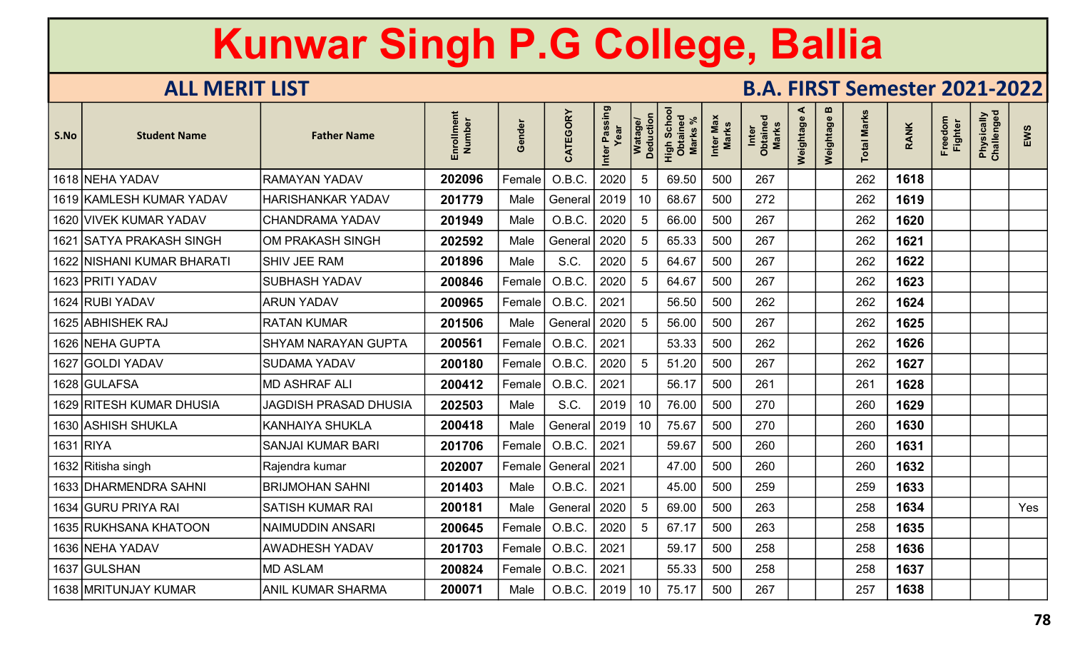| S.No      | <b>Student Name</b>        | <b>Father Name</b>           | en<br>Number<br>Enrollm | inder<br>$\boldsymbol{\omega}$<br>O | CATEGORY | Passing<br>Inter | Watage/<br>Deduction | Scho<br>High Scho<br>Obtaineo<br><b>Marks</b> | Inter Max<br>Marks | <b>Marks</b><br>Inter<br>Obtaine | ⋖<br>Weightage | $\mathbf{m}$<br>Weightage | otal Marks | <b>RANK</b> | Freedom<br><b>Fighter</b> | Physically<br>Challenged | EWS |
|-----------|----------------------------|------------------------------|-------------------------|-------------------------------------|----------|------------------|----------------------|-----------------------------------------------|--------------------|----------------------------------|----------------|---------------------------|------------|-------------|---------------------------|--------------------------|-----|
|           | 1618 NEHA YADAV            | <b>RAMAYAN YADAV</b>         | 202096                  | Female                              | O.B.C.   | 2020             | 5                    | 69.50                                         | 500                | 267                              |                |                           | 262        | 1618        |                           |                          |     |
|           | 1619 KAMLESH KUMAR YADAV   | HARISHANKAR YADAV            | 201779                  | Male                                | General  | 2019             | 10                   | 68.67                                         | 500                | 272                              |                |                           | 262        | 1619        |                           |                          |     |
|           | 1620 VIVEK KUMAR YADAV     | <b>CHANDRAMA YADAV</b>       | 201949                  | Male                                | O.B.C.   | 2020             | 5                    | 66.00                                         | 500                | 267                              |                |                           | 262        | 1620        |                           |                          |     |
| 1621      | <b>SATYA PRAKASH SINGH</b> | <b>OM PRAKASH SINGH</b>      | 202592                  | Male                                | General  | 2020             | 5                    | 65.33                                         | 500                | 267                              |                |                           | 262        | 1621        |                           |                          |     |
|           | 1622 NISHANI KUMAR BHARATI | <b>SHIV JEE RAM</b>          | 201896                  | Male                                | S.C.     | 2020             | 5                    | 64.67                                         | 500                | 267                              |                |                           | 262        | 1622        |                           |                          |     |
|           | 1623 PRITI YADAV           | <b>SUBHASH YADAV</b>         | 200846                  | Female                              | O.B.C.   | 2020             | 5                    | 64.67                                         | 500                | 267                              |                |                           | 262        | 1623        |                           |                          |     |
|           | 1624 RUBI YADAV            | <b>ARUN YADAV</b>            | 200965                  | Female                              | O.B.C.   | 2021             |                      | 56.50                                         | 500                | 262                              |                |                           | 262        | 1624        |                           |                          |     |
|           | 1625 ABHISHEK RAJ          | <b>RATAN KUMAR</b>           | 201506                  | Male                                | General  | 2020             | 5                    | 56.00                                         | 500                | 267                              |                |                           | 262        | 1625        |                           |                          |     |
|           | 1626 NEHA GUPTA            | <b>SHYAM NARAYAN GUPTA</b>   | 200561                  | Female                              | O.B.C.   | 2021             |                      | 53.33                                         | 500                | 262                              |                |                           | 262        | 1626        |                           |                          |     |
|           | 1627 GOLDI YADAV           | <b>SUDAMA YADAV</b>          | 200180                  | Female                              | O.B.C.   | 2020             | 5                    | 51.20                                         | 500                | 267                              |                |                           | 262        | 1627        |                           |                          |     |
|           | 1628 GULAFSA               | <b>MD ASHRAF ALI</b>         | 200412                  | Female                              | O.B.C.   | 2021             |                      | 56.17                                         | 500                | 261                              |                |                           | 261        | 1628        |                           |                          |     |
|           | 1629 RITESH KUMAR DHUSIA   | <b>JAGDISH PRASAD DHUSIA</b> | 202503                  | Male                                | S.C.     | 2019             | 10                   | 76.00                                         | 500                | 270                              |                |                           | 260        | 1629        |                           |                          |     |
|           | 1630   ASHISH SHUKLA       | <b>KANHAIYA SHUKLA</b>       | 200418                  | Male                                | General  | 2019             | 10                   | 75.67                                         | 500                | 270                              |                |                           | 260        | 1630        |                           |                          |     |
| 1631 RIYA |                            | <b>SANJAI KUMAR BARI</b>     | 201706                  | Female                              | O.B.C.   | 2021             |                      | 59.67                                         | 500                | 260                              |                |                           | 260        | 1631        |                           |                          |     |
|           | 1632 Ritisha singh         | Rajendra kumar               | 202007                  | Female                              | General  | 2021             |                      | 47.00                                         | 500                | 260                              |                |                           | 260        | 1632        |                           |                          |     |
|           | 1633 DHARMENDRA SAHNI      | <b>BRIJMOHAN SAHNI</b>       | 201403                  | Male                                | O.B.C.   | 2021             |                      | 45.00                                         | 500                | 259                              |                |                           | 259        | 1633        |                           |                          |     |
|           | 1634 GURU PRIYA RAI        | <b>SATISH KUMAR RAI</b>      | 200181                  | Male                                | General  | 2020             | 5                    | 69.00                                         | 500                | 263                              |                |                           | 258        | 1634        |                           |                          | Yes |
|           | 1635 RUKHSANA KHATOON      | <b>NAIMUDDIN ANSARI</b>      | 200645                  | Female                              | O.B.C.   | 2020             | 5                    | 67.17                                         | 500                | 263                              |                |                           | 258        | 1635        |                           |                          |     |
|           | 1636 NEHA YADAV            | <b>AWADHESH YADAV</b>        | 201703                  | Female                              | O.B.C.   | 2021             |                      | 59.17                                         | 500                | 258                              |                |                           | 258        | 1636        |                           |                          |     |
|           | 1637   GULSHAN             | <b>MD ASLAM</b>              | 200824                  | Female                              | O.B.C.   | 2021             |                      | 55.33                                         | 500                | 258                              |                |                           | 258        | 1637        |                           |                          |     |
|           | 1638   MRITUNJAY KUMAR     | ANIL KUMAR SHARMA            | 200071                  | Male                                | O.B.C.   | 2019             | 10                   | 75.17                                         | 500                | 267                              |                |                           | 257        | 1638        |                           |                          |     |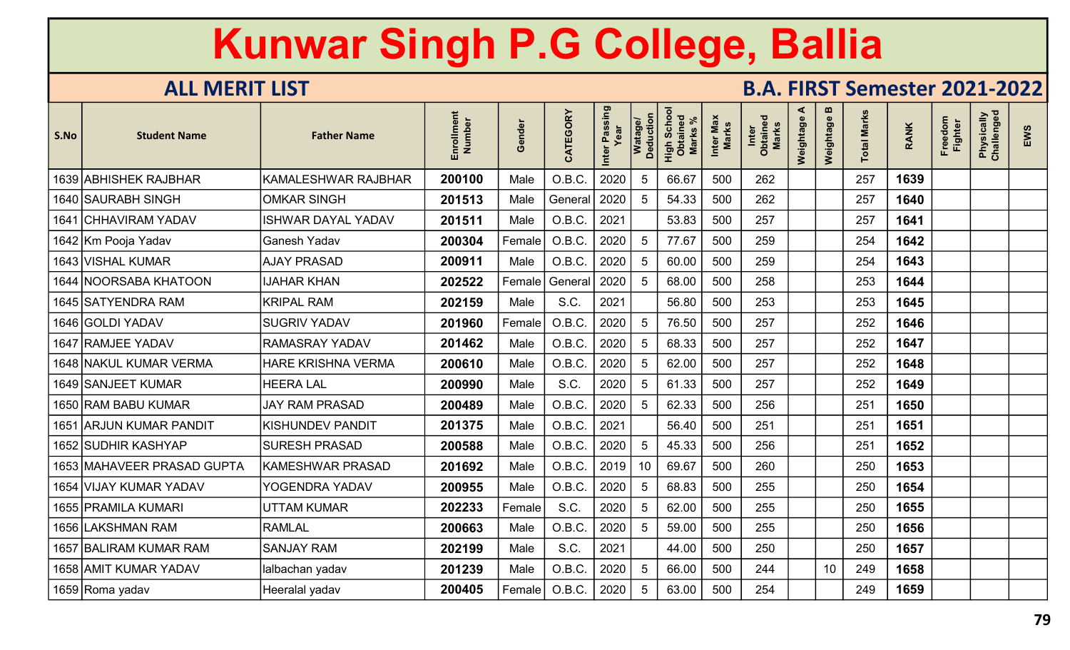| S.No | <b>Student Name</b>        | <b>Father Name</b>        | Enrollment<br>Number | Gender              | CATEGORY | Inter Passing<br>Year | Watage/<br>Deduction | <b>Scho</b><br>High Scho<br>Obtained<br><b>Marks</b> | Inter Max<br>Marks | Inter<br>Obtained<br><b>Marks</b> | ⋖<br>Weightage | $\boldsymbol{\omega}$<br>Weightage | <b>Total Marks</b> | <b>RANK</b> | Freedom<br>Fighter | Physically<br>Challenged | EWS |
|------|----------------------------|---------------------------|----------------------|---------------------|----------|-----------------------|----------------------|------------------------------------------------------|--------------------|-----------------------------------|----------------|------------------------------------|--------------------|-------------|--------------------|--------------------------|-----|
|      | 1639 ABHISHEK RAJBHAR      | KAMALESHWAR RAJBHAR       | 200100               | Male                | O.B.C.   | 2020                  | 5                    | 66.67                                                | 500                | 262                               |                |                                    | 257                | 1639        |                    |                          |     |
|      | 1640 SAURABH SINGH         | <b>OMKAR SINGH</b>        | 201513               | Male                | General  | 2020                  | 5                    | 54.33                                                | 500                | 262                               |                |                                    | 257                | 1640        |                    |                          |     |
|      | 1641 CHHAVIRAM YADAV       | <b>ISHWAR DAYAL YADAV</b> | 201511               | Male                | O.B.C.   | 2021                  |                      | 53.83                                                | 500                | 257                               |                |                                    | 257                | 1641        |                    |                          |     |
|      | 1642 Km Pooja Yadav        | Ganesh Yadav              | 200304               | Female              | O.B.C.   | 2020                  | 5                    | 77.67                                                | 500                | 259                               |                |                                    | 254                | 1642        |                    |                          |     |
|      | 1643 VISHAL KUMAR          | <b>AJAY PRASAD</b>        | 200911               | Male                | O.B.C.   | 2020                  | 5                    | 60.00                                                | 500                | 259                               |                |                                    | 254                | 1643        |                    |                          |     |
|      | 1644 NOORSABA KHATOON      | <b>JAHAR KHAN</b>         | 202522               | Female              | General  | 2020                  | 5                    | 68.00                                                | 500                | 258                               |                |                                    | 253                | 1644        |                    |                          |     |
|      | 1645 SATYENDRA RAM         | <b>KRIPAL RAM</b>         | 202159               | Male                | S.C.     | 2021                  |                      | 56.80                                                | 500                | 253                               |                |                                    | 253                | 1645        |                    |                          |     |
|      | 1646 GOLDI YADAV           | <b>SUGRIV YADAV</b>       | 201960               | Female <sup>!</sup> | O.B.C.   | 2020                  | 5                    | 76.50                                                | 500                | 257                               |                |                                    | 252                | 1646        |                    |                          |     |
|      | 1647 RAMJEE YADAV          | <b>RAMASRAY YADAV</b>     | 201462               | Male                | O.B.C.   | 2020                  | 5                    | 68.33                                                | 500                | 257                               |                |                                    | 252                | 1647        |                    |                          |     |
|      | 1648 NAKUL KUMAR VERMA     | <b>HARE KRISHNA VERMA</b> | 200610               | Male                | O.B.C.   | 2020                  | 5                    | 62.00                                                | 500                | 257                               |                |                                    | 252                | 1648        |                    |                          |     |
|      | 1649 SANJEET KUMAR         | <b>HEERA LAL</b>          | 200990               | Male                | S.C.     | 2020                  | 5                    | 61.33                                                | 500                | 257                               |                |                                    | 252                | 1649        |                    |                          |     |
|      | 1650 RAM BABU KUMAR        | <b>JAY RAM PRASAD</b>     | 200489               | Male                | O.B.C.   | 2020                  | 5                    | 62.33                                                | 500                | 256                               |                |                                    | 251                | 1650        |                    |                          |     |
|      | 1651 ARJUN KUMAR PANDIT    | <b>KISHUNDEV PANDIT</b>   | 201375               | Male                | O.B.C.   | 2021                  |                      | 56.40                                                | 500                | 251                               |                |                                    | 251                | 1651        |                    |                          |     |
|      | 1652 SUDHIR KASHYAP        | <b>SURESH PRASAD</b>      | 200588               | Male                | O.B.C.   | 2020                  | 5                    | 45.33                                                | 500                | 256                               |                |                                    | 251                | 1652        |                    |                          |     |
|      | 1653 MAHAVEER PRASAD GUPTA | <b>KAMESHWAR PRASAD</b>   | 201692               | Male                | O.B.C.   | 2019                  | 10 <sup>°</sup>      | 69.67                                                | 500                | 260                               |                |                                    | 250                | 1653        |                    |                          |     |
|      | 1654 VIJAY KUMAR YADAV     | YOGENDRA YADAV            | 200955               | Male                | O.B.C.   | 2020                  | 5                    | 68.83                                                | 500                | 255                               |                |                                    | 250                | 1654        |                    |                          |     |
|      | 1655   PRAMILA KUMARI      | <b>UTTAM KUMAR</b>        | 202233               | Female              | S.C.     | 2020                  | 5                    | 62.00                                                | 500                | 255                               |                |                                    | 250                | 1655        |                    |                          |     |
|      | 1656 LAKSHMAN RAM          | <b>RAMLAL</b>             | 200663               | Male                | O.B.C.   | 2020                  | 5                    | 59.00                                                | 500                | 255                               |                |                                    | 250                | 1656        |                    |                          |     |
|      | 1657 BALIRAM KUMAR RAM     | <b>SANJAY RAM</b>         | 202199               | Male                | S.C.     | 2021                  |                      | 44.00                                                | 500                | 250                               |                |                                    | 250                | 1657        |                    |                          |     |
|      | 1658 AMIT KUMAR YADAV      | lalbachan yadav           | 201239               | Male                | O.B.C.   | 2020                  | 5                    | 66.00                                                | 500                | 244                               |                | 10                                 | 249                | 1658        |                    |                          |     |
|      | 1659 Roma yadav            | Heeralal yadav            | 200405               | Female              | O.B.C.   | 2020                  | 5                    | 63.00                                                | 500                | 254                               |                |                                    | 249                | 1659        |                    |                          |     |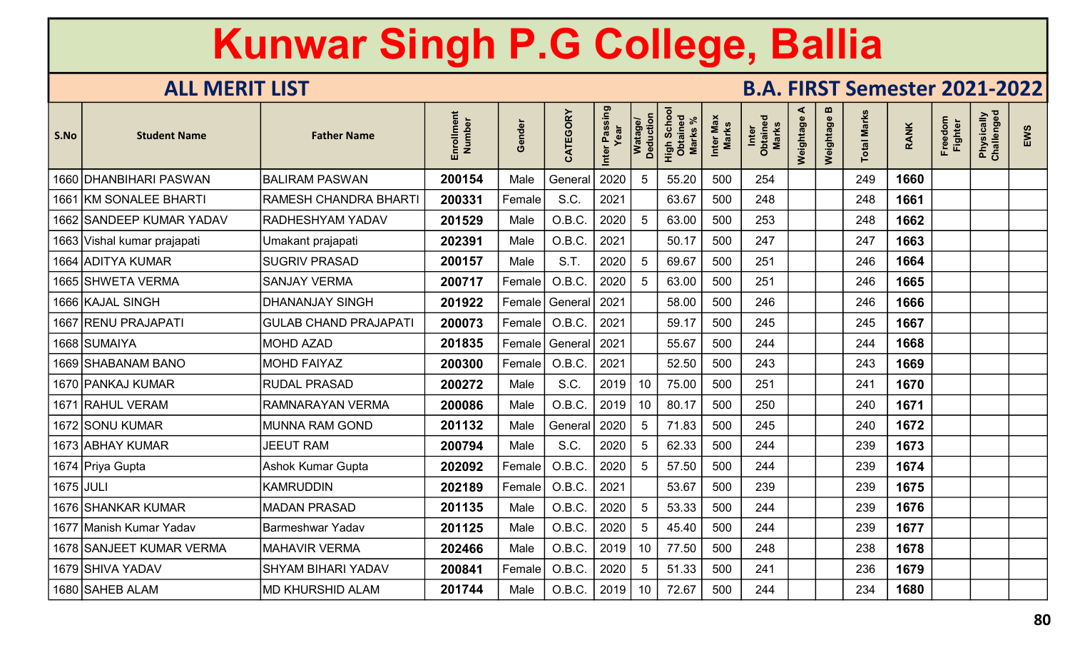| S.No      | <b>Student Name</b>         | <b>Father Name</b>           | Number<br>Enrollm | nder<br>ලි | CATEGORY         | Inter Passing<br>Year | Watage/<br>Deduction | Scho<br>High Scho<br>Obtaineo<br><b>Marks</b> | Inter Max<br>Marks | Inter<br>Obtained<br>Marks | ⋖<br>Weightage | $\mathbf{m}$<br>Weightage | <b>Total Marks</b> | <b>RANK</b> | Freedom<br><b>Fighter</b> | Physically<br>Challenged | EWS |
|-----------|-----------------------------|------------------------------|-------------------|------------|------------------|-----------------------|----------------------|-----------------------------------------------|--------------------|----------------------------|----------------|---------------------------|--------------------|-------------|---------------------------|--------------------------|-----|
|           | 1660 DHANBIHARI PASWAN      | <b>BALIRAM PASWAN</b>        | 200154            | Male       | General          | 2020                  | .5                   | 55.20                                         | 500                | 254                        |                |                           | 249                | 1660        |                           |                          |     |
|           | 1661 KM SONALEE BHARTI      | <b>RAMESH CHANDRA BHART</b>  | 200331            | Female     | S.C.             | 2021                  |                      | 63.67                                         | 500                | 248                        |                |                           | 248                | 1661        |                           |                          |     |
|           | 1662 SANDEEP KUMAR YADAV    | RADHESHYAM YADAV             | 201529            | Male       | O.B.C.           | 2020                  | -5                   | 63.00                                         | 500                | 253                        |                |                           | 248                | 1662        |                           |                          |     |
|           | 1663 Vishal kumar prajapati | Jmakant prajapati            | 202391            | Male       | O.B.C.           | 2021                  |                      | 50.17                                         | 500                | 247                        |                |                           | 247                | 1663        |                           |                          |     |
|           | 1664   ADITYA KUMAR         | <b>SUGRIV PRASAD</b>         | 200157            | Male       | S.T.             | 2020                  | 5                    | 69.67                                         | 500                | 251                        |                |                           | 246                | 1664        |                           |                          |     |
|           | 1665 SHWETA VERMA           | <b>SANJAY VERMA</b>          | 200717            | Female     | O.B.C.           | 2020                  | 5                    | 63.00                                         | 500                | 251                        |                |                           | 246                | 1665        |                           |                          |     |
|           | 1666 KAJAL SINGH            | <b>DHANANJAY SINGH</b>       | 201922            |            | Female   General | 2021                  |                      | 58.00                                         | 500                | 246                        |                |                           | 246                | 1666        |                           |                          |     |
|           | 1667 RENU PRAJAPATI         | <b>GULAB CHAND PRAJAPATI</b> | 200073            | Female     | O.B.C.           | 2021                  |                      | 59.17                                         | 500                | 245                        |                |                           | 245                | 1667        |                           |                          |     |
|           | 1668 SUMAIYA                | <b>MOHD AZAD</b>             | 201835            | Female     | General          | 2021                  |                      | 55.67                                         | 500                | 244                        |                |                           | 244                | 1668        |                           |                          |     |
|           | 1669 SHABANAM BANO          | <b>MOHD FAIYAZ</b>           | 200300            | Female     | O.B.C.           | 2021                  |                      | 52.50                                         | 500                | 243                        |                |                           | 243                | 1669        |                           |                          |     |
|           | 1670   PANKAJ KUMAR         | <b>RUDAL PRASAD</b>          | 200272            | Male       | S.C.             | 2019                  | 10                   | 75.00                                         | 500                | 251                        |                |                           | 241                | 1670        |                           |                          |     |
|           | 1671 RAHUL VERAM            | <b>RAMNARAYAN VERMA</b>      | 200086            | Male       | O.B.C.           | 2019                  | 10                   | 80.17                                         | 500                | 250                        |                |                           | 240                | 1671        |                           |                          |     |
|           | 1672 SONU KUMAR             | MUNNA RAM GOND               | 201132            | Male       | General          | 2020                  | 5                    | 71.83                                         | 500                | 245                        |                |                           | 240                | 1672        |                           |                          |     |
|           | 1673 ABHAY KUMAR            | <b>JEEUT RAM</b>             | 200794            | Male       | S.C.             | 2020                  | 5                    | 62.33                                         | 500                | 244                        |                |                           | 239                | 1673        |                           |                          |     |
|           | 1674  Priya Gupta           | <b>Ashok Kumar Gupta</b>     | 202092            | Female     | O.B.C.           | 2020                  | 5                    | 57.50                                         | 500                | 244                        |                |                           | 239                | 1674        |                           |                          |     |
| 1675 JULI |                             | <b>KAMRUDDIN</b>             | 202189            | Female     | O.B.C.           | 2021                  |                      | 53.67                                         | 500                | 239                        |                |                           | 239                | 1675        |                           |                          |     |
|           | 1676 SHHANKAR KUMAR         | <b>MADAN PRASAD</b>          | 201135            | Male       | O.B.C.           | 2020                  | 5                    | 53.33                                         | 500                | 244                        |                |                           | 239                | 1676        |                           |                          |     |
|           | 1677  Manish Kumar Yadav    | <b>Barmeshwar Yadav</b>      | 201125            | Male       | O.B.C.           | 2020                  | 5                    | 45.40                                         | 500                | 244                        |                |                           | 239                | 1677        |                           |                          |     |
|           | 1678 SANJEET KUMAR VERMA    | <b>MAHAVIR VERMA</b>         | 202466            | Male       | O.B.C.           | 2019                  | 10                   | 77.50                                         | 500                | 248                        |                |                           | 238                | 1678        |                           |                          |     |
|           | 1679   SHIVA YADAV          | <b>SHYAM BIHARI YADAV</b>    | 200841            | Female     | O.B.C.           | 2020                  | 5                    | 51.33                                         | 500                | 241                        |                |                           | 236                | 1679        |                           |                          |     |
|           | 1680 SAHEB ALAM             | <b>MD KHURSHID ALAM</b>      | 201744            | Male       | O.B.C.           | 2019                  | 10                   | 72.67                                         | 500                | 244                        |                |                           | 234                | 1680        |                           |                          |     |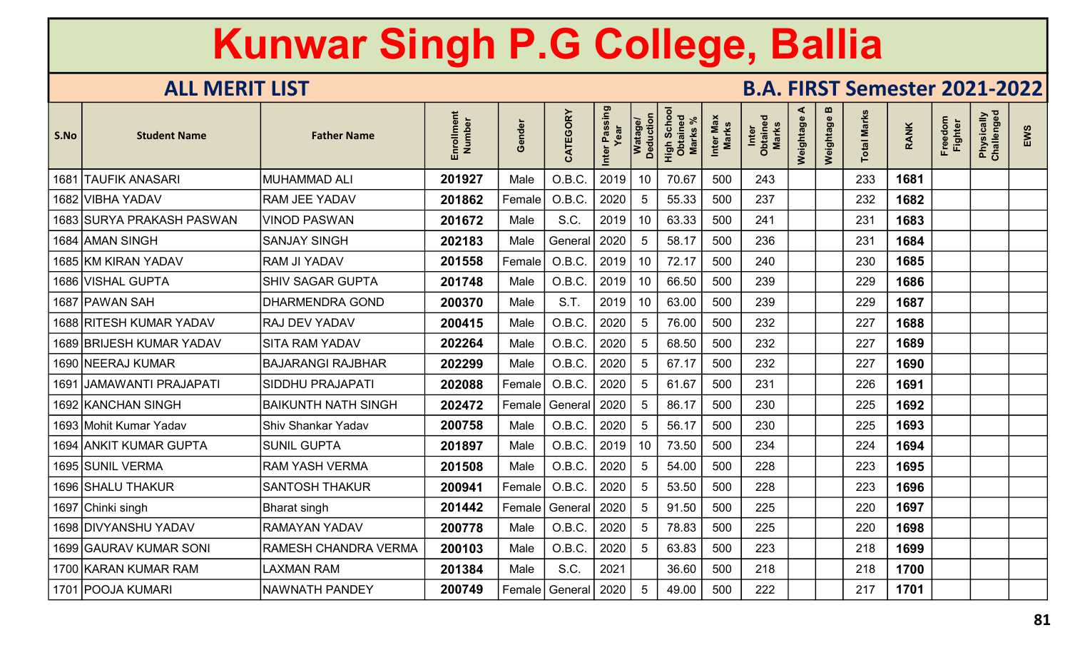| S.No | <b>Student Name</b>       | <b>Father Name</b>         | ξ<br>Number<br><b>Enrollm</b> | nde<br>$\omega$<br>Ō | CATEGORY         | Inter Passing | Watage/<br>Deduction | Scho<br>High Scho<br>Obtaineo<br><b>Marks</b> | Inter Max<br>Marks | Inter<br>Obtaine<br>Marks | ⋖<br>Weightage | m<br>Weightage | <b>Total Marks</b> | <b>RANK</b> | Freedom<br><b>Fighter</b> | Physically<br>Challenged | EWS |
|------|---------------------------|----------------------------|-------------------------------|----------------------|------------------|---------------|----------------------|-----------------------------------------------|--------------------|---------------------------|----------------|----------------|--------------------|-------------|---------------------------|--------------------------|-----|
| 1681 | <b>TAUFIK ANASARI</b>     | <b>MUHAMMAD ALI</b>        | 201927                        | Male                 | O.B.C.           | 2019          | 10                   | 70.67                                         | 500                | 243                       |                |                | 233                | 1681        |                           |                          |     |
|      | 1682 VIBHA YADAV          | <b>RAM JEE YADAV</b>       | 201862                        | Female <sup>!</sup>  | O.B.C.           | 2020          | 5                    | 55.33                                         | 500                | 237                       |                |                | 232                | 1682        |                           |                          |     |
|      | 1683 SURYA PRAKASH PASWAN | <b>VINOD PASWAN</b>        | 201672                        | Male                 | S.C.             | 2019          | 10                   | 63.33                                         | 500                | 241                       |                |                | 231                | 1683        |                           |                          |     |
|      | 1684 AMAN SINGH           | <b>SANJAY SINGH</b>        | 202183                        | Male                 | General          | 2020          | 5                    | 58.17                                         | 500                | 236                       |                |                | 231                | 1684        |                           |                          |     |
|      | 1685 KM KIRAN YADAV       | RAM JI YADAV               | 201558                        | Female               | O.B.C.           | 2019          | 10                   | 72.17                                         | 500                | 240                       |                |                | 230                | 1685        |                           |                          |     |
|      | 1686  VISHAL GUPTA        | <b>SHIV SAGAR GUPTA</b>    | 201748                        | Male                 | O.B.C.           | 2019          | 10                   | 66.50                                         | 500                | 239                       |                |                | 229                | 1686        |                           |                          |     |
|      | 1687  PAWAN SAH           | <b>DHARMENDRA GOND</b>     | 200370                        | Male                 | S.T.             | 2019          | 10                   | 63.00                                         | 500                | 239                       |                |                | 229                | 1687        |                           |                          |     |
|      | 1688 RITESH KUMAR YADAV   | <b>RAJ DEV YADAV</b>       | 200415                        | Male                 | O.B.C.           | 2020          | -5                   | 76.00                                         | 500                | 232                       |                |                | 227                | 1688        |                           |                          |     |
|      | 1689 BRIJESH KUMAR YADAV  | SITA RAM YADAV             | 202264                        | Male                 | O.B.C.           | 2020          | 5                    | 68.50                                         | 500                | 232                       |                |                | 227                | 1689        |                           |                          |     |
|      | 1690 NEERAJ KUMAR         | <b>BAJARANGI RAJBHAR</b>   | 202299                        | Male                 | O.B.C.           | 2020          | 5                    | 67.17                                         | 500                | 232                       |                |                | 227                | 1690        |                           |                          |     |
| 1691 | JAMAWANTI PRAJAPATI       | <b>SIDDHU PRAJAPATI</b>    | 202088                        | Female               | O.B.C.           | 2020          | 5                    | 61.67                                         | 500                | 231                       |                |                | 226                | 1691        |                           |                          |     |
|      | 1692 KANCHAN SINGH        | <b>BAIKUNTH NATH SINGH</b> | 202472                        |                      | General          | 2020          | .5                   | 86.17                                         | 500                | 230                       |                |                | 225                | 1692        |                           |                          |     |
|      | 1693 Mohit Kumar Yadav    | <b>Shiv Shankar Yadav</b>  | 200758                        | Male                 | O.B.C.           | 2020          | 5                    | 56.17                                         | 500                | 230                       |                |                | 225                | 1693        |                           |                          |     |
|      | 1694 ANKIT KUMAR GUPTA    | <b>SUNIL GUPTA</b>         | 201897                        | Male                 | O.B.C.           | 2019          | 10                   | 73.50                                         | 500                | 234                       |                |                | 224                | 1694        |                           |                          |     |
|      | 1695 SUNIL VERMA          | <b>RAM YASH VERMA</b>      | 201508                        | Male                 | O.B.C.           | 2020          | 5                    | 54.00                                         | 500                | 228                       |                |                | 223                | 1695        |                           |                          |     |
|      | 1696 SHALU THAKUR         | <b>SANTOSH THAKUR</b>      | 200941                        | Female               | O.B.C.           | 2020          | 5                    | 53.50                                         | 500                | 228                       |                |                | 223                | 1696        |                           |                          |     |
|      | 1697  Chinki singh        | <b>Bharat singh</b>        | 201442                        | Female               | General          | 2020          | 5                    | 91.50                                         | 500                | 225                       |                |                | 220                | 1697        |                           |                          |     |
|      | 1698 DIVYANSHU YADAV      | <b>RAMAYAN YADAV</b>       | 200778                        | Male                 | O.B.C.           | 2020          | 5                    | 78.83                                         | 500                | 225                       |                |                | 220                | 1698        |                           |                          |     |
|      | 1699 GAURAV KUMAR SONI    | RAMESH CHANDRA VERMA       | 200103                        | Male                 | O.B.C.           | 2020          | -5                   | 63.83                                         | 500                | 223                       |                |                | 218                | 1699        |                           |                          |     |
|      | 1700 KARAN KUMAR RAM      | <b>LAXMAN RAM</b>          | 201384                        | Male                 | S.C.             | 2021          |                      | 36.60                                         | 500                | 218                       |                |                | 218                | 1700        |                           |                          |     |
|      | 1701   POOJA KUMARI       | <b>NAWNATH PANDEY</b>      | 200749                        |                      | Female   General | 2020          | .5                   | 49.00                                         | 500                | 222                       |                |                | 217                | 1701        |                           |                          |     |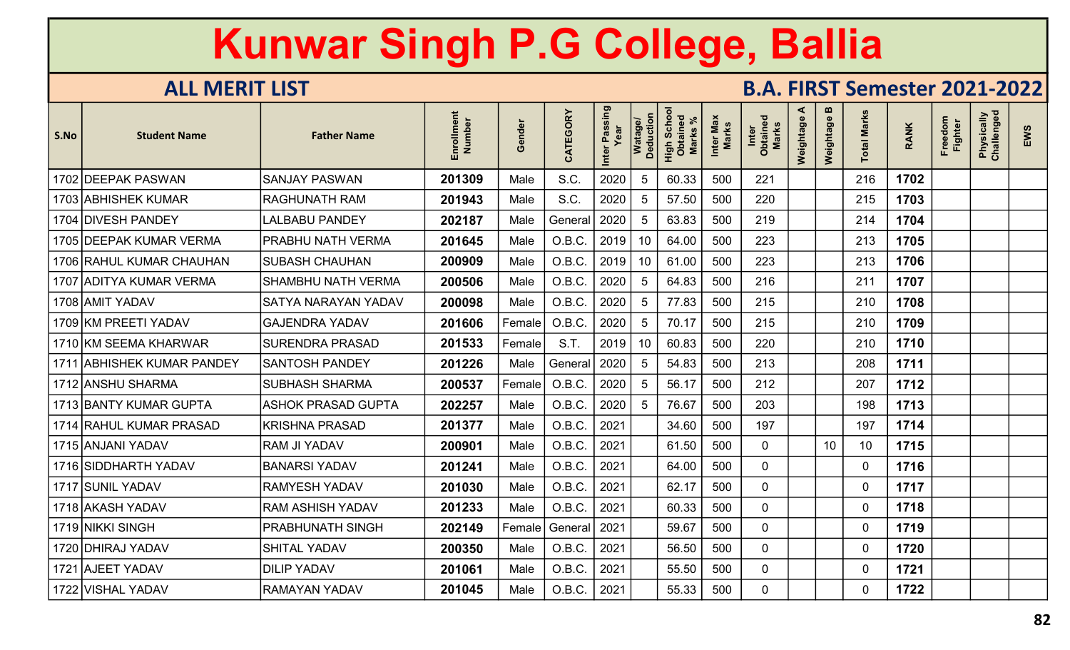| S.No | <b>Student Name</b>        | <b>Father Name</b>         | ent<br>Enrollmen<br>Number | nder<br>$\boldsymbol{\omega}$<br>O | CATEGORY | Passing<br>Inter | Watage/<br>Deduction | <b>Scho</b><br>High Scho<br>Obtained<br><b>Marks</b> | Inter Max<br>Marks | ਠ<br>Inter<br>Obtained<br>Marks | ⋖<br>Weightage | m<br>Weightage | <b>Marks</b><br>otal | <b>RANK</b> | Freedom<br><b>Fighter</b> | Physically<br>Challenged | EWS |
|------|----------------------------|----------------------------|----------------------------|------------------------------------|----------|------------------|----------------------|------------------------------------------------------|--------------------|---------------------------------|----------------|----------------|----------------------|-------------|---------------------------|--------------------------|-----|
|      | 1702 DEEPAK PASWAN         | <b>SANJAY PASWAN</b>       | 201309                     | Male                               | S.C.     | 2020             | 5                    | 60.33                                                | 500                | 221                             |                |                | 216                  | 1702        |                           |                          |     |
|      | 1703 ABHISHEK KUMAR        | <b>RAGHUNATH RAM</b>       | 201943                     | Male                               | S.C.     | 2020             | 5                    | 57.50                                                | 500                | 220                             |                |                | 215                  | 1703        |                           |                          |     |
|      | 1704 DIVESH PANDEY         | <b>LALBABU PANDEY</b>      | 202187                     | Male                               | General  | 2020             | 5                    | 63.83                                                | 500                | 219                             |                |                | 214                  | 1704        |                           |                          |     |
|      | 1705 DEEPAK KUMAR VERMA    | <b>PRABHU NATH VERMA</b>   | 201645                     | Male                               | O.B.C.   | 2019             | 10                   | 64.00                                                | 500                | 223                             |                |                | 213                  | 1705        |                           |                          |     |
|      | 1706 RAHUL KUMAR CHAUHAN   | <b>SUBASH CHAUHAN</b>      | 200909                     | Male                               | O.B.C.   | 2019             | 10                   | 61.00                                                | 500                | 223                             |                |                | 213                  | 1706        |                           |                          |     |
|      | 1707 ADITYA KUMAR VERMA    | <b>SHAMBHU NATH VERMA</b>  | 200506                     | Male                               | O.B.C.   | 2020             | 5                    | 64.83                                                | 500                | 216                             |                |                | 211                  | 1707        |                           |                          |     |
|      | 1708 AMIT YADAV            | <b>SATYA NARAYAN YADAV</b> | 200098                     | Male                               | O.B.C.   | 2020             | 5                    | 77.83                                                | 500                | 215                             |                |                | 210                  | 1708        |                           |                          |     |
|      | 1709 KM PREETI YADAV       | <b>GAJENDRA YADAV</b>      | 201606                     | Female                             | O.B.C.   | 2020             | 5                    | 70.17                                                | 500                | 215                             |                |                | 210                  | 1709        |                           |                          |     |
|      | 1710 KM SEEMA KHARWAR      | <b>SURENDRA PRASAD</b>     | 201533                     | Female                             | S.T      | 2019             | 10                   | 60.83                                                | 500                | 220                             |                |                | 210                  | 1710        |                           |                          |     |
|      | 1711 ABHISHEK KUMAR PANDEY | <b>SANTOSH PANDEY</b>      | 201226                     | Male                               | General  | 2020             | 5                    | 54.83                                                | 500                | 213                             |                |                | 208                  | 1711        |                           |                          |     |
|      | 1712 ANSHU SHARMA          | <b>SUBHASH SHARMA</b>      | 200537                     | Female                             | O.B.C.   | 2020             | 5                    | 56.17                                                | 500                | 212                             |                |                | 207                  | 1712        |                           |                          |     |
|      | 1713 BANTY KUMAR GUPTA     | <b>ASHOK PRASAD GUPTA</b>  | 202257                     | Male                               | O.B.C.   | 2020             | $\overline{5}$       | 76.67                                                | 500                | 203                             |                |                | 198                  | 1713        |                           |                          |     |
|      | 1714 RAHUL KUMAR PRASAD    | <b>KRISHNA PRASAD</b>      | 201377                     | Male                               | O.B.C.   | 2021             |                      | 34.60                                                | 500                | 197                             |                |                | 197                  | 1714        |                           |                          |     |
|      | 1715 ANJANI YADAV          | <b>RAM JI YADAV</b>        | 200901                     | Male                               | O.B.C.   | 2021             |                      | 61.50                                                | 500                | $\overline{0}$                  |                | 10             | 10                   | 1715        |                           |                          |     |
|      | 1716 SIDDHARTH YADAV       | <b>BANARSI YADAV</b>       | 201241                     | Male                               | O.B.C.   | 2021             |                      | 64.00                                                | 500                | $\overline{0}$                  |                |                | $\overline{0}$       | 1716        |                           |                          |     |
|      | 1717 SUNIL YADAV           | <b>RAMYESH YADAV</b>       | 201030                     | Male                               | O.B.C.   | 2021             |                      | 62.17                                                | 500                | $\overline{0}$                  |                |                | $\mathbf 0$          | 1717        |                           |                          |     |
|      | 1718 AKASH YADAV           | <b>RAM ASHISH YADAV</b>    | 201233                     | Male                               | O.B.C.   | 2021             |                      | 60.33                                                | 500                | $\mathbf 0$                     |                |                | $\mathbf 0$          | 1718        |                           |                          |     |
|      | 1719 NIKKI SINGH           | <b>PRABHUNATH SINGH</b>    | 202149                     | Female                             | General  | 2021             |                      | 59.67                                                | 500                | $\overline{0}$                  |                |                | $\mathbf 0$          | 1719        |                           |                          |     |
|      | 1720 DHIRAJ YADAV          | <b>SHITAL YADAV</b>        | 200350                     | Male                               | O.B.C.   | 2021             |                      | 56.50                                                | 500                | $\overline{0}$                  |                |                | $\mathbf 0$          | 1720        |                           |                          |     |
|      | 1721 AJEET YADAV           | <b>DILIP YADAV</b>         | 201061                     | Male                               | O.B.C.   | 2021             |                      | 55.50                                                | 500                | $\overline{0}$                  |                |                | $\mathbf 0$          | 1721        |                           |                          |     |
|      | 1722 VISHAL YADAV          | <b>RAMAYAN YADAV</b>       | 201045                     | Male                               | O.B.C.   | 2021             |                      | 55.33                                                | 500                | 0                               |                |                | $\overline{0}$       | 1722        |                           |                          |     |